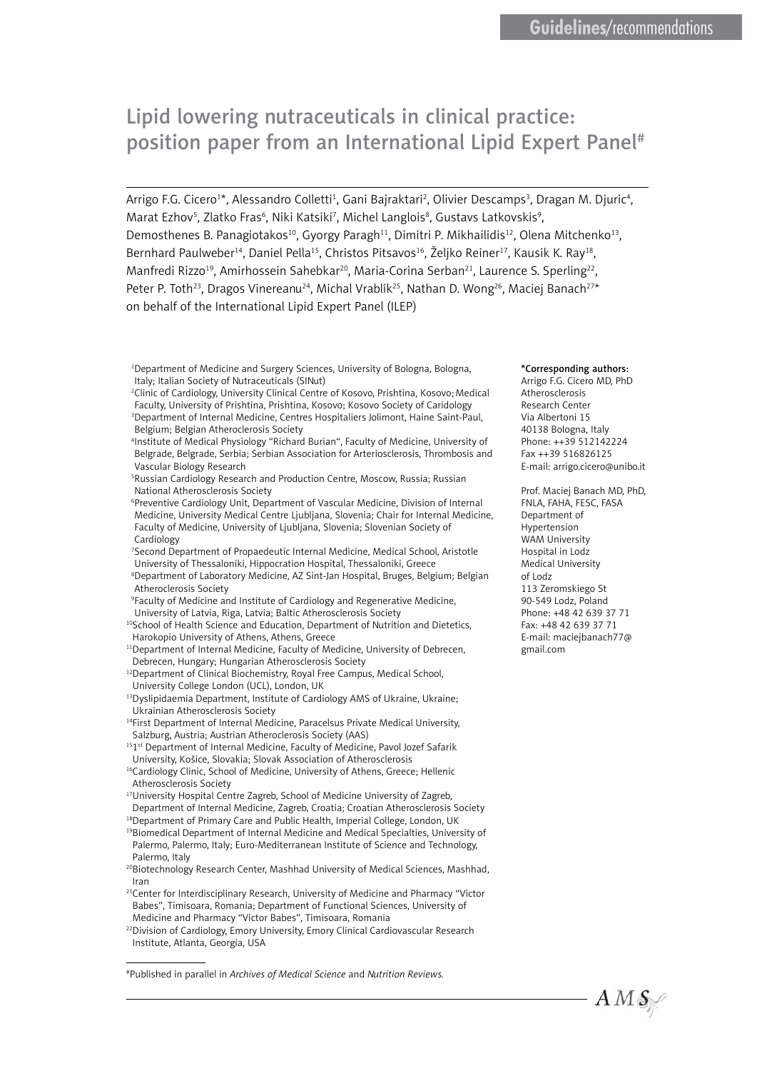# Lipid lowering nutraceuticals in clinical practice: position paper from an International Lipid Expert Panel#

Arrigo F.G. Cicero<sup>1</sup>\*, Alessandro Colletti<sup>1</sup>, Gani Bajraktari<sup>2</sup>, Olivier Descamps<sup>3</sup>, Dragan M. Djuric<sup>4</sup>, Marat Ezhov<sup>5</sup>, Zlatko Fras<sup>6</sup>, Niki Katsiki<sup>7</sup>, Michel Langlois<sup>8</sup>, Gustavs Latkovskis<sup>9</sup>, Demosthenes B. Panagiotakos<sup>10</sup>, Gyorgy Paragh<sup>11</sup>, Dimitri P. Mikhailidis<sup>12</sup>, Olena Mitchenko<sup>13</sup>, Bernhard Paulweber<sup>14</sup>, Daniel Pella<sup>15</sup>, Christos Pitsavos<sup>16</sup>, Željko Reiner<sup>17</sup>, Kausik K. Ray<sup>18</sup>, Manfredi Rizzo<sup>19</sup>, Amirhossein Sahebkar<sup>20</sup>, Maria-Corina Serban<sup>21</sup>, Laurence S. Sperling<sup>22</sup>, Peter P. Toth<sup>23</sup>, Dragos Vinereanu<sup>24</sup>, Michal Vrablík<sup>25</sup>, Nathan D. Wong<sup>26</sup>, Maciej Banach<sup>27\*</sup> on behalf of the International Lipid Expert Panel (ILEP)

1 Department of Medicine and Surgery Sciences, University of Bologna, Bologna, Italy; Italian Society of Nutraceuticals (SINut)

- 2 Clinic of Cardiology, University Clinical Centre of Kosovo, Prishtina, Kosovo; Medical Faculty, University of Prishtina, Prishtina, Kosovo; Kosovo Society of Caridology 3 Department of Internal Medicine, Centres Hospitaliers Jolimont, Haine Saint-Paul, Belgium; Belgian Atheroclerosis Society
- 4 Institute of Medical Physiology "Richard Burian", Faculty of Medicine, University of Belgrade, Belgrade, Serbia; Serbian Association for Arteriosclerosis, Thrombosis and Vascular Biology Research
- 5 Russian Cardiology Research and Production Centre, Moscow, Russia; Russian National Atherosclerosis Society
- 6 Preventive Cardiology Unit, Department of Vascular Medicine, Division of Internal Medicine, University Medical Centre Ljubljana, Slovenia; Chair for Internal Medicine, Faculty of Medicine, University of Ljubljana, Slovenia; Slovenian Society of Cardiology
- 7 Second Department of Propaedeutic Internal Medicine, Medical School, Aristotle University of Thessaloniki, Hippocration Hospital, Thessaloniki, Greece
- 8 Department of Laboratory Medicine, AZ Sint-Jan Hospital, Bruges, Belgium; Belgian Atheroclerosis Society
- 9 Faculty of Medicine and Institute of Cardiology and Regenerative Medicine, University of Latvia, Riga, Latvia; Baltic Atherosclerosis Society
- <sup>10</sup>School of Health Science and Education, Department of Nutrition and Dietetics, Harokopio University of Athens, Athens, Greece
- <sup>11</sup>Department of Internal Medicine, Faculty of Medicine, University of Debrecen, Debrecen, Hungary; Hungarian Atherosclerosis Society
- <sup>12</sup>Department of Clinical Biochemistry, Royal Free Campus, Medical School, University College London (UCL), London, UK
- 13Dyslipidaemia Department, Institute of Cardiology AMS of Ukraine, Ukraine; Ukrainian Atherosclerosis Society
- <sup>14</sup>First Department of Internal Medicine, Paracelsus Private Medical University, Salzburg, Austria; Austrian Atheroclerosis Society (AAS)
- <sup>151st</sup> Department of Internal Medicine, Faculty of Medicine, Pavol Jozef Safarik University, Košice, Slovakia; Slovak Association of Atherosclerosis
- <sup>16</sup>Cardiology Clinic, School of Medicine, University of Athens, Greece; Hellenic Atherosclerosis Society
- <sup>17</sup>University Hospital Centre Zagreb, School of Medicine University of Zagreb, Department of Internal Medicine, Zagreb, Croatia; Croatian Atherosclerosis Society
- <sup>18</sup>Department of Primary Care and Public Health, Imperial College, London, UK 19Biomedical Department of Internal Medicine and Medical Specialties, University of Palermo, Palermo, Italy; Euro-Mediterranean Institute of Science and Technology, Palermo, Italy
- <sup>20</sup>Biotechnology Research Center, Mashhad University of Medical Sciences, Mashhad, Iran
- <sup>21</sup>Center for Interdisciplinary Research, University of Medicine and Pharmacy "Victor Babes", Timisoara, Romania; Department of Functional Sciences, University of Medicine and Pharmacy "Victor Babes", Timisoara, Romania
- <sup>22</sup>Division of Cardiology, Emory University, Emory Clinical Cardiovascular Research Institute, Atlanta, Georgia, USA

#Published in parallel in *Archives of Medical Science* and *Nutrition Reviews.*

### \*Corresponding authors:

Arrigo F.G. Cicero MD, PhD Atherosclerosis Research Center Via Albertoni 15 40138 Bologna, Italy Phone: ++39 512142224 Fax ++39 516826125 E-mail: [arrigo.cicero@unibo.it](mailto:arrigo.cicero@unibo.it)

Prof. Maciej Banach MD, PhD, FNLA, FAHA, FESC, FASA Department of Hypertension WAM University Hospital in Lodz Medical University of Lodz 113 Zeromskiego St 90-549 Lodz, Poland Phone: +48 42 639 37 71 Fax: +48 42 639 37 71 E-mail: [maciejbanach77@](mailto:maciejbanach@aol.co.uk) [gmail.com](mailto:maciejbanach@aol.co.uk) 

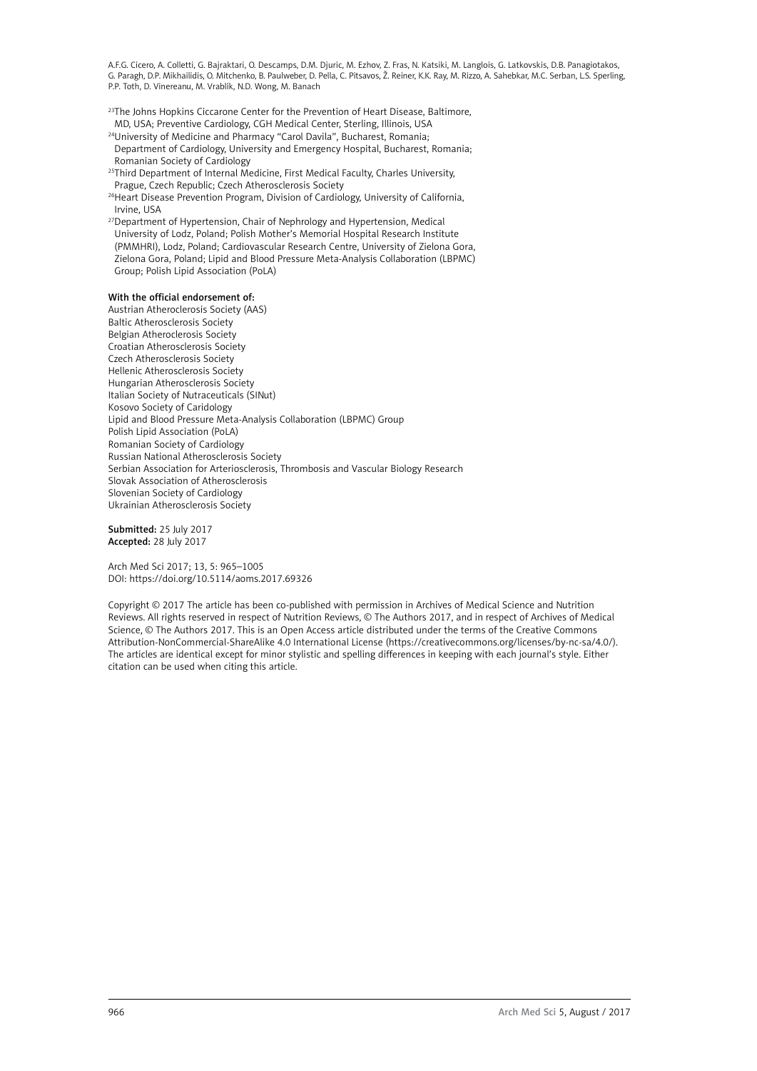<sup>23</sup>The Johns Hopkins Ciccarone Center for the Prevention of Heart Disease, Baltimore, MD, USA; Preventive Cardiology, CGH Medical Center, Sterling, Illinois, USA

- <sup>24</sup>University of Medicine and Pharmacy "Carol Davila", Bucharest, Romania; Department of Cardiology, University and Emergency Hospital, Bucharest, Romania; Romanian Society of Cardiology
- <sup>25</sup>Third Department of Internal Medicine, First Medical Faculty, Charles University,
- Prague, Czech Republic; Czech Atherosclerosis Society
- <sup>26</sup>Heart Disease Prevention Program, Division of Cardiology, University of California, Irvine, USA
- <sup>27</sup>Department of Hypertension, Chair of Nephrology and Hypertension, Medical University of Lodz, Poland; Polish Mother's Memorial Hospital Research Institute (PMMHRI), Lodz, Poland; Cardiovascular Research Centre, University of Zielona Gora, Zielona Gora, Poland; Lipid and Blood Pressure Meta-Analysis Collaboration (LBPMC) Group; Polish Lipid Association (PoLA)

#### With the official endorsement of:

Austrian Atheroclerosis Society (AAS) Baltic Atherosclerosis Society Belgian Atheroclerosis Society Croatian Atherosclerosis Society Czech Atherosclerosis Society Hellenic Atherosclerosis Society Hungarian Atherosclerosis Society Italian Society of Nutraceuticals (SINut) Kosovo Society of Caridology Lipid and Blood Pressure Meta-Analysis Collaboration (LBPMC) Group Polish Lipid Association (PoLA) Romanian Society of Cardiology Russian National Atherosclerosis Society Serbian Association for Arteriosclerosis, Thrombosis and Vascular Biology Research Slovak Association of Atherosclerosis Slovenian Society of Cardiology Ukrainian Atherosclerosis Society

Submitted: 25 July 2017 Accepted: 28 July 2017

Arch Med Sci 2017; 13, 5: 965–1005 DOI: https://doi.org/10.5114/aoms.2017.69326

Copyright © 2017 The article has been co-published with permission in Archives of Medical Science and Nutrition Reviews. All rights reserved in respect of Nutrition Reviews, © The Authors 2017, and in respect of Archives of Medical Science, © The Authors 2017. This is an Open Access article distributed under the terms of the Creative Commons Attribution-NonCommercial-ShareAlike 4.0 International License (https://creativecommons.org/licenses/by-nc-sa/4.0/). The articles are identical except for minor stylistic and spelling differences in keeping with each journal's style. Either citation can be used when citing this article.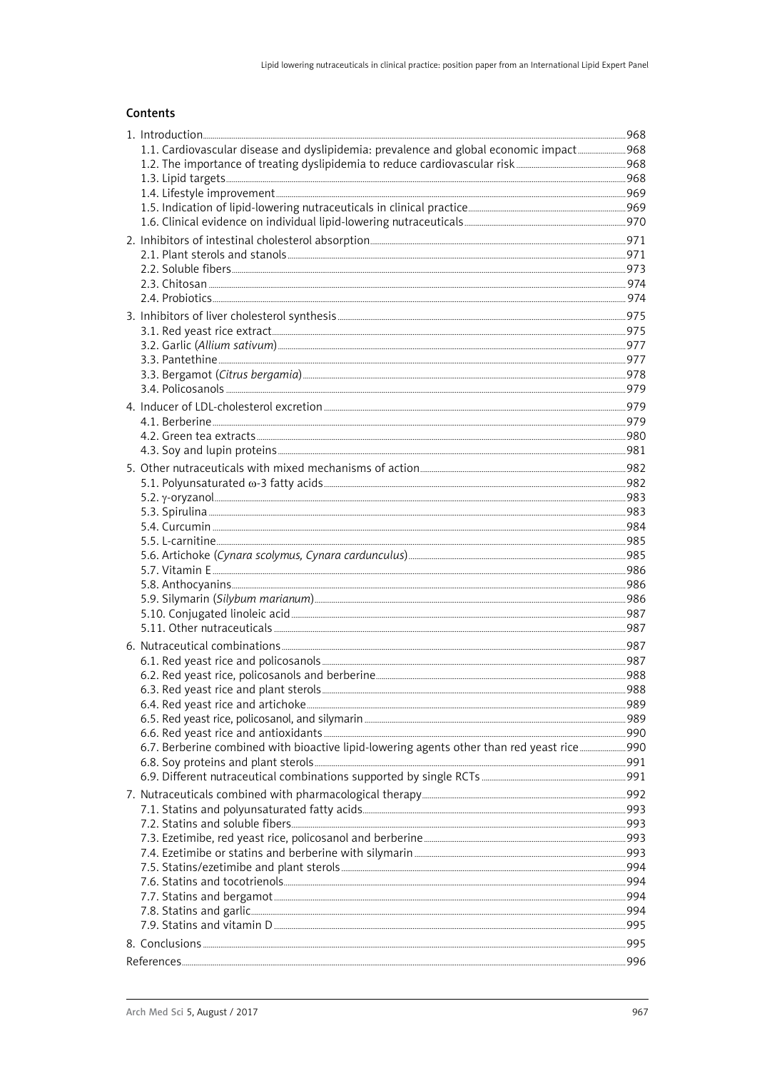# Contents

| 1.1. Cardiovascular disease and dyslipidemia: prevalence and global economic impact968                                                                                                                                              |  |
|-------------------------------------------------------------------------------------------------------------------------------------------------------------------------------------------------------------------------------------|--|
|                                                                                                                                                                                                                                     |  |
|                                                                                                                                                                                                                                     |  |
|                                                                                                                                                                                                                                     |  |
|                                                                                                                                                                                                                                     |  |
|                                                                                                                                                                                                                                     |  |
|                                                                                                                                                                                                                                     |  |
|                                                                                                                                                                                                                                     |  |
|                                                                                                                                                                                                                                     |  |
|                                                                                                                                                                                                                                     |  |
|                                                                                                                                                                                                                                     |  |
|                                                                                                                                                                                                                                     |  |
|                                                                                                                                                                                                                                     |  |
|                                                                                                                                                                                                                                     |  |
|                                                                                                                                                                                                                                     |  |
|                                                                                                                                                                                                                                     |  |
|                                                                                                                                                                                                                                     |  |
|                                                                                                                                                                                                                                     |  |
|                                                                                                                                                                                                                                     |  |
|                                                                                                                                                                                                                                     |  |
|                                                                                                                                                                                                                                     |  |
|                                                                                                                                                                                                                                     |  |
|                                                                                                                                                                                                                                     |  |
|                                                                                                                                                                                                                                     |  |
|                                                                                                                                                                                                                                     |  |
|                                                                                                                                                                                                                                     |  |
|                                                                                                                                                                                                                                     |  |
|                                                                                                                                                                                                                                     |  |
|                                                                                                                                                                                                                                     |  |
|                                                                                                                                                                                                                                     |  |
|                                                                                                                                                                                                                                     |  |
|                                                                                                                                                                                                                                     |  |
|                                                                                                                                                                                                                                     |  |
|                                                                                                                                                                                                                                     |  |
|                                                                                                                                                                                                                                     |  |
| 6. Nutraceutical combinations <b>Commission</b> and the set of the set of the set of the set of the set of the set of the set of the set of the set of the set of the set of the set of the set of the set of the set of the set of |  |
|                                                                                                                                                                                                                                     |  |
|                                                                                                                                                                                                                                     |  |
|                                                                                                                                                                                                                                     |  |
|                                                                                                                                                                                                                                     |  |
|                                                                                                                                                                                                                                     |  |
|                                                                                                                                                                                                                                     |  |
|                                                                                                                                                                                                                                     |  |
|                                                                                                                                                                                                                                     |  |
|                                                                                                                                                                                                                                     |  |
|                                                                                                                                                                                                                                     |  |
|                                                                                                                                                                                                                                     |  |
|                                                                                                                                                                                                                                     |  |
|                                                                                                                                                                                                                                     |  |
|                                                                                                                                                                                                                                     |  |
|                                                                                                                                                                                                                                     |  |
|                                                                                                                                                                                                                                     |  |
|                                                                                                                                                                                                                                     |  |
|                                                                                                                                                                                                                                     |  |
|                                                                                                                                                                                                                                     |  |
|                                                                                                                                                                                                                                     |  |
|                                                                                                                                                                                                                                     |  |
|                                                                                                                                                                                                                                     |  |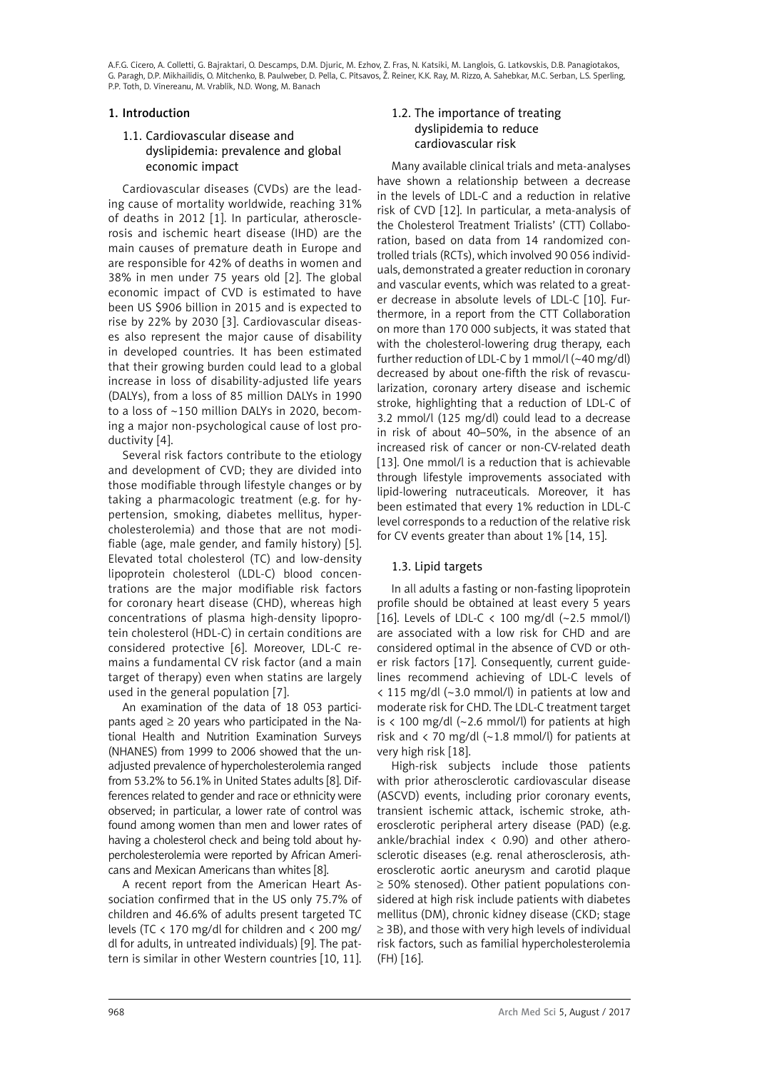# <span id="page-3-0"></span>1. Introduction

# 1.1. Cardiovascular disease and dyslipidemia: prevalence and global economic impact

Cardiovascular diseases (CVDs) are the leading cause of mortality worldwide, reaching 31% of deaths in 2012 [1]. In particular, atherosclerosis and ischemic heart disease (IHD) are the main causes of premature death in Europe and are responsible for 42% of deaths in women and 38% in men under 75 years old [2]. The global economic impact of CVD is estimated to have been US \$906 billion in 2015 and is expected to rise by 22% by 2030 [3]. Cardiovascular diseases also represent the major cause of disability in developed countries. It has been estimated that their growing burden could lead to a global increase in loss of disability-adjusted life years (DALYs), from a loss of 85 million DALYs in 1990 to a loss of ~150 million DALYs in 2020, becoming a major non-psychological cause of lost productivity [4].

Several risk factors contribute to the etiology and development of CVD; they are divided into those modifiable through lifestyle changes or by taking a pharmacologic treatment (e.g. for hypertension, smoking, diabetes mellitus, hypercholesterolemia) and those that are not modifiable (age, male gender, and family history) [5]. Elevated total cholesterol (TC) and low-density lipoprotein cholesterol (LDL-C) blood concentrations are the major modifiable risk factors for coronary heart disease (CHD), whereas high concentrations of plasma high-density lipoprotein cholesterol (HDL-C) in certain conditions are considered protective [6]. Moreover, LDL-C remains a fundamental CV risk factor (and a main target of therapy) even when statins are largely used in the general population [7].

An examination of the data of 18 053 participants aged  $\geq$  20 years who participated in the National Health and Nutrition Examination Surveys (NHANES) from 1999 to 2006 showed that the unadjusted prevalence of hypercholesterolemia ranged from 53.2% to 56.1% in United States adults [8]. Differences related to gender and race or ethnicity were observed; in particular, a lower rate of control was found among women than men and lower rates of having a cholesterol check and being told about hypercholesterolemia were reported by African Americans and Mexican Americans than whites [8].

A recent report from the American Heart Association confirmed that in the US only 75.7% of children and 46.6% of adults present targeted TC levels (TC < 170 mg/dl for children and < 200 mg/ dl for adults, in untreated individuals) [9]. The pattern is similar in other Western countries [10, 11].

# 1.2. The importance of treating dyslipidemia to reduce cardiovascular risk

Many available clinical trials and meta-analyses have shown a relationship between a decrease in the levels of LDL-C and a reduction in relative risk of CVD [12]. In particular, a meta-analysis of the Cholesterol Treatment Trialists' (CTT) Collaboration, based on data from 14 randomized controlled trials (RCTs), which involved 90 056 individuals, demonstrated a greater reduction in coronary and vascular events, which was related to a greater decrease in absolute levels of LDL-C [10]. Furthermore, in a report from the CTT Collaboration on more than 170 000 subjects, it was stated that with the cholesterol-lowering drug therapy, each further reduction of LDL-C by 1 mmol/l (~40 mg/dl) decreased by about one-fifth the risk of revascularization, coronary artery disease and ischemic stroke, highlighting that a reduction of LDL-C of 3.2 mmol/l (125 mg/dl) could lead to a decrease in risk of about 40–50%, in the absence of an increased risk of cancer or non-CV-related death [13]. One mmol/l is a reduction that is achievable through lifestyle improvements associated with lipid-lowering nutraceuticals. Moreover, it has been estimated that every 1% reduction in LDL-C level corresponds to a reduction of the relative risk for CV events greater than about 1% [14, 15].

# 1.3. Lipid targets

In all adults a fasting or non-fasting lipoprotein profile should be obtained at least every 5 years [16]. Levels of LDL-C  $\langle$  100 mg/dl (~2.5 mmol/l) are associated with a low risk for CHD and are considered optimal in the absence of CVD or other risk factors [17]. Consequently, current guidelines recommend achieving of LDL-C levels of < 115 mg/dl (~3.0 mmol/l) in patients at low and moderate risk for CHD. The LDL-C treatment target is  $\langle$  100 mg/dl (~2.6 mmol/l) for patients at high risk and  $\langle$  70 mg/dl (~1.8 mmol/l) for patients at very high risk [18].

High-risk subjects include those patients with prior atherosclerotic cardiovascular disease (ASCVD) events, including prior coronary events, transient ischemic attack, ischemic stroke, atherosclerotic peripheral artery disease (PAD) (e.g. ankle/brachial index  $\langle$  0.90) and other atherosclerotic diseases (e.g. renal atherosclerosis, atherosclerotic aortic aneurysm and carotid plaque ≥ 50% stenosed). Other patient populations considered at high risk include patients with diabetes mellitus (DM), chronic kidney disease (CKD; stage ≥ 3B), and those with very high levels of individual risk factors, such as familial hypercholesterolemia (FH) [16].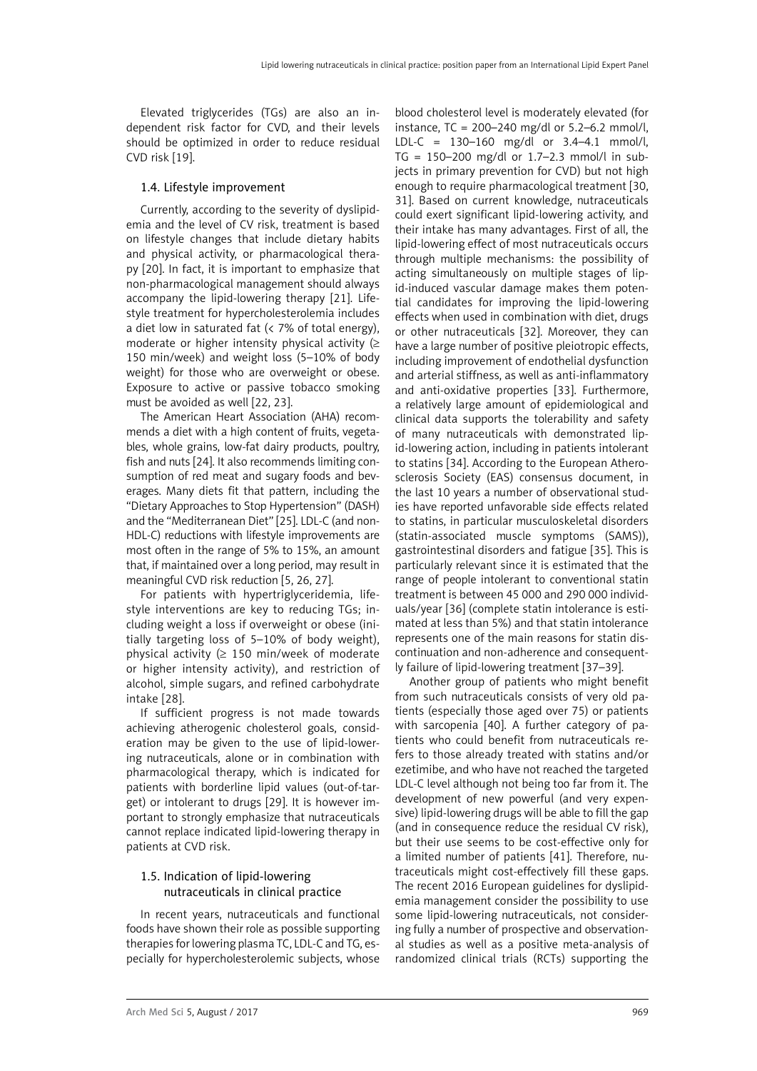<span id="page-4-0"></span>Elevated triglycerides (TGs) are also an independent risk factor for CVD, and their levels should be optimized in order to reduce residual CVD risk [19].

# 1.4. Lifestyle improvement

Currently, according to the severity of dyslipidemia and the level of CV risk, treatment is based on lifestyle changes that include dietary habits and physical activity, or pharmacological therapy [20]. In fact, it is important to emphasize that non-pharmacological management should always accompany the lipid-lowering therapy [21]. Lifestyle treatment for hypercholesterolemia includes a diet low in saturated fat  $\left($  < 7% of total energy), moderate or higher intensity physical activity  $(≥$ 150 min/week) and weight loss (5–10% of body weight) for those who are overweight or obese. Exposure to active or passive tobacco smoking must be avoided as well [22, 23].

The American Heart Association (AHA) recommends a diet with a high content of fruits, vegetables, whole grains, low-fat dairy products, poultry, fish and nuts [24]. It also recommends limiting consumption of red meat and sugary foods and beverages. Many diets fit that pattern, including the "Dietary Approaches to Stop Hypertension" (DASH) and the "Mediterranean Diet" [25]. LDL-C (and non-HDL-C) reductions with lifestyle improvements are most often in the range of 5% to 15%, an amount that, if maintained over a long period, may result in meaningful CVD risk reduction [5, 26, 27].

For patients with hypertriglyceridemia, lifestyle interventions are key to reducing TGs; including weight a loss if overweight or obese (initially targeting loss of 5–10% of body weight), physical activity ( $\geq$  150 min/week of moderate or higher intensity activity), and restriction of alcohol, simple sugars, and refined carbohydrate intake [28].

If sufficient progress is not made towards achieving atherogenic cholesterol goals, consideration may be given to the use of lipid-lowering nutraceuticals, alone or in combination with pharmacological therapy, which is indicated for patients with borderline lipid values (out-of-target) or intolerant to drugs [29]. It is however important to strongly emphasize that nutraceuticals cannot replace indicated lipid-lowering therapy in patients at CVD risk.

# 1.5. Indication of lipid-lowering nutraceuticals in clinical practice

In recent years, nutraceuticals and functional foods have shown their role as possible supporting therapies for lowering plasma TC, LDL-C and TG, especially for hypercholesterolemic subjects, whose

blood cholesterol level is moderately elevated (for instance,  $TC = 200 - 240$  mg/dl or 5.2–6.2 mmol/l, LDL-C = 130–160 mg/dl or 3.4–4.1 mmol/l, TG = 150–200 mg/dl or 1.7–2.3 mmol/l in subjects in primary prevention for CVD) but not high enough to require pharmacological treatment [30, 31]. Based on current knowledge, nutraceuticals could exert significant lipid-lowering activity, and their intake has many advantages. First of all, the lipid-lowering effect of most nutraceuticals occurs through multiple mechanisms: the possibility of acting simultaneously on multiple stages of lipid-induced vascular damage makes them potential candidates for improving the lipid-lowering effects when used in combination with diet, drugs or other nutraceuticals [32]. Moreover, they can have a large number of positive pleiotropic effects, including improvement of endothelial dysfunction and arterial stiffness, as well as anti-inflammatory and anti-oxidative properties [33]. Furthermore, a relatively large amount of epidemiological and clinical data supports the tolerability and safety of many nutraceuticals with demonstrated lipid-lowering action, including in patients intolerant to statins [34]. According to the European Atherosclerosis Society (EAS) consensus document, in the last 10 years a number of observational studies have reported unfavorable side effects related to statins, in particular musculoskeletal disorders (statin-associated muscle symptoms (SAMS)), gastrointestinal disorders and fatigue [35]. This is particularly relevant since it is estimated that the range of people intolerant to conventional statin treatment is between 45 000 and 290 000 individuals/year [36] (complete statin intolerance is estimated at less than 5%) and that statin intolerance represents one of the main reasons for statin discontinuation and non-adherence and consequently failure of lipid-lowering treatment [37–39].

Another group of patients who might benefit from such nutraceuticals consists of very old patients (especially those aged over 75) or patients with sarcopenia [40]. A further category of patients who could benefit from nutraceuticals refers to those already treated with statins and/or ezetimibe, and who have not reached the targeted LDL-C level although not being too far from it. The development of new powerful (and very expensive) lipid-lowering drugs will be able to fill the gap (and in consequence reduce the residual CV risk), but their use seems to be cost-effective only for a limited number of patients [41]. Therefore, nutraceuticals might cost-effectively fill these gaps. The recent 2016 European guidelines for dyslipidemia management consider the possibility to use some lipid-lowering nutraceuticals, not considering fully a number of prospective and observational studies as well as a positive meta-analysis of randomized clinical trials (RCTs) supporting the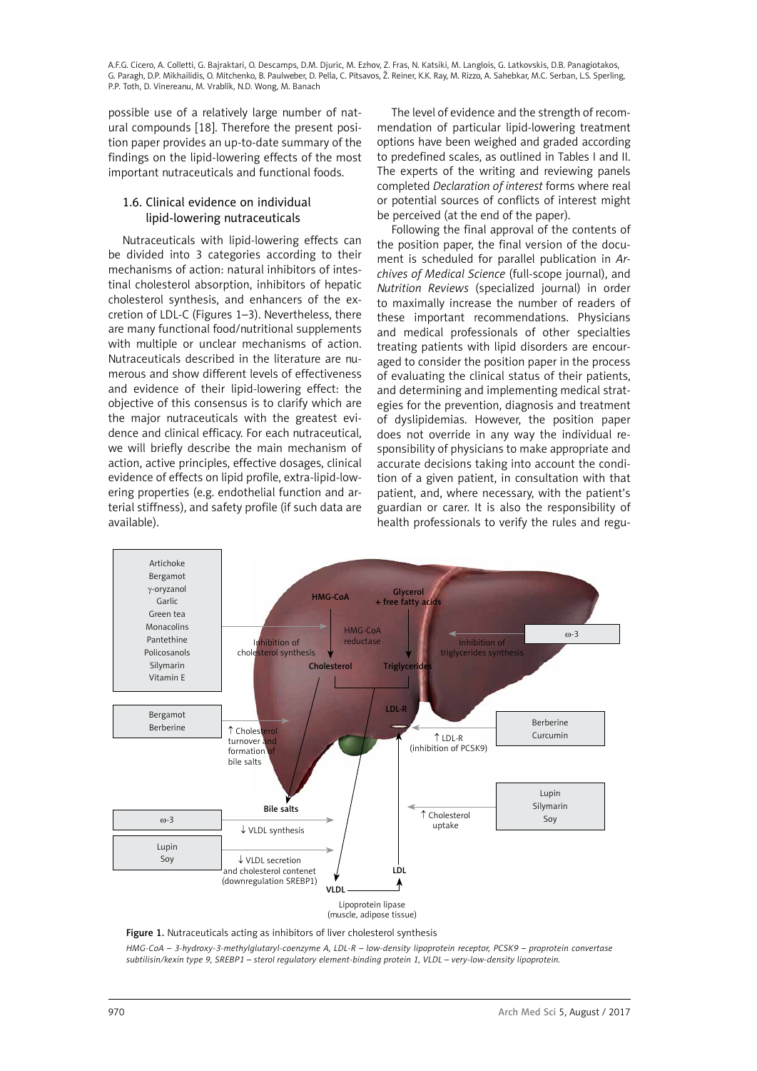<span id="page-5-0"></span>possible use of a relatively large number of natural compounds [18]. Therefore the present position paper provides an up-to-date summary of the findings on the lipid-lowering effects of the most important nutraceuticals and functional foods.

# 1.6. Clinical evidence on individual lipid-lowering nutraceuticals

Nutraceuticals with lipid-lowering effects can be divided into 3 categories according to their mechanisms of action: natural inhibitors of intestinal cholesterol absorption, inhibitors of hepatic cholesterol synthesis, and enhancers of the excretion of LDL-C (Figures 1–3). Nevertheless, there are many functional food/nutritional supplements with multiple or unclear mechanisms of action. Nutraceuticals described in the literature are numerous and show different levels of effectiveness and evidence of their lipid-lowering effect: the objective of this consensus is to clarify which are the major nutraceuticals with the greatest evidence and clinical efficacy. For each nutraceutical, we will briefly describe the main mechanism of action, active principles, effective dosages, clinical evidence of effects on lipid profile, extra-lipid-lowering properties (e.g. endothelial function and arterial stiffness), and safety profile (if such data are available).

The level of evidence and the strength of recommendation of particular lipid-lowering treatment options have been weighed and graded according to predefined scales, as outlined in Tables I and II. The experts of the writing and reviewing panels completed *Declaration of interest* forms where real or potential sources of conflicts of interest might be perceived (at the end of the paper).

Following the final approval of the contents of the position paper, the final version of the document is scheduled for parallel publication in *Archives of Medical Science* (full-scope journal), and *Nutrition Reviews* (specialized journal) in order to maximally increase the number of readers of these important recommendations. Physicians and medical professionals of other specialties treating patients with lipid disorders are encouraged to consider the position paper in the process of evaluating the clinical status of their patients, and determining and implementing medical strategies for the prevention, diagnosis and treatment of dyslipidemias. However, the position paper does not override in any way the individual responsibility of physicians to make appropriate and accurate decisions taking into account the condition of a given patient, in consultation with that patient, and, where necessary, with the patient's guardian or carer. It is also the responsibility of health professionals to verify the rules and regu-



Figure 1. Nutraceuticals acting as inhibitors of liver cholesterol synthesis

*HMG-CoA – 3-hydroxy-3-methylglutaryl-coenzyme A, LDL-R – low-density lipoprotein receptor, PCSK9 – proprotein convertase subtilisin/kexin type 9, SREBP1 – sterol regulatory element-binding protein 1, VLDL – very-low-density lipoprotein.*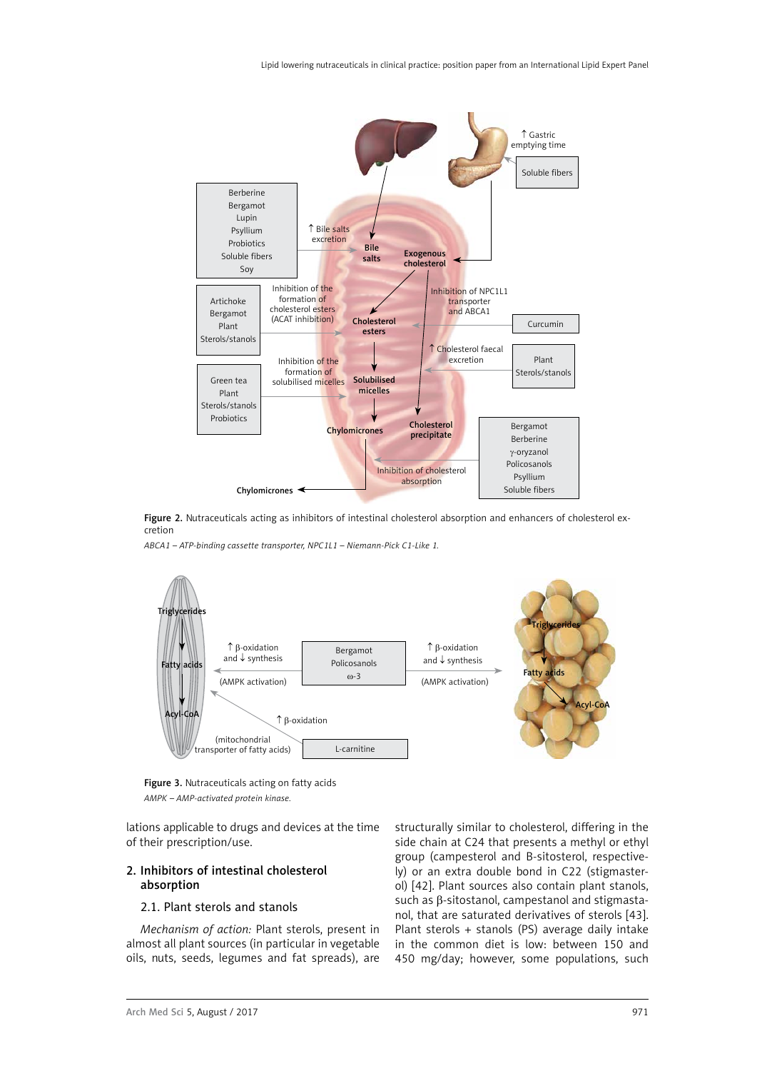<span id="page-6-0"></span>



*ABCA1 – ATP-binding cassette transporter, NPC1L1 – Niemann-Pick C1-Like 1.*



Figure 3. Nutraceuticals acting on fatty acids *AMPK – AMP-activated protein kinase.*

lations applicable to drugs and devices at the time of their prescription/use.

# 2. Inhibitors of intestinal cholesterol absorption

### 2.1. Plant sterols and stanols

*Mechanism of action:* Plant sterols, present in almost all plant sources (in particular in vegetable oils, nuts, seeds, legumes and fat spreads), are structurally similar to cholesterol, differing in the side chain at C24 that presents a methyl or ethyl group (campesterol and B-sitosterol, respectively) or an extra double bond in C22 (stigmasterol) [42]. Plant sources also contain plant stanols, such as β-sitostanol, campestanol and stigmastanol, that are saturated derivatives of sterols [43]. Plant sterols + stanols (PS) average daily intake in the common diet is low: between 150 and 450 mg/day; however, some populations, such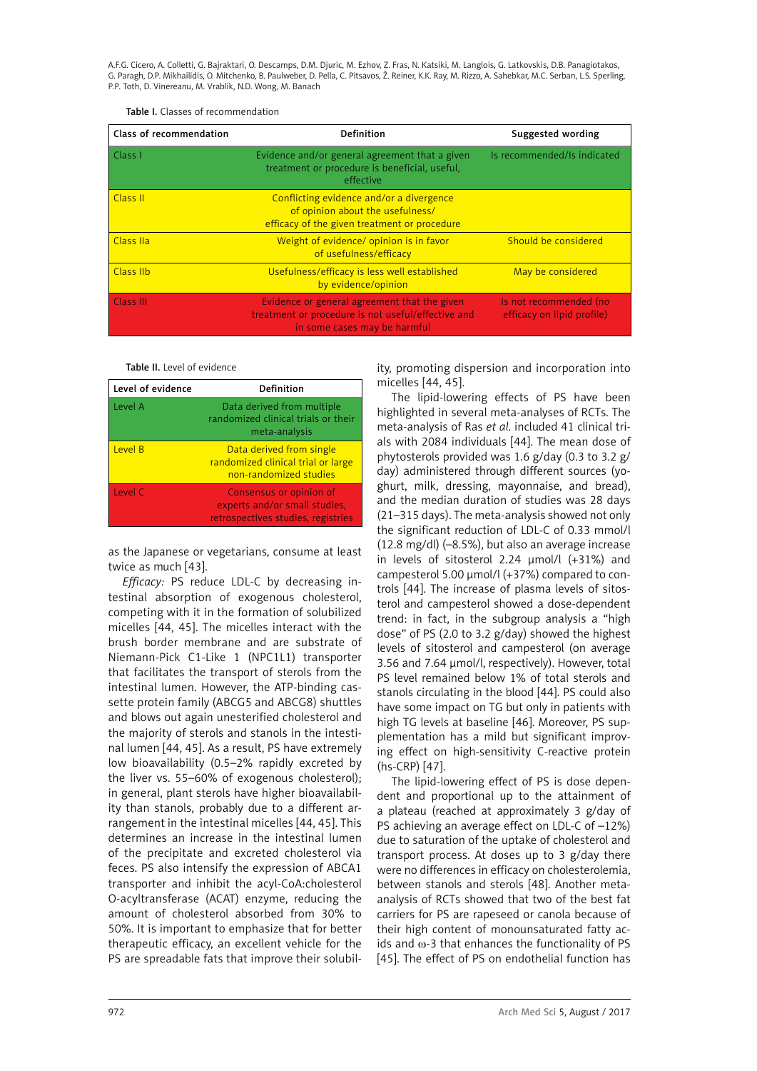| Class of recommendation                                                                                                            | <b>Definition</b>                                                                                                                  | Suggested wording                                    |
|------------------------------------------------------------------------------------------------------------------------------------|------------------------------------------------------------------------------------------------------------------------------------|------------------------------------------------------|
| Evidence and/or general agreement that a given<br>Class <sub>1</sub><br>treatment or procedure is beneficial, useful,<br>effective |                                                                                                                                    | Is recommended/Is indicated                          |
| Class II                                                                                                                           | Conflicting evidence and/or a divergence<br>of opinion about the usefulness/<br>efficacy of the given treatment or procedure       |                                                      |
| Class IIa                                                                                                                          | Weight of evidence/ opinion is in favor<br>of usefulness/efficacy                                                                  | Should be considered                                 |
| Class IIb                                                                                                                          | Usefulness/efficacy is less well established<br>by evidence/opinion                                                                | May be considered                                    |
| <b>Class III</b>                                                                                                                   | Evidence or general agreement that the given<br>treatment or procedure is not useful/effective and<br>in some cases may be harmful | Is not recommended (no<br>efficacy on lipid profile) |

Table II. Level of evidence

| Level of evidence | Definition                                                                                     |
|-------------------|------------------------------------------------------------------------------------------------|
| Level A           | Data derived from multiple<br>randomized clinical trials or their<br>meta-analysis             |
| Level B           | Data derived from single<br>randomized clinical trial or large<br>non-randomized studies       |
| Level C           | Consensus or opinion of<br>experts and/or small studies,<br>retrospectives studies, registries |

as the Japanese or vegetarians, consume at least twice as much [43].

*Efficacy:* PS reduce LDL-C by decreasing intestinal absorption of exogenous cholesterol, competing with it in the formation of solubilized micelles [44, 45]. The micelles interact with the brush border membrane and are substrate of Niemann-Pick C1-Like 1 (NPC1L1) transporter that facilitates the transport of sterols from the intestinal lumen. However, the ATP-binding cassette protein family (ABCG5 and ABCG8) shuttles and blows out again unesterified cholesterol and the majority of sterols and stanols in the intestinal lumen [44, 45]. As a result, PS have extremely low bioavailability (0.5–2% rapidly excreted by the liver vs. 55–60% of exogenous cholesterol); in general, plant sterols have higher bioavailability than stanols, probably due to a different arrangement in the intestinal micelles [44, 45]. This determines an increase in the intestinal lumen of the precipitate and excreted cholesterol via feces. PS also intensify the expression of ABCA1 transporter and inhibit the acyl-CoA:cholesterol O-acyltransferase (ACAT) enzyme, reducing the amount of cholesterol absorbed from 30% to 50%. It is important to emphasize that for better therapeutic efficacy, an excellent vehicle for the PS are spreadable fats that improve their solubility, promoting dispersion and incorporation into micelles [44, 45].

The lipid-lowering effects of PS have been highlighted in several meta-analyses of RCTs. The meta-analysis of Ras *et al.* included 41 clinical trials with 2084 individuals [44]. The mean dose of phytosterols provided was 1.6 g/day (0.3 to 3.2 g/ day) administered through different sources (yoghurt, milk, dressing, mayonnaise, and bread), and the median duration of studies was 28 days (21–315 days). The meta-analysis showed not only the significant reduction of LDL-C of 0.33 mmol/l (12.8 mg/dl) (–8.5%), but also an average increase in levels of sitosterol 2.24 μmol/l (+31%) and campesterol 5.00 μmol/l (+37%) compared to controls [44]. The increase of plasma levels of sitosterol and campesterol showed a dose-dependent trend: in fact, in the subgroup analysis a "high dose" of PS (2.0 to 3.2 g/day) showed the highest levels of sitosterol and campesterol (on average 3.56 and 7.64 μmol/l, respectively). However, total PS level remained below 1% of total sterols and stanols circulating in the blood [44]. PS could also have some impact on TG but only in patients with high TG levels at baseline [46]. Moreover, PS supplementation has a mild but significant improving effect on high-sensitivity C-reactive protein (hs-CRP) [47].

The lipid-lowering effect of PS is dose dependent and proportional up to the attainment of a plateau (reached at approximately 3 g/day of PS achieving an average effect on LDL-C of –12%) due to saturation of the uptake of cholesterol and transport process. At doses up to 3 g/day there were no differences in efficacy on cholesterolemia, between stanols and sterols [48]. Another metaanalysis of RCTs showed that two of the best fat carriers for PS are rapeseed or canola because of their high content of monounsaturated fatty acids and  $\omega$ -3 that enhances the functionality of PS [45]. The effect of PS on endothelial function has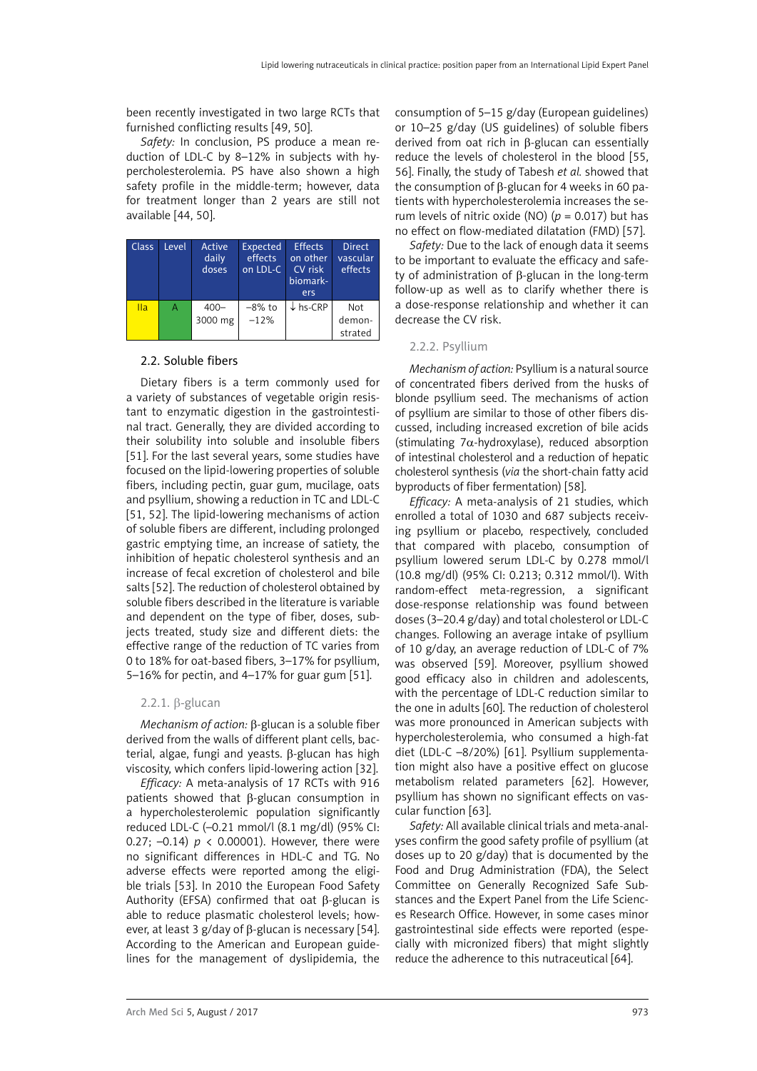<span id="page-8-0"></span>been recently investigated in two large RCTs that furnished conflicting results [49, 50].

*Safety:* In conclusion, PS produce a mean reduction of LDL-C by 8–12% in subjects with hypercholesterolemia. PS have also shown a high safety profile in the middle-term; however, data for treatment longer than 2 years are still not available [44, 50].

| <b>Class</b> | Level | Active<br>daily<br>doses | Expected<br>effects<br>on LDL-C | <b>Effects</b><br>on other<br>CV risk<br>biomark-<br>ers | <b>Direct</b><br>vascular<br>effects |
|--------------|-------|--------------------------|---------------------------------|----------------------------------------------------------|--------------------------------------|
| Ila          | А     | $400 -$<br>3000 mg       | $-8\%$ to<br>$-12%$             | $\downarrow$ hs-CRP                                      | Not<br>demon-<br>strated             |

### 2.2. Soluble fibers

Dietary fibers is a term commonly used for a variety of substances of vegetable origin resistant to enzymatic digestion in the gastrointestinal tract. Generally, they are divided according to their solubility into soluble and insoluble fibers [51]. For the last several years, some studies have focused on the lipid-lowering properties of soluble fibers, including pectin, guar gum, mucilage, oats and psyllium, showing a reduction in TC and LDL-C [51, 52]. The lipid-lowering mechanisms of action of soluble fibers are different, including prolonged gastric emptying time, an increase of satiety, the inhibition of hepatic cholesterol synthesis and an increase of fecal excretion of cholesterol and bile salts [52]. The reduction of cholesterol obtained by soluble fibers described in the literature is variable and dependent on the type of fiber, doses, subjects treated, study size and different diets: the effective range of the reduction of TC varies from 0 to 18% for oat-based fibers, 3–17% for psyllium, 5–16% for pectin, and 4–17% for guar gum [51].

### 2.2.1. β-glucan

*Mechanism of action:* β-glucan is a soluble fiber derived from the walls of different plant cells, bacterial, algae, fungi and yeasts. β-glucan has high viscosity, which confers lipid-lowering action [32].

*Efficacy:* A meta-analysis of 17 RCTs with 916 patients showed that β-glucan consumption in a hypercholesterolemic population significantly reduced LDL-C (–0.21 mmol/l (8.1 mg/dl) (95% CI: 0.27; –0.14) *p* < 0.00001). However, there were no significant differences in HDL-C and TG. No adverse effects were reported among the eligible trials [53]. In 2010 the European Food Safety Authority (EFSA) confirmed that oat β-glucan is able to reduce plasmatic cholesterol levels; however, at least 3 g/day of β-glucan is necessary [54]. According to the American and European guidelines for the management of dyslipidemia, the consumption of 5–15 g/day (European guidelines) or 10–25 g/day (US guidelines) of soluble fibers derived from oat rich in β-glucan can essentially reduce the levels of cholesterol in the blood [55, 56]. Finally, the study of Tabesh *et al.* showed that the consumption of β-glucan for 4 weeks in 60 patients with hypercholesterolemia increases the serum levels of nitric oxide (NO)  $(p = 0.017)$  but has no effect on flow-mediated dilatation (FMD) [57].

*Safety:* Due to the lack of enough data it seems to be important to evaluate the efficacy and safety of administration of β-glucan in the long-term follow-up as well as to clarify whether there is a dose-response relationship and whether it can decrease the CV risk.

# 2.2.2. Psyllium

*Mechanism of action:* Psyllium is a natural source of concentrated fibers derived from the husks of blonde psyllium seed. The mechanisms of action of psyllium are similar to those of other fibers discussed, including increased excretion of bile acids (stimulating  $7\alpha$ -hydroxylase), reduced absorption of intestinal cholesterol and a reduction of hepatic cholesterol synthesis (*via* the short-chain fatty acid byproducts of fiber fermentation) [58].

*Efficacy:* A meta-analysis of 21 studies, which enrolled a total of 1030 and 687 subjects receiving psyllium or placebo, respectively, concluded that compared with placebo, consumption of psyllium lowered serum LDL-C by 0.278 mmol/l (10.8 mg/dl) (95% CI: 0.213; 0.312 mmol/l). With random-effect meta-regression, a significant dose-response relationship was found between doses (3–20.4 g/day) and total cholesterol or LDL-C changes. Following an average intake of psyllium of 10 g/day, an average reduction of LDL-C of 7% was observed [59]. Moreover, psyllium showed good efficacy also in children and adolescents, with the percentage of LDL-C reduction similar to the one in adults [60]. The reduction of cholesterol was more pronounced in American subjects with hypercholesterolemia, who consumed a high-fat diet (LDL-C –8/20%) [61]. Psyllium supplementation might also have a positive effect on glucose metabolism related parameters [62]. However, psyllium has shown no significant effects on vascular function [63].

*Safety:* All available clinical trials and meta-analyses confirm the good safety profile of psyllium (at doses up to 20 g/day) that is documented by the Food and Drug Administration (FDA), the Select Committee on Generally Recognized Safe Substances and the Expert Panel from the Life Sciences Research Office. However, in some cases minor gastrointestinal side effects were reported (especially with micronized fibers) that might slightly reduce the adherence to this nutraceutical [64].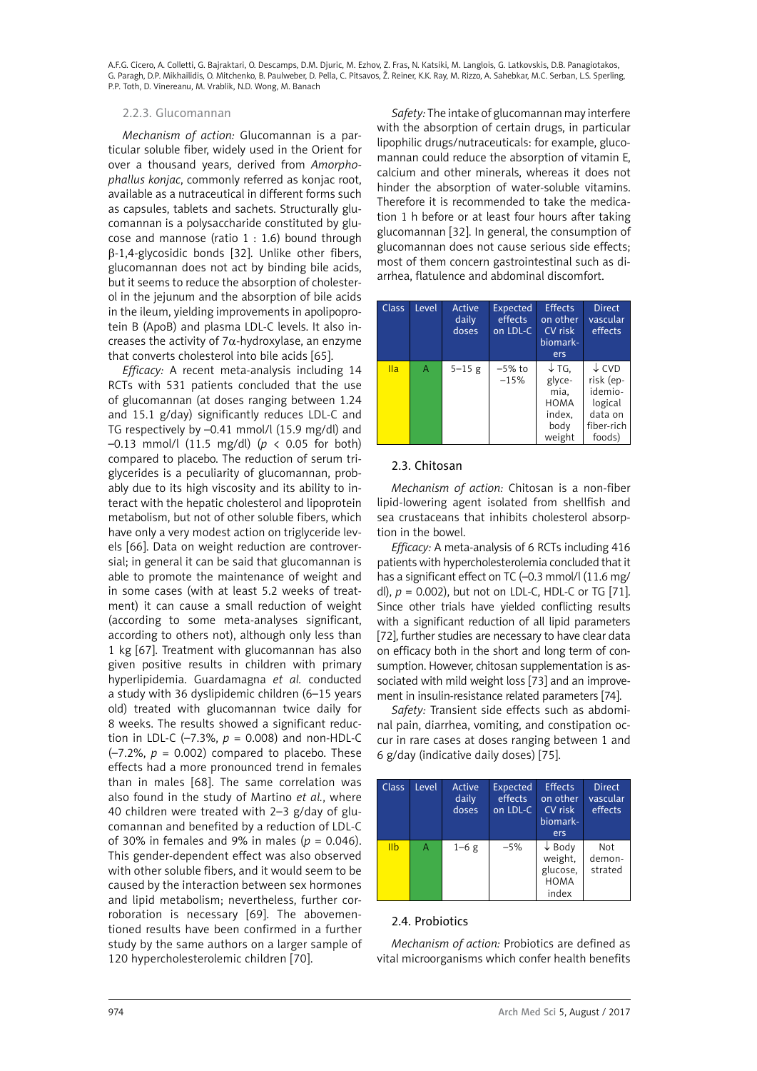### <span id="page-9-0"></span>2.2.3. Glucomannan

*Mechanism of action:* Glucomannan is a particular soluble fiber, widely used in the Orient for over a thousand years, derived from *Amorphophallus konjac*, commonly referred as konjac root, available as a nutraceutical in different forms such as capsules, tablets and sachets. Structurally glucomannan is a polysaccharide constituted by glucose and mannose (ratio 1 : 1.6) bound through β-1,4-glycosidic bonds [32]. Unlike other fibers, glucomannan does not act by binding bile acids, but it seems to reduce the absorption of cholesterol in the jejunum and the absorption of bile acids in the ileum, yielding improvements in apolipoprotein B (ApoB) and plasma LDL-C levels. It also increases the activity of  $7\alpha$ -hydroxylase, an enzyme that converts cholesterol into bile acids [65].

*Efficacy:* A recent meta-analysis including 14 RCTs with 531 patients concluded that the use of glucomannan (at doses ranging between 1.24 and 15.1 g/day) significantly reduces LDL-C and TG respectively by –0.41 mmol/l (15.9 mg/dl) and –0.13 mmol/l (11.5 mg/dl) (*p* < 0.05 for both) compared to placebo. The reduction of serum triglycerides is a peculiarity of glucomannan, probably due to its high viscosity and its ability to interact with the hepatic cholesterol and lipoprotein metabolism, but not of other soluble fibers, which have only a very modest action on triglyceride levels [66]. Data on weight reduction are controversial; in general it can be said that glucomannan is able to promote the maintenance of weight and in some cases (with at least 5.2 weeks of treatment) it can cause a small reduction of weight (according to some meta-analyses significant, according to others not), although only less than 1 kg [67]. Treatment with glucomannan has also given positive results in children with primary hyperlipidemia. Guardamagna *et al.* conducted a study with 36 dyslipidemic children (6–15 years old) treated with glucomannan twice daily for 8 weeks. The results showed a significant reduction in LDL-C ( $-7.3\%$ ,  $p = 0.008$ ) and non-HDL-C  $(-7.2\%$ ,  $p = 0.002$ ) compared to placebo. These effects had a more pronounced trend in females than in males [68]. The same correlation was also found in the study of Martino *et al.*, where 40 children were treated with 2–3 g/day of glucomannan and benefited by a reduction of LDL-C of 30% in females and 9% in males (*p* = 0.046). This gender-dependent effect was also observed with other soluble fibers, and it would seem to be caused by the interaction between sex hormones and lipid metabolism; nevertheless, further corroboration is necessary [69]. The abovementioned results have been confirmed in a further study by the same authors on a larger sample of 120 hypercholesterolemic children [70].

*Safety:* The intake of glucomannan may interfere with the absorption of certain drugs, in particular lipophilic drugs/nutraceuticals: for example, glucomannan could reduce the absorption of vitamin E, calcium and other minerals, whereas it does not hinder the absorption of water-soluble vitamins. Therefore it is recommended to take the medication 1 h before or at least four hours after taking glucomannan [32]. In general, the consumption of glucomannan does not cause serious side effects; most of them concern gastrointestinal such as diarrhea, flatulence and abdominal discomfort.

| <b>Class</b> | Level | Active<br>daily<br>doses | Expected<br>effects<br>on LDL-C | <b>Effects</b><br>on other<br>CV risk<br>biomark-<br>ers                      | <b>Direct</b><br>vascular<br>effects                                                   |
|--------------|-------|--------------------------|---------------------------------|-------------------------------------------------------------------------------|----------------------------------------------------------------------------------------|
| IIa          | A     | $5 - 15$ g               | $-5\%$ to<br>$-15%$             | $\downarrow$ TG,<br>glyce-<br>mia,<br><b>HOMA</b><br>index,<br>body<br>weight | $\downarrow$ CVD<br>risk (ep-<br>idemio-<br>logical<br>data on<br>fiber-rich<br>foods) |

# 2.3. Chitosan

*Mechanism of action:* Chitosan is a non-fiber lipid-lowering agent isolated from shellfish and sea crustaceans that inhibits cholesterol absorption in the bowel.

*Efficacy:* A meta-analysis of 6 RCTs including 416 patients with hypercholesterolemia concluded that it has a significant effect on TC (-0.3 mmol/l (11.6 mg/ dl), *p* = 0.002), but not on LDL-C, HDL-C or TG [71]. Since other trials have yielded conflicting results with a significant reduction of all lipid parameters [72], further studies are necessary to have clear data on efficacy both in the short and long term of consumption. However, chitosan supplementation is associated with mild weight loss [73] and an improvement in insulin-resistance related parameters [74].

*Safety:* Transient side effects such as abdominal pain, diarrhea, vomiting, and constipation occur in rare cases at doses ranging between 1 and 6 g/day (indicative daily doses) [75].

| <b>Class</b>    | Level | Active<br>daily<br>doses | <b>Expected</b><br>effects<br>on LDL-C | <b>Effects</b><br>on other<br>CV risk<br>biomark-<br>ers         | <b>Direct</b><br>vascular<br>effects |
|-----------------|-------|--------------------------|----------------------------------------|------------------------------------------------------------------|--------------------------------------|
| I <sub>II</sub> | Α     | $1-6g$                   | $-5%$                                  | $\downarrow$ Body<br>weight,<br>glucose.<br><b>HOMA</b><br>index | Not<br>demon-<br>strated             |

# 2.4. Probiotics

*Mechanism of action:* Probiotics are defined as vital microorganisms which confer health benefits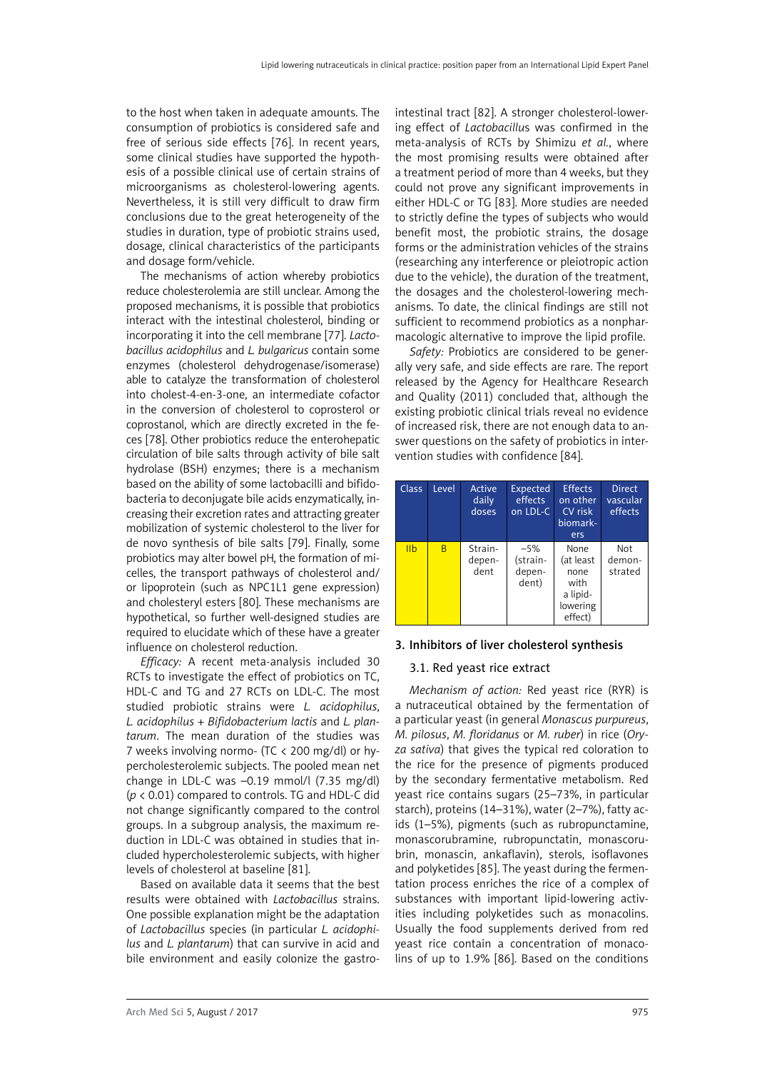<span id="page-10-0"></span>to the host when taken in adequate amounts. The consumption of probiotics is considered safe and free of serious side effects [76]. In recent years, some clinical studies have supported the hypothesis of a possible clinical use of certain strains of microorganisms as cholesterol-lowering agents. Nevertheless, it is still very difficult to draw firm conclusions due to the great heterogeneity of the studies in duration, type of probiotic strains used, dosage, clinical characteristics of the participants and dosage form/vehicle.

The mechanisms of action whereby probiotics reduce cholesterolemia are still unclear. Among the proposed mechanisms, it is possible that probiotics interact with the intestinal cholesterol, binding or incorporating it into the cell membrane [77]. *Lactobacillus acidophilus* and *L. bulgaricus* contain some enzymes (cholesterol dehydrogenase/isomerase) able to catalyze the transformation of cholesterol into cholest-4-en-3-one, an intermediate cofactor in the conversion of cholesterol to coprosterol or coprostanol, which are directly excreted in the feces [78]. Other probiotics reduce the enterohepatic circulation of bile salts through activity of bile salt hydrolase (BSH) enzymes; there is a mechanism based on the ability of some lactobacilli and bifidobacteria to deconjugate bile acids enzymatically, increasing their excretion rates and attracting greater mobilization of systemic cholesterol to the liver for de novo synthesis of bile salts [79]. Finally, some probiotics may alter bowel pH, the formation of micelles, the transport pathways of cholesterol and/ or lipoprotein (such as NPC1L1 gene expression) and cholesteryl esters [80]. These mechanisms are hypothetical, so further well-designed studies are required to elucidate which of these have a greater influence on cholesterol reduction.

*Efficacy:* A recent meta-analysis included 30 RCTs to investigate the effect of probiotics on TC, HDL-C and TG and 27 RCTs on LDL-C. The most studied probiotic strains were *L. acidophilus*, *L. acidophilus* + *Bifidobacterium lactis* and *L. plantarum*. The mean duration of the studies was 7 weeks involving normo- (TC < 200 mg/dl) or hypercholesterolemic subjects. The pooled mean net change in LDL-C was –0.19 mmol/l (7.35 mg/dl) (*p* < 0.01) compared to controls. TG and HDL-C did not change significantly compared to the control groups. In a subgroup analysis, the maximum reduction in LDL-C was obtained in studies that included hypercholesterolemic subjects, with higher levels of cholesterol at baseline [81].

Based on available data it seems that the best results were obtained with *Lactobacillus* strains. One possible explanation might be the adaptation of *Lactobacillus* species (in particular *L. acidophilus* and *L. plantarum*) that can survive in acid and bile environment and easily colonize the gastrointestinal tract [82]. A stronger cholesterol-lowering effect of *Lactobacillu*s was confirmed in the meta-analysis of RCTs by Shimizu *et al.*, where the most promising results were obtained after a treatment period of more than 4 weeks, but they could not prove any significant improvements in either HDL-C or TG [83]. More studies are needed to strictly define the types of subjects who would benefit most, the probiotic strains, the dosage forms or the administration vehicles of the strains (researching any interference or pleiotropic action due to the vehicle), the duration of the treatment, the dosages and the cholesterol-lowering mechanisms. To date, the clinical findings are still not sufficient to recommend probiotics as a nonpharmacologic alternative to improve the lipid profile.

*Safety:* Probiotics are considered to be generally very safe, and side effects are rare. The report released by the Agency for Healthcare Research and Quality (2011) concluded that, although the existing probiotic clinical trials reveal no evidence of increased risk, there are not enough data to answer questions on the safety of probiotics in intervention studies with confidence [84].

| <b>Class</b>   | Level | Active<br>daily<br>doses  | <b>Expected</b><br>effects<br>on LDL-C | <b>Effects</b><br>on other<br>CV risk<br>biomark-<br>ers             | <b>Direct</b><br>vascular<br>effects |
|----------------|-------|---------------------------|----------------------------------------|----------------------------------------------------------------------|--------------------------------------|
| I <sub>1</sub> | B     | Strain-<br>depen-<br>dent | $-5%$<br>(strain-<br>depen-<br>dent)   | None<br>(at least<br>none<br>with<br>a lipid-<br>lowering<br>effect) | Not<br>demon-<br>strated             |

### 3. Inhibitors of liver cholesterol synthesis

### 3.1. Red yeast rice extract

*Mechanism of action:* Red yeast rice (RYR) is a nutraceutical obtained by the fermentation of a particular yeast (in general *Monascus purpureus*, *M. pilosus*, *M. floridanus* or *M. ruber*) in rice (*Oryza sativa*) that gives the typical red coloration to the rice for the presence of pigments produced by the secondary fermentative metabolism. Red yeast rice contains sugars (25–73%, in particular starch), proteins (14–31%), water (2–7%), fatty acids (1–5%), pigments (such as rubropunctamine, monascorubramine, rubropunctatin, monascorubrin, monascin, ankaflavin), sterols, isoflavones and polyketides [85]. The yeast during the fermentation process enriches the rice of a complex of substances with important lipid-lowering activities including polyketides such as monacolins. Usually the food supplements derived from red yeast rice contain a concentration of monacolins of up to 1.9% [86]. Based on the conditions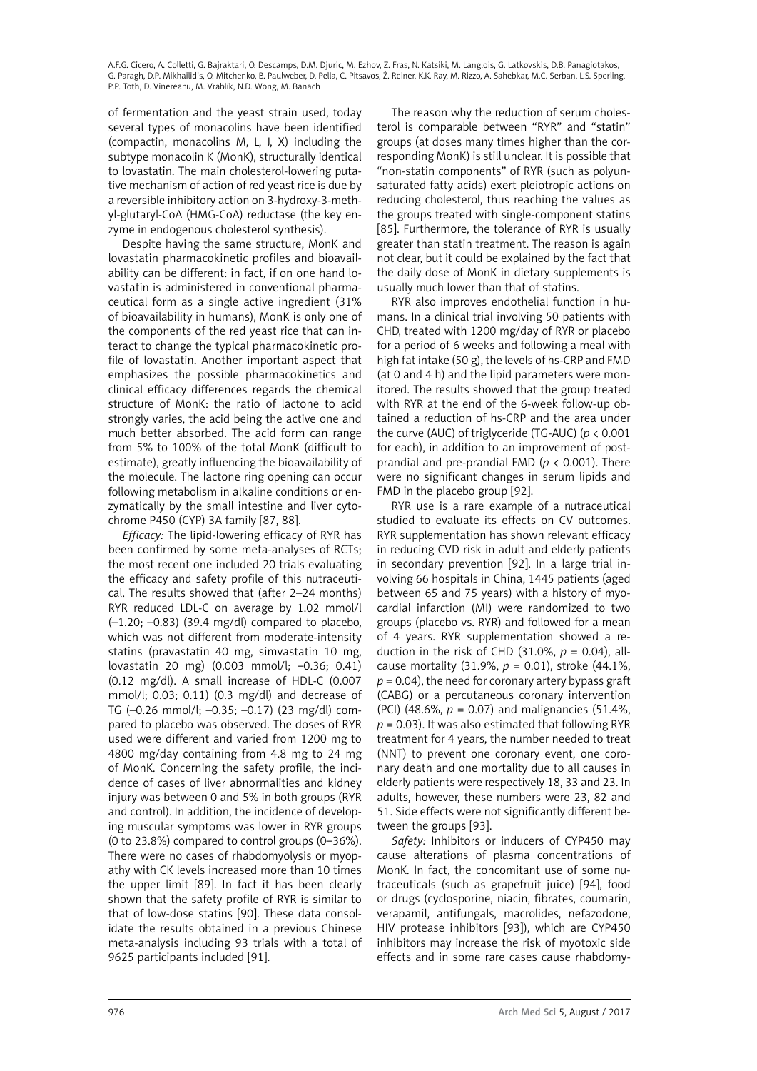of fermentation and the yeast strain used, today several types of monacolins have been identified (compactin, monacolins M, L, J, X) including the subtype monacolin K (MonK), structurally identical to lovastatin. The main cholesterol-lowering putative mechanism of action of red yeast rice is due by a reversible inhibitory action on 3-hydroxy-3-methyl-glutaryl-CoA (HMG-CoA) reductase (the key enzyme in endogenous cholesterol synthesis).

Despite having the same structure, MonK and lovastatin pharmacokinetic profiles and bioavailability can be different: in fact, if on one hand lovastatin is administered in conventional pharmaceutical form as a single active ingredient (31% of bioavailability in humans), MonK is only one of the components of the red yeast rice that can interact to change the typical pharmacokinetic profile of lovastatin. Another important aspect that emphasizes the possible pharmacokinetics and clinical efficacy differences regards the chemical structure of MonK: the ratio of lactone to acid strongly varies, the acid being the active one and much better absorbed. The acid form can range from 5% to 100% of the total MonK (difficult to estimate), greatly influencing the bioavailability of the molecule. The lactone ring opening can occur following metabolism in alkaline conditions or enzymatically by the small intestine and liver cytochrome P450 (CYP) 3A family [87, 88].

*Efficacy:* The lipid-lowering efficacy of RYR has been confirmed by some meta-analyses of RCTs; the most recent one included 20 trials evaluating the efficacy and safety profile of this nutraceutical. The results showed that (after 2–24 months) RYR reduced LDL-C on average by 1.02 mmol/l (–1.20; –0.83) (39.4 mg/dl) compared to placebo, which was not different from moderate-intensity statins (pravastatin 40 mg, simvastatin 10 mg, lovastatin 20 mg) (0.003 mmol/l; –0.36; 0.41) (0.12 mg/dl). A small increase of HDL-C (0.007 mmol/l; 0.03; 0.11) (0.3 mg/dl) and decrease of TG (–0.26 mmol/l; –0.35; –0.17) (23 mg/dl) compared to placebo was observed. The doses of RYR used were different and varied from 1200 mg to 4800 mg/day containing from 4.8 mg to 24 mg of MonK. Concerning the safety profile, the incidence of cases of liver abnormalities and kidney injury was between 0 and 5% in both groups (RYR and control). In addition, the incidence of developing muscular symptoms was lower in RYR groups (0 to 23.8%) compared to control groups (0–36%). There were no cases of rhabdomyolysis or myopathy with CK levels increased more than 10 times the upper limit [89]. In fact it has been clearly shown that the safety profile of RYR is similar to that of low-dose statins [90]. These data consolidate the results obtained in a previous Chinese meta-analysis including 93 trials with a total of 9625 participants included [91].

The reason why the reduction of serum cholesterol is comparable between "RYR" and "statin" groups (at doses many times higher than the corresponding MonK) is still unclear. It is possible that "non-statin components" of RYR (such as polyunsaturated fatty acids) exert pleiotropic actions on reducing cholesterol, thus reaching the values as the groups treated with single-component statins [85]. Furthermore, the tolerance of RYR is usually greater than statin treatment. The reason is again not clear, but it could be explained by the fact that the daily dose of MonK in dietary supplements is usually much lower than that of statins.

RYR also improves endothelial function in humans. In a clinical trial involving 50 patients with CHD, treated with 1200 mg/day of RYR or placebo for a period of 6 weeks and following a meal with high fat intake (50 g), the levels of hs-CRP and FMD (at 0 and 4 h) and the lipid parameters were monitored. The results showed that the group treated with RYR at the end of the 6-week follow-up obtained a reduction of hs-CRP and the area under the curve (AUC) of triglyceride (TG-AUC) (*p* < 0.001 for each), in addition to an improvement of postprandial and pre-prandial FMD (*p* < 0.001). There were no significant changes in serum lipids and FMD in the placebo group [92].

RYR use is a rare example of a nutraceutical studied to evaluate its effects on CV outcomes. RYR supplementation has shown relevant efficacy in reducing CVD risk in adult and elderly patients in secondary prevention [92]. In a large trial involving 66 hospitals in China, 1445 patients (aged between 65 and 75 years) with a history of myocardial infarction (MI) were randomized to two groups (placebo vs. RYR) and followed for a mean of 4 years. RYR supplementation showed a reduction in the risk of CHD (31.0%,  $p = 0.04$ ), allcause mortality (31.9%, *p* = 0.01), stroke (44.1%,  $p = 0.04$ ), the need for coronary artery bypass graft (CABG) or a percutaneous coronary intervention (PCI) (48.6%, *p* = 0.07) and malignancies (51.4%,  $p = 0.03$ ). It was also estimated that following RYR treatment for 4 years, the number needed to treat (NNT) to prevent one coronary event, one coronary death and one mortality due to all causes in elderly patients were respectively 18, 33 and 23. In adults, however, these numbers were 23, 82 and 51. Side effects were not significantly different between the groups [93].

*Safety:* Inhibitors or inducers of CYP450 may cause alterations of plasma concentrations of MonK. In fact, the concomitant use of some nutraceuticals (such as grapefruit juice) [94], food or drugs (cyclosporine, niacin, fibrates, coumarin, verapamil, antifungals, macrolides, nefazodone, HIV protease inhibitors [93]), which are CYP450 inhibitors may increase the risk of myotoxic side effects and in some rare cases cause rhabdomy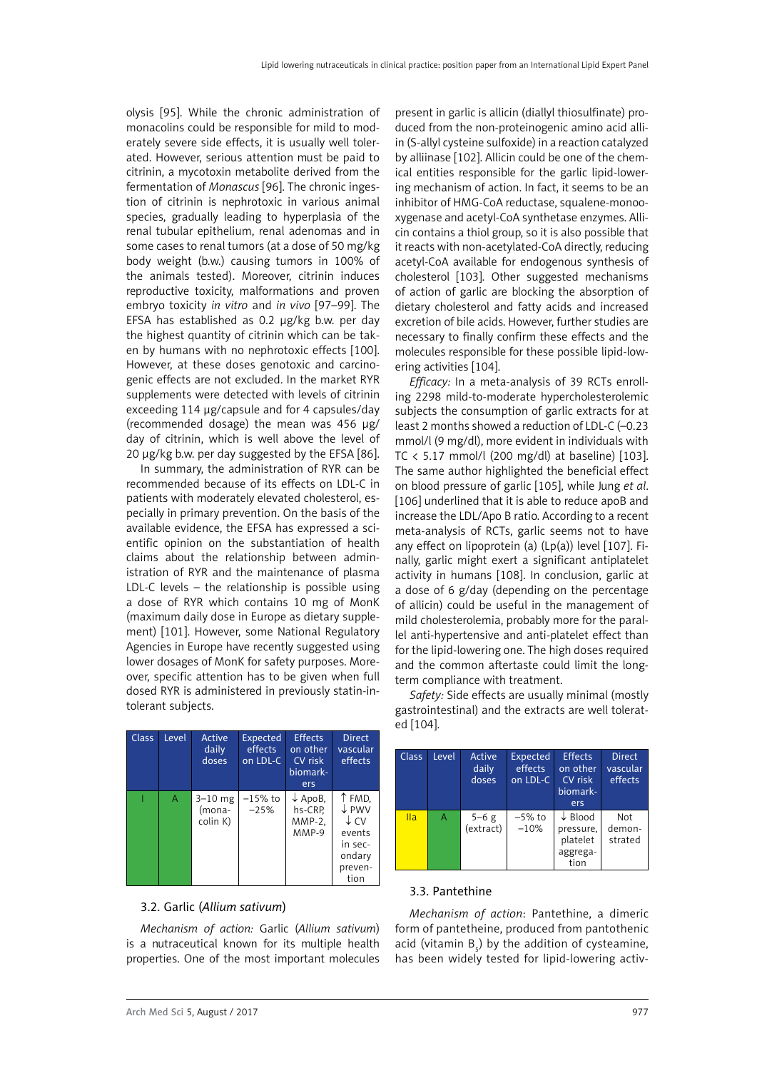<span id="page-12-0"></span>olysis [95]. While the chronic administration of monacolins could be responsible for mild to moderately severe side effects, it is usually well tolerated. However, serious attention must be paid to citrinin, a mycotoxin metabolite derived from the fermentation of *Monascus* [96]. The chronic ingestion of citrinin is nephrotoxic in various animal species, gradually leading to hyperplasia of the renal tubular epithelium, renal adenomas and in some cases to renal tumors (at a dose of 50 mg/kg body weight (b.w.) causing tumors in 100% of the animals tested). Moreover, citrinin induces reproductive toxicity, malformations and proven embryo toxicity *in vitro* and *in vivo* [97–99]. The EFSA has established as 0.2 μg/kg b.w. per day the highest quantity of citrinin which can be taken by humans with no nephrotoxic effects [100]. However, at these doses genotoxic and carcinogenic effects are not excluded. In the market RYR supplements were detected with levels of citrinin exceeding 114 μg/capsule and for 4 capsules/day (recommended dosage) the mean was 456 μg/ day of citrinin, which is well above the level of 20 μg/kg b.w. per day suggested by the EFSA [86].

In summary, the administration of RYR can be recommended because of its effects on LDL-C in patients with moderately elevated cholesterol, especially in primary prevention. On the basis of the available evidence, the EFSA has expressed a scientific opinion on the substantiation of health claims about the relationship between administration of RYR and the maintenance of plasma LDL-C levels – the relationship is possible using a dose of RYR which contains 10 mg of MonK (maximum daily dose in Europe as dietary supplement) [101]. However, some National Regulatory Agencies in Europe have recently suggested using lower dosages of MonK for safety purposes. Moreover, specific attention has to be given when full dosed RYR is administered in previously statin-intolerant subjects.

| <b>Class</b> | Level | Active<br>daily<br>doses          | Expected<br>effects<br>on LDL-C | <b>Effects</b><br>on other<br>CV risk<br>biomark-<br>ers | <b>Direct</b><br>vascular<br>effects                                                 |
|--------------|-------|-----------------------------------|---------------------------------|----------------------------------------------------------|--------------------------------------------------------------------------------------|
|              | Α     | $3 - 10$ mg<br>(mona-<br>colin K) | $-15%$ to<br>$-25%$             | $\downarrow$ ApoB,<br>hs-CRP.<br>$MMP-2$ ,<br>MMP-9      | ↑ FMD,<br>↓ PWV<br>$\downarrow$ CV<br>events<br>in sec-<br>ondary<br>preven-<br>tion |

# 3.2. Garlic (*Allium sativum*)

*Mechanism of action:* Garlic (*Allium sativum*) is a nutraceutical known for its multiple health properties. One of the most important molecules

present in garlic is allicin (diallyl thiosulfinate) produced from the non-proteinogenic amino acid alliin (S-allyl cysteine sulfoxide) in a reaction catalyzed by alliinase [102]. Allicin could be one of the chemical entities responsible for the garlic lipid-lowering mechanism of action. In fact, it seems to be an inhibitor of HMG-CoA reductase, squalene-monooxygenase and acetyl-CoA synthetase enzymes. Allicin contains a thiol group, so it is also possible that it reacts with non-acetylated-CoA directly, reducing acetyl-CoA available for endogenous synthesis of cholesterol [103]. Other suggested mechanisms of action of garlic are blocking the absorption of dietary cholesterol and fatty acids and increased excretion of bile acids. However, further studies are necessary to finally confirm these effects and the molecules responsible for these possible lipid-lowering activities [104].

*Efficacy:* In a meta-analysis of 39 RCTs enrolling 2298 mild-to-moderate hypercholesterolemic subjects the consumption of garlic extracts for at least 2 months showed a reduction of LDL-C (–0.23 mmol/l (9 mg/dl), more evident in individuals with TC  $\langle$  5.17 mmol/l (200 mg/dl) at baseline) [103]. The same author highlighted the beneficial effect on blood pressure of garlic [105], while Jung *et al*. [106] underlined that it is able to reduce apoB and increase the LDL/Apo B ratio. According to a recent meta-analysis of RCTs, garlic seems not to have any effect on lipoprotein (a)  $(Lp(a))$  level [107]. Finally, garlic might exert a significant antiplatelet activity in humans [108]. In conclusion, garlic at a dose of 6 g/day (depending on the percentage of allicin) could be useful in the management of mild cholesterolemia, probably more for the parallel anti-hypertensive and anti-platelet effect than for the lipid-lowering one. The high doses required and the common aftertaste could limit the longterm compliance with treatment.

*Safety:* Side effects are usually minimal (mostly gastrointestinal) and the extracts are well tolerated [104].

| Class <sub>1</sub> | Level | Active<br>daily<br>doses | <b>Expected</b><br>effects<br>on LDL-C | Effects<br>on other<br>CV risk<br>biomark-<br>ers               | <b>Direct</b><br>vascular<br>effects |
|--------------------|-------|--------------------------|----------------------------------------|-----------------------------------------------------------------|--------------------------------------|
| <b>Ila</b>         | A     | $5 - 6$ g<br>(extract)   | $-5\%$ to<br>$-10%$                    | $\downarrow$ Blood<br>pressure,<br>platelet<br>aggrega-<br>tion | Not<br>demon-<br>strated             |

### 3.3. Pantethine

*Mechanism of action*: Pantethine, a dimeric form of pantetheine, produced from pantothenic acid (vitamin  $B_5$ ) by the addition of cysteamine, has been widely tested for lipid-lowering activ-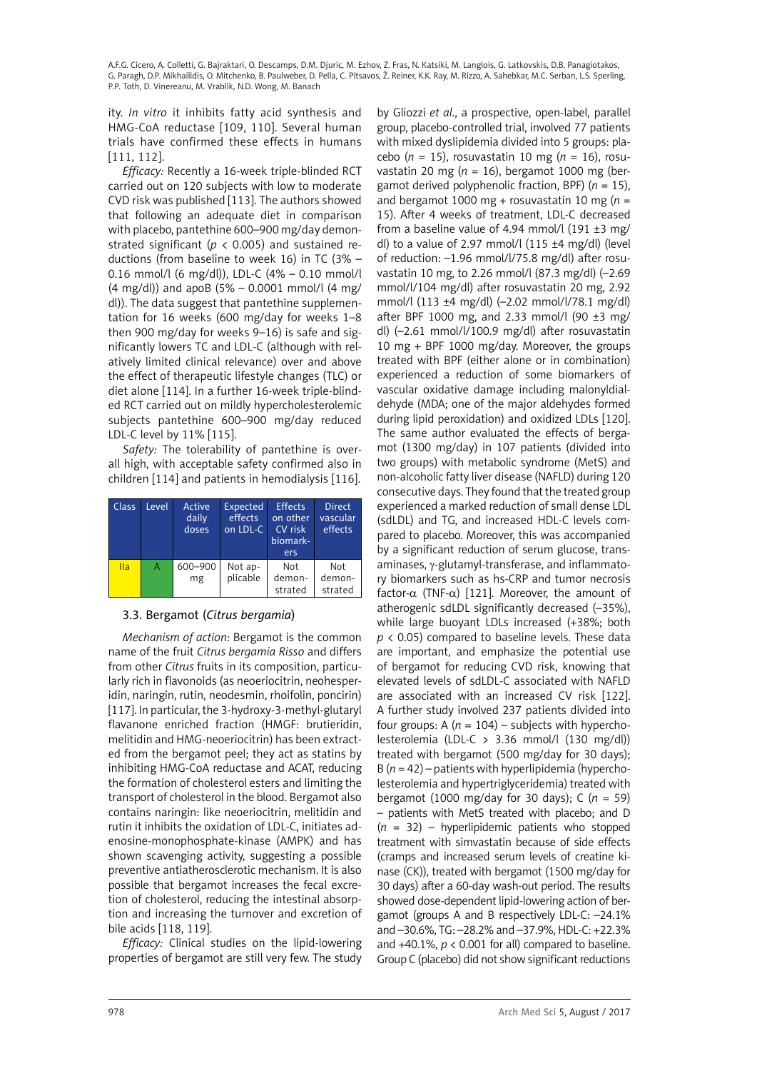<span id="page-13-0"></span>ity. *In vitro* it inhibits fatty acid synthesis and HMG-CoA reductase [109, 110]. Several human trials have confirmed these effects in humans [111, 112].

*Efficacy:* Recently a 16-week triple-blinded RCT carried out on 120 subjects with low to moderate CVD risk was published [113]. The authors showed that following an adequate diet in comparison with placebo, pantethine 600–900 mg/day demonstrated significant (*p* < 0.005) and sustained reductions (from baseline to week 16) in TC (3% – 0.16 mmol/l (6 mg/dl)), LDL-C (4% – 0.10 mmol/l  $(4 \text{ mg/dl})$  and apoB  $(5\% - 0.0001 \text{ mmol/l}$   $(4 \text{ mg/d})$ dl)). The data suggest that pantethine supplementation for 16 weeks (600 mg/day for weeks 1–8 then 900 mg/day for weeks 9–16) is safe and significantly lowers TC and LDL-C (although with relatively limited clinical relevance) over and above the effect of therapeutic lifestyle changes (TLC) or diet alone [114]. In a further 16-week triple-blinded RCT carried out on mildly hypercholesterolemic subjects pantethine 600–900 mg/day reduced LDL-C level by 11% [115].

*Safety:* The tolerability of pantethine is overall high, with acceptable safety confirmed also in children [114] and patients in hemodialysis [116].

| <b>Class</b> | Level | Active<br>daily<br>doses | <b>Expected</b><br>effects<br>on LDL-C | <b>Effects</b><br>on other<br>CV risk<br>biomark-<br>ers | <b>Direct</b><br>vascular<br>effects |
|--------------|-------|--------------------------|----------------------------------------|----------------------------------------------------------|--------------------------------------|
| <b>Ila</b>   | А     | 600-900<br>mg            | Not ap-<br>plicable                    | Not<br>demon-<br>strated                                 | Not<br>demon-<br>strated             |

# 3.3. Bergamot (*Citrus bergamia*)

*Mechanism of action*: Bergamot is the common name of the fruit *Citrus bergamia Risso* and differs from other *Citrus* fruits in its composition, particularly rich in flavonoids (as neoeriocitrin, neohesperidin, naringin, rutin, neodesmin, rhoifolin, poncirin) [117]. In particular, the 3-hydroxy-3-methyl-glutaryl flavanone enriched fraction (HMGF: brutieridin, melitidin and HMG-neoeriocitrin) has been extracted from the bergamot peel; they act as statins by inhibiting HMG-CoA reductase and ACAT, reducing the formation of cholesterol esters and limiting the transport of cholesterol in the blood. Bergamot also contains naringin: like neoeriocitrin, melitidin and rutin it inhibits the oxidation of LDL-C, initiates adenosine-monophosphate-kinase (AMPK) and has shown scavenging activity, suggesting a possible preventive antiatherosclerotic mechanism. It is also possible that bergamot increases the fecal excretion of cholesterol, reducing the intestinal absorption and increasing the turnover and excretion of bile acids [118, 119].

*Efficacy:* Clinical studies on the lipid-lowering properties of bergamot are still very few. The study by Gliozzi *et al*., a prospective, open-label, parallel group, placebo-controlled trial, involved 77 patients with mixed dyslipidemia divided into 5 groups: placebo ( $n = 15$ ), rosuvastatin 10 mg ( $n = 16$ ), rosuvastatin 20 mg (*n* = 16), bergamot 1000 mg (bergamot derived polyphenolic fraction, BPF) (*n* = 15), and bergamot 1000 mg + rosuvastatin 10 mg (*n* = 15). After 4 weeks of treatment, LDL-C decreased from a baseline value of 4.94 mmol/l  $(191 \pm 3 \text{ mg})$ dl) to a value of 2.97 mmol/l  $(115 \pm 4 \text{ mg/dl})$  (level of reduction: –1.96 mmol/l/75.8 mg/dl) after rosuvastatin 10 mg, to 2.26 mmol/l (87.3 mg/dl) (–2.69 mmol/l/104 mg/dl) after rosuvastatin 20 mg, 2.92 mmol/l (113 ±4 mg/dl) (–2.02 mmol/l/78.1 mg/dl) after BPF 1000 mg, and 2.33 mmol/l (90  $\pm$ 3 mg/ dl) (–2.61 mmol/l/100.9 mg/dl) after rosuvastatin 10 mg + BPF 1000 mg/day. Moreover, the groups treated with BPF (either alone or in combination) experienced a reduction of some biomarkers of vascular oxidative damage including malonyldialdehyde (MDA; one of the major aldehydes formed during lipid peroxidation) and oxidized LDLs [120]. The same author evaluated the effects of bergamot (1300 mg/day) in 107 patients (divided into two groups) with metabolic syndrome (MetS) and non-alcoholic fatty liver disease (NAFLD) during 120 consecutive days. They found that the treated group experienced a marked reduction of small dense LDL (sdLDL) and TG, and increased HDL-C levels compared to placebo. Moreover, this was accompanied by a significant reduction of serum glucose, transaminases, y-glutamyl-transferase, and inflammatory biomarkers such as hs-CRP and tumor necrosis factor- $\alpha$  (TNF- $\alpha$ ) [121]. Moreover, the amount of atherogenic sdLDL significantly decreased (–35%), while large buoyant LDLs increased (+38%; both *p* < 0.05) compared to baseline levels. These data are important, and emphasize the potential use of bergamot for reducing CVD risk, knowing that elevated levels of sdLDL-C associated with NAFLD are associated with an increased CV risk [122]. A further study involved 237 patients divided into four groups:  $A(n = 104)$  – subjects with hypercholesterolemia (LDL-C > 3.36 mmol/l (130 mg/dl)) treated with bergamot (500 mg/day for 30 days); B (*n* = 42) – patients with hyperlipidemia (hypercholesterolemia and hypertriglyceridemia) treated with bergamot (1000 mg/day for 30 days); C (*n* = 59) – patients with MetS treated with placebo; and D (*n* = 32) – hyperlipidemic patients who stopped treatment with simvastatin because of side effects (cramps and increased serum levels of creatine kinase (CK)), treated with bergamot (1500 mg/day for 30 days) after a 60-day wash-out period. The results showed dose-dependent lipid-lowering action of bergamot (groups A and B respectively LDL-C: –24.1% and –30.6%, TG: –28.2% and –37.9%, HDL-C: +22.3% and  $+40.1\%$ ,  $p < 0.001$  for all) compared to baseline. Group C (placebo) did not show significant reductions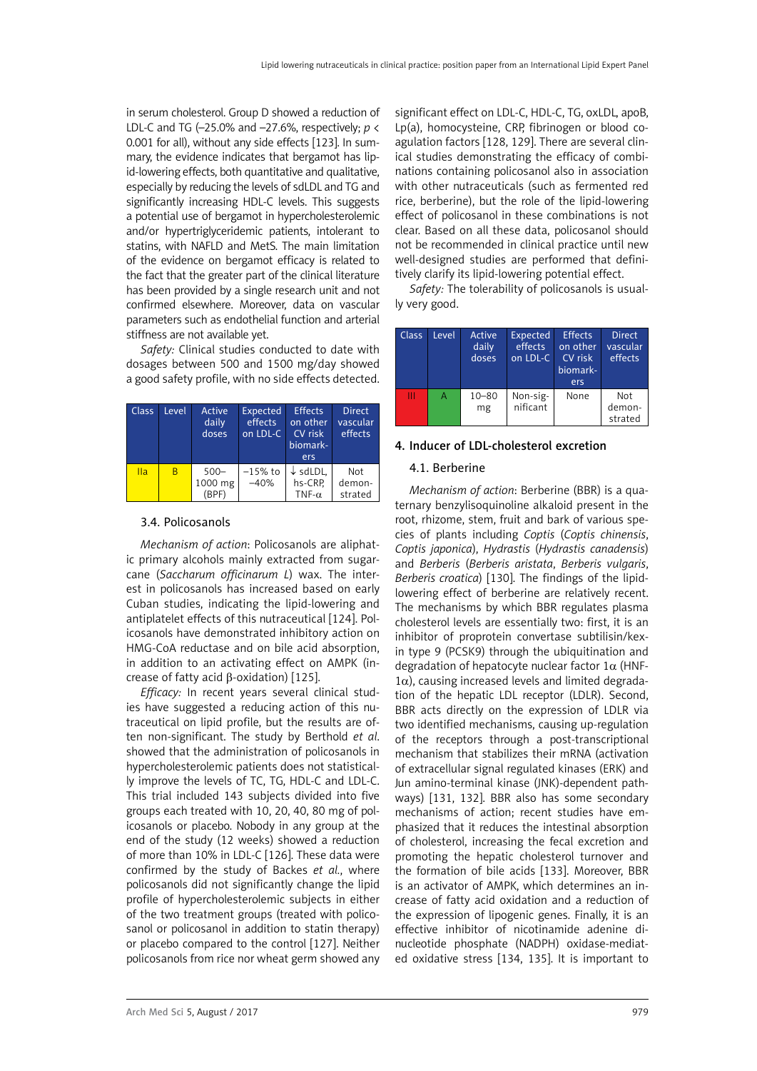<span id="page-14-0"></span>in serum cholesterol. Group D showed a reduction of LDL-C and TG (–25.0% and –27.6%, respectively; *p* < 0.001 for all), without any side effects [123]. In summary, the evidence indicates that bergamot has lipid-lowering effects, both quantitative and qualitative, especially by reducing the levels of sdLDL and TG and significantly increasing HDL-C levels. This suggests a potential use of bergamot in hypercholesterolemic and/or hypertriglyceridemic patients, intolerant to statins, with NAFLD and MetS. The main limitation of the evidence on bergamot efficacy is related to the fact that the greater part of the clinical literature has been provided by a single research unit and not confirmed elsewhere. Moreover, data on vascular parameters such as endothelial function and arterial stiffness are not available yet.

*Safety:* Clinical studies conducted to date with dosages between 500 and 1500 mg/day showed a good safety profile, with no side effects detected.

| <b>Class</b> | Level | Active<br>daily<br>doses    | Expected<br>effects<br>on LDL-C | <b>Effects</b><br>on other<br>CV risk<br>biomark-<br>ers | <b>Direct</b><br>vascular<br>effects |
|--------------|-------|-----------------------------|---------------------------------|----------------------------------------------------------|--------------------------------------|
| IIa          | B     | $500 -$<br>1000 mg<br>(BPF) | $-15%$ to<br>$-40%$             | $\downarrow$ sdLDL,<br>hs-CRP.<br>TNF- $\alpha$          | Not<br>demon-<br>strated             |

# 3.4. Policosanols

*Mechanism of action*: Policosanols are aliphatic primary alcohols mainly extracted from sugarcane (*Saccharum officinarum L*) wax. The interest in policosanols has increased based on early Cuban studies, indicating the lipid-lowering and antiplatelet effects of this nutraceutical [124]. Policosanols have demonstrated inhibitory action on HMG-CoA reductase and on bile acid absorption, in addition to an activating effect on AMPK (increase of fatty acid β-oxidation) [125].

*Efficacy:* In recent years several clinical studies have suggested a reducing action of this nutraceutical on lipid profile, but the results are often non-significant. The study by Berthold *et al*. showed that the administration of policosanols in hypercholesterolemic patients does not statistically improve the levels of TC, TG, HDL-C and LDL-C. This trial included 143 subjects divided into five groups each treated with 10, 20, 40, 80 mg of policosanols or placebo. Nobody in any group at the end of the study (12 weeks) showed a reduction of more than 10% in LDL-C [126]. These data were confirmed by the study of Backes *et al.*, where policosanols did not significantly change the lipid profile of hypercholesterolemic subjects in either of the two treatment groups (treated with policosanol or policosanol in addition to statin therapy) or placebo compared to the control [127]. Neither policosanols from rice nor wheat germ showed any

significant effect on LDL-C, HDL-C, TG, oxLDL, apoB, Lp(a), homocysteine, CRP, fibrinogen or blood coagulation factors [128, 129]. There are several clinical studies demonstrating the efficacy of combinations containing policosanol also in association with other nutraceuticals (such as fermented red rice, berberine), but the role of the lipid-lowering effect of policosanol in these combinations is not clear. Based on all these data, policosanol should not be recommended in clinical practice until new well-designed studies are performed that definitively clarify its lipid-lowering potential effect.

*Safety:* The tolerability of policosanols is usually very good.

| Class | Level | Active<br>daily<br>doses | Expected<br>effects<br>on LDL-C | <b>Effects</b><br>on other<br>CV risk<br>biomark-<br>ers | <b>Direct</b><br>ıvascular<br>effects |
|-------|-------|--------------------------|---------------------------------|----------------------------------------------------------|---------------------------------------|
| Ш     | А     | $10 - 80$<br>mg          | Non-sig-<br>nificant            | None                                                     | Not<br>demon-<br>strated              |

# 4. Inducer of LDL-cholesterol excretion

### 4.1. Berberine

*Mechanism of action*: Berberine (BBR) is a quaternary benzylisoquinoline alkaloid present in the root, [rhizome](https://en.wikipedia.org/wiki/Rhizome), stem, fruit and bark of various species of plants including *Coptis* (*Coptis chinensis*, *Coptis japonica*), *[Hydrastis](https://en.wikipedia.org/wiki/Hydrastis_canadensis)* (*[Hydrastis](https://en.wikipedia.org/wiki/Hydrastis_canadensis) canadensis*) and *Berberis* (*Berberis aristata*, *Berberis vulgaris*, *Berberis croatica*) [130]. The findings of the lipidlowering effect of berberine are relatively recent. The mechanisms by which BBR regulates plasma cholesterol levels are essentially two: first, it is an inhibitor of proprotein convertase subtilisin/kexin type 9 (PCSK9) through the ubiquitination and degradation of hepatocyte nuclear factor  $1\alpha$  (HNF- $1\alpha$ ), causing increased levels and limited degradation of the hepatic LDL receptor (LDLR). Second, BBR acts directly on the expression of LDLR via two identified mechanisms, causing up-regulation of the receptors through a post-transcriptional mechanism that stabilizes their mRNA (activation of extracellular signal regulated kinases (ERK) and Jun amino-terminal kinase (JNK)-dependent pathways) [131, 132]. BBR also has some secondary mechanisms of action; recent studies have emphasized that it reduces the intestinal absorption of cholesterol, increasing the fecal excretion and promoting the hepatic cholesterol turnover and the formation of bile acids [133]. Moreover, BBR is an activator of AMPK, which determines an increase of fatty acid oxidation and a reduction of the expression of lipogenic genes. Finally, it is an effective inhibitor of nicotinamide adenine dinucleotide phosphate (NADPH) oxidase-mediated oxidative stress [134, 135]. It is important to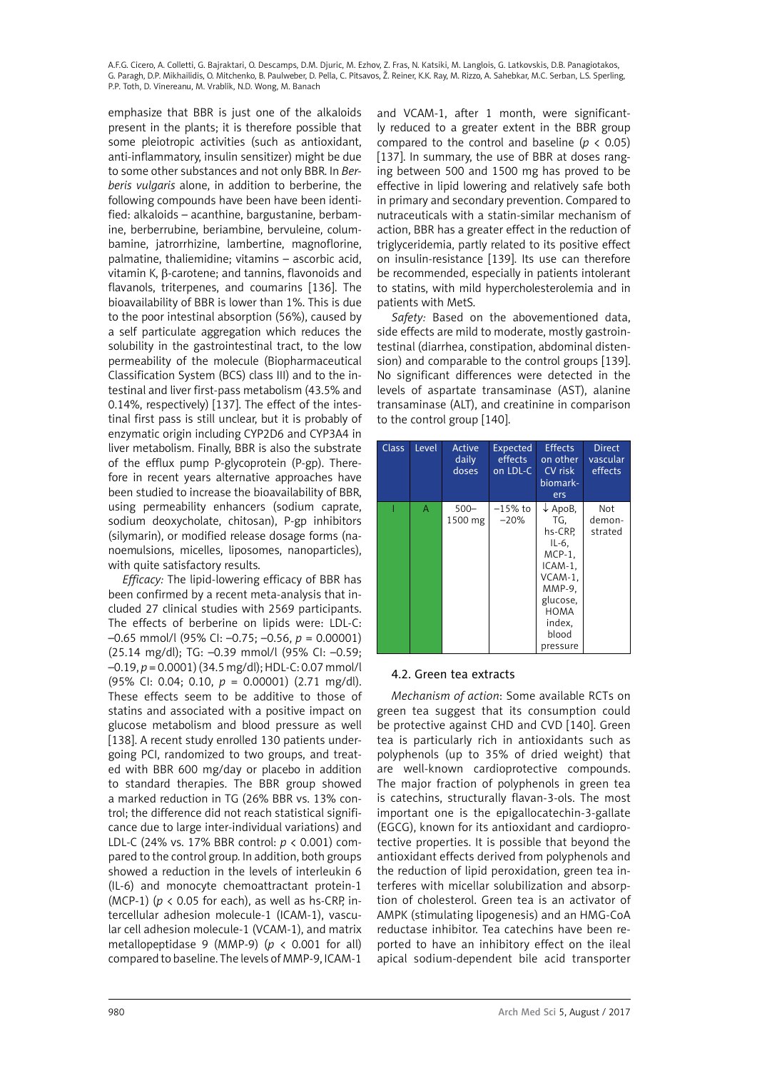<span id="page-15-0"></span>emphasize that BBR is just one of the alkaloids present in the plants; it is therefore possible that some pleiotropic activities (such as antioxidant, anti-inflammatory, insulin sensitizer) might be due to some other substances and not only BBR. In *Berberis vulgaris* alone, in addition to berberine, the following compounds have been have been identified: alkaloids – acanthine, bargustanine, berbamine, berberrubine, beriambine, bervuleine, columbamine, jatrorrhizine, lambertine, magnoflorine, palmatine, thaliemidine; vitamins – ascorbic acid, vitamin K, β-carotene; and tannins, flavonoids and flavanols, triterpenes, and coumarins [136]. The bioavailability of BBR is lower than 1%. This is due to the poor intestinal absorption (56%), caused by a self particulate aggregation which reduces the solubility in the gastrointestinal tract, to the low permeability of the molecule (Biopharmaceutical Classification System (BCS) class III) and to the intestinal and liver first-pass metabolism (43.5% and 0.14%, respectively) [137]. The effect of the intestinal first pass is still unclear, but it is probably of enzymatic origin including CYP2D6 and CYP3A4 in liver metabolism. Finally, BBR is also the substrate of the efflux pump P-glycoprotein (P-gp). Therefore in recent years alternative approaches have been studied to increase the bioavailability of BBR, using permeability enhancers (sodium caprate, sodium deoxycholate, chitosan), P-gp inhibitors (silymarin), or modified release dosage forms (nanoemulsions, micelles, liposomes, nanoparticles), with quite satisfactory results.

*Efficacy:* The lipid-lowering efficacy of BBR has been confirmed by a recent meta-analysis that included 27 clinical studies with 2569 participants. The effects of berberine on lipids were: LDL-C: –0.65 mmol/l (95% CI: –0.75; –0.56, *p* = 0.00001) (25.14 mg/dl); TG: –0.39 mmol/l (95% CI: –0.59; –0.19, *p* = 0.0001) (34.5 mg/dl); HDL-C: 0.07 mmol/l (95% CI: 0.04; 0.10, *p* = 0.00001) (2.71 mg/dl). These effects seem to be additive to those of statins and associated with a positive impact on glucose metabolism and blood pressure as well [138]. A recent study enrolled 130 patients undergoing PCI, randomized to two groups, and treated with BBR 600 mg/day or placebo in addition to standard therapies. The BBR group showed a marked reduction in TG (26% BBR vs. 13% control; the difference did not reach statistical significance due to large inter-individual variations) and LDL-C (24% vs. 17% BBR control: *p* < 0.001) compared to the control group. In addition, both groups showed a reduction in the levels of interleukin 6 (IL-6) and monocyte chemoattractant protein-1 (MCP-1) ( $p < 0.05$  for each), as well as hs-CRP, intercellular adhesion molecule-1 (ICAM-1), vascular cell adhesion molecule-1 (VCAM-1), and matrix metallopeptidase 9 (MMP-9) (*p* < 0.001 for all) compared to baseline. The levels of MMP-9, ICAM-1

and VCAM-1, after 1 month, were significantly reduced to a greater extent in the BBR group compared to the control and baseline  $(p < 0.05)$ [137]. In summary, the use of BBR at doses ranging between 500 and 1500 mg has proved to be effective in lipid lowering and relatively safe both in primary and secondary prevention. Compared to nutraceuticals with a statin-similar mechanism of action, BBR has a greater effect in the reduction of triglyceridemia, partly related to its positive effect on insulin-resistance [139]. Its use can therefore be recommended, especially in patients intolerant to statins, with mild hypercholesterolemia and in patients with MetS.

*Safety:* Based on the abovementioned data, side effects are mild to moderate, mostly gastrointestinal (diarrhea, constipation, abdominal distension) and comparable to the control groups [139]. No significant differences were detected in the levels of aspartate transaminase (AST), alanine transaminase (ALT), and creatinine in comparison to the control group [140].

| Class | Level | Active<br>daily<br>doses | <b>Expected</b><br>effects<br>on LDL-C | <b>Effects</b><br>on other<br>CV risk<br>biomark-<br>ers                                                                                                | <b>Direct</b><br>vascular<br>effects |
|-------|-------|--------------------------|----------------------------------------|---------------------------------------------------------------------------------------------------------------------------------------------------------|--------------------------------------|
|       | A     | $500 -$<br>1500 mg       | –15% to<br>$-20%$                      | $\downarrow$ ApoB,<br>TG.<br>hs-CRP.<br>$IL-6$ ,<br>$MCP-1$ ,<br>ICAM-1.<br>VCAM-1.<br>MMP-9,<br>glucose,<br><b>HOMA</b><br>index,<br>blood<br>pressure | Not<br>demon-<br>strated             |

# 4.2. Green tea extracts

*Mechanism of action*: Some available RCTs on green tea suggest that its consumption could be protective against CHD and CVD [140]. Green tea is particularly rich in antioxidants such as polyphenols (up to 35% of dried weight) that are well-known cardioprotective compounds. The major fraction of polyphenols in green tea is catechins, structurally flavan-3-ols. The most important one is the epigallocatechin-3-gallate (EGCG), known for its antioxidant and cardioprotective properties. It is possible that beyond the antioxidant effects derived from polyphenols and the reduction of lipid peroxidation, green tea interferes with micellar solubilization and absorption of cholesterol. Green tea is an activator of AMPK (stimulating lipogenesis) and an HMG-CoA reductase inhibitor. Tea catechins have been reported to have an inhibitory effect on the ileal apical sodium-dependent bile acid transporter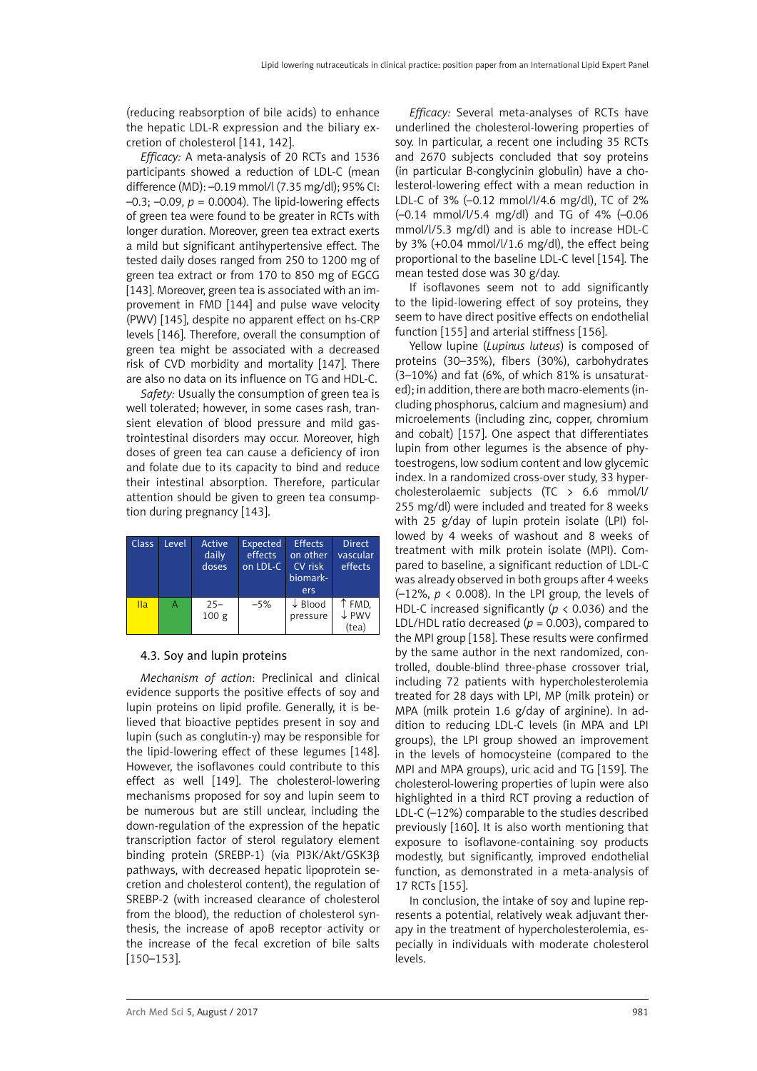<span id="page-16-0"></span>(reducing reabsorption of bile acids) to enhance the hepatic LDL-R expression and the biliary excretion of cholesterol [141, 142].

*Efficacy:* A meta-analysis of 20 RCTs and 1536 participants showed a reduction of LDL-C (mean difference (MD): –0.19 mmol/l (7.35 mg/dl); 95% CI:  $-0.3$ ;  $-0.09$ ,  $p = 0.0004$ ). The lipid-lowering effects of green tea were found to be greater in RCTs with longer duration. Moreover, green tea extract exerts a mild but significant antihypertensive effect. The tested daily doses ranged from 250 to 1200 mg of green tea extract or from 170 to 850 mg of EGCG [143]. Moreover, green tea is associated with an improvement in FMD [144] and pulse wave velocity (PWV) [145], despite no apparent effect on hs-CRP levels [146]. Therefore, overall the consumption of green tea might be associated with a decreased risk of CVD morbidity and mortality [147]. There are also no data on its influence on TG and HDL-C.

*Safety:* Usually the consumption of green tea is well tolerated; however, in some cases rash, transient elevation of blood pressure and mild gastrointestinal disorders may occur. Moreover, high doses of green tea can cause a deficiency of iron and folate due to its capacity to bind and reduce their intestinal absorption. Therefore, particular attention should be given to green tea consumption during pregnancy [143].

| <b>Class</b> | Level | Active<br>daily<br>doses | <b>Expected</b><br>effects<br>on LDL-C | <b>Effects</b><br>on other<br><b>CV</b> risk<br>biomark-<br>ers | <b>Direct</b><br>vascular<br>effects |
|--------------|-------|--------------------------|----------------------------------------|-----------------------------------------------------------------|--------------------------------------|
| IIa          | A     | $25 -$<br>100 g          | $-5%$                                  | $\downarrow$ Blood<br>pressure                                  | ↑ FMD,<br>$\downarrow$ PWV<br>(tea)  |

#### 4.3. Soy and lupin proteins

*Mechanism of action*: Preclinical and clinical evidence supports the positive effects of soy and lupin proteins on lipid profile. Generally, it is believed that bioactive peptides present in soy and lupin (such as conglutin- $\gamma$ ) may be responsible for the lipid-lowering effect of these legumes [148]. However, the isoflavones could contribute to this effect as well [149]. The cholesterol-lowering mechanisms proposed for soy and lupin seem to be numerous but are still unclear, including the down-regulation of the expression of the hepatic transcription factor of sterol regulatory element binding protein (SREBP-1) (via PI3K/Akt/GSK3β pathways, with decreased hepatic lipoprotein secretion and cholesterol content), the regulation of SREBP-2 (with increased clearance of cholesterol from the blood), the reduction of cholesterol synthesis, the increase of apoB receptor activity or the increase of the fecal excretion of bile salts [150–153].

*Efficacy:* Several meta-analyses of RCTs have underlined the cholesterol-lowering properties of soy. In particular, a recent one including 35 RCTs and 2670 subjects concluded that soy proteins (in particular B-conglycinin globulin) have a cholesterol-lowering effect with a mean reduction in LDL-C of 3% (–0.12 mmol/l/4.6 mg/dl), TC of 2% (–0.14 mmol/l/5.4 mg/dl) and TG of 4% (–0.06 mmol/l/5.3 mg/dl) and is able to increase HDL-C by 3% (+0.04 mmol/l/1.6 mg/dl), the effect being proportional to the baseline LDL-C level [154]. The mean tested dose was 30 g/day.

If isoflavones seem not to add significantly to the lipid-lowering effect of soy proteins, they seem to have direct positive effects on endothelial function [155] and arterial stiffness [156].

Yellow lupine (*Lupinus luteus*) is composed of proteins (30–35%), fibers (30%), carbohydrates (3–10%) and fat (6%, of which 81% is unsaturated); in addition, there are both macro-elements (including phosphorus, calcium and magnesium) and microelements (including zinc, copper, chromium and cobalt) [157]. One aspect that differentiates lupin from other legumes is the absence of phytoestrogens, low sodium content and low glycemic index. In a randomized cross-over study, 33 hypercholesterolaemic subjects (TC > 6.6 mmol/l/ 255 mg/dl) were included and treated for 8 weeks with 25 g/day of lupin protein isolate (LPI) followed by 4 weeks of washout and 8 weeks of treatment with milk protein isolate (MPI). Compared to baseline, a significant reduction of LDL-C was already observed in both groups after 4 weeks (–12%, *p* < 0.008). In the LPI group, the levels of HDL-C increased significantly (*p* < 0.036) and the LDL/HDL ratio decreased ( $p = 0.003$ ), compared to the MPI group [158]. These results were confirmed by the same author in the next randomized, controlled, double-blind three-phase crossover trial, including 72 patients with hypercholesterolemia treated for 28 days with LPI, MP (milk protein) or MPA (milk protein 1.6 g/day of arginine). In addition to reducing LDL-C levels (in MPA and LPI groups), the LPI group showed an improvement in the levels of homocysteine (compared to the MPI and MPA groups), uric acid and TG [159]. The cholesterol-lowering properties of lupin were also highlighted in a third RCT proving a reduction of LDL-C (–12%) comparable to the studies described previously [160]. It is also worth mentioning that exposure to isoflavone-containing soy products modestly, but significantly, improved endothelial function, as demonstrated in a meta-analysis of 17 RCTs [155].

In conclusion, the intake of soy and lupine represents a potential, relatively weak adjuvant therapy in the treatment of hypercholesterolemia, especially in individuals with moderate cholesterol levels.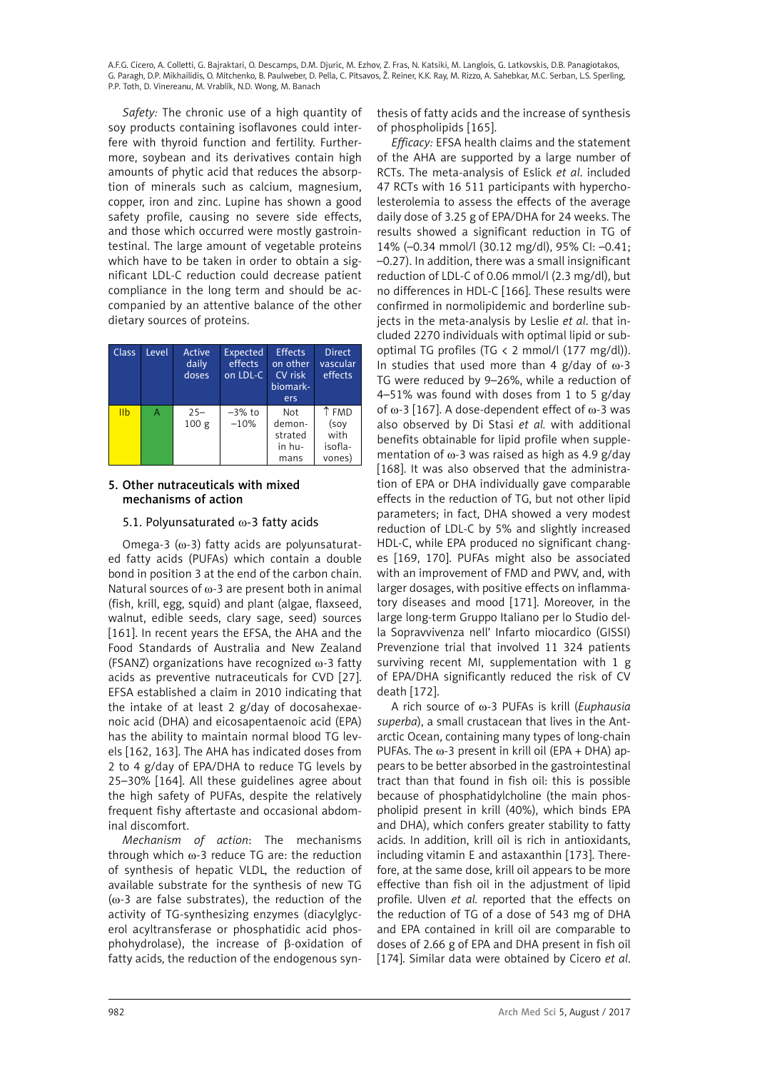<span id="page-17-0"></span>*Safety:* The chronic use of a high quantity of soy products containing isoflavones could interfere with thyroid function and fertility. Furthermore, soybean and its derivatives contain high amounts of phytic acid that reduces the absorption of minerals such as calcium, magnesium, copper, iron and zinc. Lupine has shown a good safety profile, causing no severe side effects, and those which occurred were mostly gastrointestinal. The large amount of vegetable proteins which have to be taken in order to obtain a significant LDL-C reduction could decrease patient compliance in the long term and should be accompanied by an attentive balance of the other dietary sources of proteins.

| <b>Class</b> | Level | Active<br>daily<br>doses   | <b>Expected</b><br>effects<br>on LDL-C | <b>Effects</b><br>on other<br>CV risk<br>biomark-<br>ers | <b>Direct</b><br>vascular<br>effects       |
|--------------|-------|----------------------------|----------------------------------------|----------------------------------------------------------|--------------------------------------------|
| <b>IIb</b>   | А     | $25 -$<br>100 <sub>g</sub> | $-3\%$ to<br>$-10%$                    | Not<br>demon-<br>strated<br>in hu-<br>mans               | ↑ FMD<br>(soy<br>with<br>isofla-<br>vones) |

# 5. Other nutraceuticals with mixed mechanisms of action

# 5.1. Polyunsaturated ω-3 fatty acids

Omega-3 ( $\omega$ -3) fatty acids are polyunsaturated fatty acids (PUFAs) which contain a double bond in position 3 at the end of the carbon chain. Natural sources of  $\omega$ -3 are present both in animal (fish, krill, egg, squid) and plant (algae, flaxseed, walnut, edible seeds, clary sage, seed) sources [161]. In recent years the EFSA, the AHA and the Food Standards of Australia and New Zealand (FSANZ) organizations have recognized  $\omega$ -3 fatty acids as preventive nutraceuticals for CVD [27]. EFSA established a claim in 2010 indicating that the intake of at least 2 g/day of docosahexaenoic acid (DHA) and eicosapentaenoic acid (EPA) has the ability to maintain normal blood TG levels [162, 163]. The AHA has indicated doses from 2 to 4 g/day of EPA/DHA to reduce TG levels by 25–30% [164]. All these guidelines agree about the high safety of PUFAs, despite the relatively frequent fishy aftertaste and occasional abdominal discomfort.

*Mechanism of action*: The mechanisms through which  $\omega$ -3 reduce TG are: the reduction of synthesis of hepatic VLDL, the reduction of available substrate for the synthesis of new TG  $(ω-3$  are false substrates), the reduction of the activity of TG-synthesizing enzymes (diacylglycerol acyltransferase or phosphatidic acid phosphohydrolase), the increase of β-oxidation of fatty acids, the reduction of the endogenous synthesis of fatty acids and the increase of synthesis of phospholipids [165].

*Efficacy:* EFSA health claims and the statement of the AHA are supported by a large number of RCTs. The meta-analysis of Eslick *et al*. included 47 RCTs with 16 511 participants with hypercholesterolemia to assess the effects of the average daily dose of 3.25 g of EPA/DHA for 24 weeks. The results showed a significant reduction in TG of 14% (–0.34 mmol/l (30.12 mg/dl), 95% CI: –0.41; –0.27). In addition, there was a small insignificant reduction of LDL-C of 0.06 mmol/l (2.3 mg/dl), but no differences in HDL-C [166]. These results were confirmed in normolipidemic and borderline subjects in the meta-analysis by Leslie *et al*. that included 2270 individuals with optimal lipid or suboptimal TG profiles (TG  $\langle$  2 mmol/l (177 mg/dl)). In studies that used more than 4 g/day of  $\omega$ -3 TG were reduced by 9–26%, while a reduction of 4–51% was found with doses from 1 to 5 g/day of  $\omega$ -3 [167]. A dose-dependent effect of  $\omega$ -3 was also observed by Di Stasi *et al.* with additional benefits obtainable for lipid profile when supplementation of  $\omega$ -3 was raised as high as 4.9 g/day [168]. It was also observed that the administration of EPA or DHA individually gave comparable effects in the reduction of TG, but not other lipid parameters; in fact, DHA showed a very modest reduction of LDL-C by 5% and slightly increased HDL-C, while EPA produced no significant changes [169, 170]. PUFAs might also be associated with an improvement of FMD and PWV, and, with larger dosages, with positive effects on inflammatory diseases and mood [171]. Moreover, in the large long-term Gruppo Italiano per lo Studio della Sopravvivenza nell' Infarto miocardico (GISSI) Prevenzione trial that involved 11 324 patients surviving recent MI, supplementation with 1 g of EPA/DHA significantly reduced the risk of CV death [172].

A rich source of w-3 PUFAs is krill (*Euphausia superba*), a small crustacean that lives in the Antarctic Ocean, containing many types of long-chain PUFAs. The  $\omega$ -3 present in krill oil (EPA + DHA) appears to be better absorbed in the gastrointestinal tract than that found in fish oil: this is possible because of phosphatidylcholine (the main phospholipid present in krill (40%), which binds EPA and DHA), which confers greater stability to fatty acids. In addition, krill oil is rich in antioxidants, including vitamin E and astaxanthin [173]. Therefore, at the same dose, krill oil appears to be more effective than fish oil in the adjustment of lipid profile. Ulven *et al.* reported that the effects on the reduction of TG of a dose of 543 mg of DHA and EPA contained in krill oil are comparable to doses of 2.66 g of EPA and DHA present in fish oil [174]. Similar data were obtained by Cicero *et al*.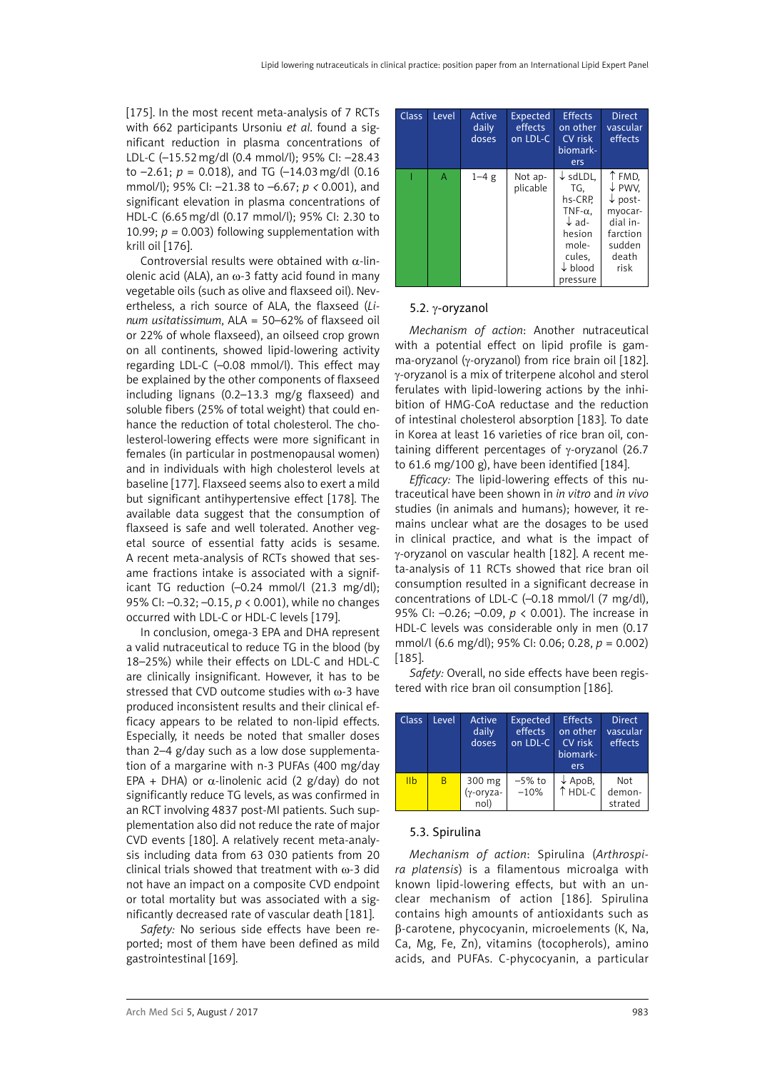<span id="page-18-0"></span>[175]. In the most recent meta-analysis of 7 RCTs with 662 participants Ursoniu *et al*. found a significant reduction in plasma concentrations of LDL-C (–15.52mg/dl (0.4 mmol/l); 95% CI: –28.43 to  $-2.61$ ;  $p = 0.018$ ), and TG  $(-14.03 \text{ mg/dl} (0.16$ mmol/l); 95% CI: –21.38 to –6.67; *p <* 0.001), and significant elevation in plasma concentrations of HDL-C (6.65mg/dl (0.17 mmol/l); 95% CI: 2.30 to 10.99;  $p = 0.003$ ) following supplementation with krill oil [176].

Controversial results were obtained with  $\alpha$ -linolenic acid (ALA), an  $\omega$ -3 fatty acid found in many vegetable oils (such as olive and flaxseed oil). Nevertheless, a rich source of ALA, the flaxseed (*Linum usitatissimum*, ALA = 50–62% of flaxseed oil or 22% of whole flaxseed), an oilseed crop grown on all continents, showed lipid-lowering activity regarding LDL-C (–0.08 mmol/l). This effect may be explained by the other components of flaxseed including lignans (0.2–13.3 mg/g flaxseed) and soluble fibers (25% of total weight) that could enhance the reduction of total cholesterol. The cholesterol-lowering effects were more significant in females (in particular in postmenopausal women) and in individuals with high cholesterol levels at baseline [177]. Flaxseed seems also to exert a mild but significant antihypertensive effect [178]. The available data suggest that the consumption of flaxseed is safe and well tolerated. Another vegetal source of essential fatty acids is sesame. A recent meta-analysis of RCTs showed that sesame fractions intake is associated with a significant TG reduction (–0.24 mmol/l (21.3 mg/dl); 95% CI: –0.32; –0.15, *p* < 0.001), while no changes occurred with LDL-C or HDL-C levels [179].

In conclusion, omega-3 EPA and DHA represent a valid nutraceutical to reduce TG in the blood (by 18–25%) while their effects on LDL-C and HDL-C are clinically insignificant. However, it has to be stressed that CVD outcome studies with  $\omega$ -3 have produced inconsistent results and their clinical efficacy appears to be related to non-lipid effects. Especially, it needs be noted that smaller doses than 2–4 g/day such as a low dose supplementation of a margarine with n-3 PUFAs (400 mg/day EPA + DHA) or  $\alpha$ -linolenic acid (2 g/day) do not significantly reduce TG levels, as was confirmed in an RCT involving 4837 post-MI patients. Such supplementation also did not reduce the rate of major CVD events [180]. A relatively recent meta-analysis including data from 63 030 patients from 20 clinical trials showed that treatment with  $\omega$ -3 did not have an impact on a composite CVD endpoint or total mortality but was associated with a significantly decreased rate of vascular death [181].

*Safety:* No serious side effects have been reported; most of them have been defined as mild gastrointestinal [169].

| Class | Level | Active<br>daily<br>doses | Expected<br>effects<br>on LDL-C | <b>Effects</b><br>on other<br>CV risk<br>biomark-<br>ers                                                                                    | <b>Direct</b><br>vascular<br>effects                                                                 |
|-------|-------|--------------------------|---------------------------------|---------------------------------------------------------------------------------------------------------------------------------------------|------------------------------------------------------------------------------------------------------|
|       | A     | $1 - 4g$                 | Not ap-<br>plicable             | $\downarrow$ sdLDL.<br>TG.<br>hs-CRP.<br>TNF- $\alpha$ .<br>$\downarrow$ ad-<br>hesion<br>mole-<br>cules,<br>$\downarrow$ blood<br>pressure | ↑ FMD,<br>↓ PWV.<br>$\downarrow$ post-<br>myocar-<br>dial in-<br>farction<br>sudden<br>death<br>risk |

# 5.2. g-oryzanol

*Mechanism of action*: Another nutraceutical with a potential effect on lipid profile is gamma-oryzanol ( $y$ -oryzanol) from rice brain oil [182]. g-oryzanol is a mix of triterpene alcohol and sterol ferulates with lipid-lowering actions by the inhibition of HMG-CoA reductase and the reduction of intestinal cholesterol absorption [183]. To date in Korea at least 16 varieties of rice bran oil, containing different percentages of  $\gamma$ -oryzanol (26.7) to 61.6 mg/100 g), have been identified [184].

*Efficacy:* The lipid-lowering effects of this nutraceutical have been shown in *in vitro* and *in vivo* studies (in animals and humans); however, it remains unclear what are the dosages to be used in clinical practice, and what is the impact of g-oryzanol on vascular health [182]. A recent meta-analysis of 11 RCTs showed that rice bran oil consumption resulted in a significant decrease in concentrations of LDL-C (–0.18 mmol/l (7 mg/dl), 95% CI: –0.26; –0.09, *p* < 0.001). The increase in HDL-C levels was considerable only in men (0.17 mmol/l (6.6 mg/dl); 95% CI: 0.06; 0.28, *p* = 0.002) [185].

*Safety:* Overall, no side effects have been registered with rice bran oil consumption [186].

| <b>Class</b>   | Level | Active<br>daily<br>doses    | <b>Expected</b><br>effects<br>on LDL-C | <b>Effects</b><br>on other<br>CV risk<br>biomark-<br><b>ers</b> | <b>Direct</b><br>vascular<br>effects |
|----------------|-------|-----------------------------|----------------------------------------|-----------------------------------------------------------------|--------------------------------------|
| I <sub>1</sub> | B     | 300 mg<br>(γ-oryza-<br>nol) | $-5\%$ to<br>$-10%$                    | $\downarrow$ ApoB,<br>↑ HDL-C                                   | Not<br>demon-<br>strated             |

#### 5.3. Spirulina

*Mechanism of action*: Spirulina (*Arthrospira platensis*) is a filamentous microalga with known lipid-lowering effects, but with an unclear mechanism of action [186]. Spirulina contains high amounts of antioxidants such as β-carotene, phycocyanin, microelements (K, Na, Ca, Mg, Fe, Zn), vitamins (tocopherols), amino acids, and PUFAs. C-phycocyanin, a particular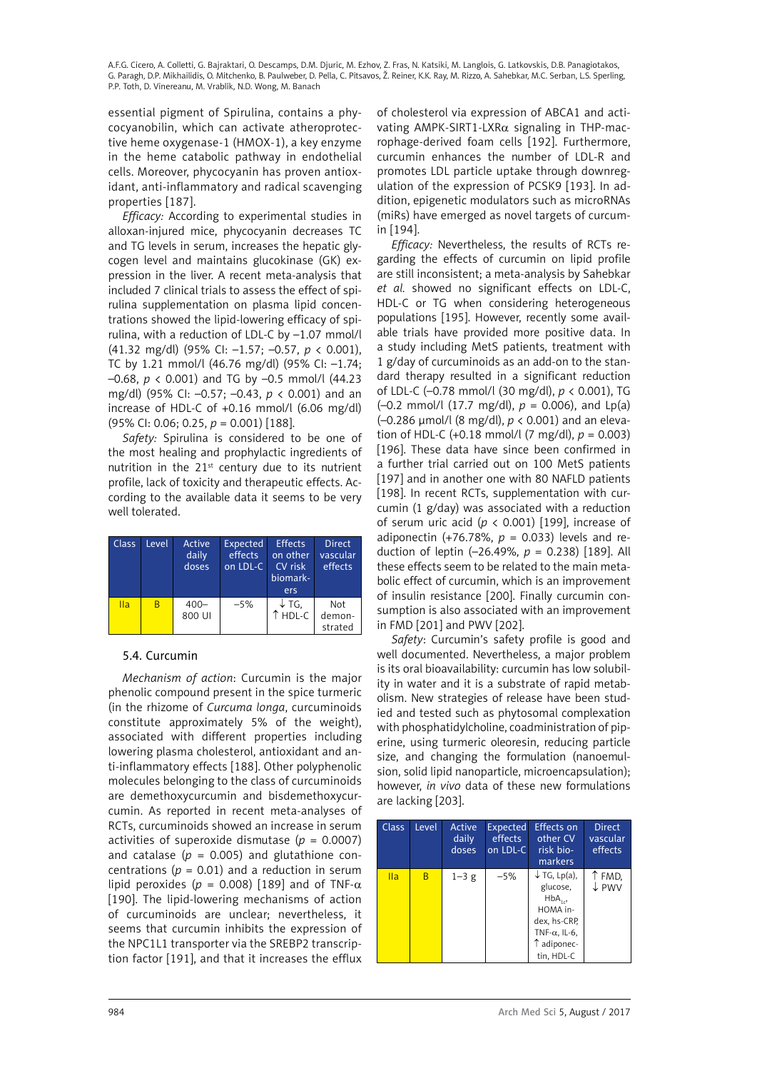<span id="page-19-0"></span>essential pigment of Spirulina, contains a phycocyanobilin, which can activate atheroprotective heme oxygenase-1 (HMOX-1), a key enzyme in the heme catabolic pathway in endothelial cells. Moreover, phycocyanin has proven antioxidant, anti-inflammatory and radical scavenging properties [187].

*Efficacy:* According to experimental studies in alloxan-injured mice, phycocyanin decreases TC and TG levels in serum, increases the hepatic glycogen level and maintains glucokinase (GK) expression in the liver. A recent meta-analysis that included 7 clinical trials to assess the effect of spirulina supplementation on plasma lipid concentrations showed the lipid-lowering efficacy of spirulina, with a reduction of LDL-C by –1.07 mmol/l (41.32 mg/dl) (95% CI: –1.57; –0.57, *p* < 0.001), TC by 1.21 mmol/l (46.76 mg/dl) (95% CI: –1.74; –0.68, *p* < 0.001) and TG by –0.5 mmol/l (44.23 mg/dl) (95% CI: –0.57; –0.43, *p* < 0.001) and an increase of HDL-C of +0.16 mmol/l (6.06 mg/dl) (95% CI: 0.06; 0.25, *p* = 0.001) [188].

*Safety:* Spirulina is considered to be one of the most healing and prophylactic ingredients of nutrition in the  $21^{st}$  century due to its nutrient profile, lack of toxicity and therapeutic effects. According to the available data it seems to be very well tolerated.

| Class | Level | Active<br>daily<br>doses | Expected<br>effects<br>on LDL-C | <b>Effects</b><br>on other<br>CV risk<br>biomark-<br>ers | <b>Direct</b><br>vascular<br>effects |
|-------|-------|--------------------------|---------------------------------|----------------------------------------------------------|--------------------------------------|
| Ila   | B     | $400 -$<br>800 UI        | $-5%$                           | $\downarrow$ TG,<br>$\uparrow$ HDL-C                     | Not<br>demon-<br>strated             |

# 5.4. Curcumin

*Mechanism of action*: Curcumin is the major phenolic compound present in the spice turmeric (in the rhizome of *Curcuma longa*, curcuminoids constitute approximately 5% of the weight), associated with different properties including lowering plasma cholesterol, antioxidant and anti-inflammatory effects [188]. Other polyphenolic molecules belonging to the class of curcuminoids are demethoxycurcumin and bisdemethoxycurcumin. As reported in recent meta-analyses of RCTs, curcuminoids showed an increase in serum activities of superoxide dismutase  $(p = 0.0007)$ and catalase  $(p = 0.005)$  and glutathione concentrations ( $p = 0.01$ ) and a reduction in serum lipid peroxides ( $p = 0.008$ ) [189] and of TNF- $\alpha$ [190]. The lipid-lowering mechanisms of action of curcuminoids are unclear; nevertheless, it seems that curcumin inhibits the expression of the NPC1L1 transporter via the SREBP2 transcription factor [191], and that it increases the efflux

of cholesterol via expression of ABCA1 and activating AMPK-SIRT1-LXR $\alpha$  signaling in THP-macrophage-derived foam cells [192]. Furthermore, curcumin enhances the number of LDL-R and promotes LDL particle uptake through downregulation of the expression of PCSK9 [193]. In addition, epigenetic modulators such as microRNAs (miRs) have emerged as novel targets of curcumin [194].

*Efficacy:* Nevertheless, the results of RCTs regarding the effects of curcumin on lipid profile are still inconsistent; a meta-analysis by Sahebkar *et al.* showed no significant effects on LDL-C, HDL-C or TG when considering heterogeneous populations [195]. However, recently some available trials have provided more positive data. In a study including MetS patients, treatment with 1 g/day of curcuminoids as an add-on to the standard therapy resulted in a significant reduction of LDL-C (–0.78 mmol/l (30 mg/dl), *p* < 0.001), TG (–0.2 mmol/l (17.7 mg/dl), *p* = 0.006), and Lp(a) (–0.286 μmol/l (8 mg/dl), *p* < 0.001) and an elevation of HDL-C (+0.18 mmol/l (7 mg/dl), *p* = 0.003) [196]. These data have since been confirmed in a further trial carried out on 100 MetS patients [197] and in another one with 80 NAFLD patients [198]. In recent RCTs, supplementation with curcumin (1 g/day) was associated with a reduction of serum uric acid (*p* < 0.001) [199], increase of adiponectin (+76.78%,  $p = 0.033$ ) levels and reduction of leptin (–26.49%, *p* = 0.238) [189]. All these effects seem to be related to the main metabolic effect of curcumin, which is an improvement of insulin resistance [200]. Finally curcumin consumption is also associated with an improvement in FMD [201] and PWV [202].

*Safety*: Curcumin's safety profile is good and well documented. Nevertheless, a major problem is its oral bioavailability: curcumin has low solubility in water and it is a substrate of rapid metabolism. New strategies of release have been studied and tested such as phytosomal complexation with phosphatidylcholine, coadministration of piperine, using turmeric oleoresin, reducing particle size, and changing the formulation (nanoemulsion, solid lipid nanoparticle, microencapsulation); however, *in vivo* data of these new formulations are lacking [203].

| <b>Class</b> | Level | Active<br>daily<br>doses | Expected<br>effects<br>on LDL-C | <b>Effects on</b><br>other CV<br>risk bio-<br>markers                                                                                | <b>Direct</b><br>vascular<br>effects |
|--------------|-------|--------------------------|---------------------------------|--------------------------------------------------------------------------------------------------------------------------------------|--------------------------------------|
| IIa          | B     | $1-3$ g                  | $-5%$                           | $\downarrow$ TG, Lp(a),<br>glucose,<br>$HbA_{1,2}$<br>HOMA in-<br>dex, hs-CRP,<br>TNF- $\alpha$ , IL-6,<br>1 adiponec-<br>tin, HDL-C | T FMD,<br>$\downarrow$ PWV           |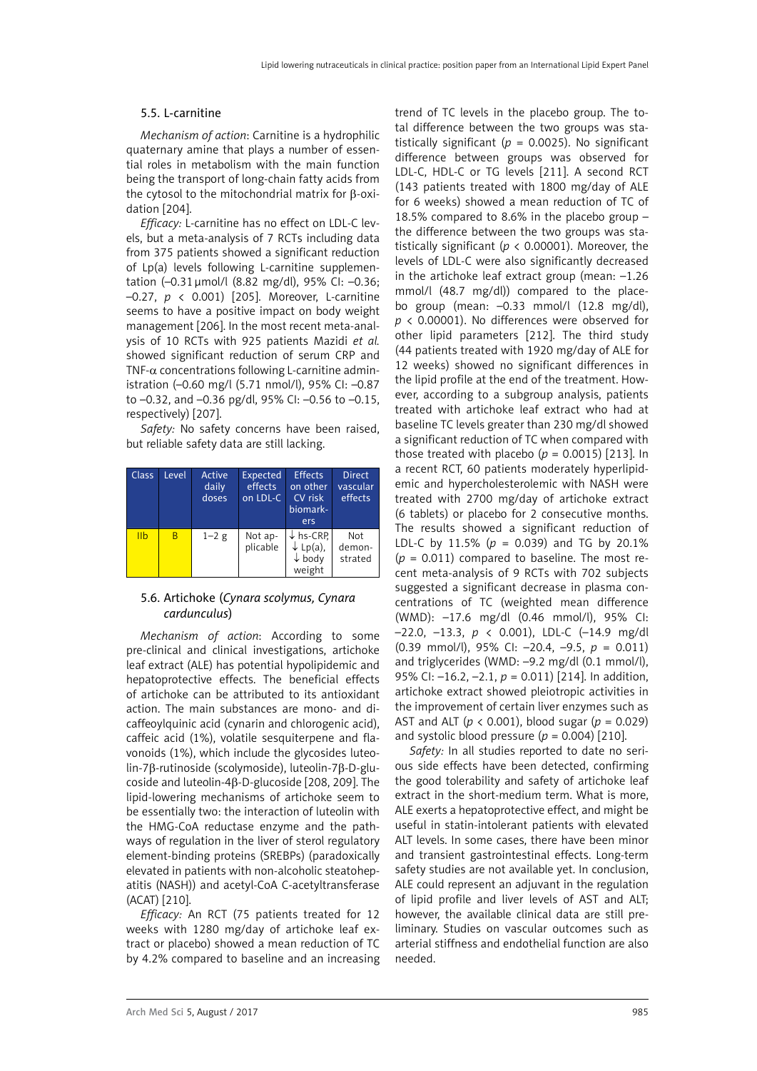#### <span id="page-20-0"></span>5.5. L-carnitine

*Mechanism of action*: Carnitine is a hydrophilic quaternary amine that plays a number of essential roles in metabolism with the main function being the transport of long-chain fatty acids from the cytosol to the mitochondrial matrix for β-oxidation [204].

*Efficacy:* L-carnitine has no effect on LDL-C levels, but a meta-analysis of 7 RCTs including data from 375 patients showed a significant reduction of Lp(a) levels following L-carnitine supplementation (–0.31μmol/l (8.82 mg/dl), 95% CI: –0.36; –0.27, *p* < 0.001) [205]. Moreover, L-carnitine seems to have a positive impact on body weight management [206]. In the most recent meta-analysis of 10 RCTs with 925 patients Mazidi *et al.* showed significant reduction of serum CRP and TNF- $\alpha$  concentrations following L-carnitine administration (–0.60 mg/l (5.71 nmol/l), 95% CI: –0.87 to –0.32, and –0.36 pg/dl, 95% CI: –0.56 to –0.15, respectively) [207].

*Safety:* No safety concerns have been raised, but reliable safety data are still lacking.

| <b>Class</b>    | Level | Active<br>daily<br>doses | <b>Expected</b><br>effects<br>on LDL-C | <b>Effects</b><br>on other<br>CV risk<br>biomark-<br>ers                   | <b>Direct</b><br>vascular<br>effects |
|-----------------|-------|--------------------------|----------------------------------------|----------------------------------------------------------------------------|--------------------------------------|
| I <sub>II</sub> | B     | $1 - 2g$                 | Not ap-<br>plicable                    | $\downarrow$ hs-CRP,<br>$\downarrow$ Lp(a),<br>$\downarrow$ body<br>weight | Not<br>demon-<br>strated             |

### 5.6. Artichoke (*Cynara scolymus, Cynara cardunculus*)

*Mechanism of action*: According to some pre-clinical and clinical investigations, artichoke leaf extract (ALE) has potential hypolipidemic and hepatoprotective effects. The beneficial effects of artichoke can be attributed to its antioxidant action. The main substances are mono- and dicaffeoylquinic acid (cynarin and chlorogenic acid), caffeic acid (1%), volatile sesquiterpene and flavonoids (1%), which include the glycosides luteolin-7β-rutinoside (scolymoside), luteolin-7β-D-glucoside and luteolin-4β-D-glucoside [208, 209]. The lipid-lowering mechanisms of artichoke seem to be essentially two: the interaction of luteolin with the HMG-CoA reductase enzyme and the pathways of regulation in the liver of sterol regulatory element-binding proteins (SREBPs) (paradoxically elevated in patients with non-alcoholic steatohepatitis (NASH)) and acetyl-CoA C-acetyltransferase (ACAT) [210].

*Efficacy:* An RCT (75 patients treated for 12 weeks with 1280 mg/day of artichoke leaf extract or placebo) showed a mean reduction of TC by 4.2% compared to baseline and an increasing

trend of TC levels in the placebo group. The total difference between the two groups was statistically significant ( $p = 0.0025$ ). No significant difference between groups was observed for LDL-C, HDL-C or TG levels [211]. A second RCT (143 patients treated with 1800 mg/day of ALE for 6 weeks) showed a mean reduction of TC of 18.5% compared to 8.6% in the placebo group – the difference between the two groups was statistically significant (*p* < 0.00001). Moreover, the levels of LDL-C were also significantly decreased in the artichoke leaf extract group (mean: –1.26 mmol/l (48.7 mg/dl)) compared to the placebo group (mean: –0.33 mmol/l (12.8 mg/dl), *p* < 0.00001). No differences were observed for other lipid parameters [212]. The third study (44 patients treated with 1920 mg/day of ALE for 12 weeks) showed no significant differences in the lipid profile at the end of the treatment. However, according to a subgroup analysis, patients treated with artichoke leaf extract who had at baseline TC levels greater than 230 mg/dl showed a significant reduction of TC when compared with those treated with placebo  $(p = 0.0015)$  [213]. In a recent RCT, 60 patients moderately hyperlipidemic and hypercholesterolemic with NASH were treated with 2700 mg/day of artichoke extract (6 tablets) or placebo for 2 consecutive months. The results showed a significant reduction of LDL-C by 11.5% ( $p = 0.039$ ) and TG by 20.1%  $(p = 0.011)$  compared to baseline. The most recent meta-analysis of 9 RCTs with 702 subjects suggested a significant decrease in plasma concentrations of TC (weighted mean difference (WMD): –17.6 mg/dl (0.46 mmol/l), 95% CI: –22.0, –13.3, *p* < 0.001), LDL-C (–14.9 mg/dl (0.39 mmol/l), 95% CI: –20.4, –9.5, *p* = 0.011) and triglycerides (WMD: –9.2 mg/dl (0.1 mmol/l), 95% CI: –16.2, –2.1, *p* = 0.011) [214]. In addition, artichoke extract showed pleiotropic activities in the improvement of certain liver enzymes such as AST and ALT (*p* < 0.001), blood sugar (*p* = 0.029) and systolic blood pressure  $(p = 0.004)$  [210].

*Safety:* In all studies reported to date no serious side effects have been detected, confirming the good tolerability and safety of artichoke leaf extract in the short-medium term. What is more, ALE exerts a hepatoprotective effect, and might be useful in statin-intolerant patients with elevated ALT levels. In some cases, there have been minor and transient gastrointestinal effects. Long-term safety studies are not available yet. In conclusion, ALE could represent an adjuvant in the regulation of lipid profile and liver levels of AST and ALT; however, the available clinical data are still preliminary. Studies on vascular outcomes such as arterial stiffness and endothelial function are also needed.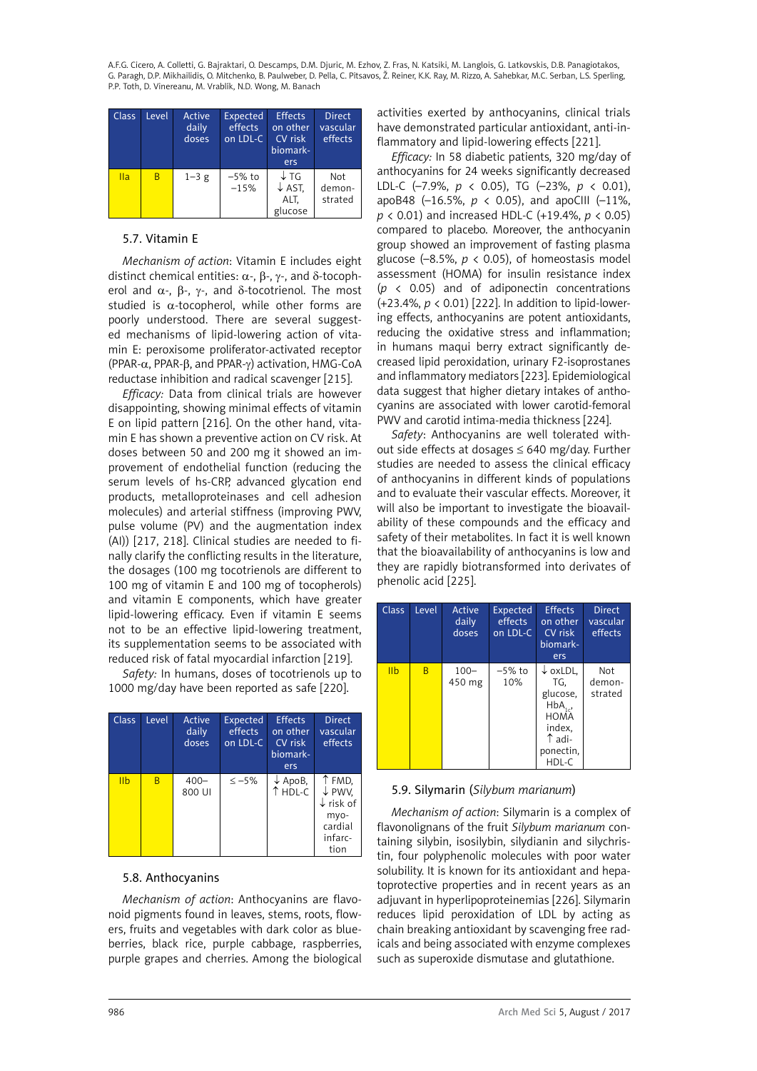<span id="page-21-0"></span>A.F.G. Cicero, A. Colletti, G. Bajraktari, O. Descamps, D.M. Djuric, M. Ezhov, Z. Fras, N. Katsiki, M. Langlois, G. Latkovskis, D.B. Panagiotakos, G. Paragh, D.P. Mikhailidis, O. Mitchenko, B. Paulweber, D. Pella, C. Pitsavos, Ž. Reiner, K.K. Ray, M. Rizzo, A. Sahebkar, M.C. Serban, L.S. Sperling, P.P. Toth, D. Vinereanu, M. Vrablík, N.D. Wong, M. Banach

| Class. | Level | Active<br>daily<br>doses | Expected<br>effects<br>on LDL-C | <b>Effects</b><br>on other<br>CV risk<br>biomark-<br>ers | <b>Direct</b><br>vascular<br>effects |
|--------|-------|--------------------------|---------------------------------|----------------------------------------------------------|--------------------------------------|
| Ila    | B     | $1 - 3 g$                | $-5\%$ to<br>$-15%$             | $\downarrow$ TG<br>$\downarrow$ AST,<br>ALT,<br>glucose  | Not<br>demon-<br>strated             |

# 5.7. Vitamin E

*Mechanism of action*: Vitamin E includes eight distinct chemical entities:  $\alpha$ -,  $\beta$ -,  $\gamma$ -, and δ-tocopherol and  $\alpha$ -,  $\beta$ -,  $\gamma$ -, and δ-tocotrienol. The most studied is  $\alpha$ -tocopherol, while other forms are poorly understood. There are several suggested mechanisms of lipid-lowering action of vitamin E: peroxisome proliferator-activated receptor (PPAR-α, PPAR-β, and PPAR-γ) activation, HMG-CoA reductase inhibition and radical scavenger [215].

*Efficacy:* Data from clinical trials are however disappointing, showing minimal effects of vitamin E on lipid pattern [216]. On the other hand, vitamin E has shown a preventive action on CV risk. At doses between 50 and 200 mg it showed an improvement of endothelial function (reducing the serum levels of hs-CRP, advanced glycation end products, metalloproteinases and cell adhesion molecules) and arterial stiffness (improving PWV, pulse volume (PV) and the augmentation index (AI)) [217, 218]. Clinical studies are needed to finally clarify the conflicting results in the literature, the dosages (100 mg tocotrienols are different to 100 mg of vitamin E and 100 mg of tocopherols) and vitamin E components, which have greater lipid-lowering efficacy. Even if vitamin E seems not to be an effective lipid-lowering treatment, its supplementation seems to be associated with reduced risk of fatal myocardial infarction [219].

*Safety:* In humans, doses of tocotrienols up to 1000 mg/day have been reported as safe [220].

| Class           | Level | Active<br>daily<br>doses | <b>Expected</b><br>effects<br>on LDL-C | <b>Effects</b><br>on other<br>CV risk<br>biomark-<br>ers | <b>Direct</b><br>vascular<br>effects                                                      |
|-----------------|-------|--------------------------|----------------------------------------|----------------------------------------------------------|-------------------------------------------------------------------------------------------|
| I <sub>II</sub> | B     | $400 -$<br>800 UI        | $\leq -5\%$                            | $\downarrow$ ApoB,<br>↑ HDL-C                            | ↑ FMD,<br>$\downarrow$ PWV,<br>$\downarrow$ risk of<br>myo-<br>cardial<br>infarc-<br>tion |

# 5.8. Anthocyanins

*Mechanism of action*: Anthocyanins are flavonoid pigments found in leaves, stems, roots, flowers, fruits and vegetables with dark color as blueberries, black rice, purple cabbage, raspberries, purple grapes and cherries. Among the biological activities exerted by anthocyanins, clinical trials have demonstrated particular antioxidant, anti-inflammatory and lipid-lowering effects [221].

*Efficacy:* In 58 diabetic patients, 320 mg/day of anthocyanins for 24 weeks significantly decreased LDL-C (–7.9%, *p* < 0.05), TG (–23%, *p* < 0.01), apoB48 (–16.5%, *p* < 0.05), and apoCIII (–11%, *p* < 0.01) and increased HDL-C (+19.4%, *p* < 0.05) compared to placebo. Moreover, the anthocyanin group showed an improvement of fasting plasma glucose  $(-8.5\%, p < 0.05)$ , of homeostasis model assessment (HOMA) for insulin resistance index (*p* < 0.05) and of adiponectin concentrations (+23.4%, *p* < 0.01) [222]. In addition to lipid-lowering effects, anthocyanins are potent antioxidants, reducing the oxidative stress and inflammation; in humans maqui berry extract significantly decreased lipid peroxidation, urinary F2-isoprostanes and inflammatory mediators [223]. Epidemiological data suggest that higher dietary intakes of anthocyanins are associated with lower carotid-femoral PWV and carotid intima-media thickness [224].

*Safety*: Anthocyanins are well tolerated without side effects at dosages  $\leq$  640 mg/day. Further studies are needed to assess the clinical efficacy of anthocyanins in different kinds of populations and to evaluate their vascular effects. Moreover, it will also be important to investigate the bioavailability of these compounds and the efficacy and safety of their metabolites. In fact it is well known that the bioavailability of anthocyanins is low and they are rapidly biotransformed into derivates of phenolic acid [225].

| <b>Class</b>    | Level        | Active<br>daily<br>doses | <b>Expected</b><br>effects<br>on LDL-C | <b>Effects</b><br>on other<br>CV risk<br>biomark-<br>ers                                                                | <b>Direct</b><br>vascular<br>effects |
|-----------------|--------------|--------------------------|----------------------------------------|-------------------------------------------------------------------------------------------------------------------------|--------------------------------------|
| I <sub>II</sub> | <sub>B</sub> | $100 -$<br>450 mg        | -5% to<br>10%                          | $\downarrow$ oxLDL.<br>TG.<br>glucose,<br>$HbA_{1,2}$<br><b>HOMA</b><br>index,<br>$\uparrow$ adi-<br>ponectin,<br>HDL-C | Not<br>demon-<br>strated             |

# 5.9. Silymarin (*Silybum marianum*)

*Mechanism of action*: Silymarin is a complex of flavonolignans of the fruit *Silybum marianum* containing silybin, isosilybin, silydianin and silychristin, four polyphenolic molecules with poor water solubility. It is known for its antioxidant and hepatoprotective properties and in recent years as an adjuvant in hyperlipoproteinemias [226]. Silymarin reduces lipid peroxidation of LDL by acting as chain breaking antioxidant by scavenging free radicals and being associated with enzyme complexes such as superoxide dismutase and glutathione.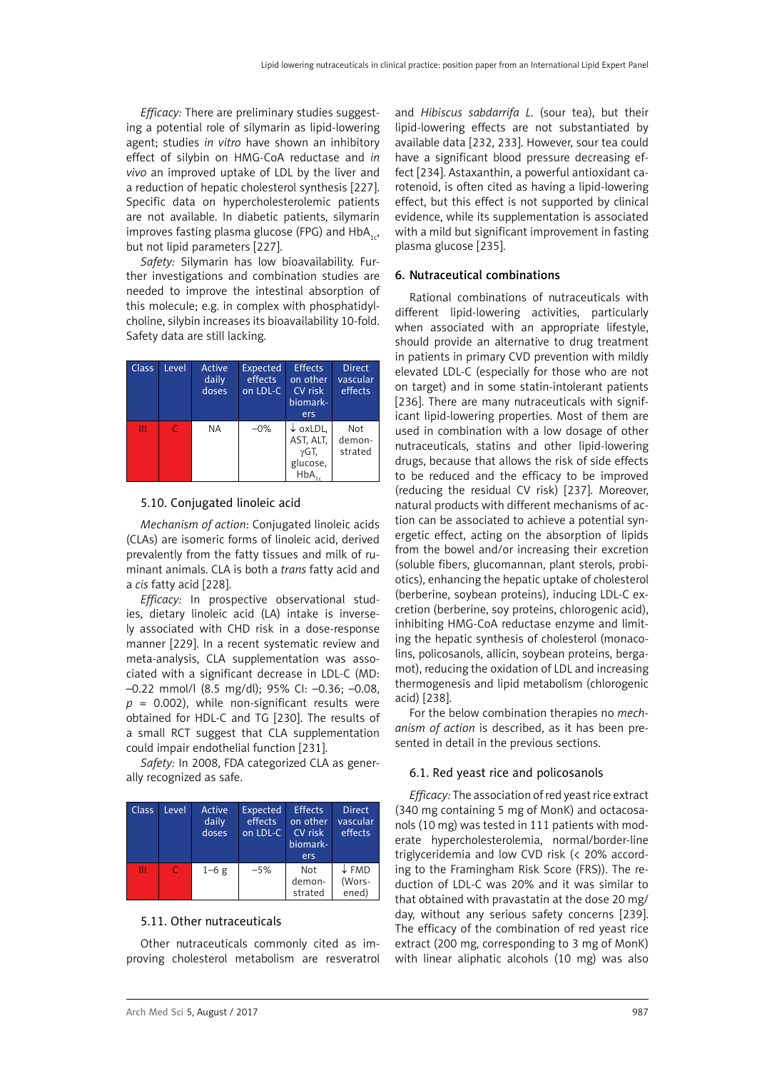<span id="page-22-0"></span>*Efficacy:* There are preliminary studies suggesting a potential role of silymarin as lipid-lowering agent; studies *in vitro* have shown an inhibitory effect of silybin on HMG-CoA reductase and *in vivo* an improved uptake of LDL by the liver and a reduction of hepatic cholesterol synthesis [227]. Specific data on hypercholesterolemic patients are not available. In diabetic patients, silymarin improves fasting plasma glucose (FPG) and  $HbA_{1a}$ , but not lipid parameters [227].

*Safety:* Silymarin has low bioavailability. Further investigations and combination studies are needed to improve the intestinal absorption of this molecule; e.g. in complex with phosphatidylcholine, silybin increases its bioavailability 10-fold. Safety data are still lacking.

| <b>Class</b> | Level | Active<br>daily<br>doses | <b>Expected</b><br>effects<br>on LDL-C | <b>Effects</b><br>on other<br>CV risk<br>biomark-<br>ers            | <b>Direct</b><br>vascular<br>effects |
|--------------|-------|--------------------------|----------------------------------------|---------------------------------------------------------------------|--------------------------------------|
| Ш            |       | <b>NA</b>                | $-0\%$                                 | $\downarrow$ oxLDL,<br>AST, ALT,<br>$\gamma$ GT,<br>glucose,<br>HbA | Not<br>demon-<br>strated             |

#### 5.10. Conjugated linoleic acid

*Mechanism of action*: Conjugated linoleic acids (CLAs) are isomeric forms of linoleic acid, derived prevalently from the fatty tissues and milk of ruminant animals. CLA is both a *trans* fatty acid and a *cis* fatty acid [228].

*Efficacy:* In prospective observational studies, dietary linoleic acid (LA) intake is inversely associated with CHD risk in a dose-response manner [229]. In a recent systematic review and meta-analysis, CLA supplementation was associated with a significant decrease in LDL-C (MD: –0.22 mmol/l (8.5 mg/dl); 95% CI: –0.36; –0.08, *p* = 0.002), while non-significant results were obtained for HDL-C and TG [230]. The results of a small RCT suggest that CLA supplementation could impair endothelial function [231].

*Safety:* In 2008, FDA categorized CLA as generally recognized as safe.

| <b>Class</b> | Level     | Active<br>daily<br>doses | <b>Expected</b><br>effects<br>on LDL-C | <b>Effects</b><br>on other<br>CV risk<br>biomark-<br>ers | <b>Direct</b><br>vascular<br>effects |
|--------------|-----------|--------------------------|----------------------------------------|----------------------------------------------------------|--------------------------------------|
| Ш            | $\subset$ | $1-6g$                   | $-5%$                                  | Not<br>demon-<br>strated                                 | $\downarrow$ FMD<br>(Wors-<br>ened)  |

#### 5.11. Other nutraceuticals

Other nutraceuticals commonly cited as improving cholesterol metabolism are resveratrol

and *Hibiscus sabdarrifa L*. (sour tea), but their lipid-lowering effects are not substantiated by available data [232, 233]. However, sour tea could have a significant blood pressure decreasing effect [234]. Astaxanthin, a powerful antioxidant carotenoid, is often cited as having a lipid-lowering effect, but this effect is not supported by clinical evidence, while its supplementation is associated with a mild but significant improvement in fasting plasma glucose [235].

### 6. Nutraceutical combinations

Rational combinations of nutraceuticals with different lipid-lowering activities, particularly when associated with an appropriate lifestyle, should provide an alternative to drug treatment in patients in primary CVD prevention with mildly elevated LDL-C (especially for those who are not on target) and in some statin-intolerant patients [236]. There are many nutraceuticals with significant lipid-lowering properties. Most of them are used in combination with a low dosage of other nutraceuticals, statins and other lipid-lowering drugs, because that allows the risk of side effects to be reduced and the efficacy to be improved (reducing the residual CV risk) [237]. Moreover, natural products with different mechanisms of action can be associated to achieve a potential synergetic effect, acting on the absorption of lipids from the bowel and/or increasing their excretion (soluble fibers, glucomannan, plant sterols, probiotics), enhancing the hepatic uptake of cholesterol (berberine, soybean proteins), inducing LDL-C excretion (berberine, soy proteins, chlorogenic acid), inhibiting HMG-CoA reductase enzyme and limiting the hepatic synthesis of cholesterol (monacolins, policosanols, allicin, soybean proteins, bergamot), reducing the oxidation of LDL and increasing thermogenesis and lipid metabolism (chlorogenic acid) [238].

For the below combination therapies no *mechanism of action* is described, as it has been presented in detail in the previous sections.

#### 6.1. Red yeast rice and policosanols

*Efficacy:* The association of red yeast rice extract (340 mg containing 5 mg of MonK) and octacosanols (10 mg) was tested in 111 patients with moderate hypercholesterolemia, normal/border-line triglyceridemia and low CVD risk (< 20% according to the Framingham Risk Score (FRS)). The reduction of LDL-C was 20% and it was similar to that obtained with pravastatin at the dose 20 mg/ day, without any serious safety concerns [239]. The efficacy of the combination of red yeast rice extract (200 mg, corresponding to 3 mg of MonK) with linear aliphatic alcohols (10 mg) was also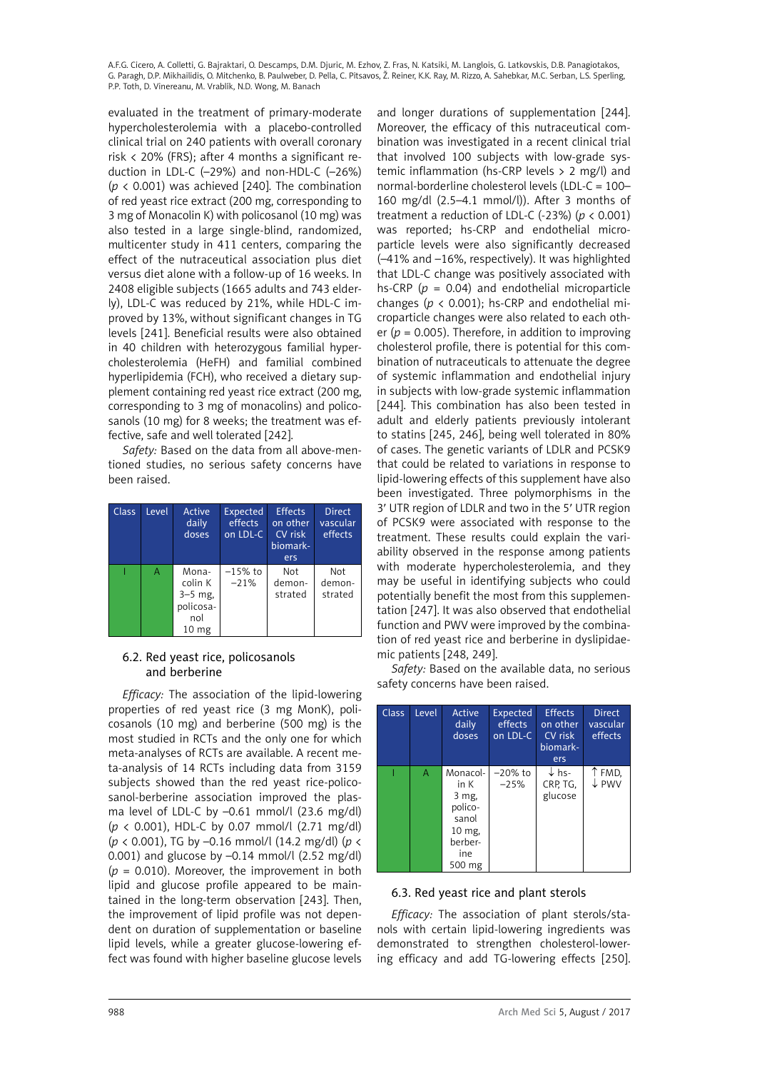<span id="page-23-0"></span>evaluated in the treatment of primary-moderate hypercholesterolemia with a placebo-controlled clinical trial on 240 patients with overall coronary risk < 20% (FRS); after 4 months a significant reduction in LDL-C (–29%) and non-HDL-C (–26%)  $(p < 0.001)$  was achieved [240]. The combination of red yeast rice extract (200 mg, corresponding to 3 mg of Monacolin K) with policosanol (10 mg) was also tested in a large single-blind, randomized, multicenter study in 411 centers, comparing the effect of the nutraceutical association plus diet versus diet alone with a follow-up of 16 weeks. In 2408 eligible subjects (1665 adults and 743 elderly), LDL-C was reduced by 21%, while HDL-C improved by 13%, without significant changes in TG levels [241]. Beneficial results were also obtained in 40 children with heterozygous familial hypercholesterolemia (HeFH) and familial combined hyperlipidemia (FCH), who received a dietary supplement containing red yeast rice extract (200 mg, corresponding to 3 mg of monacolins) and policosanols (10 mg) for 8 weeks; the treatment was effective, safe and well tolerated [242].

*Safety:* Based on the data from all above-mentioned studies, no serious safety concerns have been raised.

| <b>Class</b> | Level | Active<br>daily<br>doses                                              | <b>Expected</b><br>effects<br>on LDL-C | <b>Effects</b><br>on other<br>CV risk<br>biomark-<br>ers | <b>Direct</b><br>vascular<br>effects |
|--------------|-------|-----------------------------------------------------------------------|----------------------------------------|----------------------------------------------------------|--------------------------------------|
|              | Α     | Mona-<br>colin K<br>$3-5$ mg,<br>policosa-<br>nol<br>10 <sub>mg</sub> | $-15%$ to<br>$-21%$                    | Not<br>demon-<br>strated                                 | Not<br>demon-<br>strated             |

# 6.2. Red yeast rice, policosanols and berberine

*Efficacy:* The association of the lipid-lowering properties of red yeast rice (3 mg MonK), policosanols (10 mg) and berberine (500 mg) is the most studied in RCTs and the only one for which meta-analyses of RCTs are available. A recent meta-analysis of 14 RCTs including data from 3159 subjects showed than the red yeast rice-policosanol-berberine association improved the plasma level of LDL-C by –0.61 mmol/l (23.6 mg/dl) (*p* < 0.001), HDL-C by 0.07 mmol/l (2.71 mg/dl) (*p* < 0.001), TG by –0.16 mmol/l (14.2 mg/dl) (*p* < 0.001) and glucose by –0.14 mmol/l (2.52 mg/dl) (*p* = 0.010). Moreover, the improvement in both lipid and glucose profile appeared to be maintained in the long-term observation [243]. Then, the improvement of lipid profile was not dependent on duration of supplementation or baseline lipid levels, while a greater glucose-lowering effect was found with higher baseline glucose levels

and longer durations of supplementation [244]. Moreover, the efficacy of this nutraceutical combination was investigated in a recent clinical trial that involved 100 subjects with low-grade systemic inflammation (hs-CRP levels > 2 mg/l) and normal-borderline cholesterol levels (LDL-C = 100– 160 mg/dl (2.5–4.1 mmol/l)). After 3 months of treatment a reduction of LDL-C (−23%) (*p* < 0.001) was reported; hs-CRP and endothelial microparticle levels were also significantly decreased (–41% and –16%, respectively). It was highlighted that LDL-C change was positively associated with hs-CRP (*p* = 0.04) and endothelial microparticle changes (*p* < 0.001); hs-CRP and endothelial microparticle changes were also related to each other  $(p = 0.005)$ . Therefore, in addition to improving cholesterol profile, there is potential for this combination of nutraceuticals to attenuate the degree of systemic inflammation and endothelial injury in subjects with low-grade systemic inflammation [244]. This combination has also been tested in adult and elderly patients previously intolerant to statins [245, 246], being well tolerated in 80% of cases. The genetic variants of LDLR and PCSK9 that could be related to variations in response to lipid-lowering effects of this supplement have also been investigated. Three polymorphisms in the 3′ UTR region of LDLR and two in the 5′ UTR region of PCSK9 were associated with response to the treatment. These results could explain the variability observed in the response among patients with moderate hypercholesterolemia, and they may be useful in identifying subjects who could potentially benefit the most from this supplementation [247]. It was also observed that endothelial function and PWV were improved by the combination of red yeast rice and berberine in dyslipidaemic patients [248, 249].

*Safety:* Based on the available data, no serious safety concerns have been raised.

| <b>Class</b> | Level | Active<br>daily<br>doses                                                            | Expected<br>effects<br>on LDL-C | <b>Effects</b><br>on other<br>CV risk<br>biomark-<br>ers | <b>Direct</b><br>vascular<br>effects |
|--------------|-------|-------------------------------------------------------------------------------------|---------------------------------|----------------------------------------------------------|--------------------------------------|
|              | A     | Monacol-<br>in K<br>3 mg,<br>polico-<br>sanol<br>10 mg,<br>berber-<br>ine<br>500 mg | $-20\%$ to<br>$-25%$            | $\downarrow$ hs-<br>CRP, TG.<br>glucose                  | ↑ FMD,<br>$\downarrow$ PWV           |

# 6.3. Red yeast rice and plant sterols

*Efficacy:* The association of plant sterols/stanols with certain lipid-lowering ingredients was demonstrated to strengthen cholesterol-lowering efficacy and add TG-lowering effects [250].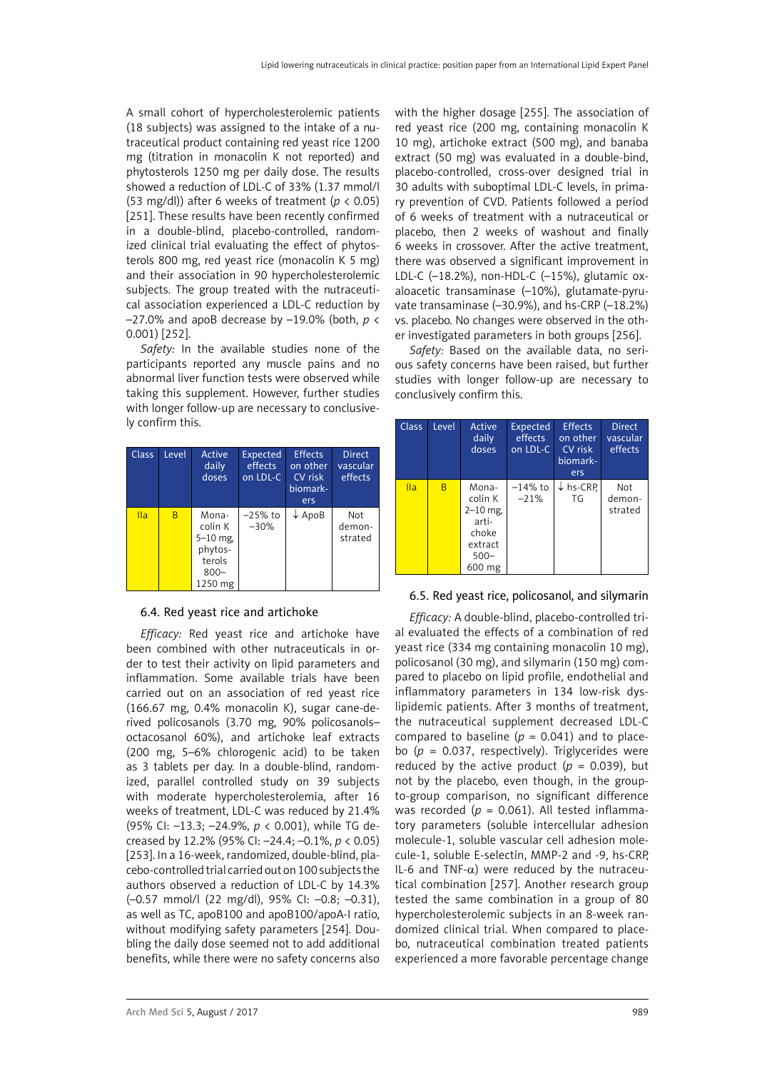<span id="page-24-0"></span>A small cohort of hypercholesterolemic patients (18 subjects) was assigned to the intake of a nutraceutical product containing red yeast rice 1200 mg (titration in monacolin K not reported) and phytosterols 1250 mg per daily dose. The results showed a reduction of LDL-C of 33% (1.37 mmol/l (53 mg/dl)) after 6 weeks of treatment (*p* < 0.05) [251]. These results have been recently confirmed in a double-blind, placebo-controlled, randomized clinical trial evaluating the effect of phytosterols 800 mg, red yeast rice (monacolin K 5 mg) and their association in 90 hypercholesterolemic subjects. The group treated with the nutraceutical association experienced a LDL-C reduction by –27.0% and apoB decrease by –19.0% (both, *p* < 0.001) [252].

*Safety:* In the available studies none of the participants reported any muscle pains and no abnormal liver function tests were observed while taking this supplement. However, further studies with longer follow-up are necessary to conclusively confirm this.

| <b>Class</b> | Level | Active<br>daily<br>doses                                                    | Expected<br>effects<br>on LDL-C | <b>Effects</b><br>on other<br>CV risk<br>biomark-<br>ers | <b>Direct</b><br>vascular<br>effects |
|--------------|-------|-----------------------------------------------------------------------------|---------------------------------|----------------------------------------------------------|--------------------------------------|
| Ila          | B     | Mona-<br>colin K<br>$5 - 10$ mg,<br>phytos-<br>terols<br>$800 -$<br>1250 mg | $-25%$ to<br>$-30%$             | $\downarrow$ ApoB                                        | Not<br>demon-<br>strated             |

# 6.4. Red yeast rice and artichoke

*Efficacy:* Red yeast rice and artichoke have been combined with other nutraceuticals in order to test their activity on lipid parameters and inflammation. Some available trials have been carried out on an association of red yeast rice (166.67 mg, 0.4% monacolin K), sugar cane-derived policosanols (3.70 mg, 90% policosanols– octacosanol 60%), and artichoke leaf extracts (200 mg, 5–6% chlorogenic acid) to be taken as 3 tablets per day. In a double-blind, randomized, parallel controlled study on 39 subjects with moderate hypercholesterolemia, after 16 weeks of treatment, LDL-C was reduced by 21.4% (95% CI: –13.3; –24.9%, *p* < 0.001), while TG decreased by 12.2% (95% CI: –24.4; –0.1%, *p* < 0.05) [253]. In a 16-week, randomized, double-blind, placebo-controlled trial carried out on 100 subjects the authors observed a reduction of LDL-C by 14.3% (–0.57 mmol/l (22 mg/dl), 95% CI: –0.8; –0.31), as well as TC, apoB100 and apoB100/apoA-I ratio, without modifying safety parameters [254]. Doubling the daily dose seemed not to add additional benefits, while there were no safety concerns also

with the higher dosage [255]. The association of red yeast rice (200 mg, containing monacolin K 10 mg), artichoke extract (500 mg), and banaba extract (50 mg) was evaluated in a double-bind, placebo-controlled, cross-over designed trial in 30 adults with suboptimal LDL-C levels, in primary prevention of CVD. Patients followed a period of 6 weeks of treatment with a nutraceutical or placebo, then 2 weeks of washout and finally 6 weeks in crossover. After the active treatment, there was observed a significant improvement in LDL-C (–18.2%), non-HDL-C (–15%), glutamic oxaloacetic transaminase (–10%), glutamate-pyruvate transaminase (–30.9%), and hs-CRP (–18.2%) vs. placebo. No changes were observed in the other investigated parameters in both groups [256].

*Safety:* Based on the available data, no serious safety concerns have been raised, but further studies with longer follow-up are necessary to conclusively confirm this.

| <b>Class</b> | Level | Active<br>daily<br>doses                                                         | <b>Expected</b><br>effects<br>on LDL-C | <b>Effects</b><br>on other<br>CV risk<br>biomark-<br>ers | <b>Direct</b><br>vascular<br>effects |
|--------------|-------|----------------------------------------------------------------------------------|----------------------------------------|----------------------------------------------------------|--------------------------------------|
| <b>Ila</b>   | B     | Mona-<br>colin K<br>$2-10$ mg,<br>arti-<br>choke<br>extract<br>$500 -$<br>600 mg | $-14\%$ to<br>$-21%$                   | $\downarrow$ hs-CRP<br>TG                                | Not<br>demon-<br>strated             |

#### 6.5. Red yeast rice, policosanol, and silymarin

*Efficacy:* A double-blind, placebo-controlled trial evaluated the effects of a combination of red yeast rice (334 mg containing monacolin 10 mg), policosanol (30 mg), and silymarin (150 mg) compared to placebo on lipid profile, endothelial and inflammatory parameters in 134 low-risk dyslipidemic patients. After 3 months of treatment, the nutraceutical supplement decreased LDL-C compared to baseline  $(p = 0.041)$  and to placebo (*p* = 0.037, respectively). Triglycerides were reduced by the active product  $(p = 0.039)$ , but not by the placebo, even though, in the groupto-group comparison, no significant difference was recorded ( $p = 0.061$ ). All tested inflammatory parameters (soluble intercellular adhesion molecule-1, soluble vascular cell adhesion molecule-1, soluble E-selectin, MMP-2 and -9, hs-CRP, IL-6 and TNF- $\alpha$ ) were reduced by the nutraceutical combination [257]. Another research group tested the same combination in a group of 80 hypercholesterolemic subjects in an 8-week randomized clinical trial. When compared to placebo, nutraceutical combination treated patients experienced a more favorable percentage change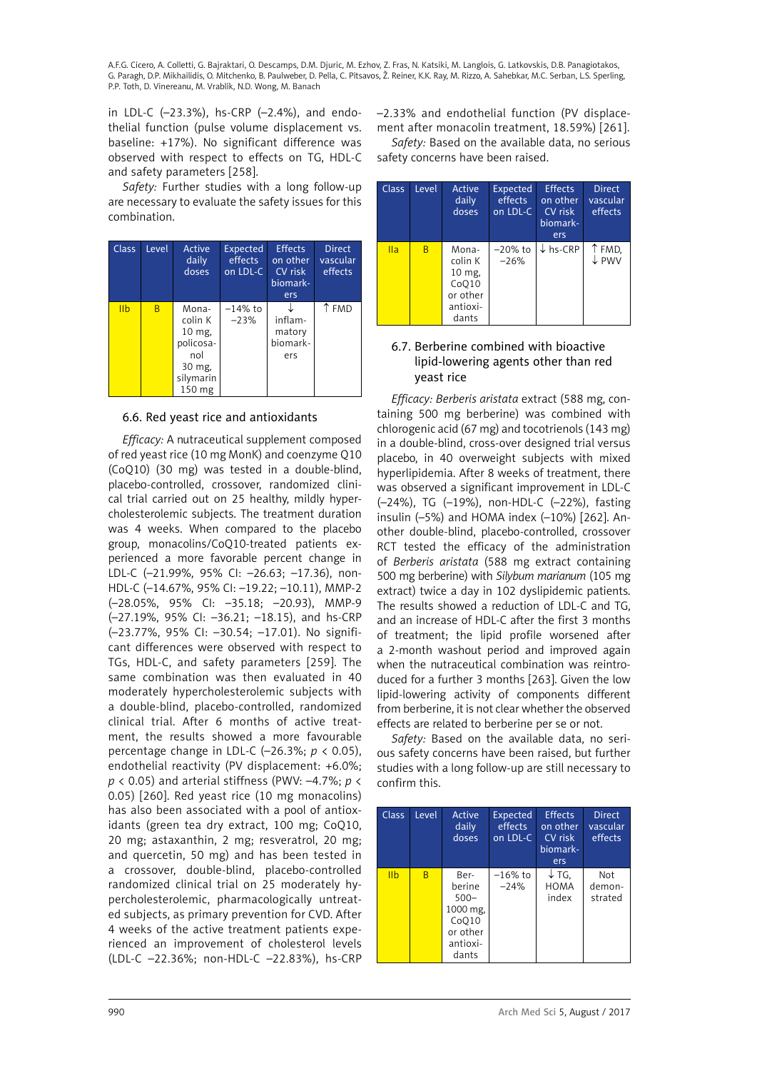<span id="page-25-0"></span>in LDL-C (–23.3%), hs-CRP (–2.4%), and endothelial function (pulse volume displacement vs. baseline: +17%). No significant difference was observed with respect to effects on TG, HDL-C and safety parameters [258].

*Safety:* Further studies with a long follow-up are necessary to evaluate the safety issues for this combination.

| <b>Class</b>   | Level | Active<br>daily<br>doses                                                        | Expected<br>effects<br>on LDL-C | <b>Effects</b><br>on other<br>CV risk<br>biomark-<br>ers | <b>Direct</b><br>vascular<br>effects |
|----------------|-------|---------------------------------------------------------------------------------|---------------------------------|----------------------------------------------------------|--------------------------------------|
| I <sub>1</sub> | B     | Mona-<br>colin K<br>10 mg,<br>policosa-<br>nol<br>30 mg,<br>silymarin<br>150 mg | $-14\%$ to<br>$-23%$            | inflam-<br>matory<br>biomark-<br>ers                     | ↑ FMD                                |

# 6.6. Red yeast rice and antioxidants

*Efficacy:* A nutraceutical supplement composed of red yeast rice (10 mg MonK) and coenzyme Q10 (CoQ10) (30 mg) was tested in a double-blind, placebo-controlled, crossover, randomized clinical trial carried out on 25 healthy, mildly hypercholesterolemic subjects. The treatment duration was 4 weeks. When compared to the placebo group, monacolins/CoQ10-treated patients experienced a more favorable percent change in LDL-C (–21.99%, 95% CI: –26.63; –17.36), non-HDL-C (–14.67%, 95% CI: –19.22; –10.11), MMP-2 (–28.05%, 95% CI: –35.18; –20.93), MMP-9 (–27.19%, 95% CI: –36.21; –18.15), and hs-CRP (–23.77%, 95% CI: –30.54; –17.01). No significant differences were observed with respect to TGs, HDL-C, and safety parameters [259]. The same combination was then evaluated in 40 moderately hypercholesterolemic subjects with a double-blind, placebo-controlled, randomized clinical trial. After 6 months of active treatment, the results showed a more favourable percentage change in LDL-C (–26.3%; *p* < 0.05), endothelial reactivity (PV displacement: +6.0%; *p* < 0.05) and arterial stiffness (PWV: –4.7%; *p* < 0.05) [260]. Red yeast rice (10 mg monacolins) has also been associated with a pool of antioxidants (green tea dry extract, 100 mg; CoQ10, 20 mg; astaxanthin, 2 mg; resveratrol, 20 mg; and quercetin, 50 mg) and has been tested in a crossover, double-blind, placebo-controlled randomized clinical trial on 25 moderately hypercholesterolemic, pharmacologically untreated subjects, as primary prevention for CVD. After 4 weeks of the active treatment patients experienced an improvement of cholesterol levels (LDL-C –22.36%; non-HDL-C –22.83%), hs-CRP –2.33% and endothelial function (PV displacement after monacolin treatment, 18.59%) [261].

*Safety:* Based on the available data, no serious safety concerns have been raised.

| <b>Class</b> | Level | <b>Active</b><br>daily<br>doses                                      | <b>Expected</b><br>effects<br>on LDL-C | <b>Effects</b><br>on other<br>CV risk<br>biomark-<br>ers | <b>Direct</b><br>vascular<br>effects |
|--------------|-------|----------------------------------------------------------------------|----------------------------------------|----------------------------------------------------------|--------------------------------------|
| IIa          | B     | Mona-<br>colin K<br>10 mg,<br>CoO10<br>or other<br>antioxi-<br>dants | $-20\%$ to<br>$-26%$                   | $\downarrow$ hs-CRP                                      | ↑ FMD,<br>$\downarrow$ PWV           |

# 6.7. Berberine combined with bioactive lipid-lowering agents other than red yeast rice

*Efficacy: Berberis aristata* extract (588 mg, containing 500 mg berberine) was combined with chlorogenic acid (67 mg) and tocotrienols (143 mg) in a double-blind, cross-over designed trial versus placebo, in 40 overweight subjects with mixed hyperlipidemia. After 8 weeks of treatment, there was observed a significant improvement in LDL-C (–24%), TG (–19%), non-HDL-C (–22%), fasting insulin (–5%) and HOMA index (–10%) [262]. Another double-blind, placebo-controlled, crossover RCT tested the efficacy of the administration of *Berberis aristata* (588 mg extract containing 500 mg berberine) with *Silybum marianum* (105 mg extract) twice a day in 102 dyslipidemic patients. The results showed a reduction of LDL-C and TG, and an increase of HDL-C after the first 3 months of treatment; the lipid profile worsened after a 2-month washout period and improved again when the nutraceutical combination was reintroduced for a further 3 months [263]. Given the low lipid-lowering activity of components different from berberine, it is not clear whether the observed effects are related to berberine per se or not.

*Safety:* Based on the available data, no serious safety concerns have been raised, but further studies with a long follow-up are still necessary to confirm this.

| Class           | Level | Active<br>daily<br>doses                                                        | Expected<br>effects<br>on LDL-C | <b>Effects</b><br>on other<br>CV risk<br>biomark-<br>ers | <b>Direct</b><br>vascular<br>effects |
|-----------------|-------|---------------------------------------------------------------------------------|---------------------------------|----------------------------------------------------------|--------------------------------------|
| I <sub>II</sub> | B     | Ber-<br>berine<br>$500 -$<br>1000 mg,<br>CoO10<br>or other<br>antioxi-<br>dants | $-16\%$ to<br>$-24%$            | ↓ TG.<br><b>HOMA</b><br>index                            | Not<br>demon-<br>strated             |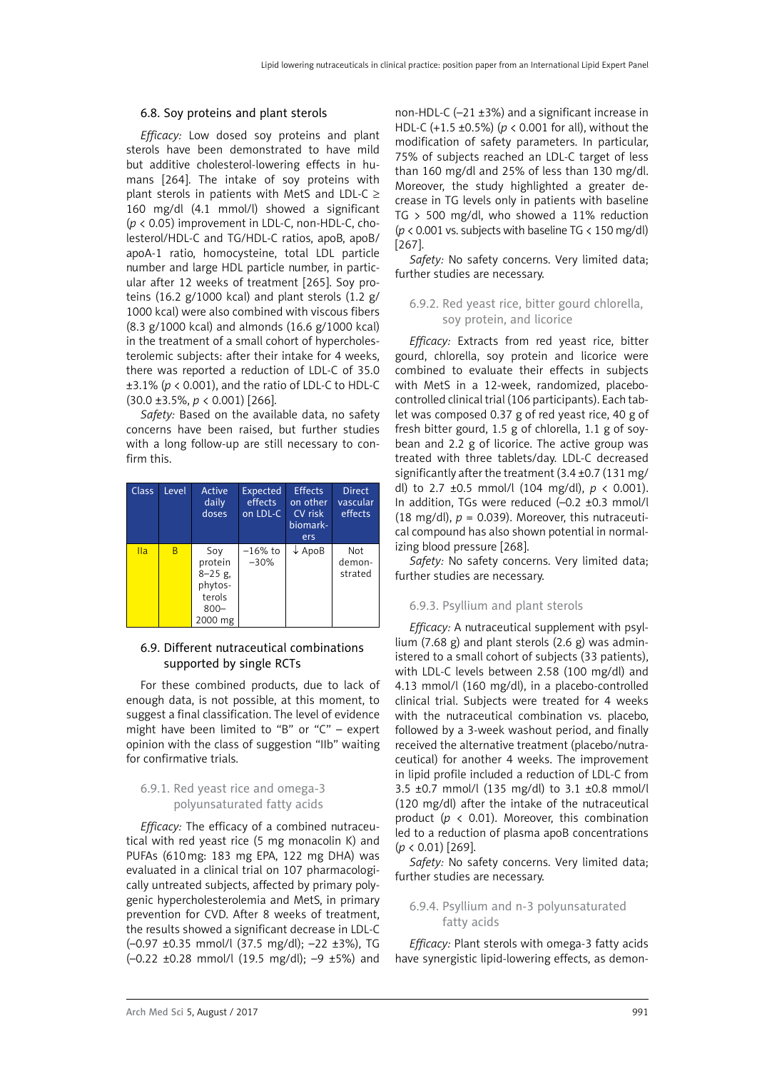#### <span id="page-26-0"></span>6.8. Soy proteins and plant sterols

*Efficacy:* Low dosed soy proteins and plant sterols have been demonstrated to have mild but additive cholesterol-lowering effects in humans [264]. The intake of soy proteins with plant sterols in patients with MetS and LDL-C  $\geq$ 160 mg/dl (4.1 mmol/l) showed a significant (*p* < 0.05) improvement in LDL-C, non-HDL-C, cholesterol/HDL-C and TG/HDL-C ratios, apoB, apoB/ apoA-1 ratio, homocysteine, total LDL particle number and large HDL particle number, in particular after 12 weeks of treatment [265]. Soy proteins (16.2 g/1000 kcal) and plant sterols (1.2 g/ 1000 kcal) were also combined with viscous fibers (8.3 g/1000 kcal) and almonds (16.6 g/1000 kcal) in the treatment of a small cohort of hypercholesterolemic subjects: after their intake for 4 weeks, there was reported a reduction of LDL-C of 35.0 ±3.1% (*p* < 0.001), and the ratio of LDL-C to HDL-C (30.0 ±3.5%, *p* < 0.001) [266].

*Safety:* Based on the available data, no safety concerns have been raised, but further studies with a long follow-up are still necessary to confirm this.

| <b>Class</b> | Level | Active<br>daily<br>doses                                                 | Expected<br>effects<br>on LDL-C | <b>Effects</b><br>on other<br>CV risk<br>biomark-<br>ers | <b>Direct</b><br>vascular<br>effects |
|--------------|-------|--------------------------------------------------------------------------|---------------------------------|----------------------------------------------------------|--------------------------------------|
| Ila          | B     | Soy<br>protein<br>$8 - 25$ g,<br>phytos-<br>terols<br>$800 -$<br>2000 mg | $-16\%$ to<br>$-30%$            | $\downarrow$ ApoB                                        | Not<br>demon-<br>strated             |

# 6.9. Different nutraceutical combinations supported by single RCTs

For these combined products, due to lack of enough data, is not possible, at this moment, to suggest a final classification. The level of evidence might have been limited to "B" or "C" – expert opinion with the class of suggestion "IIb" waiting for confirmative trials.

# 6.9.1. Red yeast rice and omega-3 polyunsaturated fatty acids

*Efficacy:* The efficacy of a combined nutraceutical with red yeast rice (5 mg monacolin K) and PUFAs (610mg: 183 mg EPA, 122 mg DHA) was evaluated in a clinical trial on 107 pharmacologically untreated subjects, affected by primary polygenic hypercholesterolemia and MetS, in primary prevention for CVD. After 8 weeks of treatment, the results showed a significant decrease in LDL-C (–0.97 ±0.35 mmol/l (37.5 mg/dl); –22 ±3%), TG  $(-0.22 \pm 0.28 \text{ mmol/l} (19.5 \text{ mg/dl}); -9 \pm 5\%)$  and

non-HDL-C (–21 ±3%) and a significant increase in HDL-C (+1.5 ±0.5%) (*p* < 0.001 for all), without the modification of safety parameters. In particular, 75% of subjects reached an LDL-C target of less than 160 mg/dl and 25% of less than 130 mg/dl. Moreover, the study highlighted a greater decrease in TG levels only in patients with baseline TG > 500 mg/dl, who showed a 11% reduction ( $p$  < 0.001 vs. subjects with baseline TG < 150 mg/dl) [267].

*Safety:* No safety concerns. Very limited data; further studies are necessary.

### 6.9.2. Red yeast rice, bitter gourd chlorella, soy protein, and licorice

*Efficacy:* Extracts from red yeast rice, bitter gourd, chlorella, soy protein and licorice were combined to evaluate their effects in subjects with MetS in a 12-week, randomized, placebocontrolled clinical trial (106 participants). Each tablet was composed 0.37 g of red yeast rice, 40 g of fresh bitter gourd, 1.5 g of chlorella, 1.1 g of soybean and 2.2 g of licorice. The active group was treated with three tablets/day. LDL-C decreased significantly after the treatment (3.4 ±0.7 (131 mg/ dl) to 2.7 ±0.5 mmol/l (104 mg/dl), *p* < 0.001). In addition, TGs were reduced (–0.2 ±0.3 mmol/l (18 mg/dl),  $p = 0.039$ ). Moreover, this nutraceutical compound has also shown potential in normalizing blood pressure [268].

*Safety:* No safety concerns. Very limited data; further studies are necessary.

#### 6.9.3. Psyllium and plant sterols

*Efficacy:* A nutraceutical supplement with psyllium (7.68 g) and plant sterols (2.6 g) was administered to a small cohort of subjects (33 patients), with LDL-C levels between 2.58 (100 mg/dl) and 4.13 mmol/l (160 mg/dl), in a placebo-controlled clinical trial. Subjects were treated for 4 weeks with the nutraceutical combination vs. placebo, followed by a 3-week washout period, and finally received the alternative treatment (placebo/nutraceutical) for another 4 weeks. The improvement in lipid profile included a reduction of LDL-C from 3.5 ±0.7 mmol/l (135 mg/dl) to 3.1 ±0.8 mmol/l (120 mg/dl) after the intake of the nutraceutical product (*p* < 0.01). Moreover, this combination led to a reduction of plasma apoB concentrations (*p* < 0.01) [269].

*Safety:* No safety concerns. Very limited data; further studies are necessary.

### 6.9.4. Psyllium and n-3 polyunsaturated fatty acids

*Efficacy:* Plant sterols with omega-3 fatty acids have synergistic lipid-lowering effects, as demon-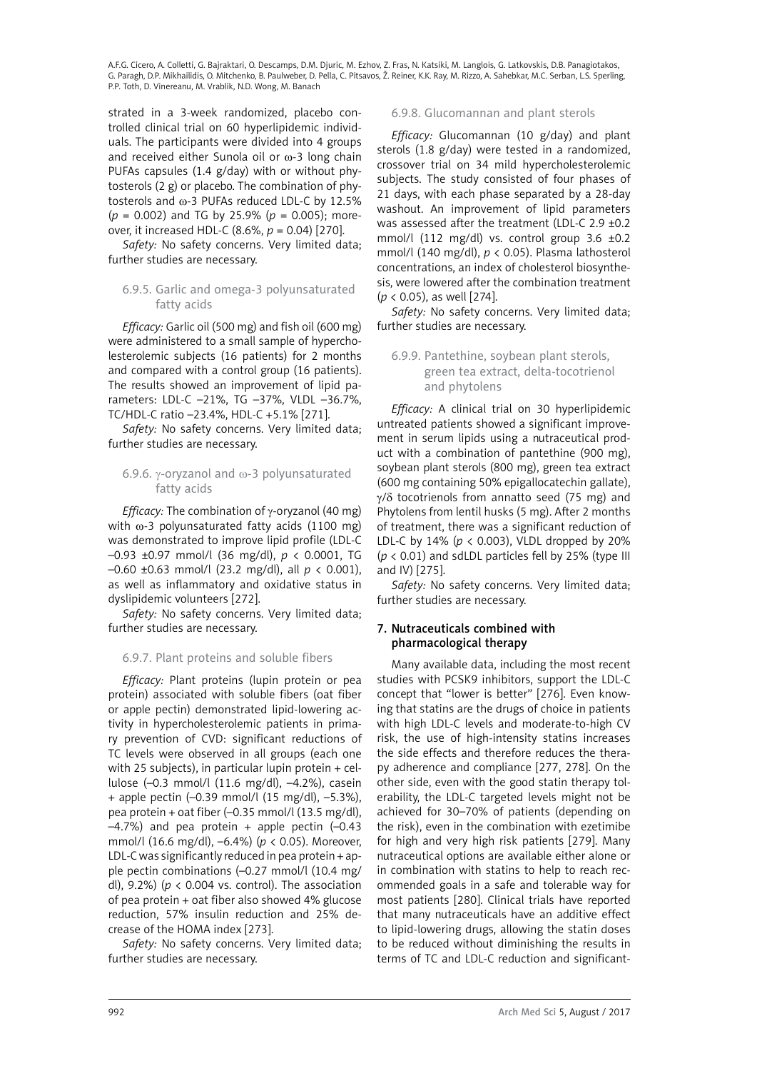<span id="page-27-0"></span>strated in a 3-week randomized, placebo controlled clinical trial on 60 hyperlipidemic individuals. The participants were divided into 4 groups and received either Sunola oil or  $\omega$ -3 long chain PUFAs capsules (1.4 g/day) with or without phytosterols (2 g) or placebo. The combination of phytosterols and  $\omega$ -3 PUFAs reduced LDL-C by 12.5% (*p* = 0.002) and TG by 25.9% (*p* = 0.005); moreover, it increased HDL-C (8.6%, *p* = 0.04) [270].

*Safety:* No safety concerns. Very limited data; further studies are necessary.

# 6.9.5. Garlic and omega-3 polyunsaturated fatty acids

*Efficacy:* Garlic oil (500 mg) and fish oil (600 mg) were administered to a small sample of hypercholesterolemic subjects (16 patients) for 2 months and compared with a control group (16 patients). The results showed an improvement of lipid parameters: LDL-C –21%, TG –37%, VLDL –36.7%, TC/HDL-C ratio –23.4%, HDL-C +5.1% [271].

*Safety:* No safety concerns. Very limited data; further studies are necessary.

# 6.9.6.  $\gamma$ -oryzanol and  $\omega$ -3 polyunsaturated fatty acids

*Efficacy:* The combination of  $\gamma$ -oryzanol (40 mg) with  $\omega$ -3 polyunsaturated fatty acids (1100 mg) was demonstrated to improve lipid profile (LDL-C –0.93 ±0.97 mmol/l (36 mg/dl), *p* < 0.0001, TG –0.60 ±0.63 mmol/l (23.2 mg/dl), all *p* < 0.001), as well as inflammatory and oxidative status in dyslipidemic volunteers [272].

*Safety:* No safety concerns. Very limited data; further studies are necessary.

# 6.9.7. Plant proteins and soluble fibers

*Efficacy:* Plant proteins (lupin protein or pea protein) associated with soluble fibers (oat fiber or apple pectin) demonstrated lipid-lowering activity in hypercholesterolemic patients in primary prevention of CVD: significant reductions of TC levels were observed in all groups (each one with 25 subjects), in particular lupin protein + cellulose (–0.3 mmol/l (11.6 mg/dl), –4.2%), casein + apple pectin (–0.39 mmol/l (15 mg/dl), –5.3%), pea protein + oat fiber (–0.35 mmol/l (13.5 mg/dl),  $-4.7%$ ) and pea protein + apple pectin  $(-0.43)$ mmol/l (16.6 mg/dl), –6.4%) (*p* < 0.05). Moreover, LDL-C was significantly reduced in pea protein + apple pectin combinations (–0.27 mmol/l (10.4 mg/ dl), 9.2%) (*p* < 0.004 vs. control). The association of pea protein + oat fiber also showed 4% glucose reduction, 57% insulin reduction and 25% decrease of the HOMA index [273].

*Safety:* No safety concerns. Very limited data; further studies are necessary.

# 6.9.8. Glucomannan and plant sterols

*Efficacy:* Glucomannan (10 g/day) and plant sterols (1.8 g/day) were tested in a randomized, crossover trial on 34 mild hypercholesterolemic subjects. The study consisted of four phases of 21 days, with each phase separated by a 28-day washout. An improvement of lipid parameters was assessed after the treatment (LDL-C 2.9 ±0.2 mmol/l (112 mg/dl) vs. control group  $3.6 \pm 0.2$ mmol/l (140 mg/dl), *p* < 0.05). Plasma lathosterol concentrations, an index of cholesterol biosynthesis, were lowered after the combination treatment (*p* < 0.05), as well [274].

*Safety:* No safety concerns. Very limited data; further studies are necessary.

# 6.9.9. Pantethine, soybean plant sterols, green tea extract, delta-tocotrienol and phytolens

*Efficacy:* A clinical trial on 30 hyperlipidemic untreated patients showed a significant improvement in serum lipids using a nutraceutical product with a combination of pantethine (900 mg), soybean plant sterols (800 mg), green tea extract (600 mg containing 50% epigallocatechin gallate),  $\gamma$ / $\delta$  tocotrienols from annatto seed (75 mg) and Phytolens from lentil husks (5 mg). After 2 months of treatment, there was a significant reduction of LDL-C by 14% (*p* < 0.003), VLDL dropped by 20%  $(p < 0.01)$  and sdLDL particles fell by 25% (type III) and IV) [275].

*Safety:* No safety concerns. Very limited data; further studies are necessary.

# 7. Nutraceuticals combined with pharmacological therapy

Many available data, including the most recent studies with PCSK9 inhibitors, support the LDL-C concept that "lower is better" [276]. Even knowing that statins are the drugs of choice in patients with high LDL-C levels and moderate-to-high CV risk, the use of high-intensity statins increases the side effects and therefore reduces the therapy adherence and compliance [277, 278]. On the other side, even with the good statin therapy tolerability, the LDL-C targeted levels might not be achieved for 30–70% of patients (depending on the risk), even in the combination with ezetimibe for high and very high risk patients [279]. Many nutraceutical options are available either alone or in combination with statins to help to reach recommended goals in a safe and tolerable way for most patients [280]. Clinical trials have reported that many nutraceuticals have an additive effect to lipid-lowering drugs, allowing the statin doses to be reduced without diminishing the results in terms of TC and LDL-C reduction and significant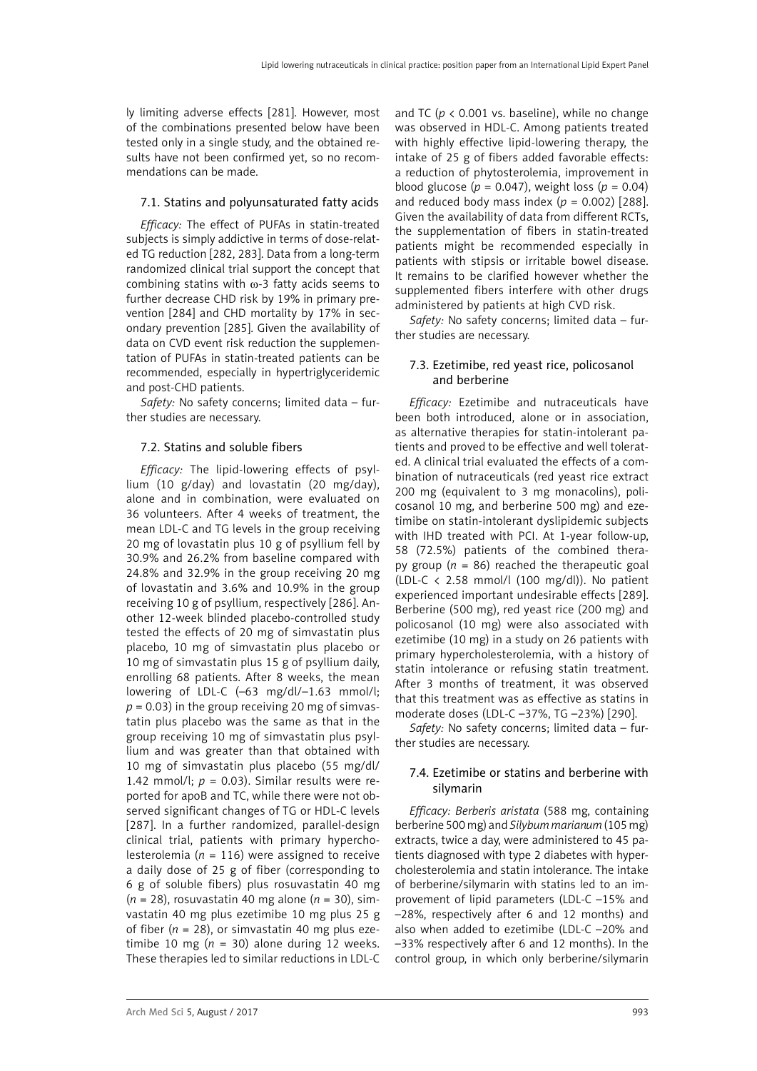<span id="page-28-0"></span>ly limiting adverse effects [281]. However, most of the combinations presented below have been tested only in a single study, and the obtained results have not been confirmed yet, so no recommendations can be made.

### 7.1. Statins and polyunsaturated fatty acids

*Efficacy:* The effect of PUFAs in statin-treated subjects is simply addictive in terms of dose-related TG reduction [282, 283]. Data from a long-term randomized clinical trial support the concept that combining statins with  $\omega$ -3 fatty acids seems to further decrease CHD risk by 19% in primary prevention [284] and CHD mortality by 17% in secondary prevention [285]. Given the availability of data on CVD event risk reduction the supplementation of PUFAs in statin-treated patients can be recommended, especially in hypertriglyceridemic and post-CHD patients.

*Safety:* No safety concerns; limited data – further studies are necessary.

### 7.2. Statins and soluble fibers

*Efficacy:* The lipid-lowering effects of psyllium (10 g/day) and lovastatin (20 mg/day), alone and in combination, were evaluated on 36 volunteers. After 4 weeks of treatment, the mean LDL-C and TG levels in the group receiving 20 mg of lovastatin plus 10 g of psyllium fell by 30.9% and 26.2% from baseline compared with 24.8% and 32.9% in the group receiving 20 mg of lovastatin and 3.6% and 10.9% in the group receiving 10 g of psyllium, respectively [286]. Another 12-week blinded placebo-controlled study tested the effects of 20 mg of simvastatin plus placebo, 10 mg of simvastatin plus placebo or 10 mg of simvastatin plus 15 g of psyllium daily, enrolling 68 patients. After 8 weeks, the mean lowering of LDL-C (–63 mg/dl/–1.63 mmol/l;  $p = 0.03$ ) in the group receiving 20 mg of simvastatin plus placebo was the same as that in the group receiving 10 mg of simvastatin plus psyllium and was greater than that obtained with 10 mg of simvastatin plus placebo (55 mg/dl/ 1.42 mmol/l;  $p = 0.03$ ). Similar results were reported for apoB and TC, while there were not observed significant changes of TG or HDL-C levels [287]. In a further randomized, parallel-design clinical trial, patients with primary hypercholesterolemia ( $n = 116$ ) were assigned to receive a daily dose of 25 g of fiber (corresponding to 6 g of soluble fibers) plus rosuvastatin 40 mg (*n* = 28), rosuvastatin 40 mg alone (*n* = 30), simvastatin 40 mg plus ezetimibe 10 mg plus 25 g of fiber ( $n = 28$ ), or simvastatin 40 mg plus ezetimibe 10 mg ( $n = 30$ ) alone during 12 weeks. These therapies led to similar reductions in LDL-C and TC ( $p < 0.001$  vs. baseline), while no change was observed in HDL-C. Among patients treated with highly effective lipid-lowering therapy, the intake of 25 g of fibers added favorable effects: a reduction of phytosterolemia, improvement in blood glucose (*p* = 0.047), weight loss (*p* = 0.04) and reduced body mass index  $(p = 0.002)$  [288]. Given the availability of data from different RCTs, the supplementation of fibers in statin-treated patients might be recommended especially in patients with stipsis or irritable bowel disease. It remains to be clarified however whether the supplemented fibers interfere with other drugs administered by patients at high CVD risk.

*Safety:* No safety concerns; limited data – further studies are necessary.

# 7.3. Ezetimibe, red yeast rice, policosanol and berberine

*Efficacy:* Ezetimibe and nutraceuticals have been both introduced, alone or in association, as alternative therapies for statin-intolerant patients and proved to be effective and well tolerated. A clinical trial evaluated the effects of a combination of nutraceuticals (red yeast rice extract 200 mg (equivalent to 3 mg monacolins), policosanol 10 mg, and berberine 500 mg) and ezetimibe on statin-intolerant dyslipidemic subjects with IHD treated with PCI. At 1-year follow-up, 58 (72.5%) patients of the combined therapy group  $(n = 86)$  reached the therapeutic goal (LDL-C  $\langle$  2.58 mmol/l (100 mg/dl)). No patient experienced important undesirable effects [289]. Berberine (500 mg), red yeast rice (200 mg) and policosanol (10 mg) were also associated with ezetimibe (10 mg) in a study on 26 patients with primary hypercholesterolemia, with a history of statin intolerance or refusing statin treatment. After 3 months of treatment, it was observed that this treatment was as effective as statins in moderate doses (LDL-C –37%, TG –23%) [290].

*Safety:* No safety concerns; limited data – further studies are necessary.

# 7.4. Ezetimibe or statins and berberine with silymarin

*Efficacy: Berberis aristata* (588 mg, containing berberine 500 mg) and *Silybum marianum* (105 mg) extracts, twice a day, were administered to 45 patients diagnosed with type 2 diabetes with hypercholesterolemia and statin intolerance. The intake of berberine/silymarin with statins led to an improvement of lipid parameters (LDL-C –15% and –28%, respectively after 6 and 12 months) and also when added to ezetimibe (LDL-C –20% and –33% respectively after 6 and 12 months). In the control group, in which only berberine/silymarin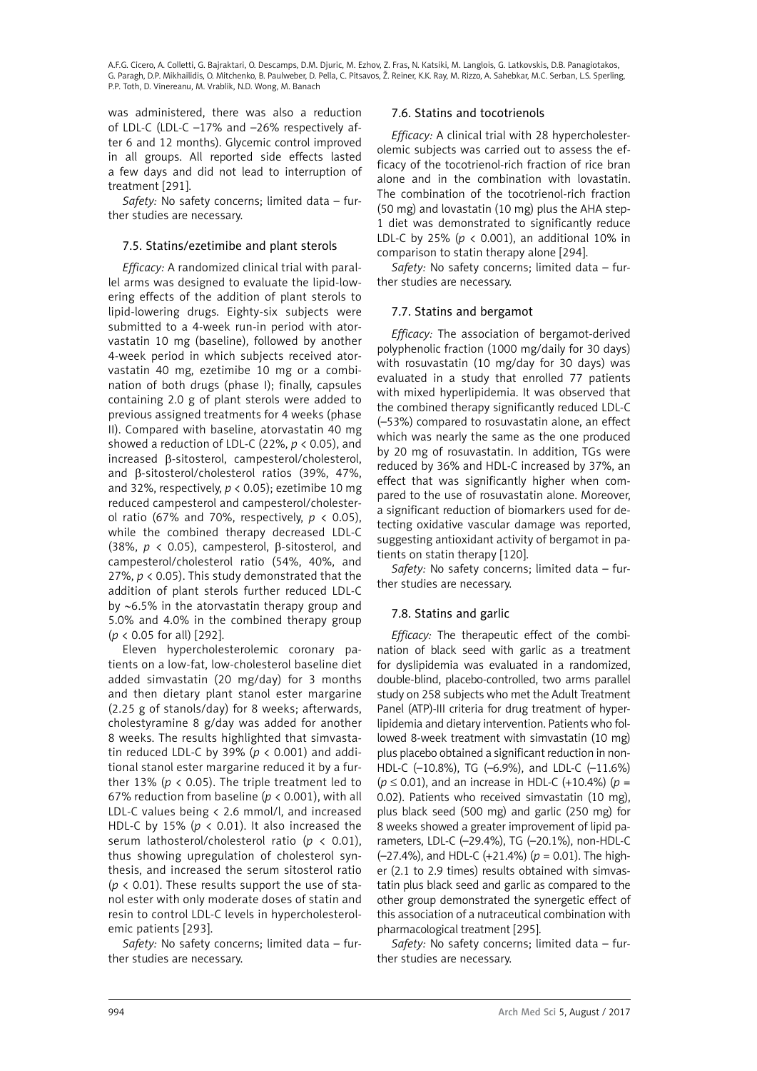<span id="page-29-0"></span>was administered, there was also a reduction of LDL-C (LDL-C –17% and –26% respectively after 6 and 12 months). Glycemic control improved in all groups. All reported side effects lasted a few days and did not lead to interruption of treatment [291].

*Safety:* No safety concerns; limited data – further studies are necessary.

# 7.5. Statins/ezetimibe and plant sterols

*Efficacy:* A randomized clinical trial with parallel arms was designed to evaluate the lipid-lowering effects of the addition of plant sterols to lipid-lowering drugs. Eighty-six subjects were submitted to a 4-week run-in period with atorvastatin 10 mg (baseline), followed by another 4-week period in which subjects received atorvastatin 40 mg, ezetimibe 10 mg or a combination of both drugs (phase I); finally, capsules containing 2.0 g of plant sterols were added to previous assigned treatments for 4 weeks (phase II). Compared with baseline, atorvastatin 40 mg showed a reduction of LDL-C (22%, *p* < 0.05), and increased β-sitosterol, campesterol/cholesterol, and β-sitosterol/cholesterol ratios (39%, 47%, and 32%, respectively,  $p < 0.05$ ); ezetimibe 10 mg reduced campesterol and campesterol/cholesterol ratio (67% and 70%, respectively, *p* < 0.05), while the combined therapy decreased LDL-C (38%, *p* < 0.05), campesterol, β-sitosterol, and campesterol/cholesterol ratio (54%, 40%, and 27%, *p* < 0.05). This study demonstrated that the addition of plant sterols further reduced LDL-C by ∼6.5% in the atorvastatin therapy group and 5.0% and 4.0% in the combined therapy group (*p* < 0.05 for all) [292].

Eleven hypercholesterolemic coronary patients on a low-fat, low-cholesterol baseline diet added simvastatin (20 mg/day) for 3 months and then dietary plant stanol ester margarine (2.25 g of stanols/day) for 8 weeks; afterwards, cholestyramine 8 g/day was added for another 8 weeks. The results highlighted that simvastatin reduced LDL-C by 39% ( $p < 0.001$ ) and additional stanol ester margarine reduced it by a further 13% (*p* < 0.05). The triple treatment led to 67% reduction from baseline ( $p < 0.001$ ), with all LDL-C values being < 2.6 mmol/l, and increased HDL-C by 15% ( $p < 0.01$ ). It also increased the serum lathosterol/cholesterol ratio (*p* < 0.01), thus showing upregulation of cholesterol synthesis, and increased the serum sitosterol ratio ( $p \lt 0.01$ ). These results support the use of stanol ester with only moderate doses of statin and resin to control LDL-C levels in hypercholesterolemic patients [293].

*Safety:* No safety concerns; limited data – further studies are necessary.

### 7.6. Statins and tocotrienols

*Efficacy:* A clinical trial with 28 hypercholesterolemic subjects was carried out to assess the efficacy of the tocotrienol-rich fraction of rice bran alone and in the combination with lovastatin. The combination of the tocotrienol-rich fraction (50 mg) and lovastatin (10 mg) plus the AHA step-1 diet was demonstrated to significantly reduce LDL-C by 25% (*p* < 0.001), an additional 10% in comparison to statin therapy alone [294].

*Safety:* No safety concerns; limited data – further studies are necessary.

# 7.7. Statins and bergamot

*Efficacy:* The association of bergamot-derived polyphenolic fraction (1000 mg/daily for 30 days) with rosuvastatin (10 mg/day for 30 days) was evaluated in a study that enrolled 77 patients with mixed hyperlipidemia. It was observed that the combined therapy significantly reduced LDL-C (–53%) compared to rosuvastatin alone, an effect which was nearly the same as the one produced by 20 mg of rosuvastatin. In addition, TGs were reduced by 36% and HDL-C increased by 37%, an effect that was significantly higher when compared to the use of rosuvastatin alone. Moreover, a significant reduction of biomarkers used for detecting oxidative vascular damage was reported, suggesting antioxidant activity of bergamot in patients on statin therapy [120].

*Safety:* No safety concerns; limited data – further studies are necessary.

# 7.8. Statins and garlic

*Efficacy:* The therapeutic effect of the combination of black seed with garlic as a treatment for dyslipidemia was evaluated in a randomized, double-blind, placebo-controlled, two arms parallel study on 258 subjects who met the Adult Treatment Panel (ATP)-III criteria for drug treatment of hyperlipidemia and dietary intervention. Patients who followed 8-week treatment with simvastatin (10 mg) plus placebo obtained a significant reduction in non-HDL-C (–10.8%), TG (–6.9%), and LDL-C (–11.6%) (*p* ≤ 0.01), and an increase in HDL-C (+10.4%) (*p* = 0.02). Patients who received simvastatin (10 mg), plus black seed (500 mg) and garlic (250 mg) for 8 weeks showed a greater improvement of lipid parameters, LDL-C (–29.4%), TG (–20.1%), non-HDL-C (–27.4%), and HDL-C (+21.4%) (*p* = 0.01). The higher (2.1 to 2.9 times) results obtained with simvastatin plus black seed and garlic as compared to the other group demonstrated the synergetic effect of this association of a nutraceutical combination with pharmacological treatment [295].

*Safety:* No safety concerns; limited data – further studies are necessary.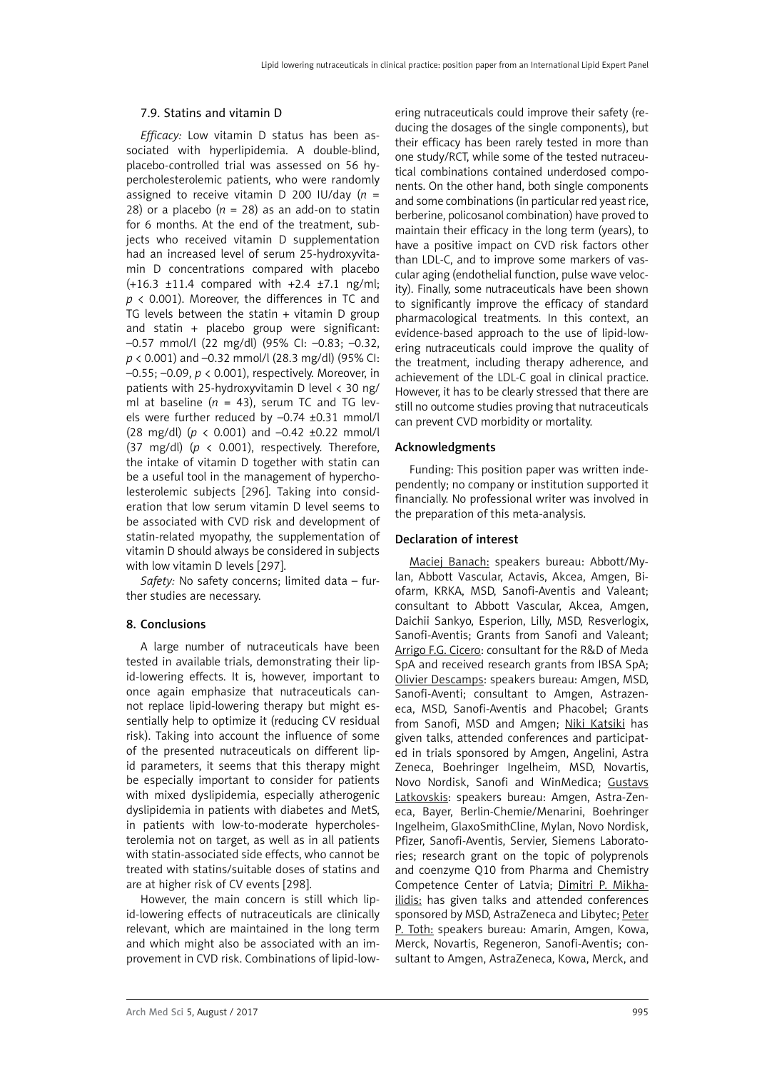#### <span id="page-30-0"></span>7.9. Statins and vitamin D

*Efficacy:* Low vitamin D status has been associated with hyperlipidemia. A double-blind, placebo-controlled trial was assessed on 56 hypercholesterolemic patients, who were randomly assigned to receive vitamin D 200 IU/day (*n* = 28) or a placebo ( $n = 28$ ) as an add-on to statin for 6 months. At the end of the treatment, subjects who received vitamin D supplementation had an increased level of serum 25-hydroxyvitamin D concentrations compared with placebo (+16.3 ±11.4 compared with +2.4 ±7.1 ng/ml; *p* < 0.001). Moreover, the differences in TC and TG levels between the statin + vitamin D group and statin + placebo group were significant: –0.57 mmol/l (22 mg/dl) (95% CI: –0.83; –0.32, *p* < 0.001) and –0.32 mmol/l (28.3 mg/dl) (95% CI: –0.55; –0.09, *p* < 0.001), respectively. Moreover, in patients with 25-hydroxyvitamin D level < 30 ng/ ml at baseline ( $n = 43$ ), serum TC and TG levels were further reduced by –0.74 ±0.31 mmol/l (28 mg/dl) (*p* < 0.001) and –0.42 ±0.22 mmol/l (37 mg/dl) (*p* < 0.001), respectively. Therefore, the intake of vitamin D together with statin can be a useful tool in the management of hypercholesterolemic subjects [296]. Taking into consideration that low serum vitamin D level seems to be associated with CVD risk and development of statin-related myopathy, the supplementation of vitamin D should always be considered in subjects with low vitamin D levels [297].

*Safety:* No safety concerns; limited data – further studies are necessary.

#### 8. Conclusions

A large number of nutraceuticals have been tested in available trials, demonstrating their lipid-lowering effects. It is, however, important to once again emphasize that nutraceuticals cannot replace lipid-lowering therapy but might essentially help to optimize it (reducing CV residual risk). Taking into account the influence of some of the presented nutraceuticals on different lipid parameters, it seems that this therapy might be especially important to consider for patients with mixed dyslipidemia, especially atherogenic dyslipidemia in patients with diabetes and MetS, in patients with low-to-moderate hypercholesterolemia not on target, as well as in all patients with statin-associated side effects, who cannot be treated with statins/suitable doses of statins and are at higher risk of CV events [298].

However, the main concern is still which lipid-lowering effects of nutraceuticals are clinically relevant, which are maintained in the long term and which might also be associated with an improvement in CVD risk. Combinations of lipid-low-

ering nutraceuticals could improve their safety (reducing the dosages of the single components), but their efficacy has been rarely tested in more than one study/RCT, while some of the tested nutraceutical combinations contained underdosed components. On the other hand, both single components and some combinations (in particular red yeast rice, berberine, policosanol combination) have proved to maintain their efficacy in the long term (years), to have a positive impact on CVD risk factors other than LDL-C, and to improve some markers of vascular aging (endothelial function, pulse wave velocity). Finally, some nutraceuticals have been shown to significantly improve the efficacy of standard pharmacological treatments. In this context, an evidence-based approach to the use of lipid-lowering nutraceuticals could improve the quality of the treatment, including therapy adherence, and achievement of the LDL-C goal in clinical practice. However, it has to be clearly stressed that there are still no outcome studies proving that nutraceuticals can prevent CVD morbidity or mortality.

#### Acknowledgments

Funding: This position paper was written independently; no company or institution supported it financially. No professional writer was involved in the preparation of this meta-analysis.

#### Declaration of interest

Maciej Banach: speakers bureau: Abbott/Mylan, Abbott Vascular, Actavis, Akcea, Amgen, Biofarm, KRKA, MSD, Sanofi-Aventis and Valeant; consultant to Abbott Vascular, Akcea, Amgen, Daichii Sankyo, Esperion, Lilly, MSD, Resverlogix, Sanofi-Aventis; Grants from Sanofi and Valeant; Arrigo F.G. Cicero: consultant for the R&D of Meda SpA and received research grants from IBSA SpA; Olivier Descamps: speakers bureau: Amgen, MSD, Sanofi-Aventi; consultant to Amgen, Astrazeneca, MSD, Sanofi-Aventis and Phacobel; Grants from Sanofi, MSD and Amgen; Niki Katsiki has given talks, attended conferences and participated in trials sponsored by Amgen, Angelini, Astra Zeneca, Boehringer Ingelheim, MSD, Novartis, Novo Nordisk, Sanofi and WinMedica; Gustavs Latkovskis: speakers bureau: Amgen, Astra-Zeneca, Bayer, Berlin-Chemie/Menarini, Boehringer Ingelheim, GlaxoSmithCline, Mylan, Novo Nordisk, Pfizer, Sanofi-Aventis, Servier, Siemens Laboratories; research grant on the topic of polyprenols and coenzyme Q10 from Pharma and Chemistry Competence Center of Latvia; Dimitri P. Mikhailidis: has given talks and attended conferences sponsored by MSD, AstraZeneca and Libytec; Peter P. Toth: speakers bureau: Amarin, Amgen, Kowa, Merck, Novartis, Regeneron, Sanofi-Aventis; consultant to Amgen, AstraZeneca, Kowa, Merck, and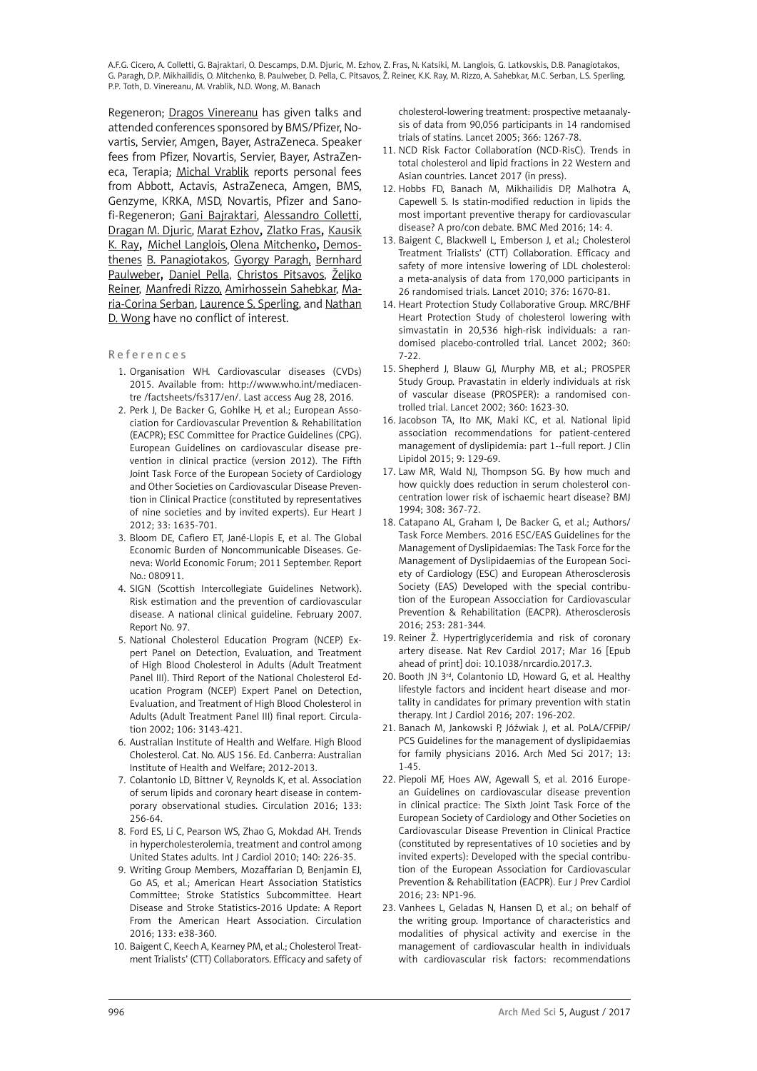Regeneron; Dragos Vinereanu has given talks and attended conferences sponsored by BMS/Pfizer, Novartis, Servier, Amgen, Bayer, AstraZeneca. Speaker fees from Pfizer, Novartis, Servier, Bayer, AstraZeneca, Terapia; Michal Vrablik reports personal fees from Abbott, Actavis, AstraZeneca, Amgen, BMS, Genzyme, KRKA, MSD, Novartis, Pfizer and Sanofi-Regeneron; Gani Bajraktari, Alessandro Colletti, Dragan M. Djuric, Marat Ezhov, Zlatko Fras, Kausik K. Ray, Michel Langlois, Olena Mitchenko, Demosthenes B. Panagiotakos, Gyorgy Paragh, Bernhard Paulweber, Daniel Pella, Christos Pitsavos, Željko Reiner, Manfredi Rizzo, Amirhossein Sahebkar, Maria-Corina Serban, Laurence S. Sperling, and Nathan D. Wong have no conflict of interest.

- References
	- 1. Organisation WH. Cardiovascular diseases (CVDs) 2015. Available from: [http://www.who.int/mediacen](http://www.who.int/mediacentre /factsheets/fs317/en/)[tre /factsheets/fs317/en/.](http://www.who.int/mediacentre /factsheets/fs317/en/) Last access Aug 28, 2016.
	- 2. Perk J, De Backer G, Gohlke H, et al.; European Association for Cardiovascular Prevention & Rehabilitation (EACPR); ESC Committee for Practice Guidelines (CPG). European Guidelines on cardiovascular disease prevention in clinical practice (version 2012). The Fifth Joint Task Force of the European Society of Cardiology and Other Societies on Cardiovascular Disease Prevention in Clinical Practice (constituted by representatives of nine societies and by invited experts). Eur Heart J 2012; 33: 1635-701.
	- 3. Bloom DE, Cafiero ET, Jané-Llopis E, et al. The Global Economic Burden of Noncommunicable Diseases. Geneva: World Economic Forum; 2011 September. Report No.: 080911.
	- 4. SIGN (Scottish Intercollegiate Guidelines Network). Risk estimation and the prevention of cardiovascular disease. A national clinical guideline. February 2007. Report No. 97.
	- 5. [National Cholesterol Education Program \(NCEP\) Ex](http://www.ncbi.nlm.nih.gov/pubmed/?term=National Cholesterol Education Program (NCEP) Expert Panel on Detection%2C Evaluation%2C and Treatment of High Blood Cholesterol in Adults (Adult Treatment Panel III)%5BCorporate Author%5D)[pert Panel on Detection, Evaluation, and Treatment](http://www.ncbi.nlm.nih.gov/pubmed/?term=National Cholesterol Education Program (NCEP) Expert Panel on Detection%2C Evaluation%2C and Treatment of High Blood Cholesterol in Adults (Adult Treatment Panel III)%5BCorporate Author%5D)  [of High Blood Cholesterol in Adults \(Adult Treatment](http://www.ncbi.nlm.nih.gov/pubmed/?term=National Cholesterol Education Program (NCEP) Expert Panel on Detection%2C Evaluation%2C and Treatment of High Blood Cholesterol in Adults (Adult Treatment Panel III)%5BCorporate Author%5D)  [Panel III\)](http://www.ncbi.nlm.nih.gov/pubmed/?term=National Cholesterol Education Program (NCEP) Expert Panel on Detection%2C Evaluation%2C and Treatment of High Blood Cholesterol in Adults (Adult Treatment Panel III)%5BCorporate Author%5D). Third Report of the National Cholesterol Education Program (NCEP) Expert Panel on Detection, Evaluation, and Treatment of High Blood Cholesterol in Adults (Adult Treatment Panel III) final report. [Circula](http://www.ncbi.nlm.nih.gov/pubmed/12485966)[tion](http://www.ncbi.nlm.nih.gov/pubmed/12485966) 2002; 106: 3143-421.
	- 6. Australian Institute of Health and Welfare. High Blood Cholesterol. Cat. No. AUS 156. Ed. Canberra: Australian Institute of Health and Welfare; 2012-2013.
	- 7. Colantonio LD, Bittner V, Reynolds K, et al. Association of serum lipids and coronary heart disease in contemporary observational studies. Circulation 2016; 133: 256-64.
	- 8. [Ford ES,](http://www.ncbi.nlm.nih.gov/pubmed/?term=Ford ES%5BAuthor%5D&cauthor=true&cauthor_uid=19081646) [Li C,](http://www.ncbi.nlm.nih.gov/pubmed/?term=Li C%5BAuthor%5D&cauthor=true&cauthor_uid=19081646) [Pearson WS](http://www.ncbi.nlm.nih.gov/pubmed/?term=Pearson WS%5BAuthor%5D&cauthor=true&cauthor_uid=19081646), [Zhao G,](http://www.ncbi.nlm.nih.gov/pubmed/?term=Zhao G%5BAuthor%5D&cauthor=true&cauthor_uid=19081646) [Mokdad AH.](http://www.ncbi.nlm.nih.gov/pubmed/?term=Mokdad AH%5BAuthor%5D&cauthor=true&cauthor_uid=19081646) Trends in hypercholesterolemia, treatment and control among United States adults. [Int J Cardiol](http://www.ncbi.nlm.nih.gov/pubmed/19081646) 2010; 140: 226-35.
	- 9. Writing Group Members, Mozaffarian D, Benjamin EJ, Go AS, et al.; American Heart Association Statistics Committee; Stroke Statistics Subcommittee. Heart Disease and Stroke Statistics-2016 Update: A Report From the American Heart Association. Circulation 2016; 133: e38-360.
- 10. Baigent C, Keech A, Kearney PM, et al.; Cholesterol Treatment Trialists' (CTT) Collaborators. Efficacy and safety of

cholesterol-lowering treatment: prospective metaanalysis of data from 90,056 participants in 14 randomised trials of statins. Lancet 2005; 366: 1267-78.

- 11. NCD Risk Factor Collaboration (NCD-RisC). Trends in total cholesterol and lipid fractions in 22 Western and Asian countries. Lancet 2017 (in press).
- 12. Hobbs FD, Banach M, Mikhailidis DP, Malhotra A, Capewell S. [Is statin-modified reduction in lipids the](https://www.ncbi.nlm.nih.gov/pubmed/26769594) [most important preventive therapy for cardiovascular](https://www.ncbi.nlm.nih.gov/pubmed/26769594) [disease? A pro/con debate.](https://www.ncbi.nlm.nih.gov/pubmed/26769594) BMC Med 2016; 14: 4.
- 13. Baigent C, Blackwell L, Emberson J, et al.; Cholesterol Treatment Trialists' (CTT) Collaboration. Efficacy and safety of more intensive lowering of LDL cholesterol: a meta-analysis of data from 170,000 participants in 26 randomised trials. Lancet 2010; 376: 1670-81.
- 14. Heart Protection Study Collaborative Group. MRC/BHF Heart Protection Study of cholesterol lowering with simvastatin in 20,536 high-risk individuals: a randomised placebo-controlled trial. Lancet 2002; 360: 7-22.
- 15. Shepherd J, Blauw GJ, Murphy MB, et al.; PROSPER Study Group. Pravastatin in elderly individuals at risk of vascular disease (PROSPER): a randomised controlled trial. Lancet 2002; 360: 1623-30.
- 16. [Jacobson TA,](http://www.ncbi.nlm.nih.gov/pubmed/?term=Jacobson TA%5BAuthor%5D&cauthor=true&cauthor_uid=25911072) [Ito MK](http://www.ncbi.nlm.nih.gov/pubmed/?term=Ito MK%5BAuthor%5D&cauthor=true&cauthor_uid=25911072), [Maki KC,](http://www.ncbi.nlm.nih.gov/pubmed/?term=Maki KC%5BAuthor%5D&cauthor=true&cauthor_uid=25911072) et al. National lipid association recommendations for patient-centered management of dyslipidemia: part 1--full report. [J Clin](http://www.ncbi.nlm.nih.gov/pubmed/25911072) [Lipidol](http://www.ncbi.nlm.nih.gov/pubmed/25911072) 2015; 9: 129-69.
- 17. Law MR, Wald NJ, Thompson SG. By how much and how quickly does reduction in serum cholesterol concentration lower risk of ischaemic heart disease? BMJ 1994; 308: 367-72.
- 18. Catapano AL, Graham I, De Backer G, et al.; Authors/ Task Force Members. [2016 ESC/EAS Guidelines for the](https://www.ncbi.nlm.nih.gov/pubmed/27567407) [Management of Dyslipidaemias: The Task Force for the](https://www.ncbi.nlm.nih.gov/pubmed/27567407) [Management of Dyslipidaemias of the European Soci](https://www.ncbi.nlm.nih.gov/pubmed/27567407)[ety of Cardiology \(ESC\) and European Atherosclerosis](https://www.ncbi.nlm.nih.gov/pubmed/27567407) [Society \(EAS\) Developed with the special contribu](https://www.ncbi.nlm.nih.gov/pubmed/27567407)[tion of the European Assocciation for Cardiovascular](https://www.ncbi.nlm.nih.gov/pubmed/27567407) [Prevention & Rehabilitation \(EACPR\).](https://www.ncbi.nlm.nih.gov/pubmed/27567407) Atherosclerosis 2016; 253: 281-344.
- 19. Reiner Ž. Hypertriglyceridemia and risk of coronary artery disease. Nat Rev Cardiol 2017; Mar 16 [Epub ahead of print] doi: 10.1038/nrcardio.2017.3.
- 20. Booth JN 3rd, Colantonio LD, Howard G, et al. Healthy lifestyle factors and incident heart disease and mortality in candidates for primary prevention with statin therapy. Int J Cardiol 2016; 207: 196-202.
- 21. Banach M, Jankowski P, Jóźwiak J, et al. [PoLA/CFPiP/](https://www.ncbi.nlm.nih.gov/pubmed/28144253) [PCS Guidelines for the management of dyslipidaemias](https://www.ncbi.nlm.nih.gov/pubmed/28144253) [for family physicians 2016.](https://www.ncbi.nlm.nih.gov/pubmed/28144253) Arch Med Sci 2017; 13: 1-45.
- 22. Piepoli MF, Hoes AW, Agewall S, et al. 2016 European Guidelines on cardiovascular disease prevention in clinical practice: The Sixth Joint Task Force of the European Society of Cardiology and Other Societies on Cardiovascular Disease Prevention in Clinical Practice (constituted by representatives of 10 societies and by invited experts): Developed with the special contribution of the European Association for Cardiovascular Prevention & Rehabilitation (EACPR). Eur J Prev Cardiol 2016; 23: NP1-96.
- 23. Vanhees L, Geladas N, Hansen D, et al.; on behalf of the writing group. [Importance of characteristics and](http://www.ncbi.nlm.nih.gov/pubmed/22637741) [modalities of physical activity and exercise in the](http://www.ncbi.nlm.nih.gov/pubmed/22637741) [management of cardiovascular health in individuals](http://www.ncbi.nlm.nih.gov/pubmed/22637741) [with cardiovascular risk factors: recommendations](http://www.ncbi.nlm.nih.gov/pubmed/22637741)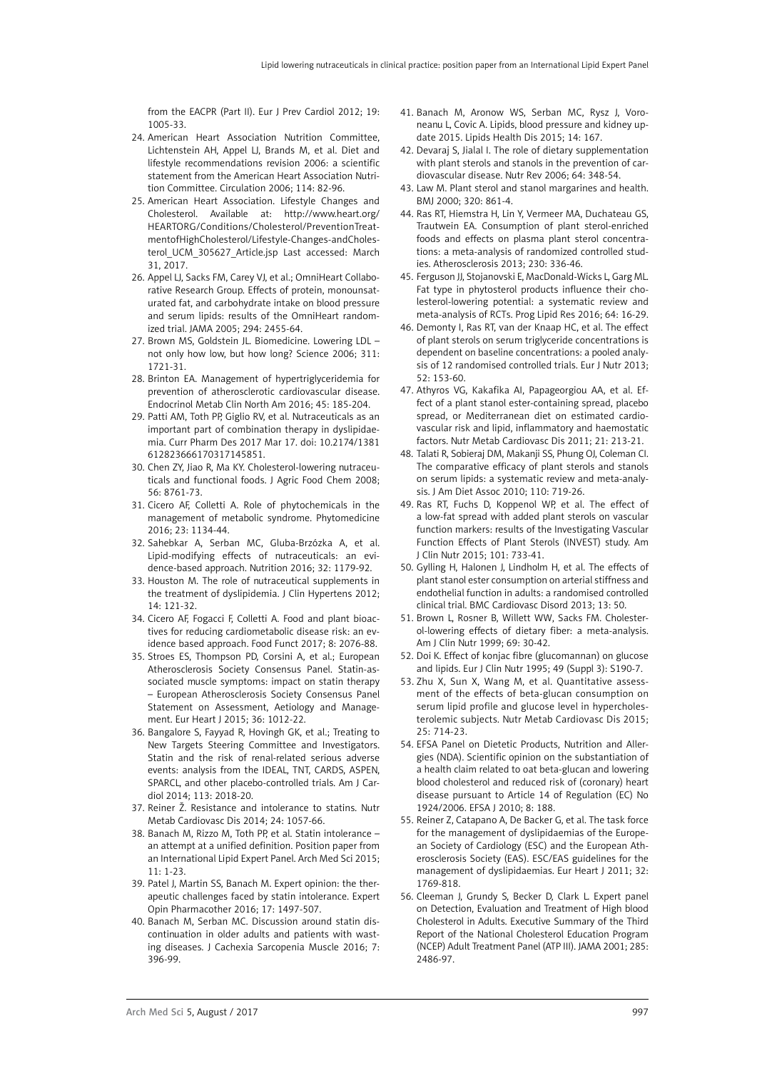[from the EACPR \(Part II\).](http://www.ncbi.nlm.nih.gov/pubmed/22637741) Eur J Prev Cardiol 2012; 19: 1005-33.

- 24. [American Heart Association Nutrition Committee,](https://www.ncbi.nlm.nih.gov/pubmed/?term=American Heart Association Nutrition Committee%5BCorporate Author%5D) [Lichtenstein AH](https://www.ncbi.nlm.nih.gov/pubmed/?term=Lichtenstein AH%5BAuthor%5D&cauthor=true&cauthor_uid=16785338), [Appel LJ](https://www.ncbi.nlm.nih.gov/pubmed/?term=Appel LJ%5BAuthor%5D&cauthor=true&cauthor_uid=16785338), [Brands M](https://www.ncbi.nlm.nih.gov/pubmed/?term=Brands M%5BAuthor%5D&cauthor=true&cauthor_uid=16785338), et al. Diet and lifestyle recommendations revision 2006: a scientific statement from the American Heart Association Nutrition Committee. [Circulation](https://www.ncbi.nlm.nih.gov/pubmed/16785338) 2006; 114: 82-96.
- 25. American Heart Association. Lifestyle Changes and Cholesterol. Available at: [http://www.heart.org/](http://www.heart.org/HEARTORG/Conditions/Cholesterol/PreventionTreatmentofHighCholesterol/Lifestyle-Changes-andCholesterol_UCM_305627_Article.jsp) [HEARTORG/Conditions/Cholesterol/PreventionTreat](http://www.heart.org/HEARTORG/Conditions/Cholesterol/PreventionTreatmentofHighCholesterol/Lifestyle-Changes-andCholesterol_UCM_305627_Article.jsp)[mentofHighCholesterol/Lifestyle-Changes-andCholes](http://www.heart.org/HEARTORG/Conditions/Cholesterol/PreventionTreatmentofHighCholesterol/Lifestyle-Changes-andCholesterol_UCM_305627_Article.jsp)terol UCM 305627 Article.jsp Last accessed: March 31, 2017.
- 26. Appel LJ, Sacks FM, Carey VJ, et al.; OmniHeart Collaborative Research Group. Effects of protein, monounsaturated fat, and carbohydrate intake on blood pressure and serum lipids: results of the OmniHeart randomized trial. JAMA 2005; 294: 2455-64.
- 27. Brown MS, Goldstein JL. Biomedicine. Lowering LDL not only how low, but how long? Science 2006; 311: 1721-31.
- 28. Brinton EA. Management of hypertriglyceridemia for prevention of atherosclerotic cardiovascular disease. Endocrinol Metab Clin North Am 2016; 45: 185-204.
- 29. Patti AM, Toth PP, Giglio RV, et al. [Nutraceuticals as an](https://www.ncbi.nlm.nih.gov/pubmed/28317482)  [important part of combination therapy in dyslipidae](https://www.ncbi.nlm.nih.gov/pubmed/28317482)[mia.](https://www.ncbi.nlm.nih.gov/pubmed/28317482) Curr Pharm Des 2017 Mar 17. doi: 10.2174/1381 612823666170317145851.
- 30. [Chen ZY](http://www.ncbi.nlm.nih.gov/pubmed/?term=Chen ZY%5BAuthor%5D&cauthor=true&cauthor_uid=18778072), [Jiao R](http://www.ncbi.nlm.nih.gov/pubmed/?term=Jiao R%5BAuthor%5D&cauthor=true&cauthor_uid=18778072), [Ma KY.](http://www.ncbi.nlm.nih.gov/pubmed/?term=Ma KY%5BAuthor%5D&cauthor=true&cauthor_uid=18778072) Cholesterol-lowering nutraceuticals and functional foods. [J Agric Food Chem](http://www.ncbi.nlm.nih.gov/pubmed/18778072) 2008; 56: 8761-73.
- 31. [Cicero AF,](http://www.ncbi.nlm.nih.gov/pubmed/?term=Cicero AF%5BAuthor%5D&cauthor=true&cauthor_uid=26778479) [Colletti A.](http://www.ncbi.nlm.nih.gov/pubmed/?term=Colletti A%5BAuthor%5D&cauthor=true&cauthor_uid=26778479) Role of phytochemicals in the management of metabolic syndrome. [Phytomedicine](http://www.ncbi.nlm.nih.gov/pubmed/26778479)  2016; 23: 1134-44.
- 32. [Sahebkar A,](http://www.ncbi.nlm.nih.gov/pubmed/?term=Sahebkar A%5BAuthor%5D&cauthor=true&cauthor_uid=27324061) [Serban MC](http://www.ncbi.nlm.nih.gov/pubmed/?term=Serban MC%5BAuthor%5D&cauthor=true&cauthor_uid=27324061), [Gluba-Brzózka A,](http://www.ncbi.nlm.nih.gov/pubmed/?term=Gluba-Brz%C3%B3zka A%5BAuthor%5D&cauthor=true&cauthor_uid=27324061) et al. Lipid-modifying effects of nutraceuticals: an evidence-based approach. [Nutrition](http://www.ncbi.nlm.nih.gov/pubmed/27324061) 2016; 32: 1179-92.
- 33. [Houston M](http://www.ncbi.nlm.nih.gov/pubmed/?term=Houston M%5BAuthor%5D&cauthor=true&cauthor_uid=22277145). The role of nutraceutical supplements in the treatment of dyslipidemia. [J Clin Hypertens](http://www.ncbi.nlm.nih.gov/pubmed/22277145) 2012; 14: 121-32.
- 34. Cicero AF, Fogacci F, Colletti A. Food and plant bioactives for reducing cardiometabolic disease risk: an evidence based approach. Food Funct 2017; 8: 2076-88.
- 35. Stroes ES, Thompson PD, Corsini A, et al.; European Atherosclerosis Society Consensus Panel. Statin-associated muscle symptoms: impact on statin therapy – European Atherosclerosis Society Consensus Panel Statement on Assessment, Aetiology and Management. Eur Heart J 2015; 36: 1012-22.
- 36. [Bangalore S,](http://www.ncbi.nlm.nih.gov/pubmed/?term=Bangalore S%5BAuthor%5D&cauthor=true&cauthor_uid=24793673) [Fayyad R](http://www.ncbi.nlm.nih.gov/pubmed/?term=Fayyad R%5BAuthor%5D&cauthor=true&cauthor_uid=24793673), [Hovingh GK,](http://www.ncbi.nlm.nih.gov/pubmed/?term=Hovingh GK%5BAuthor%5D&cauthor=true&cauthor_uid=24793673) et al.; [Treating to](http://www.ncbi.nlm.nih.gov/pubmed/?term=Treating to New Targets Steering Committee and Investigators%5BCorporate Author%5D)  [New Targets Steering Committee and Investigators.](http://www.ncbi.nlm.nih.gov/pubmed/?term=Treating to New Targets Steering Committee and Investigators%5BCorporate Author%5D) Statin and the risk of renal-related serious adverse events: analysis from the IDEAL, TNT, CARDS, ASPEN, SPARCL, and other placebo-controlled trials. Am J Cardiol 2014; 113: 2018-20.
- 37. Reiner Ž. [Resistance and intolerance to statins.](http://www.ncbi.nlm.nih.gov/pubmed/24996502) Nutr Metab Cardiovasc Dis 2014; 24: 1057-66.
- 38. Banach M, Rizzo M, Toth PP, et al. [Statin intolerance](http://www.ncbi.nlm.nih.gov/pubmed/25861286)  [an attempt at a unified definition. Position paper from](http://www.ncbi.nlm.nih.gov/pubmed/25861286)  [an International Lipid Expert Panel.](http://www.ncbi.nlm.nih.gov/pubmed/25861286) Arch Med Sci 2015; 11: 1-23.
- 39. Patel J, Martin SS, Banach M. Expert opinion: the therapeutic challenges faced by statin intolerance. Expert Opin Pharmacother 2016; 17: 1497-507.
- 40. Banach M, Serban MC. Discussion around statin discontinuation in older adults and patients with wasting diseases. J Cachexia Sarcopenia Muscle 2016; 7: 396-99.
- 41. Banach M, Aronow WS, Serban MC, Rysz J, Voroneanu L, Covic A. Lipids, blood pressure and kidney update 2015. Lipids Health Dis 2015; 14: 167.
- 42. [Devaraj S,](http://www.ncbi.nlm.nih.gov/pubmed/?term=Devaraj S%5BAuthor%5D&cauthor=true&cauthor_uid=16910223) [Jialal I](http://www.ncbi.nlm.nih.gov/pubmed/?term=Jialal I%5BAuthor%5D&cauthor=true&cauthor_uid=16910223). The role of dietary supplementation with plant sterols and stanols in the prevention of cardiovascular disease. Nutr Rev 2006; 64: 348-54.
- 43. [Law M.](http://www.ncbi.nlm.nih.gov/pubmed/?term=Law M%5BAuthor%5D&cauthor=true&cauthor_uid=10731187) Plant sterol and stanol margarines and health. BMJ 2000; 320: 861-4.
- 44. [Ras RT](http://www.ncbi.nlm.nih.gov/pubmed/?term=Ras RT%5BAuthor%5D&cauthor=true&cauthor_uid=24075766), [Hiemstra H](http://www.ncbi.nlm.nih.gov/pubmed/?term=Hiemstra H%5BAuthor%5D&cauthor=true&cauthor_uid=24075766), [Lin Y](http://www.ncbi.nlm.nih.gov/pubmed/?term=Lin Y%5BAuthor%5D&cauthor=true&cauthor_uid=24075766), [Vermeer MA](http://www.ncbi.nlm.nih.gov/pubmed/?term=Vermeer MA%5BAuthor%5D&cauthor=true&cauthor_uid=24075766), [Duchateau GS](http://www.ncbi.nlm.nih.gov/pubmed/?term=Duchateau GS%5BAuthor%5D&cauthor=true&cauthor_uid=24075766), [Trautwein EA.](http://www.ncbi.nlm.nih.gov/pubmed/?term=Trautwein EA%5BAuthor%5D&cauthor=true&cauthor_uid=24075766) Consumption of plant sterol-enriched foods and effects on plasma plant sterol concentrations: a meta-analysis of randomized controlled studies. Atherosclerosis 2013; 230: 336-46.
- 45. [Ferguson JJ,](http://www.ncbi.nlm.nih.gov/pubmed/?term=Ferguson JJ%5BAuthor%5D&cauthor=true&cauthor_uid=27497855) [Stojanovski E](http://www.ncbi.nlm.nih.gov/pubmed/?term=Stojanovski E%5BAuthor%5D&cauthor=true&cauthor_uid=27497855), [MacDonald-Wicks L](http://www.ncbi.nlm.nih.gov/pubmed/?term=MacDonald-Wicks L%5BAuthor%5D&cauthor=true&cauthor_uid=27497855), [Garg ML](http://www.ncbi.nlm.nih.gov/pubmed/?term=Garg ML%5BAuthor%5D&cauthor=true&cauthor_uid=27497855). Fat type in phytosterol products influence their cholesterol-lowering potential: a systematic review and meta-analysis of RCTs. Prog Lipid Res 2016; 64: 16-29.
- 46. [Demonty I,](http://www.ncbi.nlm.nih.gov/pubmed/?term=Demonty I%5BAuthor%5D&cauthor=true&cauthor_uid=22252793) [Ras RT,](http://www.ncbi.nlm.nih.gov/pubmed/?term=Ras RT%5BAuthor%5D&cauthor=true&cauthor_uid=22252793) [van der Knaap HC,](http://www.ncbi.nlm.nih.gov/pubmed/?term=van der Knaap HC%5BAuthor%5D&cauthor=true&cauthor_uid=22252793) et al. The effect of plant sterols on serum triglyceride concentrations is dependent on baseline concentrations: a pooled analysis of 12 randomised controlled trials. Eur J Nutr 2013; 52: 153-60.
- 47. Athyros VG, Kakafika AI, Papageorgiou AA, et al. Effect of a plant stanol ester-containing spread, placebo spread, or Mediterranean diet on estimated cardiovascular risk and lipid, inflammatory and haemostatic factors. Nutr Metab Cardiovasc Dis 2011; 21: 213-21.
- 48. Talati R, [Sobieraj DM,](http://www.ncbi.nlm.nih.gov/pubmed/?term=Sobieraj DM%5BAuthor%5D&cauthor=true&cauthor_uid=20430133) [Makanji SS,](http://www.ncbi.nlm.nih.gov/pubmed/?term=Makanji SS%5BAuthor%5D&cauthor=true&cauthor_uid=20430133) [Phung OJ,](http://www.ncbi.nlm.nih.gov/pubmed/?term=Phung OJ%5BAuthor%5D&cauthor=true&cauthor_uid=20430133) [Coleman CI](http://www.ncbi.nlm.nih.gov/pubmed/?term=Coleman CI%5BAuthor%5D&cauthor=true&cauthor_uid=20430133). The comparative efficacy of plant sterols and stanols on serum lipids: a systematic review and meta-analysis. [J Am Diet Assoc](http://www.ncbi.nlm.nih.gov/pubmed/?term=the+comparative+efficacy+talati+r+j+am+diet+assoc) 2010; 110: 719-26.
- 49. Ras RT, Fuchs D, Koppenol WP, et al. The effect of a low-fat spread with added plant sterols on vascular function markers: results of the Investigating Vascular Function Effects of Plant Sterols (INVEST) study. Am J Clin Nutr 2015; 101: 733-41.
- 50. Gylling H, Halonen J, Lindholm H, et al. The effects of plant stanol ester consumption on arterial stiffness and endothelial function in adults: a randomised controlled clinical trial. BMC Cardiovasc Disord 2013; 13: 50.
- 51. [Brown L](http://www.ncbi.nlm.nih.gov/pubmed/?term=Brown L%5BAuthor%5D&cauthor=true&cauthor_uid=9925120), [Rosner B](http://www.ncbi.nlm.nih.gov/pubmed/?term=Rosner B%5BAuthor%5D&cauthor=true&cauthor_uid=9925120), [Willett WW](http://www.ncbi.nlm.nih.gov/pubmed/?term=Willett WW%5BAuthor%5D&cauthor=true&cauthor_uid=9925120), [Sacks FM.](http://www.ncbi.nlm.nih.gov/pubmed/?term=Sacks FM%5BAuthor%5D&cauthor=true&cauthor_uid=9925120) Cholesterol-lowering effects of dietary fiber: a meta-analysis. Am J Clin Nutr 1999; 69: 30-42.
- 52. [Doi K](http://www.ncbi.nlm.nih.gov/pubmed/?term=Doi K%5BAuthor%5D&cauthor=true&cauthor_uid=8549522). Effect of konjac fibre (glucomannan) on glucose and lipids. Eur J Clin Nutr 1995; 49 (Suppl 3): S190-7.
- 53. [Zhu X,](http://www.ncbi.nlm.nih.gov/pubmed/?term=Zhu X%5BAuthor%5D&cauthor=true&cauthor_uid=26026211) [Sun X,](http://www.ncbi.nlm.nih.gov/pubmed/?term=Sun X%5BAuthor%5D&cauthor=true&cauthor_uid=26026211) [Wang M,](http://www.ncbi.nlm.nih.gov/pubmed/?term=Wang M%5BAuthor%5D&cauthor=true&cauthor_uid=26026211) et al. Quantitative assessment of the effects of beta-glucan consumption on serum lipid profile and glucose level in hypercholesterolemic subjects. Nutr Metab Cardiovasc Dis 2015; 25: 714-23.
- 54. EFSA Panel on Dietetic Products, Nutrition and Allergies (NDA). Scientific opinion on the substantiation of a health claim related to oat beta-glucan and lowering blood cholesterol and reduced risk of (coronary) heart disease pursuant to Article 14 of Regulation (EC) No 1924/2006. EFSA J 2010; 8: 188.
- 55. Reiner Z, Catapano A, De Backer G, et al. The task force for the management of dyslipidaemias of the European Society of Cardiology (ESC) and the European Atherosclerosis Society (EAS). ESC/EAS guidelines for the management of dyslipidaemias. Eur Heart J 2011; 32: 1769-818.
- 56. Cleeman J, Grundy S, Becker D, Clark L. Expert panel on Detection, Evaluation and Treatment of High blood Cholesterol in Adults. Executive Summary of the Third Report of the National Cholesterol Education Program (NCEP) Adult Treatment Panel (ATP III). JAMA 2001; 285: 2486-97.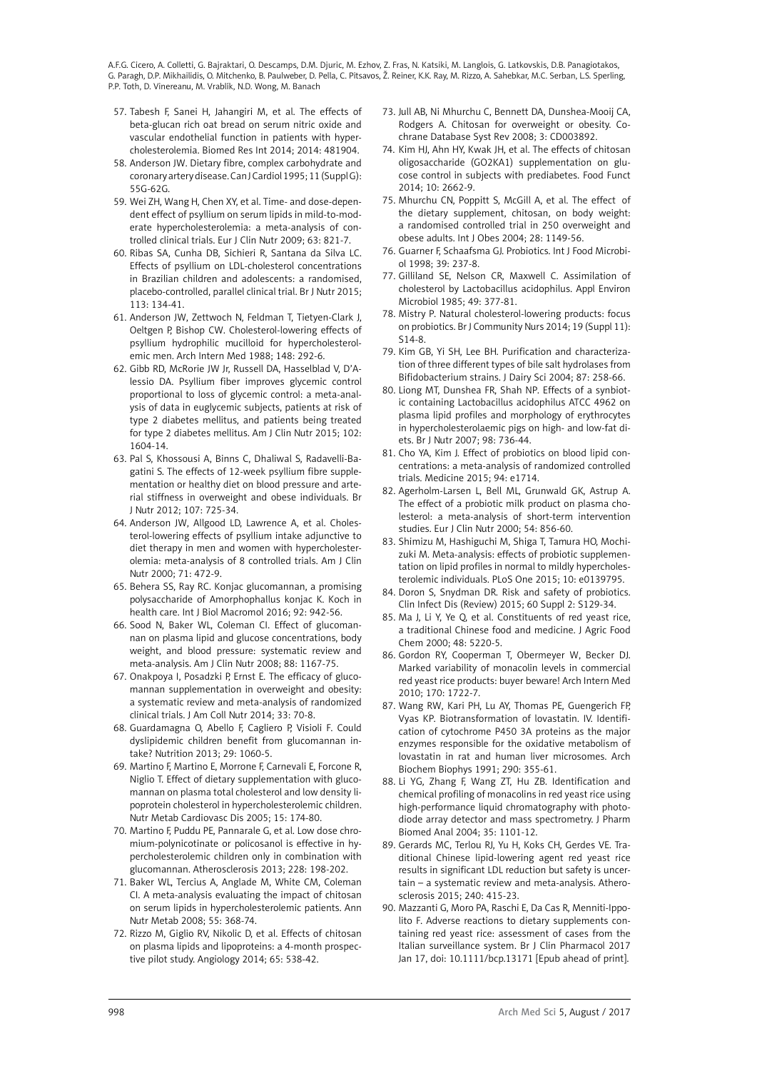- 57. [Tabesh F,](http://www.ncbi.nlm.nih.gov/pubmed/?term=Tabesh F%5BAuthor%5D&cauthor=true&cauthor_uid=25025057) [Sanei H,](http://www.ncbi.nlm.nih.gov/pubmed/?term=Sanei H%5BAuthor%5D&cauthor=true&cauthor_uid=25025057) [Jahangiri M](http://www.ncbi.nlm.nih.gov/pubmed/?term=Jahangiri M%5BAuthor%5D&cauthor=true&cauthor_uid=25025057), et al. The effects of beta-glucan rich oat bread on serum nitric oxide and vascular endothelial function in patients with hypercholesterolemia. Biomed Res Int 2014; 2014: 481904.
- 58. Anderson JW. Dietary fibre, complex carbohydrate and coronary artery disease. Can J Cardiol 1995; 11 (Suppl G): 55G-62G.
- 59. [Wei ZH,](http://www.ncbi.nlm.nih.gov/pubmed/?term=Wei ZH%5BAuthor%5D&cauthor=true&cauthor_uid=18985059) [Wang H](http://www.ncbi.nlm.nih.gov/pubmed/?term=Wang H%5BAuthor%5D&cauthor=true&cauthor_uid=18985059), [Chen XY,](http://www.ncbi.nlm.nih.gov/pubmed/?term=Chen XY%5BAuthor%5D&cauthor=true&cauthor_uid=18985059) et al. Time- and dose-dependent effect of psyllium on serum lipids in mild-to-moderate hypercholesterolemia: a meta-analysis of controlled clinical trials. Eur J Clin Nutr 2009; 63: 821-7.
- 60. [Ribas SA](http://www.ncbi.nlm.nih.gov/pubmed/?term=Ribas SA%5BAuthor%5D&cauthor=true&cauthor_uid=25391814), [Cunha DB,](http://www.ncbi.nlm.nih.gov/pubmed/?term=Cunha DB%5BAuthor%5D&cauthor=true&cauthor_uid=25391814) [Sichieri R](http://www.ncbi.nlm.nih.gov/pubmed/?term=Sichieri R%5BAuthor%5D&cauthor=true&cauthor_uid=25391814), Santana da Silva LC. Effects of psyllium on LDL-cholesterol concentrations in Brazilian children and adolescents: a randomised, placebo-controlled, parallel clinical trial. Br J Nutr 2015; 113: 134-41.
- 61. [Anderson JW](http://www.ncbi.nlm.nih.gov/pubmed/?term=Anderson JW%5BAuthor%5D&cauthor=true&cauthor_uid=3277558), [Zettwoch N](http://www.ncbi.nlm.nih.gov/pubmed/?term=Zettwoch N%5BAuthor%5D&cauthor=true&cauthor_uid=3277558), [Feldman T](http://www.ncbi.nlm.nih.gov/pubmed/?term=Feldman T%5BAuthor%5D&cauthor=true&cauthor_uid=3277558), [Tietyen-Clark J,](http://www.ncbi.nlm.nih.gov/pubmed/?term=Tietyen-Clark J%5BAuthor%5D&cauthor=true&cauthor_uid=3277558) [Oeltgen P,](http://www.ncbi.nlm.nih.gov/pubmed/?term=Oeltgen P%5BAuthor%5D&cauthor=true&cauthor_uid=3277558) [Bishop CW.](http://www.ncbi.nlm.nih.gov/pubmed/?term=Bishop CW%5BAuthor%5D&cauthor=true&cauthor_uid=3277558) Cholesterol-lowering effects of psyllium hydrophilic mucilloid for hypercholesterolemic men. Arch Intern Med 1988; 148: 292-6.
- 62. Gibb RD, McRorie JW Jr, Russell DA, Hasselblad V, D'Alessio DA. Psyllium fiber improves glycemic control proportional to loss of glycemic control: a meta-analysis of data in euglycemic subjects, patients at risk of type 2 diabetes mellitus, and patients being treated for type 2 diabetes mellitus. Am J Clin Nutr 2015; 102: 1604-14.
- 63. [Pal S,](http://www.ncbi.nlm.nih.gov/pubmed/?term=Pal S%5BAuthor%5D&cauthor=true&cauthor_uid=21787454) [Khossousi A,](http://www.ncbi.nlm.nih.gov/pubmed/?term=Khossousi A%5BAuthor%5D&cauthor=true&cauthor_uid=21787454) [Binns C,](http://www.ncbi.nlm.nih.gov/pubmed/?term=Binns C%5BAuthor%5D&cauthor=true&cauthor_uid=21787454) [Dhaliwal S](http://www.ncbi.nlm.nih.gov/pubmed/?term=Dhaliwal S%5BAuthor%5D&cauthor=true&cauthor_uid=21787454), [Radavelli-Ba](http://www.ncbi.nlm.nih.gov/pubmed/?term=Radavelli-Bagatini S%5BAuthor%5D&cauthor=true&cauthor_uid=21787454)[gatini S](http://www.ncbi.nlm.nih.gov/pubmed/?term=Radavelli-Bagatini S%5BAuthor%5D&cauthor=true&cauthor_uid=21787454). The effects of 12-week psyllium fibre supplementation or healthy diet on blood pressure and arterial stiffness in overweight and obese individuals. Br J Nutr 2012; 107: 725-34.
- 64. [Anderson JW](http://www.ncbi.nlm.nih.gov/pubmed/?term=Anderson JW%5BAuthor%5D&cauthor=true&cauthor_uid=10648260), [Allgood LD,](http://www.ncbi.nlm.nih.gov/pubmed/?term=Allgood LD%5BAuthor%5D&cauthor=true&cauthor_uid=10648260) [Lawrence A](http://www.ncbi.nlm.nih.gov/pubmed/?term=Lawrence A%5BAuthor%5D&cauthor=true&cauthor_uid=10648260), et al. Cholesterol-lowering effects of psyllium intake adjunctive to diet therapy in men and women with hypercholesterolemia: meta-analysis of 8 controlled trials. Am J Clin Nutr 2000; 71: 472-9.
- 65. Behera SS, Ray RC. Konjac glucomannan, a promising polysaccharide of Amorphophallus konjac K. Koch in health care. Int J Biol Macromol 2016; 92: 942-56.
- 66. [Sood N](http://www.ncbi.nlm.nih.gov/pubmed/?term=Sood N%5BAuthor%5D&cauthor=true&cauthor_uid=18842808), [Baker WL,](http://www.ncbi.nlm.nih.gov/pubmed/?term=Baker WL%5BAuthor%5D&cauthor=true&cauthor_uid=18842808) [Coleman CI.](http://www.ncbi.nlm.nih.gov/pubmed/?term=Coleman CI%5BAuthor%5D&cauthor=true&cauthor_uid=18842808) Effect of glucomannan on plasma lipid and glucose concentrations, body weight, and blood pressure: systematic review and meta-analysis. Am J Clin Nutr 2008; 88: 1167-75.
- 67. [Onakpoya I,](http://www.ncbi.nlm.nih.gov/pubmed/?term=Onakpoya I%5BAuthor%5D&cauthor=true&cauthor_uid=24533610) [Posadzki P,](http://www.ncbi.nlm.nih.gov/pubmed/?term=Posadzki P%5BAuthor%5D&cauthor=true&cauthor_uid=24533610) [Ernst E](http://www.ncbi.nlm.nih.gov/pubmed/?term=Ernst E%5BAuthor%5D&cauthor=true&cauthor_uid=24533610). The efficacy of glucomannan supplementation in overweight and obesity: a systematic review and meta-analysis of randomized clinical trials. J Am Coll Nutr 2014; 33: 70-8.
- 68. [Guardamagna O,](http://www.ncbi.nlm.nih.gov/pubmed/?term=Guardamagna O%5BAuthor%5D&cauthor=true&cauthor_uid=23759268) [Abello F,](http://www.ncbi.nlm.nih.gov/pubmed/?term=Abello F%5BAuthor%5D&cauthor=true&cauthor_uid=23759268) [Cagliero P](http://www.ncbi.nlm.nih.gov/pubmed/?term=Cagliero P%5BAuthor%5D&cauthor=true&cauthor_uid=23759268), [Visioli F](http://www.ncbi.nlm.nih.gov/pubmed/?term=Visioli F%5BAuthor%5D&cauthor=true&cauthor_uid=23759268). Could dyslipidemic children benefit from glucomannan intake? Nutrition 2013; 29: 1060-5.
- 69. [Martino F](http://www.ncbi.nlm.nih.gov/pubmed/?term=Martino F%5BAuthor%5D&cauthor=true&cauthor_uid=15955465), [Martino E](http://www.ncbi.nlm.nih.gov/pubmed/?term=Martino E%5BAuthor%5D&cauthor=true&cauthor_uid=15955465), [Morrone F,](http://www.ncbi.nlm.nih.gov/pubmed/?term=Morrone F%5BAuthor%5D&cauthor=true&cauthor_uid=15955465) [Carnevali E,](http://www.ncbi.nlm.nih.gov/pubmed/?term=Carnevali E%5BAuthor%5D&cauthor=true&cauthor_uid=15955465) [Forcone R,](http://www.ncbi.nlm.nih.gov/pubmed/?term=Forcone R%5BAuthor%5D&cauthor=true&cauthor_uid=15955465) [Niglio T.](http://www.ncbi.nlm.nih.gov/pubmed/?term=Niglio T%5BAuthor%5D&cauthor=true&cauthor_uid=15955465) Effect of dietary supplementation with glucomannan on plasma total cholesterol and low density lipoprotein cholesterol in hypercholesterolemic children. Nutr Metab Cardiovasc Dis 2005; 15: 174-80.
- 70. [Martino F,](http://www.ncbi.nlm.nih.gov/pubmed/?term=Martino F%5BAuthor%5D&cauthor=true&cauthor_uid=23453352) [Puddu PE,](http://www.ncbi.nlm.nih.gov/pubmed/?term=Puddu PE%5BAuthor%5D&cauthor=true&cauthor_uid=23453352) [Pannarale G,](http://www.ncbi.nlm.nih.gov/pubmed/?term=Pannarale G%5BAuthor%5D&cauthor=true&cauthor_uid=23453352) et al. Low dose chromium-polynicotinate or policosanol is effective in hypercholesterolemic children only in combination with glucomannan. [Atherosclerosis](http://www.ncbi.nlm.nih.gov/pubmed/23453352) 2013; 228: 198-202.
- 71. Baker WL, Tercius A, Anglade M, White CM, Coleman CI. A meta-analysis evaluating the impact of chitosan on serum lipids in hypercholesterolemic patients. Ann Nutr Metab 2008; 55: 368-74.
- 72. Rizzo M, Giglio RV, Nikolic D, et al. Effects of chitosan on plasma lipids and lipoproteins: a 4-month prospective pilot study. Angiology 2014; 65: 538-42.
- 73. Jull AB, Ni Mhurchu C, Bennett DA, Dunshea-Mooij CA, Rodgers A. Chitosan for overweight or obesity. Cochrane Database Syst Rev 2008; 3: CD003892.
- 74. Kim HJ, Ahn HY, Kwak JH, et al. The effects of chitosan oligosaccharide (GO2KA1) supplementation on glucose control in subjects with prediabetes. Food Funct 2014; 10: 2662-9.
- 75. Mhurchu CN, Poppitt S, McGill A, et al. The effect of the dietary supplement, chitosan, on body weight: a randomised controlled trial in 250 overweight and obese adults. Int J Obes 2004; 28: 1149-56.
- 76. [Guarner F](http://www.ncbi.nlm.nih.gov/pubmed/?term=Guarner F%5BAuthor%5D&cauthor=true&cauthor_uid=9553803), [Schaafsma GJ.](http://www.ncbi.nlm.nih.gov/pubmed/?term=Schaafsma GJ%5BAuthor%5D&cauthor=true&cauthor_uid=9553803) Probiotics. [Int J Food Microbi](http://www.ncbi.nlm.nih.gov/pubmed/?term=guarner+1998+probiotics)[ol](http://www.ncbi.nlm.nih.gov/pubmed/?term=guarner+1998+probiotics) 1998; 39: 237-8.
- 77. [Gilliland SE](http://www.ncbi.nlm.nih.gov/pubmed/?term=Gilliland SE%5BAuthor%5D&cauthor=true&cauthor_uid=3920964), [Nelson CR,](http://www.ncbi.nlm.nih.gov/pubmed/?term=Nelson CR%5BAuthor%5D&cauthor=true&cauthor_uid=3920964) [Maxwell C.](http://www.ncbi.nlm.nih.gov/pubmed/?term=Maxwell C%5BAuthor%5D&cauthor=true&cauthor_uid=3920964) Assimilation of cholesterol by Lactobacillus acidophilus. [Appl Environ](http://www.ncbi.nlm.nih.gov/pubmed/?term=gilliand+maxwell+nelson+1985) [Microbiol](http://www.ncbi.nlm.nih.gov/pubmed/?term=gilliand+maxwell+nelson+1985) 1985; 49: 377-81.
- 78. Mistry P. Natural cholesterol-lowering products: focus on probiotics. Br J Community Nurs 2014; 19 (Suppl 11): S14-8.
- 79. [Kim GB](http://www.ncbi.nlm.nih.gov/pubmed/?term=Kim GB%5BAuthor%5D&cauthor=true&cauthor_uid=14762068), [Yi SH,](http://www.ncbi.nlm.nih.gov/pubmed/?term=Yi SH%5BAuthor%5D&cauthor=true&cauthor_uid=14762068) [Lee BH](http://www.ncbi.nlm.nih.gov/pubmed/?term=Lee BH%5BAuthor%5D&cauthor=true&cauthor_uid=14762068). Purification and characterization of three different types of bile salt hydrolases from Bifidobacterium strains. [J Dairy Sci](http://www.ncbi.nlm.nih.gov/pubmed/14762068) 2004; 87: 258-66.
- 80. [Liong MT](http://www.ncbi.nlm.nih.gov/pubmed/?term=Liong MT%5BAuthor%5D&cauthor=true&cauthor_uid=17490507), [Dunshea FR](http://www.ncbi.nlm.nih.gov/pubmed/?term=Dunshea FR%5BAuthor%5D&cauthor=true&cauthor_uid=17490507), [Shah NP.](http://www.ncbi.nlm.nih.gov/pubmed/?term=Shah NP%5BAuthor%5D&cauthor=true&cauthor_uid=17490507) Effects of a synbiotic containing Lactobacillus acidophilus ATCC 4962 on plasma lipid profiles and morphology of erythrocytes in hypercholesterolaemic pigs on high- and low-fat diets. [Br J Nutr](http://www.ncbi.nlm.nih.gov/pubmed/17490507) 2007; 98: 736-44.
- 81. [Cho YA,](http://www.ncbi.nlm.nih.gov/pubmed/?term=Cho YA%5BAuthor%5D&cauthor=true&cauthor_uid=26512560) [Kim J.](http://www.ncbi.nlm.nih.gov/pubmed/?term=Kim J%5BAuthor%5D&cauthor=true&cauthor_uid=26512560) Effect of probiotics on blood lipid concentrations: a meta-analysis of randomized controlled trials. [Medicine](http://www.ncbi.nlm.nih.gov/pubmed/26512560) 2015; 94: e1714.
- 82. [Agerholm-Larsen L](http://www.ncbi.nlm.nih.gov/pubmed/?term=Agerholm-Larsen L%5BAuthor%5D&cauthor=true&cauthor_uid=11114681), [Bell ML,](http://www.ncbi.nlm.nih.gov/pubmed/?term=Bell ML%5BAuthor%5D&cauthor=true&cauthor_uid=11114681) [Grunwald GK,](http://www.ncbi.nlm.nih.gov/pubmed/?term=Grunwald GK%5BAuthor%5D&cauthor=true&cauthor_uid=11114681) [Astrup A](http://www.ncbi.nlm.nih.gov/pubmed/?term=Astrup A%5BAuthor%5D&cauthor=true&cauthor_uid=11114681). The effect of a probiotic milk product on plasma cholesterol: a meta-analysis of short-term intervention studies. [Eur J Clin Nutr](http://www.ncbi.nlm.nih.gov/pubmed/11114681) 2000; 54: 856-60.
- 83. [Shimizu M,](http://www.ncbi.nlm.nih.gov/pubmed/?term=Shimizu M%5BAuthor%5D&cauthor=true&cauthor_uid=26473340) [Hashiguchi M,](http://www.ncbi.nlm.nih.gov/pubmed/?term=Hashiguchi M%5BAuthor%5D&cauthor=true&cauthor_uid=26473340) [Shiga T,](http://www.ncbi.nlm.nih.gov/pubmed/?term=Shiga T%5BAuthor%5D&cauthor=true&cauthor_uid=26473340) [Tamura HO,](http://www.ncbi.nlm.nih.gov/pubmed/?term=Tamura HO%5BAuthor%5D&cauthor=true&cauthor_uid=26473340) [Mochi](http://www.ncbi.nlm.nih.gov/pubmed/?term=Mochizuki M%5BAuthor%5D&cauthor=true&cauthor_uid=26473340)[zuki M](http://www.ncbi.nlm.nih.gov/pubmed/?term=Mochizuki M%5BAuthor%5D&cauthor=true&cauthor_uid=26473340). Meta-analysis: effects of probiotic supplementation on lipid profiles in normal to mildly hypercholesterolemic individuals. [PLoS One](http://www.ncbi.nlm.nih.gov/pubmed/26473340) 2015; 10: e0139795.
- 84. Doron S, Snydman DR. [Risk and safety of probiotics.](http://cid.oxfordjournals.org/content/60/suppl_2/S129.long) Clin Infect Dis (Review) 2015; 60 Suppl 2: S129-34.
- 85. [Ma J](http://www.ncbi.nlm.nih.gov/pubmed/?term=Ma J%5BAuthor%5D&cauthor=true&cauthor_uid=11087463), [Li Y,](http://www.ncbi.nlm.nih.gov/pubmed/?term=Li Y%5BAuthor%5D&cauthor=true&cauthor_uid=11087463) [Ye Q,](http://www.ncbi.nlm.nih.gov/pubmed/?term=Ye Q%5BAuthor%5D&cauthor=true&cauthor_uid=11087463) et al. Constituents of red yeast rice, a traditional Chinese food and medicine. J Agric Food Chem 2000; 48: 5220-5.
- 86. [Gordon RY,](http://www.ncbi.nlm.nih.gov/pubmed/?term=Gordon RY%5BAuthor%5D&cauthor=true&cauthor_uid=20975018) [Cooperman T](http://www.ncbi.nlm.nih.gov/pubmed/?term=Cooperman T%5BAuthor%5D&cauthor=true&cauthor_uid=20975018), [Obermeyer W](http://www.ncbi.nlm.nih.gov/pubmed/?term=Obermeyer W%5BAuthor%5D&cauthor=true&cauthor_uid=20975018), [Becker DJ](http://www.ncbi.nlm.nih.gov/pubmed/?term=Becker DJ%5BAuthor%5D&cauthor=true&cauthor_uid=20975018). Marked variability of monacolin levels in commercial red yeast rice products: buyer beware! Arch Intern Med 2010; 170: 1722-7.
- 87. [Wang RW](http://www.ncbi.nlm.nih.gov/pubmed/?term=Wang RW%5BAuthor%5D&cauthor=true&cauthor_uid=1929403), [Kari PH](http://www.ncbi.nlm.nih.gov/pubmed/?term=Kari PH%5BAuthor%5D&cauthor=true&cauthor_uid=1929403), [Lu AY,](http://www.ncbi.nlm.nih.gov/pubmed/?term=Lu AY%5BAuthor%5D&cauthor=true&cauthor_uid=1929403) [Thomas PE](http://www.ncbi.nlm.nih.gov/pubmed/?term=Thomas PE%5BAuthor%5D&cauthor=true&cauthor_uid=1929403), [Guengerich FP](http://www.ncbi.nlm.nih.gov/pubmed/?term=Guengerich FP%5BAuthor%5D&cauthor=true&cauthor_uid=1929403), [Vyas KP](http://www.ncbi.nlm.nih.gov/pubmed/?term=Vyas KP%5BAuthor%5D&cauthor=true&cauthor_uid=1929403). Biotransformation of lovastatin. IV. Identification of cytochrome P450 3A proteins as the major enzymes responsible for the oxidative metabolism of lovastatin in rat and human liver microsomes. Arch Biochem Biophys 1991; 290: 355-61.
- 88. [Li YG](http://www.ncbi.nlm.nih.gov/pubmed/?term=Li YG%5BAuthor%5D&cauthor=true&cauthor_uid=15336357), [Zhang F,](http://www.ncbi.nlm.nih.gov/pubmed/?term=Zhang F%5BAuthor%5D&cauthor=true&cauthor_uid=15336357) [Wang ZT,](http://www.ncbi.nlm.nih.gov/pubmed/?term=Wang ZT%5BAuthor%5D&cauthor=true&cauthor_uid=15336357) [Hu ZB.](http://www.ncbi.nlm.nih.gov/pubmed/?term=Hu ZB%5BAuthor%5D&cauthor=true&cauthor_uid=15336357) Identification and chemical profiling of monacolins in red yeast rice using high-performance liquid chromatography with photodiode array detector and mass spectrometry. J Pharm Biomed Anal 2004; 35: 1101-12.
- 89. [Gerards MC,](http://www.ncbi.nlm.nih.gov/pubmed/?term=Gerards MC%5BAuthor%5D&cauthor=true&cauthor_uid=25897793) [Terlou RJ,](http://www.ncbi.nlm.nih.gov/pubmed/?term=Terlou RJ%5BAuthor%5D&cauthor=true&cauthor_uid=25897793) [Yu H,](http://www.ncbi.nlm.nih.gov/pubmed/?term=Yu H%5BAuthor%5D&cauthor=true&cauthor_uid=25897793) [Koks CH](http://www.ncbi.nlm.nih.gov/pubmed/?term=Koks CH%5BAuthor%5D&cauthor=true&cauthor_uid=25897793), [Gerdes VE](http://www.ncbi.nlm.nih.gov/pubmed/?term=Gerdes VE%5BAuthor%5D&cauthor=true&cauthor_uid=25897793). Traditional Chinese lipid-lowering agent red yeast rice results in significant LDL reduction but safety is uncertain – a systematic review and meta-analysis. Atherosclerosis 2015; 240: 415-23.
- 90. [Mazzanti G](https://www.ncbi.nlm.nih.gov/pubmed/?term=Mazzanti G%5BAuthor%5D&cauthor=true&cauthor_uid=28093797), [Moro PA,](https://www.ncbi.nlm.nih.gov/pubmed/?term=Moro PA%5BAuthor%5D&cauthor=true&cauthor_uid=28093797) [Raschi E,](https://www.ncbi.nlm.nih.gov/pubmed/?term=Raschi E%5BAuthor%5D&cauthor=true&cauthor_uid=28093797) [Da Cas R,](https://www.ncbi.nlm.nih.gov/pubmed/?term=Da Cas R%5BAuthor%5D&cauthor=true&cauthor_uid=28093797) [Menniti-Ippo](https://www.ncbi.nlm.nih.gov/pubmed/?term=Menniti-Ippolito F%5BAuthor%5D&cauthor=true&cauthor_uid=28093797)[lito F.](https://www.ncbi.nlm.nih.gov/pubmed/?term=Menniti-Ippolito F%5BAuthor%5D&cauthor=true&cauthor_uid=28093797) Adverse reactions to dietary supplements containing red yeast rice: assessment of cases from the Italian surveillance system. [Br J Clin Pharmacol](https://www.ncbi.nlm.nih.gov/pubmed/?term=red+yeast+rice+British+Journal+of+Clinical+Pharmacology+2017) 2017 Jan 17, doi: 10.1111/bcp.13171 [Epub ahead of print].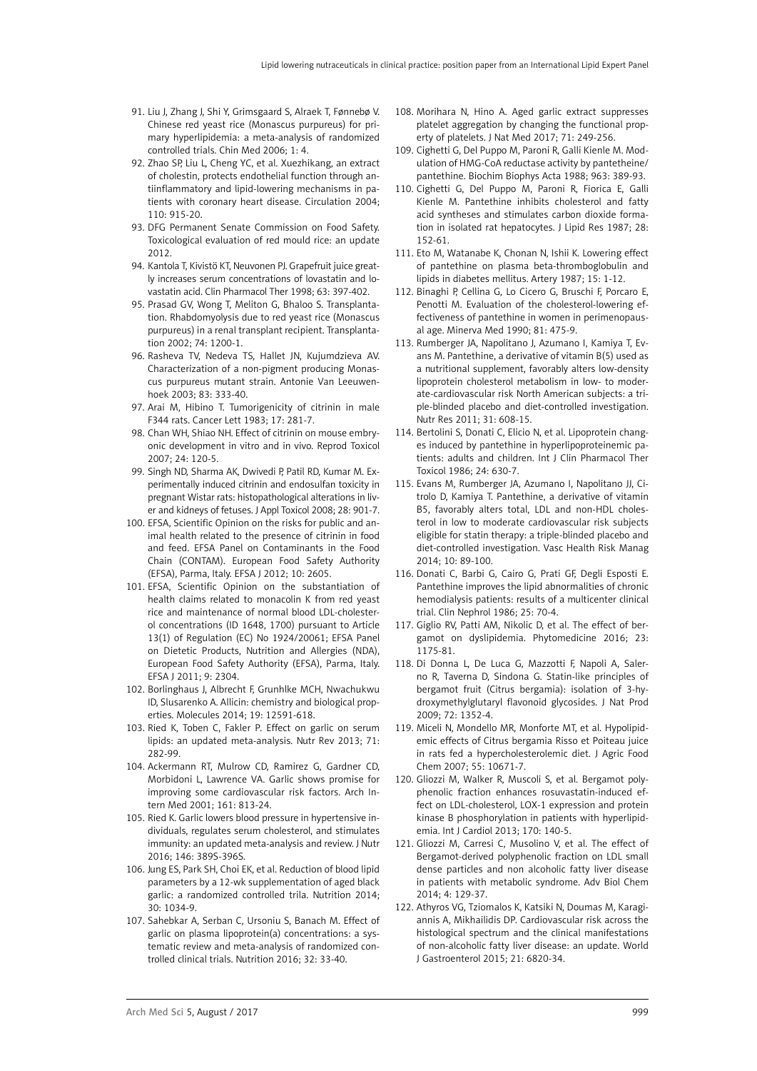- 91. [Liu J](http://www.ncbi.nlm.nih.gov/pubmed/?term=Liu J%5BAuthor%5D&cauthor=true&cauthor_uid=17302963), [Zhang J](http://www.ncbi.nlm.nih.gov/pubmed/?term=Zhang J%5BAuthor%5D&cauthor=true&cauthor_uid=17302963), [Shi Y,](http://www.ncbi.nlm.nih.gov/pubmed/?term=Shi Y%5BAuthor%5D&cauthor=true&cauthor_uid=17302963) [Grimsgaard S,](http://www.ncbi.nlm.nih.gov/pubmed/?term=Grimsgaard S%5BAuthor%5D&cauthor=true&cauthor_uid=17302963) [Alraek T](http://www.ncbi.nlm.nih.gov/pubmed/?term=Alraek T%5BAuthor%5D&cauthor=true&cauthor_uid=17302963), [Fønnebø V.](http://www.ncbi.nlm.nih.gov/pubmed/?term=F%C3%B8nneb%C3%B8 V%5BAuthor%5D&cauthor=true&cauthor_uid=17302963) Chinese red yeast rice (Monascus purpureus) for primary hyperlipidemia: a meta-analysis of randomized controlled trials. Chin Med 2006; 1: 4.
- 92. [Zhao SP,](http://www.ncbi.nlm.nih.gov/pubmed/?term=Zhao SP%5BAuthor%5D&cauthor=true&cauthor_uid=15313947) [Liu L](http://www.ncbi.nlm.nih.gov/pubmed/?term=Liu L%5BAuthor%5D&cauthor=true&cauthor_uid=15313947), [Cheng YC,](http://www.ncbi.nlm.nih.gov/pubmed/?term=Cheng YC%5BAuthor%5D&cauthor=true&cauthor_uid=15313947) et al. Xuezhikang, an extract of cholestin, protects endothelial function through antiinflammatory and lipid-lowering mechanisms in patients with coronary heart disease. Circulation 2004; 110: 915-20.
- 93. DFG Permanent Senate Commission on Food Safety. Toxicological evaluation of red mould rice: an update 2012.
- 94. [Kantola T,](http://www.ncbi.nlm.nih.gov/pubmed/?term=Kantola T%5BAuthor%5D&cauthor=true&cauthor_uid=9585793) [Kivistö KT](http://www.ncbi.nlm.nih.gov/pubmed/?term=Kivist%C3%B6 KT%5BAuthor%5D&cauthor=true&cauthor_uid=9585793), [Neuvonen PJ](http://www.ncbi.nlm.nih.gov/pubmed/?term=Neuvonen PJ%5BAuthor%5D&cauthor=true&cauthor_uid=9585793). Grapefruit juice greatly increases serum concentrations of lovastatin and lovastatin acid. Clin Pharmacol Ther 1998; 63: 397-402.
- 95. [Prasad GV,](http://www.ncbi.nlm.nih.gov/pubmed/?term=Prasad GV%5BAuthor%5D&cauthor=true&cauthor_uid=12438974) [Wong T](http://www.ncbi.nlm.nih.gov/pubmed/?term=Wong T%5BAuthor%5D&cauthor=true&cauthor_uid=12438974), [Meliton G](http://www.ncbi.nlm.nih.gov/pubmed/?term=Meliton G%5BAuthor%5D&cauthor=true&cauthor_uid=12438974), [Bhaloo S.](http://www.ncbi.nlm.nih.gov/pubmed/?term=Bhaloo S%5BAuthor%5D&cauthor=true&cauthor_uid=12438974) Transplantation. Rhabdomyolysis due to red yeast rice (Monascus purpureus) in a renal transplant recipient. Transplantation 2002; 74: 1200-1.
- 96. [Rasheva TV,](http://www.ncbi.nlm.nih.gov/pubmed/?term=Rasheva TV%5BAuthor%5D&cauthor=true&cauthor_uid=12777069) [Nedeva TS,](http://www.ncbi.nlm.nih.gov/pubmed/?term=Nedeva TS%5BAuthor%5D&cauthor=true&cauthor_uid=12777069) [Hallet JN,](http://www.ncbi.nlm.nih.gov/pubmed/?term=Hallet JN%5BAuthor%5D&cauthor=true&cauthor_uid=12777069) [Kujumdzieva AV.](http://www.ncbi.nlm.nih.gov/pubmed/?term=Kujumdzieva AV%5BAuthor%5D&cauthor=true&cauthor_uid=12777069) Characterization of a non-pigment producing Monascus purpureus mutant strain. Antonie Van Leeuwenhoek 2003; 83: 333-40.
- 97. Arai M, Hibino T. Tumorigenicity of citrinin in male F344 rats. Cancer Lett 1983; 17: 281-7.
- 98. Chan WH, Shiao NH. Effect of citrinin on mouse embryonic development in vitro and in vivo. Reprod Toxicol 2007; 24: 120-5.
- 99. Singh ND, Sharma AK, Dwivedi P, Patil RD, Kumar M. Experimentally induced citrinin and endosulfan toxicity in pregnant Wistar rats: histopathological alterations in liver and kidneys of fetuses. J Appl Toxicol 2008; 28: 901-7.
- 100. EFSA, Scientific Opinion on the risks for public and animal health related to the presence of citrinin in food and feed. EFSA Panel on Contaminants in the Food Chain (CONTAM). European Food Safety Authority (EFSA), Parma, Italy. EFSA J 2012; 10: 2605.
- 101. EFSA, Scientific Opinion on the substantiation of health claims related to monacolin K from red yeast rice and maintenance of normal blood LDL-cholesterol concentrations (ID 1648, 1700) pursuant to Article 13(1) of Regulation (EC) No 1924/20061; EFSA Panel on Dietetic Products, Nutrition and Allergies (NDA), European Food Safety Authority (EFSA), Parma, Italy. EFSA J 2011; 9: 2304.
- 102. Borlinghaus J, Albrecht F, Grunhlke MCH, Nwachukwu ID, Slusarenko A. Allicin: chemistry and biological properties. Molecules 2014; 19: 12591-618.
- 103. Ried K, Toben C, Fakler P. Effect on garlic on serum lipids: an updated meta-analysis. Nutr Rev 2013; 71: 282-99.
- 104. [Ackermann RT,](http://www.ncbi.nlm.nih.gov/pubmed/?term=Ackermann RT%5BAuthor%5D&cauthor=true&cauthor_uid=11268223) [Mulrow CD,](http://www.ncbi.nlm.nih.gov/pubmed/?term=Mulrow CD%5BAuthor%5D&cauthor=true&cauthor_uid=11268223) [Ramirez G](http://www.ncbi.nlm.nih.gov/pubmed/?term=Ramirez G%5BAuthor%5D&cauthor=true&cauthor_uid=11268223), [Gardner CD,](http://www.ncbi.nlm.nih.gov/pubmed/?term=Gardner CD%5BAuthor%5D&cauthor=true&cauthor_uid=11268223) [Morbidoni L,](http://www.ncbi.nlm.nih.gov/pubmed/?term=Morbidoni L%5BAuthor%5D&cauthor=true&cauthor_uid=11268223) [Lawrence VA.](http://www.ncbi.nlm.nih.gov/pubmed/?term=Lawrence VA%5BAuthor%5D&cauthor=true&cauthor_uid=11268223) Garlic shows promise for improving some cardiovascular risk factors. [Arch In](http://www.ncbi.nlm.nih.gov/pubmed/?term=ackermann+garlic+2001)[tern Med](http://www.ncbi.nlm.nih.gov/pubmed/?term=ackermann+garlic+2001) 2001; 161: 813-24.
- 105. Ried K. Garlic lowers blood pressure in hypertensive individuals, regulates serum cholesterol, and stimulates immunity: an updated meta-analysis and review. J Nutr 2016; 146: 389S-396S.
- 106. Jung ES, Park SH, Choi EK, et al. Reduction of blood lipid parameters by a 12-wk supplementation of aged black garlic: a randomized controlled trila. Nutrition 2014; 30: 1034-9.
- 107. Sahebkar A, Serban C, Ursoniu S, Banach M. Effect of garlic on plasma lipoprotein(a) concentrations: a systematic review and meta-analysis of randomized controlled clinical trials. Nutrition 2016; 32: 33-40.
- 108. Morihara N, Hino A. Aged garlic extract suppresses platelet aggregation by changing the functional property of platelets. J Nat Med 2017; 71: 249-256.
- 109. Cighetti G, Del Puppo M, Paroni R, Galli Kienle M. Modulation of HMG-CoA reductase activity by pantetheine/ pantethine. Biochim Biophys Acta 1988; 963: 389-93.
- 110. Cighetti G, Del Puppo M, Paroni R, Fiorica E, Galli Kienle M. Pantethine inhibits cholesterol and fatty acid syntheses and stimulates carbon dioxide formation in isolated rat hepatocytes. J Lipid Res 1987; 28: 152-61.
- 111. Eto M, Watanabe K, Chonan N, Ishii K. Lowering effect of pantethine on plasma beta-thromboglobulin and lipids in diabetes mellitus. Artery 1987; 15: 1-12.
- 112. Binaghi P, Cellina G, Lo Cicero G, Bruschi F, Porcaro E, Penotti M. Evaluation of the cholesterol-lowering effectiveness of pantethine in women in perimenopausal age. Minerva Med 1990; 81: 475-9.
- 113. Rumberger JA, Napolitano J, Azumano I, Kamiya T, Evans M. Pantethine, a derivative of vitamin B(5) used as a nutritional supplement, favorably alters low-density lipoprotein cholesterol metabolism in low- to moderate-cardiovascular risk North American subjects: a triple-blinded placebo and diet-controlled investigation. Nutr Res 2011; 31: 608-15.
- 114. Bertolini S, Donati C, Elicio N, et al. Lipoprotein changes induced by pantethine in hyperlipoproteinemic patients: adults and children. Int J Clin Pharmacol Ther Toxicol 1986; 24: 630-7.
- 115. Evans M, Rumberger JA, Azumano I, Napolitano JJ, Citrolo D, Kamiya T. Pantethine, a derivative of vitamin B5, favorably alters total, LDL and non-HDL cholesterol in low to moderate cardiovascular risk subjects eligible for statin therapy: a triple-blinded placebo and diet-controlled investigation. Vasc Health Risk Manag 2014; 10: 89-100.
- 116. Donati C, Barbi G, Cairo G, Prati GF, Degli Esposti E. Pantethine improves the lipid abnormalities of chronic hemodialysis patients: results of a multicenter clinical trial. Clin Nephrol 1986; 25: 70-4.
- 117. [Giglio RV,](http://www.ncbi.nlm.nih.gov/pubmed/?term=Giglio RV%5BAuthor%5D&cauthor=true&cauthor_uid=26851838) [Patti AM,](http://www.ncbi.nlm.nih.gov/pubmed/?term=Patti AM%5BAuthor%5D&cauthor=true&cauthor_uid=26851838) [Nikolic D](http://www.ncbi.nlm.nih.gov/pubmed/?term=Nikolic D%5BAuthor%5D&cauthor=true&cauthor_uid=26851838), et al. The effect of bergamot on dyslipidemia. Phytomedicine 2016; 23: 1175-81.
- 118. [Di Donna L,](http://www.ncbi.nlm.nih.gov/pubmed/?term=Di Donna L%5BAuthor%5D&cauthor=true&cauthor_uid=19572741) [De Luca G](http://www.ncbi.nlm.nih.gov/pubmed/?term=De Luca G%5BAuthor%5D&cauthor=true&cauthor_uid=19572741), [Mazzotti F,](http://www.ncbi.nlm.nih.gov/pubmed/?term=Mazzotti F%5BAuthor%5D&cauthor=true&cauthor_uid=19572741) [Napoli A,](http://www.ncbi.nlm.nih.gov/pubmed/?term=Napoli A%5BAuthor%5D&cauthor=true&cauthor_uid=19572741) [Saler](http://www.ncbi.nlm.nih.gov/pubmed/?term=Salerno R%5BAuthor%5D&cauthor=true&cauthor_uid=19572741)[no R,](http://www.ncbi.nlm.nih.gov/pubmed/?term=Salerno R%5BAuthor%5D&cauthor=true&cauthor_uid=19572741) [Taverna D](http://www.ncbi.nlm.nih.gov/pubmed/?term=Taverna D%5BAuthor%5D&cauthor=true&cauthor_uid=19572741), [Sindona G.](http://www.ncbi.nlm.nih.gov/pubmed/?term=Sindona G%5BAuthor%5D&cauthor=true&cauthor_uid=19572741) Statin-like principles of bergamot fruit (Citrus bergamia): isolation of 3-hydroxymethylglutaryl flavonoid glycosides. J Nat Prod 2009; 72: 1352-4.
- 119. [Miceli N](http://www.ncbi.nlm.nih.gov/pubmed/?term=Miceli N%5BAuthor%5D&cauthor=true&cauthor_uid=18038978), [Mondello MR](http://www.ncbi.nlm.nih.gov/pubmed/?term=Mondello MR%5BAuthor%5D&cauthor=true&cauthor_uid=18038978), [Monforte MT](http://www.ncbi.nlm.nih.gov/pubmed/?term=Monforte MT%5BAuthor%5D&cauthor=true&cauthor_uid=18038978), et al. Hypolipidemic effects of Citrus bergamia Risso et Poiteau juice in rats fed a hypercholesterolemic diet. J Agric Food Chem 2007; 55: 10671-7.
- 120. [Gliozzi M,](http://www.ncbi.nlm.nih.gov/pubmed/?term=Gliozzi M%5BAuthor%5D&cauthor=true&cauthor_uid=24239156) [Walker R,](http://www.ncbi.nlm.nih.gov/pubmed/?term=Walker R%5BAuthor%5D&cauthor=true&cauthor_uid=24239156) [Muscoli S,](http://www.ncbi.nlm.nih.gov/pubmed/?term=Muscoli S%5BAuthor%5D&cauthor=true&cauthor_uid=24239156) et al. Bergamot polyphenolic fraction enhances rosuvastatin-induced effect on LDL-cholesterol, LOX-1 expression and protein kinase B phosphorylation in patients with hyperlipidemia. Int J Cardiol 2013; 170: 140-5.
- 121. Gliozzi M, Carresi C, Musolino V, et al. The effect of Bergamot-derived polyphenolic fraction on LDL small dense particles and non alcoholic fatty liver disease in patients with metabolic syndrome. Adv Biol Chem 2014; 4: 129-37.
- 122. [Athyros VG,](http://www.ncbi.nlm.nih.gov/pubmed/?term=Athyros VG%5BAuthor%5D&cauthor=true&cauthor_uid=26078558) [Tziomalos K,](http://www.ncbi.nlm.nih.gov/pubmed/?term=Tziomalos K%5BAuthor%5D&cauthor=true&cauthor_uid=26078558) [Katsiki N](http://www.ncbi.nlm.nih.gov/pubmed/?term=Katsiki N%5BAuthor%5D&cauthor=true&cauthor_uid=26078558), [Doumas M,](http://www.ncbi.nlm.nih.gov/pubmed/?term=Doumas M%5BAuthor%5D&cauthor=true&cauthor_uid=26078558) [Karagi](http://www.ncbi.nlm.nih.gov/pubmed/?term=Karagiannis A%5BAuthor%5D&cauthor=true&cauthor_uid=26078558)[annis A,](http://www.ncbi.nlm.nih.gov/pubmed/?term=Karagiannis A%5BAuthor%5D&cauthor=true&cauthor_uid=26078558) [Mikhailidis DP](http://www.ncbi.nlm.nih.gov/pubmed/?term=Mikhailidis DP%5BAuthor%5D&cauthor=true&cauthor_uid=26078558). Cardiovascular risk across the histological spectrum and the clinical manifestations of non-alcoholic fatty liver disease: an update. World J Gastroenterol 2015; 21: 6820-34.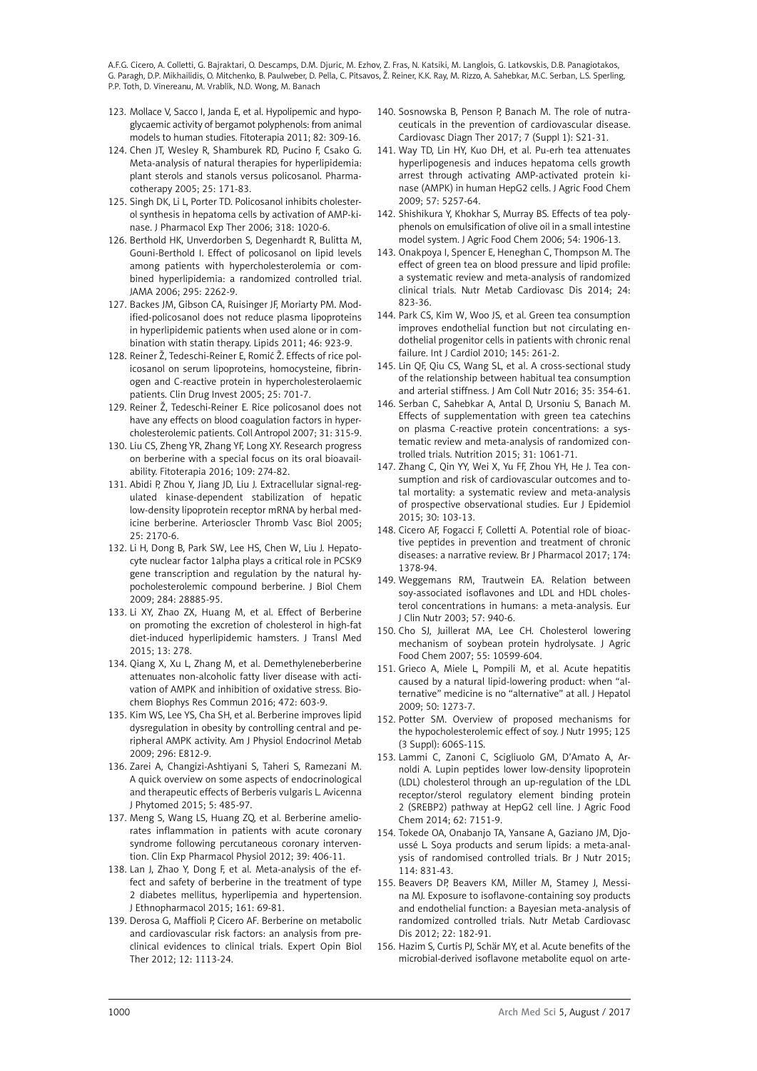- 123. [Mollace V,](http://www.ncbi.nlm.nih.gov/pubmed/?term=Mollace V%5BAuthor%5D&cauthor=true&cauthor_uid=21056640) [Sacco I,](http://www.ncbi.nlm.nih.gov/pubmed/?term=Sacco I%5BAuthor%5D&cauthor=true&cauthor_uid=21056640) [Janda E](http://www.ncbi.nlm.nih.gov/pubmed/?term=Janda E%5BAuthor%5D&cauthor=true&cauthor_uid=21056640), et al. Hypolipemic and hypoglycaemic activity of bergamot polyphenols: from animal models to human studies. Fitoterapia 2011; 82: 309-16.
- 124. Chen JT, Wesley R, Shamburek RD, Pucino F, Csako G. Meta-analysis of natural therapies for hyperlipidemia: plant sterols and stanols versus policosanol. Pharmacotherapy 2005; 25: 171-83.
- 125. [Singh DK](http://www.ncbi.nlm.nih.gov/pubmed/?term=Singh DK%5BAuthor%5D&cauthor=true&cauthor_uid=16714400), [Li L](http://www.ncbi.nlm.nih.gov/pubmed/?term=Li L%5BAuthor%5D&cauthor=true&cauthor_uid=16714400), [Porter TD](http://www.ncbi.nlm.nih.gov/pubmed/?term=Porter TD%5BAuthor%5D&cauthor=true&cauthor_uid=16714400). Policosanol inhibits cholesterol synthesis in hepatoma cells by activation of AMP-kinase. [J Pharmacol Exp Ther](http://www.ncbi.nlm.nih.gov/pubmed/?term=singh+policosanol+2006) 2006; 318: 1020-6.
- 126. [Berthold HK,](http://www.ncbi.nlm.nih.gov/pubmed/?term=Berthold HK%5BAuthor%5D&cauthor=true&cauthor_uid=16705107) [Unverdorben S,](http://www.ncbi.nlm.nih.gov/pubmed/?term=Unverdorben S%5BAuthor%5D&cauthor=true&cauthor_uid=16705107) [Degenhardt R](http://www.ncbi.nlm.nih.gov/pubmed/?term=Degenhardt R%5BAuthor%5D&cauthor=true&cauthor_uid=16705107), [Bulitta M,](http://www.ncbi.nlm.nih.gov/pubmed/?term=Bulitta M%5BAuthor%5D&cauthor=true&cauthor_uid=16705107) [Gouni-Berthold I.](http://www.ncbi.nlm.nih.gov/pubmed/?term=Gouni-Berthold I%5BAuthor%5D&cauthor=true&cauthor_uid=16705107) Effect of policosanol on lipid levels among patients with hypercholesterolemia or combined hyperlipidemia: a randomized controlled trial. [JAMA](http://www.ncbi.nlm.nih.gov/pubmed/?term=Berthold+2006+policosanol) 2006; 295: 2262-9.
- 127. [Backes JM,](http://www.ncbi.nlm.nih.gov/pubmed/?term=Backes JM%5BAuthor%5D&cauthor=true&cauthor_uid=21739240) [Gibson CA](http://www.ncbi.nlm.nih.gov/pubmed/?term=Gibson CA%5BAuthor%5D&cauthor=true&cauthor_uid=21739240), [Ruisinger JF](http://www.ncbi.nlm.nih.gov/pubmed/?term=Ruisinger JF%5BAuthor%5D&cauthor=true&cauthor_uid=21739240), [Moriarty PM.](http://www.ncbi.nlm.nih.gov/pubmed/?term=Moriarty PM%5BAuthor%5D&cauthor=true&cauthor_uid=21739240) Modified-policosanol does not reduce plasma lipoproteins in hyperlipidemic patients when used alone or in combination with statin therapy. [Lipids](http://www.ncbi.nlm.nih.gov/pubmed/21739240) 2011; 46: 923-9.
- 128. Reiner Ž, Tedeschi-Reiner E, Romić Ž. Effects of rice policosanol on serum lipoproteins, homocysteine, fibrinogen and C-reactive protein in hypercholesterolaemic patients. Clin Drug Invest 2005; 25: 701-7.
- 129. Reiner Ž, Tedeschi-Reiner E. Rice policosanol does not have any effects on blood coagulation factors in hypercholesterolemic patients. Coll Antropol 2007; 31: 315-9.
- 130. [Liu CS](http://www.ncbi.nlm.nih.gov/pubmed/?term=Liu CS%5BAuthor%5D&cauthor=true&cauthor_uid=26851175), [Zheng YR](http://www.ncbi.nlm.nih.gov/pubmed/?term=Zheng YR%5BAuthor%5D&cauthor=true&cauthor_uid=26851175), [Zhang YF](http://www.ncbi.nlm.nih.gov/pubmed/?term=Zhang YF%5BAuthor%5D&cauthor=true&cauthor_uid=26851175), [Long XY.](http://www.ncbi.nlm.nih.gov/pubmed/?term=Long XY%5BAuthor%5D&cauthor=true&cauthor_uid=26851175) Research progress on berberine with a special focus on its oral bioavailability. Fitoterapia 2016; 109: 274-82.
- 131. [Abidi P](http://www.ncbi.nlm.nih.gov/pubmed/?term=Abidi P%5BAuthor%5D&cauthor=true&cauthor_uid=16100034), [Zhou Y](http://www.ncbi.nlm.nih.gov/pubmed/?term=Zhou Y%5BAuthor%5D&cauthor=true&cauthor_uid=16100034), [Jiang JD,](http://www.ncbi.nlm.nih.gov/pubmed/?term=Jiang JD%5BAuthor%5D&cauthor=true&cauthor_uid=16100034) [Liu J](http://www.ncbi.nlm.nih.gov/pubmed/?term=Liu J%5BAuthor%5D&cauthor=true&cauthor_uid=16100034). Extracellular signal-regulated kinase-dependent stabilization of hepatic low-density lipoprotein receptor mRNA by herbal medicine berberine. Arterioscler Thromb Vasc Biol 2005; 25: 2170-6.
- 132. [Li H,](http://www.ncbi.nlm.nih.gov/pubmed/?term=Li H%5BAuthor%5D&cauthor=true&cauthor_uid=19687008) [Dong B,](http://www.ncbi.nlm.nih.gov/pubmed/?term=Dong B%5BAuthor%5D&cauthor=true&cauthor_uid=19687008) [Park SW,](http://www.ncbi.nlm.nih.gov/pubmed/?term=Park SW%5BAuthor%5D&cauthor=true&cauthor_uid=19687008) [Lee HS,](http://www.ncbi.nlm.nih.gov/pubmed/?term=Lee HS%5BAuthor%5D&cauthor=true&cauthor_uid=19687008) [Chen W,](http://www.ncbi.nlm.nih.gov/pubmed/?term=Chen W%5BAuthor%5D&cauthor=true&cauthor_uid=19687008) [Liu J](http://www.ncbi.nlm.nih.gov/pubmed/?term=Liu J%5BAuthor%5D&cauthor=true&cauthor_uid=19687008). Hepatocyte nuclear factor 1alpha plays a critical role in PCSK9 gene transcription and regulation by the natural hypocholesterolemic compound berberine. J Biol Chem 2009; 284: 28885-95.
- 133. Li XY, [Zhao ZX](http://www.ncbi.nlm.nih.gov/pubmed/?term=Zhao ZX%5BAuthor%5D&cauthor=true&cauthor_uid=26310319), [Huang M](http://www.ncbi.nlm.nih.gov/pubmed/?term=Huang M%5BAuthor%5D&cauthor=true&cauthor_uid=26310319), et al. Effect of Berberine on promoting the excretion of cholesterol in high-fat diet-induced hyperlipidemic hamsters. J Transl Med 2015; 13: 278.
- 134. [Qiang X](http://www.ncbi.nlm.nih.gov/pubmed/?term=Qiang X%5BAuthor%5D&cauthor=true&cauthor_uid=26970305), [Xu L](http://www.ncbi.nlm.nih.gov/pubmed/?term=Xu L%5BAuthor%5D&cauthor=true&cauthor_uid=26970305), [Zhang M](http://www.ncbi.nlm.nih.gov/pubmed/?term=Zhang M%5BAuthor%5D&cauthor=true&cauthor_uid=26970305), et al. Demethyleneberberine attenuates non-alcoholic fatty liver disease with activation of AMPK and inhibition of oxidative stress. Biochem Biophys Res Commun 2016; 472: 603-9.
- 135. [Kim WS](http://www.ncbi.nlm.nih.gov/pubmed/?term=Kim WS%5BAuthor%5D&cauthor=true&cauthor_uid=19176354), [Lee YS,](http://www.ncbi.nlm.nih.gov/pubmed/?term=Lee YS%5BAuthor%5D&cauthor=true&cauthor_uid=19176354) [Cha SH,](http://www.ncbi.nlm.nih.gov/pubmed/?term=Cha SH%5BAuthor%5D&cauthor=true&cauthor_uid=19176354) et al. Berberine improves lipid dysregulation in obesity by controlling central and peripheral AMPK activity. Am J Physiol Endocrinol Metab 2009; 296: E812-9.
- 136. [Zarei A,](http://www.ncbi.nlm.nih.gov/pubmed/?term=Zarei A%5BAuthor%5D&cauthor=true&cauthor_uid=26693406) [Changizi-Ashtiyani S,](http://www.ncbi.nlm.nih.gov/pubmed/?term=Changizi-Ashtiyani S%5BAuthor%5D&cauthor=true&cauthor_uid=26693406) [Taheri S,](http://www.ncbi.nlm.nih.gov/pubmed/?term=Taheri S%5BAuthor%5D&cauthor=true&cauthor_uid=26693406) [Ramezani M.](http://www.ncbi.nlm.nih.gov/pubmed/?term=Ramezani M%5BAuthor%5D&cauthor=true&cauthor_uid=26693406) A quick overview on some aspects of endocrinological and therapeutic effects of Berberis vulgaris L. Avicenna J Phytomed 2015; 5: 485-97.
- 137. [Meng S,](http://www.ncbi.nlm.nih.gov/pubmed/?term=Meng S%5BAuthor%5D&cauthor=true&cauthor_uid=22220931) [Wang LS,](http://www.ncbi.nlm.nih.gov/pubmed/?term=Wang LS%5BAuthor%5D&cauthor=true&cauthor_uid=22220931) [Huang ZQ,](http://www.ncbi.nlm.nih.gov/pubmed/?term=Huang ZQ%5BAuthor%5D&cauthor=true&cauthor_uid=22220931) et al. Berberine ameliorates inflammation in patients with acute coronary syndrome following percutaneous coronary intervention. Clin Exp Pharmacol Physiol 2012; 39: 406-11.
- 138. [Lan J](http://www.ncbi.nlm.nih.gov/pubmed/?term=Lan J%5BAuthor%5D&cauthor=true&cauthor_uid=25498346), [Zhao Y](http://www.ncbi.nlm.nih.gov/pubmed/?term=Zhao Y%5BAuthor%5D&cauthor=true&cauthor_uid=25498346), [Dong F](http://www.ncbi.nlm.nih.gov/pubmed/?term=Dong F%5BAuthor%5D&cauthor=true&cauthor_uid=25498346), et al. Meta-analysis of the effect and safety of berberine in the treatment of type 2 diabetes mellitus, hyperlipemia and hypertension. J Ethnopharmacol 2015; 161: 69-81.
- 139. [Derosa G,](http://www.ncbi.nlm.nih.gov/pubmed/?term=Derosa G%5BAuthor%5D&cauthor=true&cauthor_uid=22780092) [Maffioli P](http://www.ncbi.nlm.nih.gov/pubmed/?term=Maffioli P%5BAuthor%5D&cauthor=true&cauthor_uid=22780092), [Cicero AF.](http://www.ncbi.nlm.nih.gov/pubmed/?term=Cicero AF%5BAuthor%5D&cauthor=true&cauthor_uid=22780092) Berberine on metabolic and cardiovascular risk factors: an analysis from preclinical evidences to clinical trials. Expert Opin Biol Ther 2012; 12: 1113-24.
- 140. Sosnowska B, Penson P, Banach M. The role of nutraceuticals in the prevention of cardiovascular disease. Cardiovasc Diagn Ther 2017; 7 (Suppl 1): S21-31.
- 141. [Way TD,](http://www.ncbi.nlm.nih.gov/pubmed/?term=Way TD%5BAuthor%5D&cauthor=true&cauthor_uid=19459711) [Lin HY](http://www.ncbi.nlm.nih.gov/pubmed/?term=Lin HY%5BAuthor%5D&cauthor=true&cauthor_uid=19459711), [Kuo DH](http://www.ncbi.nlm.nih.gov/pubmed/?term=Kuo DH%5BAuthor%5D&cauthor=true&cauthor_uid=19459711), et al. Pu-erh tea attenuates hyperlipogenesis and induces hepatoma cells growth arrest through activating AMP-activated protein kinase (AMPK) in human HepG2 cells. J Agric Food Chem 2009; 57: 5257-64.
- 142. [Shishikura Y,](http://www.ncbi.nlm.nih.gov/pubmed/?term=Shishikura Y%5BAuthor%5D&cauthor=true&cauthor_uid=16506852) [Khokhar S,](http://www.ncbi.nlm.nih.gov/pubmed/?term=Khokhar S%5BAuthor%5D&cauthor=true&cauthor_uid=16506852) [Murray BS](http://www.ncbi.nlm.nih.gov/pubmed/?term=Murray BS%5BAuthor%5D&cauthor=true&cauthor_uid=16506852). Effects of tea polyphenols on emulsification of olive oil in a small intestine model system. J Agric Food Chem 2006; 54: 1906-13.
- 143. [Onakpoya I,](http://www.ncbi.nlm.nih.gov/pubmed/?term=Onakpoya I%5BAuthor%5D&cauthor=true&cauthor_uid=24675010) [Spencer E,](http://www.ncbi.nlm.nih.gov/pubmed/?term=Spencer E%5BAuthor%5D&cauthor=true&cauthor_uid=24675010) [Heneghan C](http://www.ncbi.nlm.nih.gov/pubmed/?term=Heneghan C%5BAuthor%5D&cauthor=true&cauthor_uid=24675010), [Thompson M](http://www.ncbi.nlm.nih.gov/pubmed/?term=Thompson M%5BAuthor%5D&cauthor=true&cauthor_uid=24675010). The effect of green tea on blood pressure and lipid profile: a systematic review and meta-analysis of randomized clinical trials. Nutr Metab Cardiovasc Dis 2014; 24: 823-36.
- 144. Park CS, Kim W, Woo JS, et al. Green tea consumption improves endothelial function but not circulating endothelial progenitor cells in patients with chronic renal failure. Int J Cardiol 2010; 145: 261-2.
- 145. Lin QF, Qiu CS, Wang SL, et al. A cross-sectional study of the relationship between habitual tea consumption and arterial stiffness. J Am Coll Nutr 2016; 35: 354-61.
- 146. Serban C, Sahebkar A, Antal D, Ursoniu S, Banach M. Effects of supplementation with green tea catechins on plasma C-reactive protein concentrations: a systematic review and meta-analysis of randomized controlled trials. Nutrition 2015; 31: 1061-71.
- 147. Zhang C, Qin YY, Wei X, Yu FF, Zhou YH, He J. Tea consumption and risk of cardiovascular outcomes and total mortality: a systematic review and meta-analysis of prospective observational studies. Eur J Epidemiol 2015; 30: 103-13.
- 148. Cicero AF, Fogacci F, Colletti A. Potential role of bioactive peptides in prevention and treatment of chronic diseases: a narrative review. Br J Pharmacol 2017; 174: 1378-94.
- 149. [Weggemans RM,](http://www.ncbi.nlm.nih.gov/pubmed/?term=Weggemans RM%5BAuthor%5D&cauthor=true&cauthor_uid=12879088) [Trautwein EA](http://www.ncbi.nlm.nih.gov/pubmed/?term=Trautwein EA%5BAuthor%5D&cauthor=true&cauthor_uid=12879088). Relation between soy-associated isoflavones and LDL and HDL cholesterol concentrations in humans: a meta-analysis. Eur J Clin Nutr 2003; 57: 940-6.
- 150. [Cho SJ,](http://www.ncbi.nlm.nih.gov/pubmed/?term=Cho SJ%5BAuthor%5D&cauthor=true&cauthor_uid=18052124) [Juillerat MA,](http://www.ncbi.nlm.nih.gov/pubmed/?term=Juillerat MA%5BAuthor%5D&cauthor=true&cauthor_uid=18052124) [Lee CH](http://www.ncbi.nlm.nih.gov/pubmed/?term=Lee CH%5BAuthor%5D&cauthor=true&cauthor_uid=18052124). Cholesterol lowering mechanism of soybean protein hydrolysate. [J Agric](http://www.ncbi.nlm.nih.gov/pubmed/18052124) [Food Chem](http://www.ncbi.nlm.nih.gov/pubmed/18052124) 2007; 55: 10599-604.
- 151. Grieco A, Miele L, Pompili M, et al. [Acute hepatitis](http://www.ncbi.nlm.nih.gov/pubmed/19398239) [caused by a natural lipid-lowering product: when "al](http://www.ncbi.nlm.nih.gov/pubmed/19398239)[ternative" medicine is no "alternative" at all.](http://www.ncbi.nlm.nih.gov/pubmed/19398239) J Hepatol 2009; 50: 1273-7.
- 152. Potter SM. [Overview of proposed mechanisms for](http://www.ncbi.nlm.nih.gov/pubmed/7884541) [the hypocholesterolemic effect of soy.](http://www.ncbi.nlm.nih.gov/pubmed/7884541) J Nutr 1995; 125 (3 Suppl): 606S-11S.
- 153. [Lammi C,](http://www.ncbi.nlm.nih.gov/pubmed/?term=Lammi C%5BAuthor%5D&cauthor=true&cauthor_uid=24972343) [Zanoni C](http://www.ncbi.nlm.nih.gov/pubmed/?term=Zanoni C%5BAuthor%5D&cauthor=true&cauthor_uid=24972343), [Scigliuolo GM,](http://www.ncbi.nlm.nih.gov/pubmed/?term=Scigliuolo GM%5BAuthor%5D&cauthor=true&cauthor_uid=24972343) [D'Amato A,](http://www.ncbi.nlm.nih.gov/pubmed/?term=D%27Amato A%5BAuthor%5D&cauthor=true&cauthor_uid=24972343) [Ar](http://www.ncbi.nlm.nih.gov/pubmed/?term=Arnoldi A%5BAuthor%5D&cauthor=true&cauthor_uid=24972343)[noldi A.](http://www.ncbi.nlm.nih.gov/pubmed/?term=Arnoldi A%5BAuthor%5D&cauthor=true&cauthor_uid=24972343) Lupin peptides lower low-density lipoprotein (LDL) cholesterol through an up-regulation of the LDL receptor/sterol regulatory element binding protein 2 (SREBP2) pathway at HepG2 cell line. [J Agric Food](http://www.ncbi.nlm.nih.gov/pubmed/24972343) [Chem](http://www.ncbi.nlm.nih.gov/pubmed/24972343) 2014; 62: 7151-9.
- 154. [Tokede OA](http://www.ncbi.nlm.nih.gov/pubmed/?term=Tokede OA%5BAuthor%5D&cauthor=true&cauthor_uid=26268987), [Onabanjo TA](http://www.ncbi.nlm.nih.gov/pubmed/?term=Onabanjo TA%5BAuthor%5D&cauthor=true&cauthor_uid=26268987), [Yansane A](http://www.ncbi.nlm.nih.gov/pubmed/?term=Yansane A%5BAuthor%5D&cauthor=true&cauthor_uid=26268987), [Gaziano JM](http://www.ncbi.nlm.nih.gov/pubmed/?term=Gaziano JM%5BAuthor%5D&cauthor=true&cauthor_uid=26268987), [Djo](http://www.ncbi.nlm.nih.gov/pubmed/?term=Djouss%C3%A9 L%5BAuthor%5D&cauthor=true&cauthor_uid=26268987)[ussé L.](http://www.ncbi.nlm.nih.gov/pubmed/?term=Djouss%C3%A9 L%5BAuthor%5D&cauthor=true&cauthor_uid=26268987) Soya products and serum lipids: a meta-analysis of randomised controlled trials. Br J Nutr 2015; 114: 831-43.
- 155. Beavers DP, Beavers KM, Miller M, Stamey J, Messina MJ. Exposure to isoflavone-containing soy products and endothelial function: a Bayesian meta-analysis of randomized controlled trials. Nutr Metab Cardiovasc Dis 2012; 22: 182-91.
- 156. Hazim S, Curtis PJ, Schär MY, et al. Acute benefits of the microbial-derived isoflavone metabolite equol on arte-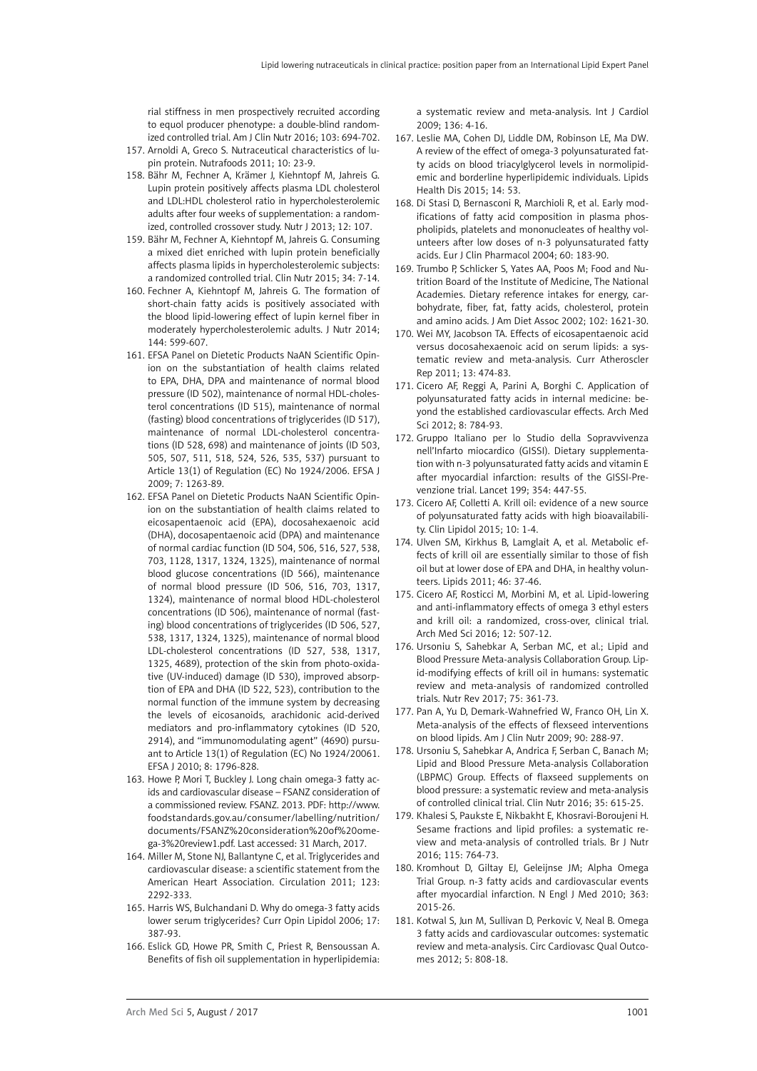rial stiffness in men prospectively recruited according to equol producer phenotype: a double-blind randomized controlled trial. Am J Clin Nutr 2016; 103: 694-702.

- 157. Arnoldi A, Greco S. Nutraceutical characteristics of lupin protein. Nutrafoods 2011; 10: 23-9.
- 158. [Bähr M,](http://www.ncbi.nlm.nih.gov/pubmed/?term=B%C3%A4hr M%5BAuthor%5D&cauthor=true&cauthor_uid=23902673) [Fechner A](http://www.ncbi.nlm.nih.gov/pubmed/?term=Fechner A%5BAuthor%5D&cauthor=true&cauthor_uid=23902673), [Krämer J,](http://www.ncbi.nlm.nih.gov/pubmed/?term=Kr%C3%A4mer J%5BAuthor%5D&cauthor=true&cauthor_uid=23902673) [Kiehntopf M,](http://www.ncbi.nlm.nih.gov/pubmed/?term=Kiehntopf M%5BAuthor%5D&cauthor=true&cauthor_uid=23902673) [Jahreis G.](http://www.ncbi.nlm.nih.gov/pubmed/?term=Jahreis G%5BAuthor%5D&cauthor=true&cauthor_uid=23902673) Lupin protein positively affects plasma LDL cholesterol and LDL:HDL cholesterol ratio in hypercholesterolemic adults after four weeks of supplementation: a randomized, controlled crossover study. Nutr J 2013; 12: 107.
- 159. [Bähr M,](http://www.ncbi.nlm.nih.gov/pubmed/?term=B%C3%A4hr M%5BAuthor%5D&cauthor=true&cauthor_uid=24746974) [Fechner A,](http://www.ncbi.nlm.nih.gov/pubmed/?term=Fechner A%5BAuthor%5D&cauthor=true&cauthor_uid=24746974) [Kiehntopf M](http://www.ncbi.nlm.nih.gov/pubmed/?term=Kiehntopf M%5BAuthor%5D&cauthor=true&cauthor_uid=24746974), [Jahreis G.](http://www.ncbi.nlm.nih.gov/pubmed/?term=Jahreis G%5BAuthor%5D&cauthor=true&cauthor_uid=24746974) Consuming a mixed diet enriched with lupin protein beneficially affects plasma lipids in hypercholesterolemic subjects: a randomized controlled trial. Clin Nutr 2015; 34: 7-14.
- 160. [Fechner A,](http://www.ncbi.nlm.nih.gov/pubmed/?term=Fechner A%5BAuthor%5D&cauthor=true&cauthor_uid=24572041) [Kiehntopf M,](http://www.ncbi.nlm.nih.gov/pubmed/?term=Kiehntopf M%5BAuthor%5D&cauthor=true&cauthor_uid=24572041) [Jahreis G](http://www.ncbi.nlm.nih.gov/pubmed/?term=Jahreis G%5BAuthor%5D&cauthor=true&cauthor_uid=24572041). The formation of short-chain fatty acids is positively associated with the blood lipid-lowering effect of lupin kernel fiber in moderately hypercholesterolemic adults. J Nutr 2014; 144: 599-607.
- 161. EFSA Panel on Dietetic Products NaAN Scientific Opinion on the substantiation of health claims related to EPA, DHA, DPA and maintenance of normal blood pressure (ID 502), maintenance of normal HDL-cholesterol concentrations (ID 515), maintenance of normal (fasting) blood concentrations of triglycerides (ID 517), maintenance of normal LDL-cholesterol concentrations (ID 528, 698) and maintenance of joints (ID 503, 505, 507, 511, 518, 524, 526, 535, 537) pursuant to Article 13(1) of Regulation (EC) No 1924/2006. EFSA J 2009; 7: 1263-89.
- 162. EFSA Panel on Dietetic Products NaAN Scientific Opinion on the substantiation of health claims related to eicosapentaenoic acid (EPA), docosahexaenoic acid (DHA), docosapentaenoic acid (DPA) and maintenance of normal cardiac function (ID 504, 506, 516, 527, 538, 703, 1128, 1317, 1324, 1325), maintenance of normal blood glucose concentrations (ID 566), maintenance of normal blood pressure (ID 506, 516, 703, 1317, 1324), maintenance of normal blood HDL-cholesterol concentrations (ID 506), maintenance of normal (fasting) blood concentrations of triglycerides (ID 506, 527, 538, 1317, 1324, 1325), maintenance of normal blood LDL-cholesterol concentrations (ID 527, 538, 1317, 1325, 4689), protection of the skin from photo-oxidative (UV-induced) damage (ID 530), improved absorption of EPA and DHA (ID 522, 523), contribution to the normal function of the immune system by decreasing the levels of eicosanoids, arachidonic acid-derived mediators and pro-inflammatory cytokines (ID 520, 2914), and "immunomodulating agent" (4690) pursuant to Article 13(1) of Regulation (EC) No 1924/20061. EFSA J 2010; 8: 1796-828.
- 163. Howe P, Mori T, Buckley J. Long chain omega-3 fatty acids and cardiovascular disease – FSANZ consideration of a commissioned review. FSANZ. 2013. PDF: [http://www.](http://www.foodstandards.gov.au/consumer/labelling/nutrition/documents/FSANZ consideration of omega-3 review1.pdf) [foodstandards.gov.au/consumer/labelling/nutrition/](http://www.foodstandards.gov.au/consumer/labelling/nutrition/documents/FSANZ consideration of omega-3 review1.pdf) [documents/FSANZ%20consideration%20of%20ome](http://www.foodstandards.gov.au/consumer/labelling/nutrition/documents/FSANZ consideration of omega-3 review1.pdf)[ga-3%20review1.pdf](http://www.foodstandards.gov.au/consumer/labelling/nutrition/documents/FSANZ consideration of omega-3 review1.pdf). Last accessed: 31 March, 2017.
- 164. Miller M, Stone NJ, Ballantyne C, et al. Triglycerides and cardiovascular disease: a scientific statement from the American Heart Association. Circulation 2011; 123: 2292-333.
- 165. [Harris WS](http://www.ncbi.nlm.nih.gov/pubmed/?term=Harris WS%5BAuthor%5D&cauthor=true&cauthor_uid=16832161), [Bulchandani D](http://www.ncbi.nlm.nih.gov/pubmed/?term=Bulchandani D%5BAuthor%5D&cauthor=true&cauthor_uid=16832161). Why do omega-3 fatty acids lower serum triglycerides? Curr Opin Lipidol 2006; 17: 387-93.
- 166. [Eslick GD](http://www.ncbi.nlm.nih.gov/pubmed/?term=Eslick GD%5BAuthor%5D&cauthor=true&cauthor_uid=18774613), [Howe PR](http://www.ncbi.nlm.nih.gov/pubmed/?term=Howe PR%5BAuthor%5D&cauthor=true&cauthor_uid=18774613), [Smith C](http://www.ncbi.nlm.nih.gov/pubmed/?term=Smith C%5BAuthor%5D&cauthor=true&cauthor_uid=18774613), [Priest R,](http://www.ncbi.nlm.nih.gov/pubmed/?term=Priest R%5BAuthor%5D&cauthor=true&cauthor_uid=18774613) [Bensoussan A.](http://www.ncbi.nlm.nih.gov/pubmed/?term=Bensoussan A%5BAuthor%5D&cauthor=true&cauthor_uid=18774613) Benefits of fish oil supplementation in hyperlipidemia:

a systematic review and meta-analysis. Int J Cardiol 2009; 136: 4-16.

- 167. [Leslie MA](http://www.ncbi.nlm.nih.gov/pubmed/?term=Leslie MA%5BAuthor%5D&cauthor=true&cauthor_uid=26048287), [Cohen DJ,](http://www.ncbi.nlm.nih.gov/pubmed/?term=Cohen DJ%5BAuthor%5D&cauthor=true&cauthor_uid=26048287) [Liddle DM,](http://www.ncbi.nlm.nih.gov/pubmed/?term=Liddle DM%5BAuthor%5D&cauthor=true&cauthor_uid=26048287) [Robinson LE,](http://www.ncbi.nlm.nih.gov/pubmed/?term=Robinson LE%5BAuthor%5D&cauthor=true&cauthor_uid=26048287) [Ma DW](http://www.ncbi.nlm.nih.gov/pubmed/?term=Ma DW%5BAuthor%5D&cauthor=true&cauthor_uid=26048287). A review of the effect of omega-3 polyunsaturated fatty acids on blood triacylglycerol levels in normolipidemic and borderline hyperlipidemic individuals. Lipids Health Dis 2015; 14: 53.
- 168. [Di Stasi D,](http://www.ncbi.nlm.nih.gov/pubmed/?term=Di Stasi D%5BAuthor%5D&cauthor=true&cauthor_uid=15069592) [Bernasconi R,](http://www.ncbi.nlm.nih.gov/pubmed/?term=Bernasconi R%5BAuthor%5D&cauthor=true&cauthor_uid=15069592) [Marchioli R](http://www.ncbi.nlm.nih.gov/pubmed/?term=Marchioli R%5BAuthor%5D&cauthor=true&cauthor_uid=15069592), et al. Early modifications of fatty acid composition in plasma phospholipids, platelets and mononucleates of healthy volunteers after low doses of n-3 polyunsaturated fatty acids. Eur J Clin Pharmacol 2004; 60: 183-90.
- 169. [Trumbo P,](http://www.ncbi.nlm.nih.gov/pubmed/?term=Trumbo P%5BAuthor%5D&cauthor=true&cauthor_uid=12449285) [Schlicker S,](http://www.ncbi.nlm.nih.gov/pubmed/?term=Schlicker S%5BAuthor%5D&cauthor=true&cauthor_uid=12449285) [Yates AA,](http://www.ncbi.nlm.nih.gov/pubmed/?term=Yates AA%5BAuthor%5D&cauthor=true&cauthor_uid=12449285) [Poos M;](http://www.ncbi.nlm.nih.gov/pubmed/?term=Poos M%5BAuthor%5D&cauthor=true&cauthor_uid=12449285) [Food and Nu](http://www.ncbi.nlm.nih.gov/pubmed/?term=Food and Nutrition Board of the Institute of Medicine%2C The National Academies%5BCorporate Author%5D)[trition Board of the Institute of Medicine, The National](http://www.ncbi.nlm.nih.gov/pubmed/?term=Food and Nutrition Board of the Institute of Medicine%2C The National Academies%5BCorporate Author%5D) [Academies](http://www.ncbi.nlm.nih.gov/pubmed/?term=Food and Nutrition Board of the Institute of Medicine%2C The National Academies%5BCorporate Author%5D). Dietary reference intakes for energy, carbohydrate, fiber, fat, fatty acids, cholesterol, protein and amino acids. J Am Diet Assoc 2002; 102: 1621-30.
- 170. [Wei MY,](http://www.ncbi.nlm.nih.gov/pubmed/?term=Wei MY%5BAuthor%5D&cauthor=true&cauthor_uid=21975919) [Jacobson TA](http://www.ncbi.nlm.nih.gov/pubmed/?term=Jacobson TA%5BAuthor%5D&cauthor=true&cauthor_uid=21975919). Effects of eicosapentaenoic acid versus docosahexaenoic acid on serum lipids: a systematic review and meta-analysis. Curr Atheroscler Rep 2011; 13: 474-83.
- 171. Cicero AF, Reggi A, Parini A, Borghi C. Application of polyunsaturated fatty acids in internal medicine: beyond the established cardiovascular effects. Arch Med Sci 2012; 8: 784-93.
- 172. Gruppo Italiano per lo Studio della Sopravvivenza nell'Infarto miocardico (GISSI). Dietary supplementation with n-3 polyunsaturated fatty acids and vitamin E after myocardial infarction: results of the GISSI-Prevenzione trial. Lancet 199; 354: 447-55.
- 173. [Cicero AF,](http://www.ncbi.nlm.nih.gov/pubmed/?term=Cicero AF%5BAuthor%5D&cauthor=true&cauthor_uid=26621556) [Colletti A](http://www.ncbi.nlm.nih.gov/pubmed/?term=Colletti A%5BAuthor%5D&cauthor=true&cauthor_uid=26621556). Krill oil: evidence of a new source of polyunsaturated fatty acids with high bioavailability. [Clin Lipidol](http://www.futuremedicine.com/loi/clp) 2015; 10: 1-4.
- 174. [Ulven SM,](http://www.ncbi.nlm.nih.gov/pubmed/?term=Ulven SM%5BAuthor%5D&cauthor=true&cauthor_uid=21042875) [Kirkhus B,](http://www.ncbi.nlm.nih.gov/pubmed/?term=Kirkhus B%5BAuthor%5D&cauthor=true&cauthor_uid=21042875) [Lamglait A,](http://www.ncbi.nlm.nih.gov/pubmed/?term=Lamglait A%5BAuthor%5D&cauthor=true&cauthor_uid=21042875) et al. Metabolic effects of krill oil are essentially similar to those of fish oil but at lower dose of EPA and DHA, in healthy volunteers. Lipids 2011; 46: 37-46.
- 175. Cicero AF, Rosticci M, Morbini M, et al. Lipid-lowering and anti-inflammatory effects of omega 3 ethyl esters and krill oil: a randomized, cross-over, clinical trial. Arch Med Sci 2016; 12: 507-12.
- 176. [Ursoniu S](https://www.ncbi.nlm.nih.gov/pubmed/?term=Ursoniu S%5BAuthor%5D&cauthor=true&cauthor_uid=28371906), [Sahebkar A](https://www.ncbi.nlm.nih.gov/pubmed/?term=Sahebkar A%5BAuthor%5D&cauthor=true&cauthor_uid=28371906), [Serban MC,](https://www.ncbi.nlm.nih.gov/pubmed/?term=Serban MC%5BAuthor%5D&cauthor=true&cauthor_uid=28371906) et al.; [Lipid and](https://www.ncbi.nlm.nih.gov/pubmed/?term=Lipid and Blood Pressure Meta-analysis Collaboration Group%5BCorporate Author%5D) [Blood Pressure Meta-analysis Collaboration Group](https://www.ncbi.nlm.nih.gov/pubmed/?term=Lipid and Blood Pressure Meta-analysis Collaboration Group%5BCorporate Author%5D). Lipid-modifying effects of krill oil in humans: systematic review and meta-analysis of randomized controlled trials. [Nutr Rev](https://www.ncbi.nlm.nih.gov/pubmed/?term=banach+m+krill) 2017; 75: 361-73.
- 177. Pan A, Yu D, Demark-Wahnefried W, Franco OH, Lin X. Meta-analysis of the effects of flexseed interventions on blood lipids. Am J Clin Nutr 2009; 90: 288-97.
- 178. Ursoniu S, Sahebkar A, Andrica F, Serban C, Banach M; Lipid and Blood Pressure Meta-analysis Collaboration (LBPMC) Group. Effects of flaxseed supplements on blood pressure: a systematic review and meta-analysis of controlled clinical trial. Clin Nutr 2016; 35: 615-25.
- 179. Khalesi S, Paukste E, Nikbakht E, Khosravi-Boroujeni H. Sesame fractions and lipid profiles: a systematic review and meta-analysis of controlled trials. Br J Nutr 2016; 115: 764-73.
- 180. Kromhout D, Giltay EJ, Geleijnse JM; Alpha Omega Trial Group. n-3 fatty acids and cardiovascular events after myocardial infarction. N Engl J Med 2010; 363: 2015-26.
- 181. Kotwal S, Jun M, Sullivan D, Perkovic V, Neal B. Omega 3 fatty acids and cardiovascular outcomes: systematic review and meta-analysis. Circ Cardiovasc Qual Outcomes 2012; 5: 808-18.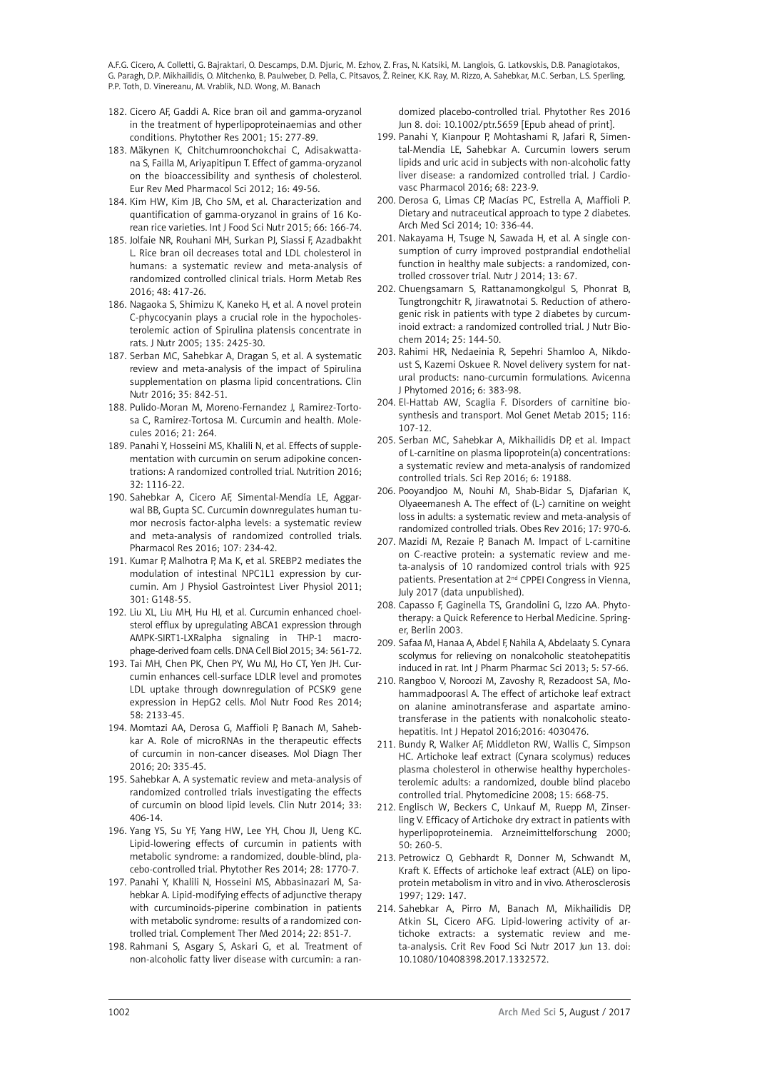- 182. [Cicero AF](http://www.ncbi.nlm.nih.gov/pubmed/?term=Cicero AF%5BAuthor%5D&cauthor=true&cauthor_uid=11406848), [Gaddi A](http://www.ncbi.nlm.nih.gov/pubmed/?term=Gaddi A%5BAuthor%5D&cauthor=true&cauthor_uid=11406848). Rice bran oil and gamma-oryzanol in the treatment of hyperlipoproteinaemias and other conditions. Phytother Res 2001; 15: 277-89.
- 183. [Mäkynen K,](http://www.ncbi.nlm.nih.gov/pubmed/?term=M%C3%A4kynen K%5BAuthor%5D&cauthor=true&cauthor_uid=22338548) [Chitchumroonchokchai C](http://www.ncbi.nlm.nih.gov/pubmed/?term=Chitchumroonchokchai C%5BAuthor%5D&cauthor=true&cauthor_uid=22338548), [Adisakwatta](http://www.ncbi.nlm.nih.gov/pubmed/?term=Adisakwattana S%5BAuthor%5D&cauthor=true&cauthor_uid=22338548)[na S](http://www.ncbi.nlm.nih.gov/pubmed/?term=Adisakwattana S%5BAuthor%5D&cauthor=true&cauthor_uid=22338548), [Failla M,](http://www.ncbi.nlm.nih.gov/pubmed/?term=Failla M%5BAuthor%5D&cauthor=true&cauthor_uid=22338548) [Ariyapitipun T.](http://www.ncbi.nlm.nih.gov/pubmed/?term=Ariyapitipun T%5BAuthor%5D&cauthor=true&cauthor_uid=22338548) Effect of gamma-oryzanol on the bioaccessibility and synthesis of cholesterol. Eur Rev Med Pharmacol Sci 2012; 16: 49-56.
- 184. [Kim HW](http://www.ncbi.nlm.nih.gov/pubmed/?term=Kim HW%5BAuthor%5D&cauthor=true&cauthor_uid=25373930), [Kim JB](http://www.ncbi.nlm.nih.gov/pubmed/?term=Kim JB%5BAuthor%5D&cauthor=true&cauthor_uid=25373930), [Cho SM,](http://www.ncbi.nlm.nih.gov/pubmed/?term=Cho SM%5BAuthor%5D&cauthor=true&cauthor_uid=25373930) et al. Characterization and quantification of gamma-oryzanol in grains of 16 Korean rice varieties. Int J Food Sci Nutr 2015; 66: 166-74.
- 185. [Jolfaie NR](https://www.ncbi.nlm.nih.gov/pubmed/?term=Jolfaie NR%5BAuthor%5D&cauthor=true&cauthor_uid=27311126), [Rouhani MH](https://www.ncbi.nlm.nih.gov/pubmed/?term=Rouhani MH%5BAuthor%5D&cauthor=true&cauthor_uid=27311126), [Surkan PJ,](https://www.ncbi.nlm.nih.gov/pubmed/?term=Surkan PJ%5BAuthor%5D&cauthor=true&cauthor_uid=27311126) [Siassi F](https://www.ncbi.nlm.nih.gov/pubmed/?term=Siassi F%5BAuthor%5D&cauthor=true&cauthor_uid=27311126), [Azadbakht](https://www.ncbi.nlm.nih.gov/pubmed/?term=Azadbakht L%5BAuthor%5D&cauthor=true&cauthor_uid=27311126)  [L](https://www.ncbi.nlm.nih.gov/pubmed/?term=Azadbakht L%5BAuthor%5D&cauthor=true&cauthor_uid=27311126). Rice bran oil decreases total and LDL cholesterol in humans: a systematic review and meta-analysis of randomized controlled clinical trials. [Horm Metab Res](https://www.ncbi.nlm.nih.gov/pubmed/27311126)  2016; 48: 417-26.
- 186. [Nagaoka S](http://www.ncbi.nlm.nih.gov/pubmed/?term=Nagaoka S%5BAuthor%5D&cauthor=true&cauthor_uid=16177207), [Shimizu K,](http://www.ncbi.nlm.nih.gov/pubmed/?term=Shimizu K%5BAuthor%5D&cauthor=true&cauthor_uid=16177207) [Kaneko H,](http://www.ncbi.nlm.nih.gov/pubmed/?term=Kaneko H%5BAuthor%5D&cauthor=true&cauthor_uid=16177207) et al. A novel protein C-phycocyanin plays a crucial role in the hypocholesterolemic action of Spirulina platensis concentrate in rats. J Nutr 2005; 135: 2425-30.
- 187. [Serban MC](http://www.ncbi.nlm.nih.gov/pubmed/?term=Serban MC%5BAuthor%5D&cauthor=true&cauthor_uid=26433766), [Sahebkar A](http://www.ncbi.nlm.nih.gov/pubmed/?term=Sahebkar A%5BAuthor%5D&cauthor=true&cauthor_uid=26433766), [Dragan S](http://www.ncbi.nlm.nih.gov/pubmed/?term=Dragan S%5BAuthor%5D&cauthor=true&cauthor_uid=26433766), et al. A systematic review and meta-analysis of the impact of Spirulina supplementation on plasma lipid concentrations. Clin Nutr 2016; 35: 842-51.
- 188. [Pulido-Moran M](https://www.ncbi.nlm.nih.gov/pubmed/?term=Pulido-Moran M%5BAuthor%5D&cauthor=true&cauthor_uid=26927041), [Moreno-Fernandez J](https://www.ncbi.nlm.nih.gov/pubmed/?term=Moreno-Fernandez J%5BAuthor%5D&cauthor=true&cauthor_uid=26927041), [Ramirez-Torto](https://www.ncbi.nlm.nih.gov/pubmed/?term=Ramirez-Tortosa C%5BAuthor%5D&cauthor=true&cauthor_uid=26927041)[sa C,](https://www.ncbi.nlm.nih.gov/pubmed/?term=Ramirez-Tortosa C%5BAuthor%5D&cauthor=true&cauthor_uid=26927041) [Ramirez-Tortosa M.](https://www.ncbi.nlm.nih.gov/pubmed/?term=Ramirez-Tortosa M%5BAuthor%5D&cauthor=true&cauthor_uid=26927041) Curcumin and health. Molecules 2016; 21: 264.
- 189. [Panahi Y,](http://www.ncbi.nlm.nih.gov/pubmed/?term=Panahi Y%5BAuthor%5D&cauthor=true&cauthor_uid=27297718) [Hosseini MS,](http://www.ncbi.nlm.nih.gov/pubmed/?term=Hosseini MS%5BAuthor%5D&cauthor=true&cauthor_uid=27297718) [Khalili N,](http://www.ncbi.nlm.nih.gov/pubmed/?term=Khalili N%5BAuthor%5D&cauthor=true&cauthor_uid=27297718) et al. Effects of supplementation with curcumin on serum adipokine concentrations: A randomized controlled trial. Nutrition 2016; 32: 1116-22.
- 190. Sahebkar A, Cicero AF, Simental-Mendía LE, Aggarwal BB, Gupta SC. Curcumin downregulates human tumor necrosis factor-alpha levels: a systematic review and meta-analysis of randomized controlled trials. Pharmacol Res 2016; 107: 234-42.
- 191. Kumar P, Malhotra P, Ma K, et al. SREBP2 mediates the modulation of intestinal NPC1L1 expression by curcumin. Am J Physiol Gastrointest Liver Physiol 2011; 301: G148-55.
- 192. Liu XL, Liu MH, Hu HJ, et al. Curcumin enhanced choelsterol efflux by upregulating ABCA1 expression through AMPK-SIRT1-LXRalpha signaling in THP-1 macrophage-derived foam cells. DNA Cell Biol 2015; 34: 561-72.
- 193. [Tai MH,](http://www.ncbi.nlm.nih.gov/pubmed/?term=Tai MH%5BAuthor%5D&cauthor=true&cauthor_uid=25164566) [Chen PK](http://www.ncbi.nlm.nih.gov/pubmed/?term=Chen PK%5BAuthor%5D&cauthor=true&cauthor_uid=25164566), [Chen PY,](http://www.ncbi.nlm.nih.gov/pubmed/?term=Chen PY%5BAuthor%5D&cauthor=true&cauthor_uid=25164566) [Wu MJ](http://www.ncbi.nlm.nih.gov/pubmed/?term=Wu MJ%5BAuthor%5D&cauthor=true&cauthor_uid=25164566), [Ho CT](http://www.ncbi.nlm.nih.gov/pubmed/?term=Ho CT%5BAuthor%5D&cauthor=true&cauthor_uid=25164566), [Yen JH](http://www.ncbi.nlm.nih.gov/pubmed/?term=Yen JH%5BAuthor%5D&cauthor=true&cauthor_uid=25164566). Curcumin enhances cell-surface LDLR level and promotes LDL uptake through downregulation of PCSK9 gene expression in HepG2 cells. Mol Nutr Food Res 2014; 58: 2133-45.
- 194. Momtazi AA, Derosa G, Maffioli P, Banach M, Sahebkar A. Role of microRNAs in the therapeutic effects of curcumin in non-cancer diseases. Mol Diagn Ther 2016; 20: 335-45.
- 195. [Sahebkar A](http://www.ncbi.nlm.nih.gov/pubmed/?term=Sahebkar A%5BAuthor%5D&cauthor=true&cauthor_uid=24139527). A systematic review and meta-analysis of randomized controlled trials investigating the effects of curcumin on blood lipid levels. Clin Nutr 2014; 33: 406-14.
- 196. [Yang YS](http://www.ncbi.nlm.nih.gov/pubmed/?term=Yang YS%5BAuthor%5D&cauthor=true&cauthor_uid=25131839), [Su YF,](http://www.ncbi.nlm.nih.gov/pubmed/?term=Su YF%5BAuthor%5D&cauthor=true&cauthor_uid=25131839) [Yang HW](http://www.ncbi.nlm.nih.gov/pubmed/?term=Yang HW%5BAuthor%5D&cauthor=true&cauthor_uid=25131839), [Lee YH,](http://www.ncbi.nlm.nih.gov/pubmed/?term=Lee YH%5BAuthor%5D&cauthor=true&cauthor_uid=25131839) [Chou JI,](http://www.ncbi.nlm.nih.gov/pubmed/?term=Chou JI%5BAuthor%5D&cauthor=true&cauthor_uid=25131839) [Ueng KC.](http://www.ncbi.nlm.nih.gov/pubmed/?term=Ueng KC%5BAuthor%5D&cauthor=true&cauthor_uid=25131839) Lipid-lowering effects of curcumin in patients with metabolic syndrome: a randomized, double-blind, placebo-controlled trial. Phytother Res 2014; 28: 1770-7.
- 197. Panahi Y, Khalili N, Hosseini MS, Abbasinazari M, Sahebkar A. Lipid-modifying effects of adjunctive therapy with curcuminoids-piperine combination in patients with metabolic syndrome: results of a randomized controlled trial. Complement Ther Med 2014; 22: 851-7.
- 198. Rahmani S, Asgary S, Askari G, et al. Treatment of non-alcoholic fatty liver disease with curcumin: a ran-

domized placebo-controlled trial. Phytother Res 2016 Jun 8. doi: 10.1002/ptr.5659 [Epub ahead of print].

- 199. [Panahi Y,](http://www.ncbi.nlm.nih.gov/pubmed/?term=Panahi Y%5BAuthor%5D&cauthor=true&cauthor_uid=27124606) [Kianpour P](http://www.ncbi.nlm.nih.gov/pubmed/?term=Kianpour P%5BAuthor%5D&cauthor=true&cauthor_uid=27124606), [Mohtashami R](http://www.ncbi.nlm.nih.gov/pubmed/?term=Mohtashami R%5BAuthor%5D&cauthor=true&cauthor_uid=27124606), [Jafari R](http://www.ncbi.nlm.nih.gov/pubmed/?term=Jafari R%5BAuthor%5D&cauthor=true&cauthor_uid=27124606), [Simen](http://www.ncbi.nlm.nih.gov/pubmed/?term=Simental-Mend%C3%ADa LE%5BAuthor%5D&cauthor=true&cauthor_uid=27124606)[tal-Mendía LE](http://www.ncbi.nlm.nih.gov/pubmed/?term=Simental-Mend%C3%ADa LE%5BAuthor%5D&cauthor=true&cauthor_uid=27124606), [Sahebkar A](http://www.ncbi.nlm.nih.gov/pubmed/?term=Sahebkar A%5BAuthor%5D&cauthor=true&cauthor_uid=27124606). Curcumin lowers serum lipids and uric acid in subjects with non-alcoholic fatty liver disease: a randomized controlled trial. J Cardiovasc Pharmacol 2016; 68: 223-9.
- 200. Derosa G, Limas CP, Macías PC, Estrella A, Maffioli P. Dietary and nutraceutical approach to type 2 diabetes. Arch Med Sci 2014; 10: 336-44.
- 201. Nakayama H, Tsuge N, Sawada H, et al. A single consumption of curry improved postprandial endothelial function in healthy male subjects: a randomized, controlled crossover trial. Nutr J 2014; 13: 67.
- 202. Chuengsamarn S, Rattanamongkolgul S, Phonrat B, Tungtrongchitr R, Jirawatnotai S. Reduction of atherogenic risk in patients with type 2 diabetes by curcuminoid extract: a randomized controlled trial. J Nutr Biochem 2014; 25: 144-50.
- 203. [Rahimi HR,](http://www.ncbi.nlm.nih.gov/pubmed/?term=Rahimi HR%5BAuthor%5D&cauthor=true&cauthor_uid=27516979) [Nedaeinia R,](http://www.ncbi.nlm.nih.gov/pubmed/?term=Nedaeinia R%5BAuthor%5D&cauthor=true&cauthor_uid=27516979) [Sepehri Shamloo A](http://www.ncbi.nlm.nih.gov/pubmed/?term=Sepehri Shamloo A%5BAuthor%5D&cauthor=true&cauthor_uid=27516979), [Nikdo](http://www.ncbi.nlm.nih.gov/pubmed/?term=Nikdoust S%5BAuthor%5D&cauthor=true&cauthor_uid=27516979)[ust S](http://www.ncbi.nlm.nih.gov/pubmed/?term=Nikdoust S%5BAuthor%5D&cauthor=true&cauthor_uid=27516979), [Kazemi Oskuee R.](http://www.ncbi.nlm.nih.gov/pubmed/?term=Kazemi Oskuee R%5BAuthor%5D&cauthor=true&cauthor_uid=27516979) Novel delivery system for natural products: nano-curcumin formulations. Avicenna J Phytomed 2016; 6: 383-98.
- 204. El-Hattab AW, Scaglia F. Disorders of carnitine biosynthesis and transport. Mol Genet Metab 2015; 116: 107-12.
- 205. Serban MC, Sahebkar A, Mikhailidis DP, et al. Impact of L-carnitine on plasma lipoprotein(a) concentrations: a systematic review and meta-analysis of randomized controlled trials. Sci Rep 2016; 6: 19188.
- 206. Pooyandjoo M, Nouhi M, Shab-Bidar S, Djafarian K, Olyaeemanesh A. The effect of (L-) carnitine on weight loss in adults: a systematic review and meta-analysis of randomized controlled trials. Obes Rev 2016; 17: 970-6.
- 207. Mazidi M, Rezaie P, Banach M. Impact of L-carnitine on C-reactive protein: a systematic review and meta-analysis of 10 randomized control trials with 925 patients. Presentation at 2nd CPPEI Congress in Vienna, July 2017 (data unpublished).
- 208. Capasso F, Gaginella TS, Grandolini G, Izzo AA. Phytotherapy: a Quick Reference to Herbal Medicine. Springer, Berlin 2003.
- 209. Safaa M, Hanaa A, Abdel F, Nahila A, Abdelaaty S. Cynara scolymus for relieving on nonalcoholic steatohepatitis induced in rat. Int J Pharm Pharmac Sci 2013; 5: 57-66.
- 210. [Rangboo V](http://www.ncbi.nlm.nih.gov/pubmed/?term=Rangboo V%5BAuthor%5D&cauthor=true&cauthor_uid=27293900), [Noroozi M,](http://www.ncbi.nlm.nih.gov/pubmed/?term=Noroozi M%5BAuthor%5D&cauthor=true&cauthor_uid=27293900) [Zavoshy R](http://www.ncbi.nlm.nih.gov/pubmed/?term=Zavoshy R%5BAuthor%5D&cauthor=true&cauthor_uid=27293900), [Rezadoost SA](http://www.ncbi.nlm.nih.gov/pubmed/?term=Rezadoost SA%5BAuthor%5D&cauthor=true&cauthor_uid=27293900), [Mo](http://www.ncbi.nlm.nih.gov/pubmed/?term=Mohammadpoorasl A%5BAuthor%5D&cauthor=true&cauthor_uid=27293900)[hammadpoorasl A](http://www.ncbi.nlm.nih.gov/pubmed/?term=Mohammadpoorasl A%5BAuthor%5D&cauthor=true&cauthor_uid=27293900). The effect of artichoke leaf extract on alanine aminotransferase and aspartate aminotransferase in the patients with nonalcoholic steatohepatitis. Int J Hepatol 2016;2016: 4030476.
- 211. [Bundy R,](http://www.ncbi.nlm.nih.gov/pubmed/?term=Bundy R%5BAuthor%5D&cauthor=true&cauthor_uid=18424099) [Walker AF,](http://www.ncbi.nlm.nih.gov/pubmed/?term=Walker AF%5BAuthor%5D&cauthor=true&cauthor_uid=18424099) [Middleton RW](http://www.ncbi.nlm.nih.gov/pubmed/?term=Middleton RW%5BAuthor%5D&cauthor=true&cauthor_uid=18424099), [Wallis C](http://www.ncbi.nlm.nih.gov/pubmed/?term=Wallis C%5BAuthor%5D&cauthor=true&cauthor_uid=18424099), [Simpson](http://www.ncbi.nlm.nih.gov/pubmed/?term=Simpson HC%5BAuthor%5D&cauthor=true&cauthor_uid=18424099) [HC](http://www.ncbi.nlm.nih.gov/pubmed/?term=Simpson HC%5BAuthor%5D&cauthor=true&cauthor_uid=18424099). Artichoke leaf extract (Cynara scolymus) reduces plasma cholesterol in otherwise healthy hypercholesterolemic adults: a randomized, double blind placebo controlled trial. Phytomedicine 2008; 15: 668-75.
- 212. [Englisch W,](http://www.ncbi.nlm.nih.gov/pubmed/?term=Englisch W%5BAuthor%5D&cauthor=true&cauthor_uid=10758778) [Beckers C](http://www.ncbi.nlm.nih.gov/pubmed/?term=Beckers C%5BAuthor%5D&cauthor=true&cauthor_uid=10758778), [Unkauf M](http://www.ncbi.nlm.nih.gov/pubmed/?term=Unkauf M%5BAuthor%5D&cauthor=true&cauthor_uid=10758778), [Ruepp M,](http://www.ncbi.nlm.nih.gov/pubmed/?term=Ruepp M%5BAuthor%5D&cauthor=true&cauthor_uid=10758778) [Zinser](http://www.ncbi.nlm.nih.gov/pubmed/?term=Zinserling V%5BAuthor%5D&cauthor=true&cauthor_uid=10758778)[ling V](http://www.ncbi.nlm.nih.gov/pubmed/?term=Zinserling V%5BAuthor%5D&cauthor=true&cauthor_uid=10758778). Efficacy of Artichoke dry extract in patients with hyperlipoproteinemia. Arzneimittelforschung 2000; 50: 260-5.
- 213. Petrowicz O, Gebhardt R, Donner M, Schwandt M, Kraft K. Effects of artichoke leaf extract (ALE) on lipoprotein metabolism in vitro and in vivo. Atherosclerosis 1997; 129: 147.
- 214. [Sahebkar A,](https://www.ncbi.nlm.nih.gov/pubmed/?term=Sahebkar A%5BAuthor%5D&cauthor=true&cauthor_uid=28609140) [Pirro M](https://www.ncbi.nlm.nih.gov/pubmed/?term=Pirro M%5BAuthor%5D&cauthor=true&cauthor_uid=28609140), [Banach M](https://www.ncbi.nlm.nih.gov/pubmed/?term=Banach M%5BAuthor%5D&cauthor=true&cauthor_uid=28609140), Mikhailidis DP, [Atkin SL](https://www.ncbi.nlm.nih.gov/pubmed/?term=Atkin SL%5BAuthor%5D&cauthor=true&cauthor_uid=28609140), [Cicero AFG](https://www.ncbi.nlm.nih.gov/pubmed/?term=Cicero AFG%5BAuthor%5D&cauthor=true&cauthor_uid=28609140). Lipid-lowering activity of artichoke extracts: a systematic review and meta-analysis. [Crit Rev Food Sci Nutr](https://www.ncbi.nlm.nih.gov/pubmed/?term=banach+m+artichoke) 2017 Jun 13. doi: 10.1080/10408398.2017.1332572.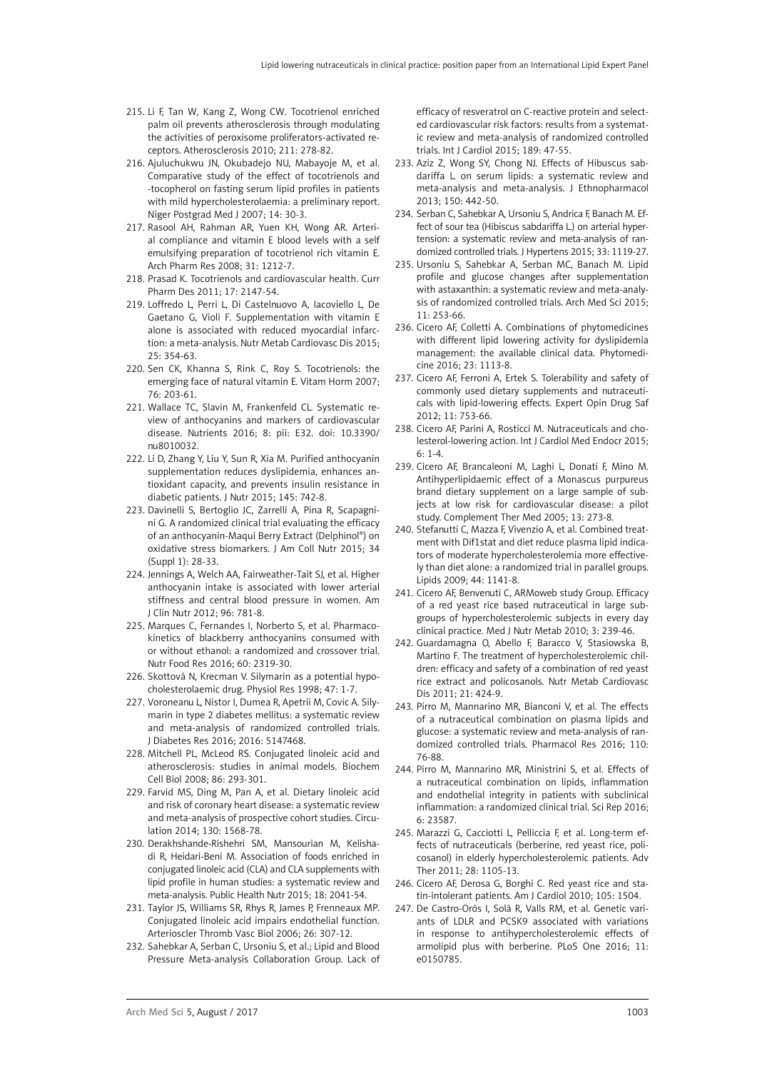- 215. [Li F](http://www.ncbi.nlm.nih.gov/pubmed/?term=Li F%5BAuthor%5D&cauthor=true&cauthor_uid=20138624), [Tan W,](http://www.ncbi.nlm.nih.gov/pubmed/?term=Tan W%5BAuthor%5D&cauthor=true&cauthor_uid=20138624) [Kang Z](http://www.ncbi.nlm.nih.gov/pubmed/?term=Kang Z%5BAuthor%5D&cauthor=true&cauthor_uid=20138624), [Wong CW.](http://www.ncbi.nlm.nih.gov/pubmed/?term=Wong CW%5BAuthor%5D&cauthor=true&cauthor_uid=20138624) Tocotrienol enriched palm oil prevents atherosclerosis through modulating the activities of peroxisome proliferators-activated receptors. Atherosclerosis 2010; 211: 278-82.
- 216. [Ajuluchukwu JN](http://www.ncbi.nlm.nih.gov/pubmed/?term=Ajuluchukwu JN%5BAuthor%5D&cauthor=true&cauthor_uid=17356586), [Okubadejo NU,](http://www.ncbi.nlm.nih.gov/pubmed/?term=Okubadejo NU%5BAuthor%5D&cauthor=true&cauthor_uid=17356586) [Mabayoje M](http://www.ncbi.nlm.nih.gov/pubmed/?term=Mabayoje M%5BAuthor%5D&cauthor=true&cauthor_uid=17356586), et al. Comparative study of the effect of tocotrienols and -tocopherol on fasting serum lipid profiles in patients with mild hypercholesterolaemia: a preliminary report. Niger Postgrad Med J 2007; 14: 30-3.
- 217. [Rasool AH,](http://www.ncbi.nlm.nih.gov/pubmed/?term=Rasool AH%5BAuthor%5D&cauthor=true&cauthor_uid=18806966) [Rahman AR](http://www.ncbi.nlm.nih.gov/pubmed/?term=Rahman AR%5BAuthor%5D&cauthor=true&cauthor_uid=18806966), [Yuen KH,](http://www.ncbi.nlm.nih.gov/pubmed/?term=Yuen KH%5BAuthor%5D&cauthor=true&cauthor_uid=18806966) [Wong AR.](http://www.ncbi.nlm.nih.gov/pubmed/?term=Wong AR%5BAuthor%5D&cauthor=true&cauthor_uid=18806966) Arterial compliance and vitamin E blood levels with a self emulsifying preparation of tocotrienol rich vitamin E. Arch Pharm Res 2008; 31: 1212-7.
- 218. [Prasad K.](http://www.ncbi.nlm.nih.gov/pubmed/?term=Prasad K%5BAuthor%5D&cauthor=true&cauthor_uid=21774782) Tocotrienols and cardiovascular health. Curr Pharm Des 2011; 17: 2147-54.
- 219. Loffredo L, Perri L, Di Castelnuovo A, Iacoviello L, De Gaetano G, Violi F. Supplementation with vitamin E alone is associated with reduced myocardial infarction: a meta-analysis. Nutr Metab Cardiovasc Dis 2015; 25: 354-63.
- 220. [Sen CK](http://www.ncbi.nlm.nih.gov/pubmed/?term=Sen CK%5BAuthor%5D&cauthor=true&cauthor_uid=17628176), [Khanna S,](http://www.ncbi.nlm.nih.gov/pubmed/?term=Khanna S%5BAuthor%5D&cauthor=true&cauthor_uid=17628176) [Rink C](http://www.ncbi.nlm.nih.gov/pubmed/?term=Rink C%5BAuthor%5D&cauthor=true&cauthor_uid=17628176), [Roy S](http://www.ncbi.nlm.nih.gov/pubmed/?term=Roy S%5BAuthor%5D&cauthor=true&cauthor_uid=17628176). Tocotrienols: the emerging face of natural vitamin E. Vitam Horm 2007; 76: 203-61.
- 221. [Wallace TC](http://www.ncbi.nlm.nih.gov/pubmed/?term=Wallace TC%5BAuthor%5D&cauthor=true&cauthor_uid=26761031), [Slavin M](http://www.ncbi.nlm.nih.gov/pubmed/?term=Slavin M%5BAuthor%5D&cauthor=true&cauthor_uid=26761031), [Frankenfeld CL](http://www.ncbi.nlm.nih.gov/pubmed/?term=Frankenfeld CL%5BAuthor%5D&cauthor=true&cauthor_uid=26761031). Systematic review of anthocyanins and markers of cardiovascular disease. Nutrients 2016; 8: pii: E32. doi: 10.3390/ nu8010032.
- 222. [Li D](http://www.ncbi.nlm.nih.gov/pubmed/?term=Li D%5BAuthor%5D&cauthor=true&cauthor_uid=25833778), [Zhang Y,](http://www.ncbi.nlm.nih.gov/pubmed/?term=Zhang Y%5BAuthor%5D&cauthor=true&cauthor_uid=25833778) [Liu Y,](http://www.ncbi.nlm.nih.gov/pubmed/?term=Liu Y%5BAuthor%5D&cauthor=true&cauthor_uid=25833778) [Sun R](http://www.ncbi.nlm.nih.gov/pubmed/?term=Sun R%5BAuthor%5D&cauthor=true&cauthor_uid=25833778), [Xia M](http://www.ncbi.nlm.nih.gov/pubmed/?term=Xia M%5BAuthor%5D&cauthor=true&cauthor_uid=25833778). Purified anthocyanin supplementation reduces dyslipidemia, enhances antioxidant capacity, and prevents insulin resistance in diabetic patients. J Nutr 2015; 145: 742-8.
- 223. [Davinelli S](http://www.ncbi.nlm.nih.gov/pubmed/?term=Davinelli S%5BAuthor%5D&cauthor=true&cauthor_uid=26400431), [Bertoglio JC,](http://www.ncbi.nlm.nih.gov/pubmed/?term=Bertoglio JC%5BAuthor%5D&cauthor=true&cauthor_uid=26400431) [Zarrelli A,](http://www.ncbi.nlm.nih.gov/pubmed/?term=Zarrelli A%5BAuthor%5D&cauthor=true&cauthor_uid=26400431) [Pina R,](http://www.ncbi.nlm.nih.gov/pubmed/?term=Pina R%5BAuthor%5D&cauthor=true&cauthor_uid=26400431) [Scapagni](http://www.ncbi.nlm.nih.gov/pubmed/?term=Scapagnini G%5BAuthor%5D&cauthor=true&cauthor_uid=26400431)[ni G.](http://www.ncbi.nlm.nih.gov/pubmed/?term=Scapagnini G%5BAuthor%5D&cauthor=true&cauthor_uid=26400431) A randomized clinical trial evaluating the efficacy of an anthocyanin-Maqui Berry Extract (Delphinol®) on oxidative stress biomarkers. J Am Coll Nutr 2015; 34 (Suppl 1): 28-33.
- 224. Jennings A, Welch AA, Fairweather-Tait SJ, et al. Higher anthocyanin intake is associated with lower arterial stiffness and central blood pressure in women. Am J Clin Nutr 2012; 96: 781-8.
- 225. [Marques C,](http://www.ncbi.nlm.nih.gov/pubmed/?term=Marques C%5BAuthor%5D&cauthor=true&cauthor_uid=27306520) [Fernandes I](http://www.ncbi.nlm.nih.gov/pubmed/?term=Fernandes I%5BAuthor%5D&cauthor=true&cauthor_uid=27306520), [Norberto S](http://www.ncbi.nlm.nih.gov/pubmed/?term=Norberto S%5BAuthor%5D&cauthor=true&cauthor_uid=27306520), et al. Pharmacokinetics of blackberry anthocyanins consumed with or without ethanol: a randomized and crossover trial. Nutr Food Res 2016; 60: 2319-30.
- 226. [Skottová N](http://www.ncbi.nlm.nih.gov/pubmed/?term=Skottov%C3%A1 N%5BAuthor%5D&cauthor=true&cauthor_uid=9708694), [Krecman V](http://www.ncbi.nlm.nih.gov/pubmed/?term=Krecman V%5BAuthor%5D&cauthor=true&cauthor_uid=9708694). Silymarin as a potential hypocholesterolaemic drug. Physiol Res 1998; 47: 1-7.
- 227. Voroneanu L, Nistor I, Dumea R, Apetrii M, Covic A. Silymarin in type 2 diabetes mellitus: a systematic review and meta-analysis of randomized controlled trials. J Diabetes Res 2016; 2016: 5147468.
- 228. [Mitchell PL,](http://www.ncbi.nlm.nih.gov/pubmed/?term=Mitchell PL%5BAuthor%5D&cauthor=true&cauthor_uid=18756324) [McLeod RS.](http://www.ncbi.nlm.nih.gov/pubmed/?term=McLeod RS%5BAuthor%5D&cauthor=true&cauthor_uid=18756324) Conjugated linoleic acid and atherosclerosis: studies in animal models. [Biochem](http://www.ncbi.nlm.nih.gov/pubmed/18756324)  [Cell Biol](http://www.ncbi.nlm.nih.gov/pubmed/18756324) 2008; 86: 293-301.
- 229. [Farvid MS](http://www.ncbi.nlm.nih.gov/pubmed/?term=Farvid MS%5BAuthor%5D&cauthor=true&cauthor_uid=25161045), [Ding M](http://www.ncbi.nlm.nih.gov/pubmed/?term=Ding M%5BAuthor%5D&cauthor=true&cauthor_uid=25161045), [Pan A](http://www.ncbi.nlm.nih.gov/pubmed/?term=Pan A%5BAuthor%5D&cauthor=true&cauthor_uid=25161045), et al. Dietary linoleic acid and risk of coronary heart disease: a systematic review and meta-analysis of prospective cohort studies. [Circu](http://www.ncbi.nlm.nih.gov/pubmed/25161045)[lation](http://www.ncbi.nlm.nih.gov/pubmed/25161045) 2014; 130: 1568-78.
- 230. [Derakhshande-Rishehri SM](http://www.ncbi.nlm.nih.gov/pubmed/?term=Derakhshande-Rishehri SM%5BAuthor%5D&cauthor=true&cauthor_uid=25379623), [Mansourian M](http://www.ncbi.nlm.nih.gov/pubmed/?term=Mansourian M%5BAuthor%5D&cauthor=true&cauthor_uid=25379623), [Kelisha](http://www.ncbi.nlm.nih.gov/pubmed/?term=Kelishadi R%5BAuthor%5D&cauthor=true&cauthor_uid=25379623)[di R](http://www.ncbi.nlm.nih.gov/pubmed/?term=Kelishadi R%5BAuthor%5D&cauthor=true&cauthor_uid=25379623), [Heidari-Beni M.](http://www.ncbi.nlm.nih.gov/pubmed/?term=Heidari-Beni M%5BAuthor%5D&cauthor=true&cauthor_uid=25379623) Association of foods enriched in conjugated linoleic acid (CLA) and CLA supplements with lipid profile in human studies: a systematic review and meta-analysis. [Public Health Nutr](http://www.ncbi.nlm.nih.gov/pubmed/25379623) 2015; 18: 2041-54.
- 231. Taylor JS, Williams SR, Rhys R, James P, Frenneaux MP. Conjugated linoleic acid impairs endothelial function. Arterioscler Thromb Vasc Biol 2006; 26: 307-12.
- 232. Sahebkar A, Serban C, Ursoniu S, et al.; Lipid and Blood Pressure Meta-analysis Collaboration Group. Lack of

efficacy of resveratrol on C-reactive protein and selected cardiovascular risk factors: results from a systematic review and meta-analysis of randomized controlled trials. Int J Cardiol 2015; 189: 47-55.

- 233. Aziz Z, Wong SY, Chong NJ. Effects of Hibuscus sabdariffa L. on serum lipids: a systematic review and meta-analysis and meta-analysis. J Ethnopharmacol 2013; 150: 442-50.
- 234. Serban C, Sahebkar A, Ursoniu S, Andrica F, Banach M. Effect of sour tea (Hibiscus sabdariffa L) on arterial hypertension: a systematic review and meta-analysis of randomized controlled trials. J Hypertens 2015; 33: 1119-27.
- 235. Ursoniu S, Sahebkar A, Serban MC, Banach M. Lipid profile and glucose changes after supplementation with astaxanthin: a systematic review and meta-analysis of randomized controlled trials. Arch Med Sci 2015; 11: 253-66.
- 236. [Cicero AF,](http://www.ncbi.nlm.nih.gov/pubmed/?term=Cicero AF%5BAuthor%5D&cauthor=true&cauthor_uid=26621556) [Colletti A.](http://www.ncbi.nlm.nih.gov/pubmed/?term=Colletti A%5BAuthor%5D&cauthor=true&cauthor_uid=26621556) Combinations of phytomedicines with different lipid lowering activity for dyslipidemia management: the available clinical data. [Phytomedi](http://www.ncbi.nlm.nih.gov/pubmed/26621556)[cine](http://www.ncbi.nlm.nih.gov/pubmed/26621556) 2016; 23: 1113-8.
- 237. [Cicero AF,](http://www.ncbi.nlm.nih.gov/pubmed/?term=Cicero AF%5BAuthor%5D&cauthor=true&cauthor_uid=22788832) [Ferroni A](http://www.ncbi.nlm.nih.gov/pubmed/?term=Ferroni A%5BAuthor%5D&cauthor=true&cauthor_uid=22788832), [Ertek S](http://www.ncbi.nlm.nih.gov/pubmed/?term=Ertek S%5BAuthor%5D&cauthor=true&cauthor_uid=22788832). Tolerability and safety of commonly used dietary supplements and nutraceuticals with lipid-lowering effects. [Expert Opin Drug Saf](http://www.ncbi.nlm.nih.gov/pubmed/22788832) 2012; 11: 753-66.
- 238. Cicero AF, Parini A, Rosticci M. Nutraceuticals and cholesterol-lowering action. Int J Cardiol Med Endocr 2015; 6: 1-4.
- 239. [Cicero AF,](http://www.ncbi.nlm.nih.gov/pubmed/?term=Cicero AF%5BAuthor%5D&cauthor=true&cauthor_uid=16338198) [Brancaleoni M](http://www.ncbi.nlm.nih.gov/pubmed/?term=Brancaleoni M%5BAuthor%5D&cauthor=true&cauthor_uid=16338198), [Laghi L,](http://www.ncbi.nlm.nih.gov/pubmed/?term=Laghi L%5BAuthor%5D&cauthor=true&cauthor_uid=16338198) [Donati F,](http://www.ncbi.nlm.nih.gov/pubmed/?term=Donati F%5BAuthor%5D&cauthor=true&cauthor_uid=16338198) [Mino M](http://www.ncbi.nlm.nih.gov/pubmed/?term=Mino M%5BAuthor%5D&cauthor=true&cauthor_uid=16338198). Antihyperlipidaemic effect of a Monascus purpureus brand dietary supplement on a large sample of subjects at low risk for cardiovascular disease: a pilot study. [Complement Ther Med](http://www.ncbi.nlm.nih.gov/pubmed/16338198) 2005; 13: 273-8.
- 240. [Stefanutti C,](http://www.ncbi.nlm.nih.gov/pubmed/?term=Stefanutti C%5BAuthor%5D&cauthor=true&cauthor_uid=19911216) [Mazza F](http://www.ncbi.nlm.nih.gov/pubmed/?term=Mazza F%5BAuthor%5D&cauthor=true&cauthor_uid=19911216), [Vivenzio A](http://www.ncbi.nlm.nih.gov/pubmed/?term=Vivenzio A%5BAuthor%5D&cauthor=true&cauthor_uid=19911216), et al. Combined treatment with Dif1stat and diet reduce plasma lipid indicators of moderate hypercholesterolemia more effectively than diet alone: a randomized trial in parallel groups. [Lipids](http://www.ncbi.nlm.nih.gov/pubmed/19911216) 2009; 44: 1141-8.
- 241. Cicero AF, Benvenuti C, ARMoweb study Group. Efficacy of a red yeast rice based nutraceutical in large subgroups of hypercholesterolemic subjects in every day clinical practice. Med J Nutr Metab 2010; 3: 239-46.
- 242. [Guardamagna O,](http://www.ncbi.nlm.nih.gov/pubmed/?term=Guardamagna O%5BAuthor%5D&cauthor=true&cauthor_uid=20153154) [Abello F,](http://www.ncbi.nlm.nih.gov/pubmed/?term=Abello F%5BAuthor%5D&cauthor=true&cauthor_uid=20153154) [Baracco V,](http://www.ncbi.nlm.nih.gov/pubmed/?term=Baracco V%5BAuthor%5D&cauthor=true&cauthor_uid=20153154) [Stasiowska B](http://www.ncbi.nlm.nih.gov/pubmed/?term=Stasiowska B%5BAuthor%5D&cauthor=true&cauthor_uid=20153154), [Martino F.](http://www.ncbi.nlm.nih.gov/pubmed/?term=Martino F%5BAuthor%5D&cauthor=true&cauthor_uid=20153154) The treatment of hypercholesterolemic children: efficacy and safety of a combination of red yeast rice extract and policosanols. [Nutr Metab Cardiovasc](http://www.ncbi.nlm.nih.gov/pubmed/20153154) [Dis](http://www.ncbi.nlm.nih.gov/pubmed/20153154) 2011; 21: 424-9.
- 243. [Pirro M,](http://www.ncbi.nlm.nih.gov/pubmed/?term=Pirro M%5BAuthor%5D&cauthor=true&cauthor_uid=27157250) [Mannarino MR,](http://www.ncbi.nlm.nih.gov/pubmed/?term=Mannarino MR%5BAuthor%5D&cauthor=true&cauthor_uid=27157250) [Bianconi V,](http://www.ncbi.nlm.nih.gov/pubmed/?term=Bianconi V%5BAuthor%5D&cauthor=true&cauthor_uid=27157250) et al. The effects of a nutraceutical combination on plasma lipids and glucose: a systematic review and meta-analysis of randomized controlled trials. [Pharmacol Res](http://www.ncbi.nlm.nih.gov/pubmed/27157250) 2016; 110: 76-88.
- 244. [Pirro M](http://www.ncbi.nlm.nih.gov/pubmed/?term=Pirro M%5BAuthor%5D&cauthor=true&cauthor_uid=27004462), [Mannarino MR,](http://www.ncbi.nlm.nih.gov/pubmed/?term=Mannarino MR%5BAuthor%5D&cauthor=true&cauthor_uid=27004462) [Ministrini S](http://www.ncbi.nlm.nih.gov/pubmed/?term=Ministrini S%5BAuthor%5D&cauthor=true&cauthor_uid=27004462), et al. Effects of a nutraceutical combination on lipids, inflammation and endothelial integrity in patients with subclinical inflammation: a randomized clinical trial. [Sci Rep](http://www.ncbi.nlm.nih.gov/pubmed/27004462) 2016; 6: 23587.
- 245. [Marazzi G,](http://www.ncbi.nlm.nih.gov/pubmed/?term=Marazzi G%5BAuthor%5D&cauthor=true&cauthor_uid=22113535) [Cacciotti L,](http://www.ncbi.nlm.nih.gov/pubmed/?term=Cacciotti L%5BAuthor%5D&cauthor=true&cauthor_uid=22113535) [Pelliccia F](http://www.ncbi.nlm.nih.gov/pubmed/?term=Pelliccia F%5BAuthor%5D&cauthor=true&cauthor_uid=22113535), et al. Long-term effects of nutraceuticals (berberine, red yeast rice, policosanol) in elderly hypercholesterolemic patients. [Adv](http://www.ncbi.nlm.nih.gov/pubmed/22113535) [Ther](http://www.ncbi.nlm.nih.gov/pubmed/22113535) 2011; 28: 1105-13.
- 246. Cicero AF, Derosa G, Borghi C. Red yeast rice and statin-intolerant patients. Am J Cardiol 2010; 105: 1504.
- 247. [De Castro-Orós I,](http://www.ncbi.nlm.nih.gov/pubmed/?term=De Castro-Or%C3%B3s I%5BAuthor%5D&cauthor=true&cauthor_uid=27015087) [Solà R](http://www.ncbi.nlm.nih.gov/pubmed/?term=Sol%C3%A0 R%5BAuthor%5D&cauthor=true&cauthor_uid=27015087), [Valls RM,](http://www.ncbi.nlm.nih.gov/pubmed/?term=Valls RM%5BAuthor%5D&cauthor=true&cauthor_uid=27015087) et al. Genetic variants of LDLR and PCSK9 associated with variations in response to antihypercholesterolemic effects of armolipid plus with berberine. [PLoS One](http://www.ncbi.nlm.nih.gov/pubmed/27015087) 2016; 11: e0150785.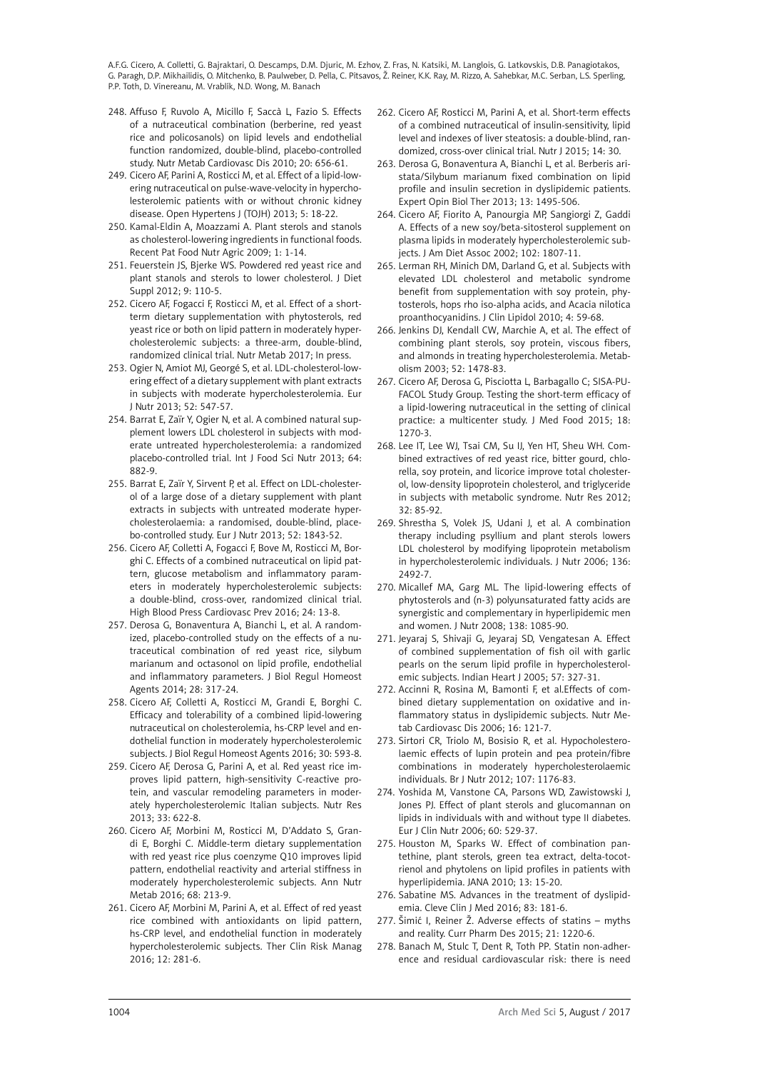- 248. [Affuso F](http://www.ncbi.nlm.nih.gov/pubmed/?term=Affuso F%5BAuthor%5D&cauthor=true&cauthor_uid=19699071), [Ruvolo A,](http://www.ncbi.nlm.nih.gov/pubmed/?term=Ruvolo A%5BAuthor%5D&cauthor=true&cauthor_uid=19699071) [Micillo F](http://www.ncbi.nlm.nih.gov/pubmed/?term=Micillo F%5BAuthor%5D&cauthor=true&cauthor_uid=19699071), [Saccà L,](http://www.ncbi.nlm.nih.gov/pubmed/?term=Sacc%C3%A0 L%5BAuthor%5D&cauthor=true&cauthor_uid=19699071) [Fazio S](http://www.ncbi.nlm.nih.gov/pubmed/?term=Fazio S%5BAuthor%5D&cauthor=true&cauthor_uid=19699071). Effects of a nutraceutical combination (berberine, red yeast rice and policosanols) on lipid levels and endothelial function randomized, double-blind, placebo-controlled study. [Nutr Metab Cardiovasc Dis](http://www.ncbi.nlm.nih.gov/pubmed/19699071) 2010; 20: 656-61.
- 249. Cicero AF, Parini A, Rosticci M, et al. Effect of a lipid-lowering nutraceutical on pulse-wave-velocity in hypercholesterolemic patients with or without chronic kidney disease. Open Hypertens J (TOJH) 2013; 5: 18-22.
- 250. [Kamal-Eldin A,](http://www.ncbi.nlm.nih.gov/pubmed/?term=Kamal-Eldin A%5BAuthor%5D&cauthor=true&cauthor_uid=20653521) [Moazzami A](http://www.ncbi.nlm.nih.gov/pubmed/?term=Moazzami A%5BAuthor%5D&cauthor=true&cauthor_uid=20653521). Plant sterols and stanols as cholesterol-lowering ingredients in functional foods. [Recent Pat Food Nutr Agric](http://www.ncbi.nlm.nih.gov/pubmed/20653521) 2009; 1: 1-14.
- 251. [Feuerstein JS,](http://www.ncbi.nlm.nih.gov/pubmed/?term=Feuerstein JS%5BAuthor%5D&cauthor=true&cauthor_uid=22531006) [Bjerke WS](http://www.ncbi.nlm.nih.gov/pubmed/?term=Bjerke WS%5BAuthor%5D&cauthor=true&cauthor_uid=22531006). Powdered red yeast rice and plant stanols and sterols to lower cholesterol. [J Diet](http://www.ncbi.nlm.nih.gov/pubmed/22531006)  [Suppl](http://www.ncbi.nlm.nih.gov/pubmed/22531006) 2012; 9: 110-5.
- 252. Cicero AF, Fogacci F, Rosticci M, et al. Effect of a shortterm dietary supplementation with phytosterols, red yeast rice or both on lipid pattern in moderately hypercholesterolemic subjects: a three-arm, double-blind, randomized clinical trial. Nutr Metab 2017; In press.
- 253. [Ogier N,](http://www.ncbi.nlm.nih.gov/pubmed/?term=Ogier N%5BAuthor%5D&cauthor=true&cauthor_uid=22527287) [Amiot MJ](http://www.ncbi.nlm.nih.gov/pubmed/?term=Amiot MJ%5BAuthor%5D&cauthor=true&cauthor_uid=22527287), [Georgé S,](http://www.ncbi.nlm.nih.gov/pubmed/?term=Georg%C3%A9 S%5BAuthor%5D&cauthor=true&cauthor_uid=22527287) et al. LDL-cholesterol-lowering effect of a dietary supplement with plant extracts in subjects with moderate hypercholesterolemia. [Eur](http://www.ncbi.nlm.nih.gov/pubmed/22527287)  [J Nutr](http://www.ncbi.nlm.nih.gov/pubmed/22527287) 2013; 52: 547-57.
- 254. [Barrat E,](http://www.ncbi.nlm.nih.gov/pubmed/?term=Barrat E%5BAuthor%5D&cauthor=true&cauthor_uid=23815518) [Zaïr Y](http://www.ncbi.nlm.nih.gov/pubmed/?term=Za%C3%AFr Y%5BAuthor%5D&cauthor=true&cauthor_uid=23815518), [Ogier N](http://www.ncbi.nlm.nih.gov/pubmed/?term=Ogier N%5BAuthor%5D&cauthor=true&cauthor_uid=23815518), et al. A combined natural supplement lowers LDL cholesterol in subjects with moderate untreated hypercholesterolemia: a randomized placebo-controlled trial. [Int J Food Sci Nutr](http://www.ncbi.nlm.nih.gov/pubmed/23815518) 2013; 64: 882-9.
- 255. [Barrat E,](http://www.ncbi.nlm.nih.gov/pubmed/?term=Barrat E%5BAuthor%5D&cauthor=true&cauthor_uid=23266743) [Zaïr Y,](http://www.ncbi.nlm.nih.gov/pubmed/?term=Za%C3%AFr Y%5BAuthor%5D&cauthor=true&cauthor_uid=23266743) [Sirvent P,](http://www.ncbi.nlm.nih.gov/pubmed/?term=Sirvent P%5BAuthor%5D&cauthor=true&cauthor_uid=23266743) et al. Effect on LDL-cholesterol of a large dose of a dietary supplement with plant extracts in subjects with untreated moderate hypercholesterolaemia: a randomised, double-blind, placebo-controlled study. [Eur J Nutr](http://www.ncbi.nlm.nih.gov/pubmed/23266743) 2013; 52: 1843-52.
- 256. [Cicero AF,](http://www.ncbi.nlm.nih.gov/pubmed/?term=Cicero AF%5BAuthor%5D&cauthor=true&cauthor_uid=27339779) [Colletti A](http://www.ncbi.nlm.nih.gov/pubmed/?term=Colletti A%5BAuthor%5D&cauthor=true&cauthor_uid=27339779), [Fogacci F](http://www.ncbi.nlm.nih.gov/pubmed/?term=Fogacci F%5BAuthor%5D&cauthor=true&cauthor_uid=27339779), [Bove M](http://www.ncbi.nlm.nih.gov/pubmed/?term=Bove M%5BAuthor%5D&cauthor=true&cauthor_uid=27339779), [Rosticci M,](http://www.ncbi.nlm.nih.gov/pubmed/?term=Rosticci M%5BAuthor%5D&cauthor=true&cauthor_uid=27339779) [Bor](http://www.ncbi.nlm.nih.gov/pubmed/?term=Borghi C%5BAuthor%5D&cauthor=true&cauthor_uid=27339779)[ghi C](http://www.ncbi.nlm.nih.gov/pubmed/?term=Borghi C%5BAuthor%5D&cauthor=true&cauthor_uid=27339779). Effects of a combined nutraceutical on lipid pattern, glucose metabolism and inflammatory parameters in moderately hypercholesterolemic subjects: a double-blind, cross-over, randomized clinical trial. [High Blood Press Cardiovasc Prev](http://www.ncbi.nlm.nih.gov/pubmed/27339779) 2016; 24: 13-8.
- 257. [Derosa G](http://www.ncbi.nlm.nih.gov/pubmed/?term=Derosa G%5BAuthor%5D&cauthor=true&cauthor_uid=25001663), [Bonaventura A](http://www.ncbi.nlm.nih.gov/pubmed/?term=Bonaventura A%5BAuthor%5D&cauthor=true&cauthor_uid=25001663), [Bianchi L,](http://www.ncbi.nlm.nih.gov/pubmed/?term=Bianchi L%5BAuthor%5D&cauthor=true&cauthor_uid=25001663) et al. A randomized, placebo-controlled study on the effects of a nutraceutical combination of red yeast rice, silybum marianum and octasonol on lipid profile, endothelial and inflammatory parameters. [J Biol Regul Homeost](http://www.ncbi.nlm.nih.gov/pubmed/25001663)  [Agents](http://www.ncbi.nlm.nih.gov/pubmed/25001663) 2014; 28: 317-24.
- 258. Cicero AF, Colletti A, Rosticci M, Grandi E, Borghi C. Efficacy and tolerability of a combined lipid-lowering nutraceutical on cholesterolemia, hs-CRP level and endothelial function in moderately hypercholesterolemic subjects. J Biol Regul Homeost Agents 2016; 30: 593-8.
- 259. [Cicero AF](http://www.ncbi.nlm.nih.gov/pubmed/?term=Cicero AF%5BAuthor%5D&cauthor=true&cauthor_uid=23890351), [Derosa G,](http://www.ncbi.nlm.nih.gov/pubmed/?term=Derosa G%5BAuthor%5D&cauthor=true&cauthor_uid=23890351) [Parini A,](http://www.ncbi.nlm.nih.gov/pubmed/?term=Parini A%5BAuthor%5D&cauthor=true&cauthor_uid=23890351) et al. Red yeast rice improves lipid pattern, high-sensitivity C-reactive protein, and vascular remodeling parameters in moderately hypercholesterolemic Italian subjects. [Nutr Res](http://www.ncbi.nlm.nih.gov/pubmed/23890351)  2013; 33: 622-8.
- 260. Cicero AF, Morbini M, Rosticci M, D'Addato S, Grandi E, Borghi C. Middle-term dietary supplementation with red yeast rice plus coenzyme Q10 improves lipid pattern, endothelial reactivity and arterial stiffness in moderately hypercholesterolemic subjects. Ann Nutr Metab 2016; 68: 213-9.
- 261. [Cicero](http://www.ncbi.nlm.nih.gov/pubmed/?term=Cicero AF%5BAuthor%5D&cauthor=true&cauthor_uid=26966368) AF, Morbini M, [Parini](http://www.ncbi.nlm.nih.gov/pubmed/?term=Parini A%5BAuthor%5D&cauthor=true&cauthor_uid=26966368) A, et al. Effect of red yeast rice combined with antioxidants on lipid pattern, hs-CRP level, and endothelial function in moderately hypercholesterolemic subjects. [Ther Clin Risk Manag](http://www.ncbi.nlm.nih.gov/pmc/articles/PMC4770063/)  2016; 12: 281-6.
- 262. [Cicero AF](http://www.ncbi.nlm.nih.gov/pubmed/?term=Cicero AF%5BAuthor%5D&cauthor=true&cauthor_uid=25886384), [Rosticci M,](http://www.ncbi.nlm.nih.gov/pubmed/?term=Rosticci M%5BAuthor%5D&cauthor=true&cauthor_uid=25886384) [Parini A,](http://www.ncbi.nlm.nih.gov/pubmed/?term=Parini A%5BAuthor%5D&cauthor=true&cauthor_uid=25886384) et al. Short-term effects of a combined nutraceutical of insulin-sensitivity, lipid level and indexes of liver steatosis: a double-blind, randomized, cross-over clinical trial. [Nutr J](http://www.ncbi.nlm.nih.gov/pubmed/25886384) 2015; 14: 30.
- 263. [Derosa G](http://www.ncbi.nlm.nih.gov/pubmed/?term=Derosa G%5BAuthor%5D&cauthor=true&cauthor_uid=23971720), [Bonaventura A](http://www.ncbi.nlm.nih.gov/pubmed/?term=Bonaventura A%5BAuthor%5D&cauthor=true&cauthor_uid=23971720), [Bianchi L](http://www.ncbi.nlm.nih.gov/pubmed/?term=Bianchi L%5BAuthor%5D&cauthor=true&cauthor_uid=23971720), et al. Berberis aristata/Silybum marianum fixed combination on lipid profile and insulin secretion in dyslipidemic patients. [Expert Opin Biol Ther](http://www.ncbi.nlm.nih.gov/pubmed/23971720) 2013; 13: 1495-506.
- 264. [Cicero AF](http://www.ncbi.nlm.nih.gov/pubmed/?term=Cicero AF%5BAuthor%5D&cauthor=true&cauthor_uid=12487546), [Fiorito A,](http://www.ncbi.nlm.nih.gov/pubmed/?term=Fiorito A%5BAuthor%5D&cauthor=true&cauthor_uid=12487546) [Panourgia MP](http://www.ncbi.nlm.nih.gov/pubmed/?term=Panourgia MP%5BAuthor%5D&cauthor=true&cauthor_uid=12487546), [Sangiorgi Z,](http://www.ncbi.nlm.nih.gov/pubmed/?term=Sangiorgi Z%5BAuthor%5D&cauthor=true&cauthor_uid=12487546) [Gaddi](http://www.ncbi.nlm.nih.gov/pubmed/?term=Gaddi A%5BAuthor%5D&cauthor=true&cauthor_uid=12487546) [A](http://www.ncbi.nlm.nih.gov/pubmed/?term=Gaddi A%5BAuthor%5D&cauthor=true&cauthor_uid=12487546). Effects of a new soy/beta-sitosterol supplement on plasma lipids in moderately hypercholesterolemic subjects. [J Am Diet Assoc](http://www.ncbi.nlm.nih.gov/pubmed/12487546) 2002; 102: 1807-11.
- 265. [Lerman RH](http://www.ncbi.nlm.nih.gov/pubmed/?term=Lerman RH%5BAuthor%5D&cauthor=true&cauthor_uid=21122628), [Minich DM,](http://www.ncbi.nlm.nih.gov/pubmed/?term=Minich DM%5BAuthor%5D&cauthor=true&cauthor_uid=21122628) [Darland G](http://www.ncbi.nlm.nih.gov/pubmed/?term=Darland G%5BAuthor%5D&cauthor=true&cauthor_uid=21122628), et al. Subjects with elevated LDL cholesterol and metabolic syndrome benefit from supplementation with soy protein, phytosterols, hops rho iso-alpha acids, and Acacia nilotica proanthocyanidins. [J Clin Lipidol](http://www.ncbi.nlm.nih.gov/pubmed/21122628) 2010; 4: 59-68.
- 266. [Jenkins DJ](http://www.ncbi.nlm.nih.gov/pubmed/?term=Jenkins DJ%5BAuthor%5D&cauthor=true&cauthor_uid=14624410), [Kendall CW,](http://www.ncbi.nlm.nih.gov/pubmed/?term=Kendall CW%5BAuthor%5D&cauthor=true&cauthor_uid=14624410) [Marchie A](http://www.ncbi.nlm.nih.gov/pubmed/?term=Marchie A%5BAuthor%5D&cauthor=true&cauthor_uid=14624410), et al. The effect of combining plant sterols, soy protein, viscous fibers, and almonds in treating hypercholesterolemia. [Metab](http://www.ncbi.nlm.nih.gov/pubmed/14624410)[olism](http://www.ncbi.nlm.nih.gov/pubmed/14624410) 2003; 52: 1478-83.
- 267. [Cicero AF](http://www.ncbi.nlm.nih.gov/pubmed/?term=Cicero AF%5BAuthor%5D&cauthor=true&cauthor_uid=26274827), [Derosa G,](http://www.ncbi.nlm.nih.gov/pubmed/?term=Derosa G%5BAuthor%5D&cauthor=true&cauthor_uid=26274827) [Pisciotta L,](http://www.ncbi.nlm.nih.gov/pubmed/?term=Pisciotta L%5BAuthor%5D&cauthor=true&cauthor_uid=26274827) [Barbagallo C](http://www.ncbi.nlm.nih.gov/pubmed/?term=Barbagallo C%5BAuthor%5D&cauthor=true&cauthor_uid=26274827); [SISA-PU-](http://www.ncbi.nlm.nih.gov/pubmed/?term=SISA-PUFACOL Study Group%5BCorporate Author%5D)[FACOL Study Group.](http://www.ncbi.nlm.nih.gov/pubmed/?term=SISA-PUFACOL Study Group%5BCorporate Author%5D) Testing the short-term efficacy of a lipid-lowering nutraceutical in the setting of clinical practice: a multicenter study. [J Med Food](http://www.ncbi.nlm.nih.gov/pubmed/26274827) 2015; 18: 1270-3.
- 268. [Lee IT,](http://www.ncbi.nlm.nih.gov/pubmed/?term=Lee IT%5BAuthor%5D&cauthor=true&cauthor_uid=22348456) [Lee WJ,](http://www.ncbi.nlm.nih.gov/pubmed/?term=Lee WJ%5BAuthor%5D&cauthor=true&cauthor_uid=22348456) [Tsai CM](http://www.ncbi.nlm.nih.gov/pubmed/?term=Tsai CM%5BAuthor%5D&cauthor=true&cauthor_uid=22348456), [Su IJ,](http://www.ncbi.nlm.nih.gov/pubmed/?term=Su IJ%5BAuthor%5D&cauthor=true&cauthor_uid=22348456) [Yen HT](http://www.ncbi.nlm.nih.gov/pubmed/?term=Yen HT%5BAuthor%5D&cauthor=true&cauthor_uid=22348456), [Sheu WH.](http://www.ncbi.nlm.nih.gov/pubmed/?term=Sheu WH%5BAuthor%5D&cauthor=true&cauthor_uid=22348456) Combined extractives of red yeast rice, bitter gourd, chlorella, soy protein, and licorice improve total cholesterol, low-density lipoprotein cholesterol, and triglyceride in subjects with metabolic syndrome. [Nutr Res](http://www.ncbi.nlm.nih.gov/pubmed/22348456) 2012; 32: 85-92.
- 269. [Shrestha S](http://www.ncbi.nlm.nih.gov/pubmed/?term=Shrestha S%5BAuthor%5D&cauthor=true&cauthor_uid=16988115), [Volek JS](http://www.ncbi.nlm.nih.gov/pubmed/?term=Volek JS%5BAuthor%5D&cauthor=true&cauthor_uid=16988115), [Udani J,](http://www.ncbi.nlm.nih.gov/pubmed/?term=Udani J%5BAuthor%5D&cauthor=true&cauthor_uid=16988115) et al. A combination therapy including psyllium and plant sterols lowers LDL cholesterol by modifying lipoprotein metabolism in hypercholesterolemic individuals. [J Nutr](http://www.ncbi.nlm.nih.gov/pubmed/16988115) 2006; 136: 2492-7.
- 270. Micallef MA, Garg ML. The lipid-lowering effects of phytosterols and (n-3) polyunsaturated fatty acids are synergistic and complementary in hyperlipidemic men and women. J Nutr 2008; 138: 1085-90.
- 271. [Jeyaraj S](http://www.ncbi.nlm.nih.gov/pubmed/?term=Jeyaraj S%5BAuthor%5D&cauthor=true&cauthor_uid=16350679), [Shivaji G](http://www.ncbi.nlm.nih.gov/pubmed/?term=Shivaji G%5BAuthor%5D&cauthor=true&cauthor_uid=16350679), [Jeyaraj SD,](http://www.ncbi.nlm.nih.gov/pubmed/?term=Jeyaraj SD%5BAuthor%5D&cauthor=true&cauthor_uid=16350679) [Vengatesan A.](http://www.ncbi.nlm.nih.gov/pubmed/?term=Vengatesan A%5BAuthor%5D&cauthor=true&cauthor_uid=16350679) Effect of combined supplementation of fish oil with garlic pearls on the serum lipid profile in hypercholesterolemic subjects. [Indian Heart J](http://www.ncbi.nlm.nih.gov/pubmed/16350679) 2005; 57: 327-31.
- 272. [Accinni R](http://www.ncbi.nlm.nih.gov/pubmed/?term=Accinni R%5BAuthor%5D&cauthor=true&cauthor_uid=16487912), [Rosina M](http://www.ncbi.nlm.nih.gov/pubmed/?term=Rosina M%5BAuthor%5D&cauthor=true&cauthor_uid=16487912), [Bamonti F](http://www.ncbi.nlm.nih.gov/pubmed/?term=Bamonti F%5BAuthor%5D&cauthor=true&cauthor_uid=16487912), et al.Effects of combined dietary supplementation on oxidative and inflammatory status in dyslipidemic subjects. [Nutr Me](http://www.ncbi.nlm.nih.gov/pubmed/?term=gamma+oryzanol+omega+3)[tab Cardiovasc Dis](http://www.ncbi.nlm.nih.gov/pubmed/?term=gamma+oryzanol+omega+3) 2006; 16: 121-7.
- 273. [Sirtori CR,](http://www.ncbi.nlm.nih.gov/pubmed/?term=Sirtori CR%5BAuthor%5D&cauthor=true&cauthor_uid=22032303) [Triolo M,](http://www.ncbi.nlm.nih.gov/pubmed/?term=Triolo M%5BAuthor%5D&cauthor=true&cauthor_uid=22032303) [Bosisio R](http://www.ncbi.nlm.nih.gov/pubmed/?term=Bosisio R%5BAuthor%5D&cauthor=true&cauthor_uid=22032303), et al. Hypocholesterolaemic effects of lupin protein and pea protein/fibre combinations in moderately hypercholesterolaemic individuals. [Br J Nutr](http://www.ncbi.nlm.nih.gov/pubmed/22032303) 2012; 107: 1176-83.
- 274. [Yoshida M](http://www.ncbi.nlm.nih.gov/pubmed/?term=Yoshida M%5BAuthor%5D&cauthor=true&cauthor_uid=16391591), [Vanstone CA,](http://www.ncbi.nlm.nih.gov/pubmed/?term=Vanstone CA%5BAuthor%5D&cauthor=true&cauthor_uid=16391591) [Parsons WD](http://www.ncbi.nlm.nih.gov/pubmed/?term=Parsons WD%5BAuthor%5D&cauthor=true&cauthor_uid=16391591), [Zawistowski J](http://www.ncbi.nlm.nih.gov/pubmed/?term=Zawistowski J%5BAuthor%5D&cauthor=true&cauthor_uid=16391591), [Jones PJ.](http://www.ncbi.nlm.nih.gov/pubmed/?term=Jones PJ%5BAuthor%5D&cauthor=true&cauthor_uid=16391591) Effect of plant sterols and glucomannan on lipids in individuals with and without type II diabetes. [Eur J Clin Nutr](http://www.ncbi.nlm.nih.gov/pubmed/16391591) 2006; 60: 529-37.
- 275. Houston M, Sparks W. Effect of combination pantethine, plant sterols, green tea extract, delta-tocotrienol and phytolens on lipid profiles in patients with hyperlipidemia. JANA 2010; 13: 15-20.
- 276. [Sabatine MS.](http://www.ncbi.nlm.nih.gov/pubmed/?term=Sabatine MS%5BAuthor%5D&cauthor=true&cauthor_uid=26974988) Advances in the treatment of dyslipidemia. [Cleve Clin J Med](http://www.ncbi.nlm.nih.gov/pubmed/26974988) 2016; 83: 181-6.
- 277. Šimić I, Reiner Ž. [Adverse effects of statins myths](http://www.ncbi.nlm.nih.gov/pubmed/25312733) [and reality.](http://www.ncbi.nlm.nih.gov/pubmed/25312733) Curr Pharm Des 2015; 21: 1220-6.
- 278. Banach M, Stulc T, Dent R, Toth PP. [Statin non-adher](https://www.ncbi.nlm.nih.gov/pubmed/27728862)[ence and residual cardiovascular risk: there is need](https://www.ncbi.nlm.nih.gov/pubmed/27728862)